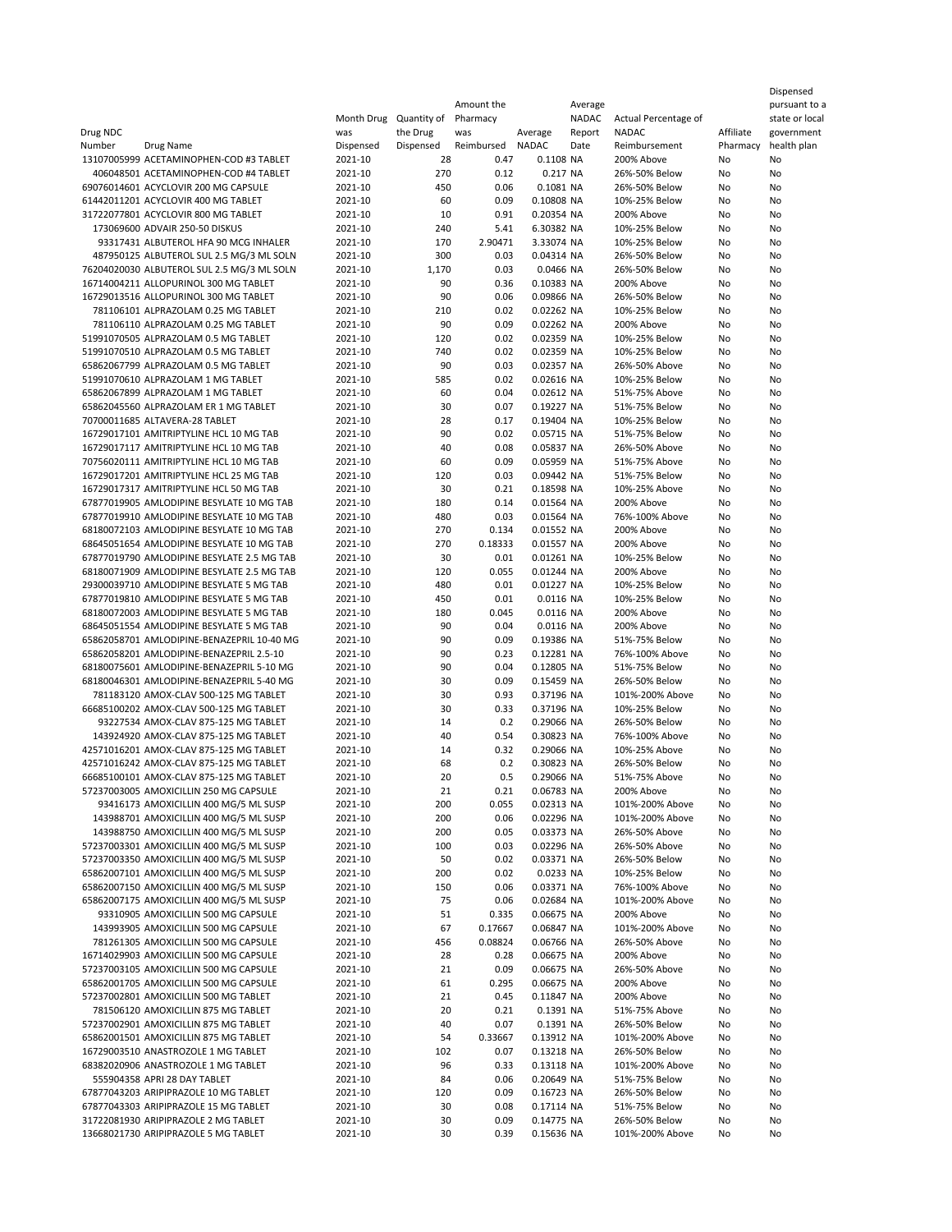|                                                                                      |                    |                       | Amount the        |                          | Average        |                                   |                       | pursuant to a             |
|--------------------------------------------------------------------------------------|--------------------|-----------------------|-------------------|--------------------------|----------------|-----------------------------------|-----------------------|---------------------------|
|                                                                                      | Month Drug         | Quantity of           | Pharmacy          |                          | NADAC          | Actual Percentage of              |                       | state or local            |
| Drug NDC<br>Number<br>Drug Name                                                      | was<br>Dispensed   | the Drug<br>Dispensed | was<br>Reimbursed | Average<br><b>NADAC</b>  | Report<br>Date | <b>NADAC</b><br>Reimbursement     | Affiliate<br>Pharmacy | government<br>health plan |
| 13107005999 ACETAMINOPHEN-COD #3 TABLET                                              | 2021-10            | 28                    | 0.47              | 0.1108 NA                |                | 200% Above                        | No                    | No                        |
| 406048501 ACETAMINOPHEN-COD #4 TABLET                                                | 2021-10            | 270                   | 0.12              | 0.217 NA                 |                | 26%-50% Below                     | No                    | No                        |
| 69076014601 ACYCLOVIR 200 MG CAPSULE                                                 | 2021-10            | 450                   | 0.06              | 0.1081 NA                |                | 26%-50% Below                     | No                    | No                        |
| 61442011201 ACYCLOVIR 400 MG TABLET                                                  | 2021-10            | 60                    | 0.09              | 0.10808 NA               |                | 10%-25% Below                     | No                    | No                        |
| 31722077801 ACYCLOVIR 800 MG TABLET                                                  | 2021-10            | 10                    | 0.91              | 0.20354 NA               |                | 200% Above                        | No                    | No                        |
| 173069600 ADVAIR 250-50 DISKUS                                                       | 2021-10            | 240                   | 5.41              | 6.30382 NA               |                | 10%-25% Below                     | No                    | No                        |
| 93317431 ALBUTEROL HFA 90 MCG INHALER                                                | 2021-10            | 170                   | 2.90471           | 3.33074 NA               |                | 10%-25% Below                     | No                    | No                        |
| 487950125 ALBUTEROL SUL 2.5 MG/3 ML SOLN                                             | 2021-10            | 300                   | 0.03              | 0.04314 NA               |                | 26%-50% Below                     | No                    | No                        |
| 76204020030 ALBUTEROL SUL 2.5 MG/3 ML SOLN<br>16714004211 ALLOPURINOL 300 MG TABLET  | 2021-10            | 1,170                 | 0.03              | 0.0466 NA                |                | 26%-50% Below                     | No                    | No                        |
| 16729013516 ALLOPURINOL 300 MG TABLET                                                | 2021-10<br>2021-10 | 90<br>90              | 0.36<br>0.06      | 0.10383 NA<br>0.09866 NA |                | 200% Above<br>26%-50% Below       | No<br>No              | No<br>No                  |
| 781106101 ALPRAZOLAM 0.25 MG TABLET                                                  | 2021-10            | 210                   | 0.02              | 0.02262 NA               |                | 10%-25% Below                     | No                    | No                        |
| 781106110 ALPRAZOLAM 0.25 MG TABLET                                                  | 2021-10            | 90                    | 0.09              | 0.02262 NA               |                | 200% Above                        | No                    | No                        |
| 51991070505 ALPRAZOLAM 0.5 MG TABLET                                                 | 2021-10            | 120                   | 0.02              | 0.02359 NA               |                | 10%-25% Below                     | No                    | No                        |
| 51991070510 ALPRAZOLAM 0.5 MG TABLET                                                 | 2021-10            | 740                   | 0.02              | 0.02359 NA               |                | 10%-25% Below                     | No                    | No                        |
| 65862067799 ALPRAZOLAM 0.5 MG TABLET                                                 | 2021-10            | 90                    | 0.03              | 0.02357 NA               |                | 26%-50% Above                     | No                    | No                        |
| 51991070610 ALPRAZOLAM 1 MG TABLET                                                   | 2021-10            | 585                   | 0.02              | 0.02616 NA               |                | 10%-25% Below                     | No                    | No                        |
| 65862067899 ALPRAZOLAM 1 MG TABLET                                                   | 2021-10            | 60                    | 0.04              | 0.02612 NA               |                | 51%-75% Above                     | No                    | No                        |
| 65862045560 ALPRAZOLAM ER 1 MG TABLET                                                | 2021-10            | 30                    | 0.07              | 0.19227 NA               |                | 51%-75% Below                     | No                    | No                        |
| 70700011685 ALTAVERA-28 TABLET                                                       | 2021-10<br>2021-10 | 28<br>90              | 0.17              | 0.19404 NA               |                | 10%-25% Below                     | No                    | No<br>No                  |
| 16729017101 AMITRIPTYLINE HCL 10 MG TAB<br>16729017117 AMITRIPTYLINE HCL 10 MG TAB   | 2021-10            | 40                    | 0.02<br>0.08      | 0.05715 NA<br>0.05837 NA |                | 51%-75% Below<br>26%-50% Above    | No<br>No              | No                        |
| 70756020111 AMITRIPTYLINE HCL 10 MG TAB                                              | 2021-10            | 60                    | 0.09              | 0.05959 NA               |                | 51%-75% Above                     | No                    | No                        |
| 16729017201 AMITRIPTYLINE HCL 25 MG TAB                                              | 2021-10            | 120                   | 0.03              | 0.09442 NA               |                | 51%-75% Below                     | No                    | No                        |
| 16729017317 AMITRIPTYLINE HCL 50 MG TAB                                              | 2021-10            | 30                    | 0.21              | 0.18598 NA               |                | 10%-25% Above                     | No                    | No                        |
| 67877019905 AMLODIPINE BESYLATE 10 MG TAB                                            | 2021-10            | 180                   | 0.14              | 0.01564 NA               |                | 200% Above                        | No                    | No                        |
| 67877019910 AMLODIPINE BESYLATE 10 MG TAB                                            | 2021-10            | 480                   | 0.03              | 0.01564 NA               |                | 76%-100% Above                    | No                    | No                        |
| 68180072103 AMLODIPINE BESYLATE 10 MG TAB                                            | 2021-10            | 270                   | 0.134             | 0.01552 NA               |                | 200% Above                        | No                    | No                        |
| 68645051654 AMLODIPINE BESYLATE 10 MG TAB                                            | 2021-10            | 270                   | 0.18333           | 0.01557 NA               |                | 200% Above                        | No                    | No                        |
| 67877019790 AMLODIPINE BESYLATE 2.5 MG TAB                                           | 2021-10            | 30                    | 0.01              | 0.01261 NA               |                | 10%-25% Below                     | No                    | No                        |
| 68180071909 AMLODIPINE BESYLATE 2.5 MG TAB                                           | 2021-10            | 120                   | 0.055             | 0.01244 NA               |                | 200% Above                        | No                    | No                        |
| 29300039710 AMLODIPINE BESYLATE 5 MG TAB                                             | 2021-10            | 480                   | 0.01              | 0.01227 NA               |                | 10%-25% Below                     | No                    | No                        |
| 67877019810 AMLODIPINE BESYLATE 5 MG TAB<br>68180072003 AMLODIPINE BESYLATE 5 MG TAB | 2021-10<br>2021-10 | 450<br>180            | 0.01<br>0.045     | 0.0116 NA<br>0.0116 NA   |                | 10%-25% Below<br>200% Above       | No<br>No              | No<br>No                  |
| 68645051554 AMLODIPINE BESYLATE 5 MG TAB                                             | 2021-10            | 90                    | 0.04              | 0.0116 NA                |                | 200% Above                        | No                    | No                        |
| 65862058701 AMLODIPINE-BENAZEPRIL 10-40 MG                                           | 2021-10            | 90                    | 0.09              | 0.19386 NA               |                | 51%-75% Below                     | No                    | No                        |
| 65862058201 AMLODIPINE-BENAZEPRIL 2.5-10                                             | 2021-10            | 90                    | 0.23              | 0.12281 NA               |                | 76%-100% Above                    | No                    | No                        |
| 68180075601 AMLODIPINE-BENAZEPRIL 5-10 MG                                            | 2021-10            | 90                    | 0.04              | 0.12805 NA               |                | 51%-75% Below                     | No                    | No                        |
| 68180046301 AMLODIPINE-BENAZEPRIL 5-40 MG                                            | 2021-10            | 30                    | 0.09              | 0.15459 NA               |                | 26%-50% Below                     | No                    | No                        |
| 781183120 AMOX-CLAV 500-125 MG TABLET                                                | 2021-10            | 30                    | 0.93              | 0.37196 NA               |                | 101%-200% Above                   | No                    | No                        |
| 66685100202 AMOX-CLAV 500-125 MG TABLET                                              | 2021-10            | 30                    | 0.33              | 0.37196 NA               |                | 10%-25% Below                     | No                    | No                        |
| 93227534 AMOX-CLAV 875-125 MG TABLET                                                 | 2021-10            | 14                    | 0.2               | 0.29066 NA               |                | 26%-50% Below                     | No                    | No                        |
| 143924920 AMOX-CLAV 875-125 MG TABLET<br>42571016201 AMOX-CLAV 875-125 MG TABLET     | 2021-10<br>2021-10 | 40<br>14              | 0.54<br>0.32      | 0.30823 NA<br>0.29066 NA |                | 76%-100% Above<br>10%-25% Above   | No<br>No              | No<br>No                  |
| 42571016242 AMOX-CLAV 875-125 MG TABLET                                              | 2021-10            | 68                    | 0.2               | 0.30823 NA               |                | 26%-50% Below                     | No                    | No                        |
| 66685100101 AMOX-CLAV 875-125 MG TABLET                                              | 2021-10            | 20                    | 0.5               | 0.29066 NA               |                | 51%-75% Above                     | No                    | No                        |
| 57237003005 AMOXICILLIN 250 MG CAPSULE                                               | 2021-10            | 21                    | 0.21              | 0.06783 NA               |                | 200% Above                        | No                    | No                        |
| 93416173 AMOXICILLIN 400 MG/5 ML SUSP                                                | 2021-10            | 200                   | 0.055             | 0.02313 NA               |                | 101%-200% Above                   | No                    | No                        |
| 143988701 AMOXICILLIN 400 MG/5 ML SUSP                                               | 2021-10            | 200                   | 0.06              | 0.02296 NA               |                | 101%-200% Above                   | No                    | No                        |
| 143988750 AMOXICILLIN 400 MG/5 ML SUSP                                               | 2021-10            | 200                   | 0.05              | 0.03373 NA               |                | 26%-50% Above                     | No                    | No                        |
| 57237003301 AMOXICILLIN 400 MG/5 ML SUSP                                             | 2021-10            | 100                   | 0.03              | 0.02296 NA               |                | 26%-50% Above                     | No                    | No                        |
| 57237003350 AMOXICILLIN 400 MG/5 ML SUSP                                             | 2021-10            | 50                    | 0.02              | 0.03371 NA               |                | 26%-50% Below                     | No                    | No                        |
| 65862007101 AMOXICILLIN 400 MG/5 ML SUSP<br>65862007150 AMOXICILLIN 400 MG/5 ML SUSP | 2021-10            | 200                   | 0.02              | 0.0233 NA                |                | 10%-25% Below                     | No                    | No                        |
| 65862007175 AMOXICILLIN 400 MG/5 ML SUSP                                             | 2021-10<br>2021-10 | 150<br>75             | 0.06<br>0.06      | 0.03371 NA<br>0.02684 NA |                | 76%-100% Above<br>101%-200% Above | No<br>No              | No<br>No                  |
| 93310905 AMOXICILLIN 500 MG CAPSULE                                                  | 2021-10            | 51                    | 0.335             | 0.06675 NA               |                | 200% Above                        | No                    | No                        |
| 143993905 AMOXICILLIN 500 MG CAPSULE                                                 | 2021-10            | 67                    | 0.17667           | 0.06847 NA               |                | 101%-200% Above                   | No                    | No                        |
| 781261305 AMOXICILLIN 500 MG CAPSULE                                                 | 2021-10            | 456                   | 0.08824           | 0.06766 NA               |                | 26%-50% Above                     | No                    | No                        |
| 16714029903 AMOXICILLIN 500 MG CAPSULE                                               | 2021-10            | 28                    | 0.28              | 0.06675 NA               |                | 200% Above                        | No                    | No                        |
| 57237003105 AMOXICILLIN 500 MG CAPSULE                                               | 2021-10            | 21                    | 0.09              | 0.06675 NA               |                | 26%-50% Above                     | No                    | No                        |
| 65862001705 AMOXICILLIN 500 MG CAPSULE                                               | 2021-10            | 61                    | 0.295             | 0.06675 NA               |                | 200% Above                        | No                    | No                        |
| 57237002801 AMOXICILLIN 500 MG TABLET                                                | 2021-10            | 21                    | 0.45              | 0.11847 NA               |                | 200% Above                        | No                    | No                        |
| 781506120 AMOXICILLIN 875 MG TABLET                                                  | 2021-10            | 20                    | 0.21              | 0.1391 NA                |                | 51%-75% Above                     | No                    | No                        |
| 57237002901 AMOXICILLIN 875 MG TABLET                                                | 2021-10            | 40                    | 0.07              | 0.1391 NA                |                | 26%-50% Below                     | No                    | No                        |
| 65862001501 AMOXICILLIN 875 MG TABLET<br>16729003510 ANASTROZOLE 1 MG TABLET         | 2021-10<br>2021-10 | 54<br>102             | 0.33667<br>0.07   | 0.13912 NA<br>0.13218 NA |                | 101%-200% Above<br>26%-50% Below  | No<br>No              | No<br>No                  |
| 68382020906 ANASTROZOLE 1 MG TABLET                                                  | 2021-10            | 96                    | 0.33              | 0.13118 NA               |                | 101%-200% Above                   | No                    | No                        |
| 555904358 APRI 28 DAY TABLET                                                         | 2021-10            | 84                    | 0.06              | 0.20649 NA               |                | 51%-75% Below                     | No                    | No                        |
| 67877043203 ARIPIPRAZOLE 10 MG TABLET                                                | 2021-10            | 120                   | 0.09              | 0.16723 NA               |                | 26%-50% Below                     | No                    | No                        |
| 67877043303 ARIPIPRAZOLE 15 MG TABLET                                                | 2021-10            | 30                    | 0.08              | 0.17114 NA               |                | 51%-75% Below                     | No                    | No                        |
| 31722081930 ARIPIPRAZOLE 2 MG TABLET                                                 | 2021-10            | 30                    | 0.09              | 0.14775 NA               |                | 26%-50% Below                     | No                    | No                        |
| 13668021730 ARIPIPRAZOLE 5 MG TABLET                                                 | 2021-10            | 30                    | 0.39              | 0.15636 NA               |                | 101%-200% Above                   | No                    | No                        |

Dispensed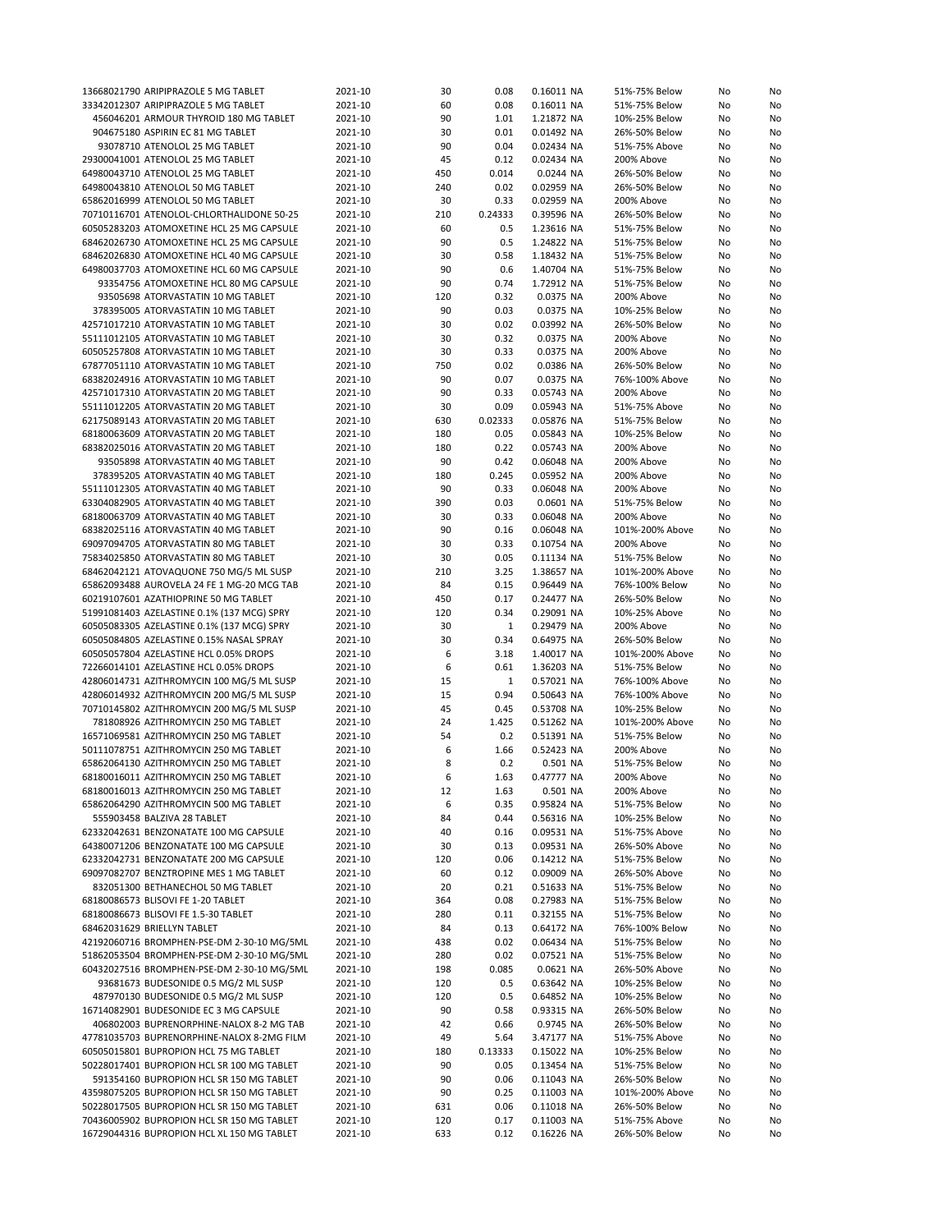| 13668021790 ARIPIPRAZOLE 5 MG TABLET                                                     | 2021-10            | 30         | 0.08         | 0.16011 NA               | 51%-75% Below                  | No       | No       |
|------------------------------------------------------------------------------------------|--------------------|------------|--------------|--------------------------|--------------------------------|----------|----------|
| 33342012307 ARIPIPRAZOLE 5 MG TABLET                                                     | 2021-10            | 60         | 0.08         | 0.16011 NA               | 51%-75% Below                  | No       | No       |
| 456046201 ARMOUR THYROID 180 MG TABLET                                                   | 2021-10            | 90         | 1.01         | 1.21872 NA               | 10%-25% Below                  | No       | No       |
| 904675180 ASPIRIN EC 81 MG TABLET                                                        | 2021-10            | 30         | 0.01         | 0.01492 NA               | 26%-50% Below                  | No       | No       |
| 93078710 ATENOLOL 25 MG TABLET                                                           | 2021-10            | 90         | 0.04         | 0.02434 NA               | 51%-75% Above                  | No       | No       |
| 29300041001 ATENOLOL 25 MG TABLET                                                        | 2021-10            | 45         | 0.12         | 0.02434 NA               | 200% Above                     | No       | No       |
|                                                                                          |                    |            |              |                          |                                |          |          |
| 64980043710 ATENOLOL 25 MG TABLET                                                        | 2021-10            | 450        | 0.014        | 0.0244 NA                | 26%-50% Below                  | No       | No       |
| 64980043810 ATENOLOL 50 MG TABLET                                                        | 2021-10            | 240        | 0.02         | 0.02959 NA               | 26%-50% Below                  | No       | No       |
| 65862016999 ATENOLOL 50 MG TABLET                                                        | 2021-10            | 30         | 0.33         | 0.02959 NA               | 200% Above                     | No       | No       |
| 70710116701 ATENOLOL-CHLORTHALIDONE 50-25                                                | 2021-10            | 210        | 0.24333      | 0.39596 NA               | 26%-50% Below                  | No       | No       |
| 60505283203 ATOMOXETINE HCL 25 MG CAPSULE                                                | 2021-10            | 60         | 0.5          | 1.23616 NA               | 51%-75% Below                  | No       | No       |
| 68462026730 ATOMOXETINE HCL 25 MG CAPSULE                                                | 2021-10            | 90         | 0.5          | 1.24822 NA               | 51%-75% Below                  | No       | No       |
| 68462026830 ATOMOXETINE HCL 40 MG CAPSULE                                                | 2021-10            | 30         | 0.58         | 1.18432 NA               | 51%-75% Below                  | No       | No       |
| 64980037703 ATOMOXETINE HCL 60 MG CAPSULE                                                | 2021-10            | 90         | 0.6          | 1.40704 NA               | 51%-75% Below                  | No       | No       |
| 93354756 ATOMOXETINE HCL 80 MG CAPSULE                                                   | 2021-10            | 90         | 0.74         | 1.72912 NA               | 51%-75% Below                  | No       | No       |
|                                                                                          | 2021-10            |            | 0.32         |                          | 200% Above                     |          |          |
| 93505698 ATORVASTATIN 10 MG TABLET                                                       |                    | 120        |              | 0.0375 NA                |                                | No       | No       |
| 378395005 ATORVASTATIN 10 MG TABLET                                                      | 2021-10            | 90         | 0.03         | 0.0375 NA                | 10%-25% Below                  | No       | No       |
| 42571017210 ATORVASTATIN 10 MG TABLET                                                    | 2021-10            | 30         | 0.02         | 0.03992 NA               | 26%-50% Below                  | No       | No       |
| 55111012105 ATORVASTATIN 10 MG TABLET                                                    | 2021-10            | 30         | 0.32         | 0.0375 NA                | 200% Above                     | No       | No       |
| 60505257808 ATORVASTATIN 10 MG TABLET                                                    | 2021-10            | 30         | 0.33         | 0.0375 NA                | 200% Above                     | No       | No       |
| 67877051110 ATORVASTATIN 10 MG TABLET                                                    | 2021-10            | 750        | 0.02         | 0.0386 NA                | 26%-50% Below                  | No       | No       |
| 68382024916 ATORVASTATIN 10 MG TABLET                                                    | 2021-10            | 90         | 0.07         | 0.0375 NA                | 76%-100% Above                 | No       | No       |
| 42571017310 ATORVASTATIN 20 MG TABLET                                                    | 2021-10            | 90         | 0.33         | 0.05743 NA               | 200% Above                     | No       | No       |
| 55111012205 ATORVASTATIN 20 MG TABLET                                                    | 2021-10            | 30         | 0.09         | 0.05943 NA               | 51%-75% Above                  | No       | No       |
| 62175089143 ATORVASTATIN 20 MG TABLET                                                    | 2021-10            | 630        | 0.02333      | 0.05876 NA               | 51%-75% Below                  | No       | No       |
|                                                                                          |                    |            | 0.05         |                          |                                |          | No       |
| 68180063609 ATORVASTATIN 20 MG TABLET                                                    | 2021-10            | 180        |              | 0.05843 NA               | 10%-25% Below                  | No       |          |
| 68382025016 ATORVASTATIN 20 MG TABLET                                                    | 2021-10            | 180        | 0.22         | 0.05743 NA               | 200% Above                     | No       | No       |
| 93505898 ATORVASTATIN 40 MG TABLET                                                       | 2021-10            | 90         | 0.42         | 0.06048 NA               | 200% Above                     | No       | No       |
| 378395205 ATORVASTATIN 40 MG TABLET                                                      | 2021-10            | 180        | 0.245        | 0.05952 NA               | 200% Above                     | No       | No       |
| 55111012305 ATORVASTATIN 40 MG TABLET                                                    | 2021-10            | 90         | 0.33         | 0.06048 NA               | 200% Above                     | No       | No       |
| 63304082905 ATORVASTATIN 40 MG TABLET                                                    | 2021-10            | 390        | 0.03         | 0.0601 NA                | 51%-75% Below                  | No       | No       |
| 68180063709 ATORVASTATIN 40 MG TABLET                                                    | 2021-10            | 30         | 0.33         | 0.06048 NA               | 200% Above                     | No       | No       |
| 68382025116 ATORVASTATIN 40 MG TABLET                                                    | 2021-10            | 90         | 0.16         | 0.06048 NA               | 101%-200% Above                | No       | No       |
| 69097094705 ATORVASTATIN 80 MG TABLET                                                    | 2021-10            | 30         | 0.33         | 0.10754 NA               | 200% Above                     | No       | No       |
| 75834025850 ATORVASTATIN 80 MG TABLET                                                    | 2021-10            | 30         | 0.05         | 0.11134 NA               | 51%-75% Below                  | No       | No       |
|                                                                                          |                    |            |              |                          |                                |          |          |
| 68462042121 ATOVAQUONE 750 MG/5 ML SUSP                                                  | 2021-10            | 210        | 3.25         | 1.38657 NA               | 101%-200% Above                | No       | No       |
| 65862093488 AUROVELA 24 FE 1 MG-20 MCG TAB                                               | 2021-10            | 84         | 0.15         | 0.96449 NA               | 76%-100% Below                 | No       | No       |
| 60219107601 AZATHIOPRINE 50 MG TABLET                                                    | 2021-10            | 450        | 0.17         | 0.24477 NA               | 26%-50% Below                  | No       | No       |
| 51991081403 AZELASTINE 0.1% (137 MCG) SPRY                                               | 2021-10            | 120        | 0.34         | 0.29091 NA               | 10%-25% Above                  | No       | No       |
| 60505083305 AZELASTINE 0.1% (137 MCG) SPRY                                               | 2021-10            | 30         | $\mathbf{1}$ | 0.29479 NA               | 200% Above                     | No       | No       |
| 60505084805 AZELASTINE 0.15% NASAL SPRAY                                                 | 2021-10            | 30         | 0.34         | 0.64975 NA               | 26%-50% Below                  | No       | No       |
| 60505057804 AZELASTINE HCL 0.05% DROPS                                                   | 2021-10            | 6          | 3.18         | 1.40017 NA               | 101%-200% Above                | No       | No       |
| 72266014101 AZELASTINE HCL 0.05% DROPS                                                   | 2021-10            | 6          | 0.61         | 1.36203 NA               | 51%-75% Below                  | No       | No       |
| 42806014731 AZITHROMYCIN 100 MG/5 ML SUSP                                                | 2021-10            | 15         | $1\,$        | 0.57021 NA               | 76%-100% Above                 |          | No       |
|                                                                                          |                    |            |              |                          |                                | No       |          |
| 42806014932 AZITHROMYCIN 200 MG/5 ML SUSP                                                | 2021-10            | 15         | 0.94         | 0.50643 NA               | 76%-100% Above                 | No       | No       |
| 70710145802 AZITHROMYCIN 200 MG/5 ML SUSP                                                | 2021-10            | 45         | 0.45         | 0.53708 NA               | 10%-25% Below                  | No       | No       |
| 781808926 AZITHROMYCIN 250 MG TABLET                                                     | 2021-10            | 24         | 1.425        | 0.51262 NA               | 101%-200% Above                | No       | No       |
| 16571069581 AZITHROMYCIN 250 MG TABLET                                                   | 2021-10            |            |              |                          |                                |          | No       |
|                                                                                          |                    | 54         | 0.2          | 0.51391 NA               | 51%-75% Below                  | No       |          |
| 50111078751 AZITHROMYCIN 250 MG TABLET                                                   | 2021-10            | 6          | 1.66         | 0.52423 NA               | 200% Above                     | No       | No       |
| 65862064130 AZITHROMYCIN 250 MG TABLET                                                   | 2021-10            | 8          | 0.2          | 0.501 NA                 | 51%-75% Below                  | No       | No       |
| 68180016011 AZITHROMYCIN 250 MG TABLET                                                   |                    | 6          |              |                          |                                |          |          |
|                                                                                          | 2021-10            |            | 1.63         | 0.47777 NA               | 200% Above                     | No       | No       |
| 68180016013 AZITHROMYCIN 250 MG TABLET                                                   | 2021-10            | 12         | 1.63         | 0.501 NA                 | 200% Above                     | No       | No       |
| 65862064290 AZITHROMYCIN 500 MG TABLET                                                   | 2021-10            | 6          | 0.35         | 0.95824 NA               | 51%-75% Below                  | No       | No       |
| 555903458 BALZIVA 28 TABLET                                                              | 2021-10            | 84         | 0.44         | 0.56316 NA               | 10%-25% Below                  | No       | No       |
| 62332042631 BENZONATATE 100 MG CAPSULE                                                   | 2021-10            | 40         | 0.16         | 0.09531 NA               | 51%-75% Above                  | No       | No       |
| 64380071206 BENZONATATE 100 MG CAPSULE                                                   | 2021-10            | 30         | 0.13         | 0.09531 NA               | 26%-50% Above                  | No       | No       |
| 62332042731 BENZONATATE 200 MG CAPSULE                                                   | 2021-10            | 120        | 0.06         | 0.14212 NA               | 51%-75% Below                  | No       | No       |
| 69097082707 BENZTROPINE MES 1 MG TABLET                                                  | 2021-10            | 60         | 0.12         | 0.09009 NA               | 26%-50% Above                  | No       | No       |
| 832051300 BETHANECHOL 50 MG TABLET                                                       | 2021-10            | 20         | 0.21         | 0.51633 NA               | 51%-75% Below                  | No       | No       |
| 68180086573 BLISOVI FE 1-20 TABLET                                                       |                    | 364        | 0.08         | 0.27983 NA               | 51%-75% Below                  | No       | No       |
|                                                                                          | 2021-10            |            |              |                          |                                |          |          |
| 68180086673 BLISOVI FE 1.5-30 TABLET                                                     | 2021-10            | 280        | 0.11         | 0.32155 NA               | 51%-75% Below                  | No       | No       |
| 68462031629 BRIELLYN TABLET                                                              | 2021-10            | 84         | 0.13         | 0.64172 NA               | 76%-100% Below                 | No       | No       |
| 42192060716 BROMPHEN-PSE-DM 2-30-10 MG/5ML                                               | 2021-10            | 438        | 0.02         | 0.06434 NA               | 51%-75% Below                  | No       | No       |
| 51862053504 BROMPHEN-PSE-DM 2-30-10 MG/5ML                                               | 2021-10            | 280        | 0.02         | 0.07521 NA               | 51%-75% Below                  | No       | No       |
| 60432027516 BROMPHEN-PSE-DM 2-30-10 MG/5ML                                               | 2021-10            | 198        | 0.085        | 0.0621 NA                | 26%-50% Above                  | No       | No       |
| 93681673 BUDESONIDE 0.5 MG/2 ML SUSP                                                     | 2021-10            | 120        | 0.5          | 0.63642 NA               | 10%-25% Below                  | No       | No       |
| 487970130 BUDESONIDE 0.5 MG/2 ML SUSP                                                    | 2021-10            | 120        | 0.5          | 0.64852 NA               | 10%-25% Below                  | No       | No       |
| 16714082901 BUDESONIDE EC 3 MG CAPSULE                                                   | 2021-10            | 90         | 0.58         | 0.93315 NA               | 26%-50% Below                  | No       | No       |
| 406802003 BUPRENORPHINE-NALOX 8-2 MG TAB                                                 | 2021-10            | 42         | 0.66         | 0.9745 NA                | 26%-50% Below                  | No       | No       |
| 47781035703 BUPRENORPHINE-NALOX 8-2MG FILM                                               | 2021-10            | 49         | 5.64         | 3.47177 NA               | 51%-75% Above                  | No       | No       |
|                                                                                          |                    |            |              |                          |                                |          |          |
| 60505015801 BUPROPION HCL 75 MG TABLET                                                   | 2021-10            | 180        | 0.13333      | 0.15022 NA               | 10%-25% Below                  | No       | No       |
| 50228017401 BUPROPION HCL SR 100 MG TABLET                                               | 2021-10            | 90         | 0.05         | 0.13454 NA               | 51%-75% Below                  | No       | No       |
| 591354160 BUPROPION HCL SR 150 MG TABLET                                                 | 2021-10            | 90         | 0.06         | 0.11043 NA               | 26%-50% Below                  | No       | No       |
| 43598075205 BUPROPION HCL SR 150 MG TABLET                                               | 2021-10            | 90         | 0.25         | 0.11003 NA               | 101%-200% Above                | No       | No       |
| 50228017505 BUPROPION HCL SR 150 MG TABLET                                               | 2021-10            | 631        | 0.06         | 0.11018 NA               | 26%-50% Below                  | No       | No       |
| 70436005902 BUPROPION HCL SR 150 MG TABLET<br>16729044316 BUPROPION HCL XL 150 MG TABLET | 2021-10<br>2021-10 | 120<br>633 | 0.17<br>0.12 | 0.11003 NA<br>0.16226 NA | 51%-75% Above<br>26%-50% Below | No<br>No | No<br>No |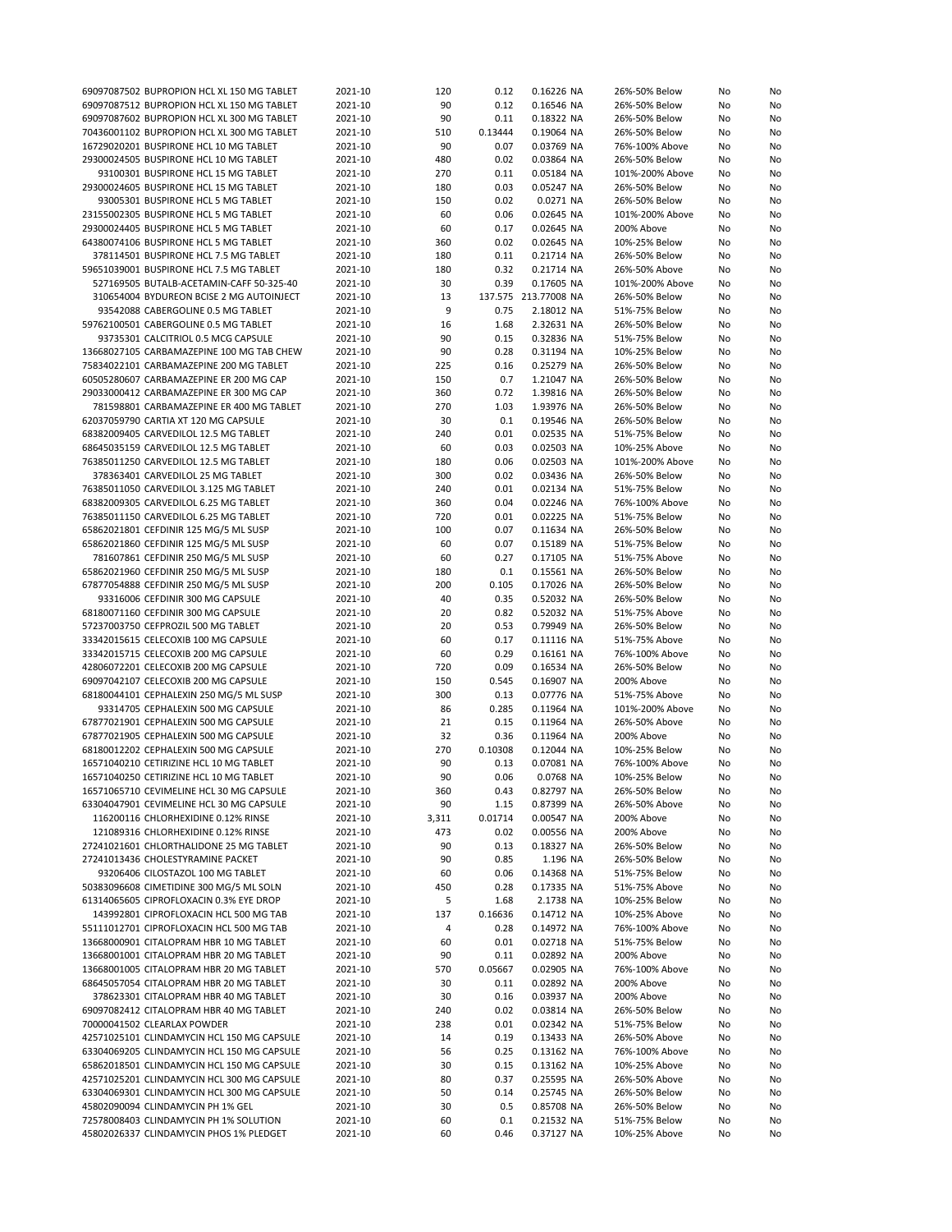| 69097087502 BUPROPION HCL XL 150 MG TABLET                                        | 2021-10            | 120      | 0.12        | 0.16226 NA               | 26%-50% Below                  | No       | No       |
|-----------------------------------------------------------------------------------|--------------------|----------|-------------|--------------------------|--------------------------------|----------|----------|
| 69097087512 BUPROPION HCL XL 150 MG TABLET                                        | 2021-10            | 90       | 0.12        | 0.16546 NA               | 26%-50% Below                  | No       | No       |
| 69097087602 BUPROPION HCL XL 300 MG TABLET                                        | 2021-10            | 90       | 0.11        | 0.18322 NA               | 26%-50% Below                  | No       | No       |
| 70436001102 BUPROPION HCL XL 300 MG TABLET                                        | 2021-10            | 510      | 0.13444     | 0.19064 NA               | 26%-50% Below                  | No       | No       |
| 16729020201 BUSPIRONE HCL 10 MG TABLET                                            | 2021-10            | 90       | 0.07        | 0.03769 NA               | 76%-100% Above                 | No       | No       |
| 29300024505 BUSPIRONE HCL 10 MG TABLET                                            | 2021-10            | 480      | 0.02        | 0.03864 NA               | 26%-50% Below                  | No       | No       |
|                                                                                   |                    |          |             |                          |                                |          |          |
| 93100301 BUSPIRONE HCL 15 MG TABLET                                               | 2021-10            | 270      | 0.11        | 0.05184 NA               | 101%-200% Above                | No       | No       |
| 29300024605 BUSPIRONE HCL 15 MG TABLET                                            | 2021-10            | 180      | 0.03        | 0.05247 NA               | 26%-50% Below                  | No       | No       |
| 93005301 BUSPIRONE HCL 5 MG TABLET                                                | 2021-10            | 150      | 0.02        | 0.0271 NA                | 26%-50% Below                  | No       | No       |
| 23155002305 BUSPIRONE HCL 5 MG TABLET                                             | 2021-10            | 60       | 0.06        | 0.02645 NA               | 101%-200% Above                | No       | No       |
| 29300024405 BUSPIRONE HCL 5 MG TABLET                                             | 2021-10            | 60       | 0.17        | 0.02645 NA               | 200% Above                     | No       | No       |
| 64380074106 BUSPIRONE HCL 5 MG TABLET                                             | 2021-10            | 360      | 0.02        | 0.02645 NA               | 10%-25% Below                  | No       | No       |
| 378114501 BUSPIRONE HCL 7.5 MG TABLET                                             | 2021-10            | 180      | 0.11        | 0.21714 NA               | 26%-50% Below                  | No       | No       |
| 59651039001 BUSPIRONE HCL 7.5 MG TABLET                                           | 2021-10            | 180      | 0.32        | 0.21714 NA               | 26%-50% Above                  | No       | No       |
| 527169505 BUTALB-ACETAMIN-CAFF 50-325-40                                          | 2021-10            | 30       | 0.39        | 0.17605 NA               | 101%-200% Above                | No       | No       |
|                                                                                   |                    | 13       |             | 137.575 213.77008 NA     | 26%-50% Below                  |          | No       |
| 310654004 BYDUREON BCISE 2 MG AUTOINJECT                                          | 2021-10            |          |             |                          |                                | No       |          |
| 93542088 CABERGOLINE 0.5 MG TABLET                                                | 2021-10            | 9        | 0.75        | 2.18012 NA               | 51%-75% Below                  | No       | No       |
| 59762100501 CABERGOLINE 0.5 MG TABLET                                             | 2021-10            | 16       | 1.68        | 2.32631 NA               | 26%-50% Below                  | No       | No       |
| 93735301 CALCITRIOL 0.5 MCG CAPSULE                                               | 2021-10            | 90       | 0.15        | 0.32836 NA               | 51%-75% Below                  | No       | No       |
| 13668027105 CARBAMAZEPINE 100 MG TAB CHEW                                         | 2021-10            | 90       | 0.28        | 0.31194 NA               | 10%-25% Below                  | No       | No       |
| 75834022101 CARBAMAZEPINE 200 MG TABLET                                           | 2021-10            | 225      | 0.16        | 0.25279 NA               | 26%-50% Below                  | No       | No       |
| 60505280607 CARBAMAZEPINE ER 200 MG CAP                                           | 2021-10            | 150      | 0.7         | 1.21047 NA               | 26%-50% Below                  | No       | No       |
| 29033000412 CARBAMAZEPINE ER 300 MG CAP                                           | 2021-10            | 360      | 0.72        | 1.39816 NA               | 26%-50% Below                  | No       | No       |
| 781598801 CARBAMAZEPINE ER 400 MG TABLET                                          | 2021-10            | 270      | 1.03        | 1.93976 NA               | 26%-50% Below                  | No       | No       |
| 62037059790 CARTIA XT 120 MG CAPSULE                                              | 2021-10            | 30       | 0.1         | 0.19546 NA               | 26%-50% Below                  |          | No       |
|                                                                                   |                    |          |             |                          |                                | No       |          |
| 68382009405 CARVEDILOL 12.5 MG TABLET                                             | 2021-10            | 240      | 0.01        | 0.02535 NA               | 51%-75% Below                  | No       | No       |
| 68645035159 CARVEDILOL 12.5 MG TABLET                                             | 2021-10            | 60       | 0.03        | 0.02503 NA               | 10%-25% Above                  | No       | No       |
| 76385011250 CARVEDILOL 12.5 MG TABLET                                             | 2021-10            | 180      | 0.06        | 0.02503 NA               | 101%-200% Above                | No       | No       |
| 378363401 CARVEDILOL 25 MG TABLET                                                 | 2021-10            | 300      | 0.02        | 0.03436 NA               | 26%-50% Below                  | No       | No       |
| 76385011050 CARVEDILOL 3.125 MG TABLET                                            | 2021-10            | 240      | 0.01        | 0.02134 NA               | 51%-75% Below                  | No       | No       |
| 68382009305 CARVEDILOL 6.25 MG TABLET                                             | 2021-10            | 360      | 0.04        | 0.02246 NA               | 76%-100% Above                 | No       | No       |
| 76385011150 CARVEDILOL 6.25 MG TABLET                                             | 2021-10            | 720      | 0.01        | 0.02225 NA               | 51%-75% Below                  | No       | No       |
| 65862021801 CEFDINIR 125 MG/5 ML SUSP                                             | 2021-10            | 100      | 0.07        | 0.11634 NA               | 26%-50% Below                  | No       | No       |
| 65862021860 CEFDINIR 125 MG/5 ML SUSP                                             | 2021-10            | 60       | 0.07        | 0.15189 NA               | 51%-75% Below                  |          | No       |
|                                                                                   |                    |          |             |                          |                                | No       |          |
| 781607861 CEFDINIR 250 MG/5 ML SUSP                                               | 2021-10            | 60       | 0.27        | 0.17105 NA               | 51%-75% Above                  | No       | No       |
| 65862021960 CEFDINIR 250 MG/5 ML SUSP                                             | 2021-10            | 180      | 0.1         | 0.15561 NA               | 26%-50% Below                  | No       | No       |
| 67877054888 CEFDINIR 250 MG/5 ML SUSP                                             | 2021-10            | 200      | 0.105       | 0.17026 NA               | 26%-50% Below                  | No       | No       |
| 93316006 CEFDINIR 300 MG CAPSULE                                                  | 2021-10            | 40       | 0.35        | 0.52032 NA               | 26%-50% Below                  | No       | No       |
| 68180071160 CEFDINIR 300 MG CAPSULE                                               | 2021-10            | 20       | 0.82        | 0.52032 NA               | 51%-75% Above                  | No       | No       |
| 57237003750 CEFPROZIL 500 MG TABLET                                               | 2021-10            | 20       | 0.53        | 0.79949 NA               | 26%-50% Below                  | No       | No       |
| 33342015615 CELECOXIB 100 MG CAPSULE                                              | 2021-10            | 60       | 0.17        | 0.11116 NA               | 51%-75% Above                  | No       | No       |
| 33342015715 CELECOXIB 200 MG CAPSULE                                              | 2021-10            | 60       | 0.29        | 0.16161 NA               | 76%-100% Above                 | No       | No       |
| 42806072201 CELECOXIB 200 MG CAPSULE                                              | 2021-10            | 720      | 0.09        | 0.16534 NA               | 26%-50% Below                  | No       | No       |
|                                                                                   | 2021-10            | 150      | 0.545       |                          | 200% Above                     |          | No       |
| 69097042107 CELECOXIB 200 MG CAPSULE                                              |                    |          |             | 0.16907 NA               |                                | No       |          |
|                                                                                   |                    |          |             |                          |                                |          |          |
| 68180044101 CEPHALEXIN 250 MG/5 ML SUSP                                           | 2021-10            | 300      | 0.13        | 0.07776 NA               | 51%-75% Above                  | No       | No       |
| 93314705 CEPHALEXIN 500 MG CAPSULE                                                | 2021-10            | 86       | 0.285       | 0.11964 NA               | 101%-200% Above                | No       | No       |
| 67877021901 CEPHALEXIN 500 MG CAPSULE                                             | 2021-10            | 21       | 0.15        | 0.11964 NA               | 26%-50% Above                  | No       | No       |
| 67877021905 CEPHALEXIN 500 MG CAPSULE                                             | 2021-10            | 32       | 0.36        | 0.11964 NA               | 200% Above                     | No       | No       |
| 68180012202 CEPHALEXIN 500 MG CAPSULE                                             | 2021-10            | 270      | 0.10308     | 0.12044 NA               | 10%-25% Below                  | No       | No       |
| 16571040210 CETIRIZINE HCL 10 MG TABLET                                           | 2021-10            | 90       | 0.13        | 0.07081 NA               | 76%-100% Above                 | No       | No       |
|                                                                                   |                    | 90       |             |                          |                                |          |          |
| 16571040250 CETIRIZINE HCL 10 MG TABLET                                           | 2021-10            |          | 0.06        | 0.0768 NA                | 10%-25% Below                  | No       | No       |
| 16571065710 CEVIMELINE HCL 30 MG CAPSULE                                          | 2021-10            | 360      | 0.43        | 0.82797 NA               | 26%-50% Below                  | No       | No       |
| 63304047901 CEVIMELINE HCL 30 MG CAPSULE                                          | 2021-10            | 90       | 1.15        | 0.87399 NA               | 26%-50% Above                  | No       | No       |
| 116200116 CHLORHEXIDINE 0.12% RINSE                                               | 2021-10            | 3,311    | 0.01714     | 0.00547 NA               | 200% Above                     | No       | No       |
| 121089316 CHLORHEXIDINE 0.12% RINSE                                               | 2021-10            | 473      | 0.02        | 0.00556 NA               | 200% Above                     | No       | No       |
| 27241021601 CHLORTHALIDONE 25 MG TABLET                                           | 2021-10            | 90       | 0.13        | 0.18327 NA               | 26%-50% Below                  | No       | No       |
| 27241013436 CHOLESTYRAMINE PACKET                                                 | 2021-10            | 90       | 0.85        | 1.196 NA                 | 26%-50% Below                  | No       | No       |
| 93206406 CILOSTAZOL 100 MG TABLET                                                 | 2021-10            | 60       | 0.06        | 0.14368 NA               | 51%-75% Below                  | No       | No       |
| 50383096608 CIMETIDINE 300 MG/5 ML SOLN                                           | 2021-10            | 450      | 0.28        | 0.17335 NA               | 51%-75% Above                  | No       | No       |
| 61314065605 CIPROFLOXACIN 0.3% EYE DROP                                           |                    | 5        | 1.68        | 2.1738 NA                | 10%-25% Below                  | No       |          |
|                                                                                   | 2021-10            |          |             |                          |                                |          | No       |
| 143992801 CIPROFLOXACIN HCL 500 MG TAB                                            | 2021-10            | 137      | 0.16636     | 0.14712 NA               | 10%-25% Above                  | No       | No       |
| 55111012701 CIPROFLOXACIN HCL 500 MG TAB                                          | 2021-10            | 4        | 0.28        | 0.14972 NA               | 76%-100% Above                 | No       | No       |
| 13668000901 CITALOPRAM HBR 10 MG TABLET                                           | 2021-10            | 60       | 0.01        | 0.02718 NA               | 51%-75% Below                  | No       | No       |
| 13668001001 CITALOPRAM HBR 20 MG TABLET                                           | 2021-10            | 90       | 0.11        | 0.02892 NA               | 200% Above                     | No       | No       |
| 13668001005 CITALOPRAM HBR 20 MG TABLET                                           | 2021-10            | 570      | 0.05667     | 0.02905 NA               | 76%-100% Above                 | No       | No       |
| 68645057054 CITALOPRAM HBR 20 MG TABLET                                           | 2021-10            | 30       | 0.11        | 0.02892 NA               | 200% Above                     | No       | No       |
| 378623301 CITALOPRAM HBR 40 MG TABLET                                             | 2021-10            | 30       | 0.16        | 0.03937 NA               | 200% Above                     | No       | No       |
| 69097082412 CITALOPRAM HBR 40 MG TABLET                                           | 2021-10            | 240      | 0.02        | 0.03814 NA               | 26%-50% Below                  | No       | No       |
| 70000041502 CLEARLAX POWDER                                                       | 2021-10            | 238      | 0.01        | 0.02342 NA               | 51%-75% Below                  | No       | No       |
| 42571025101 CLINDAMYCIN HCL 150 MG CAPSULE                                        | 2021-10            | 14       | 0.19        | 0.13433 NA               | 26%-50% Above                  | No       | No       |
|                                                                                   |                    |          |             |                          |                                |          |          |
| 63304069205 CLINDAMYCIN HCL 150 MG CAPSULE                                        | 2021-10            | 56       | 0.25        | 0.13162 NA               | 76%-100% Above                 | No       | No       |
| 65862018501 CLINDAMYCIN HCL 150 MG CAPSULE                                        | 2021-10            | 30       | 0.15        | 0.13162 NA               | 10%-25% Above                  | No       | No       |
| 42571025201 CLINDAMYCIN HCL 300 MG CAPSULE                                        | 2021-10            | 80       | 0.37        | 0.25595 NA               | 26%-50% Above                  | No       | No       |
| 63304069301 CLINDAMYCIN HCL 300 MG CAPSULE                                        | 2021-10            | 50       | 0.14        | 0.25745 NA               | 26%-50% Below                  | No       | No       |
| 45802090094 CLINDAMYCIN PH 1% GEL                                                 | 2021-10            | 30       | 0.5         | 0.85708 NA               | 26%-50% Below                  | No       | No       |
| 72578008403 CLINDAMYCIN PH 1% SOLUTION<br>45802026337 CLINDAMYCIN PHOS 1% PLEDGET | 2021-10<br>2021-10 | 60<br>60 | 0.1<br>0.46 | 0.21532 NA<br>0.37127 NA | 51%-75% Below<br>10%-25% Above | No<br>No | No<br>No |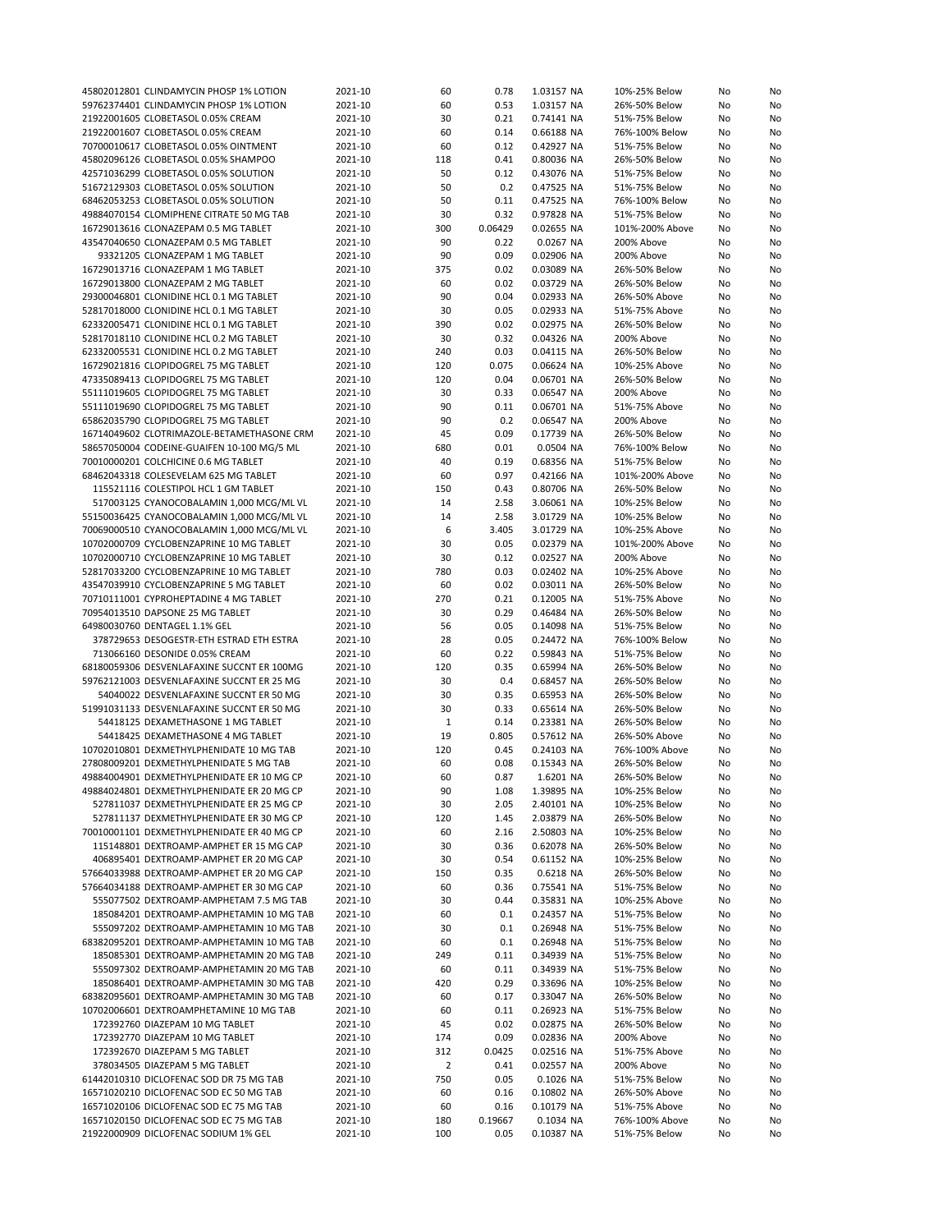| 45802012801 CLINDAMYCIN PHOSP 1% LOTION    | 2021-10 | 60             | 0.78    | 1.03157 NA | 10%-25% Below   | No | No |
|--------------------------------------------|---------|----------------|---------|------------|-----------------|----|----|
| 59762374401 CLINDAMYCIN PHOSP 1% LOTION    | 2021-10 | 60             | 0.53    | 1.03157 NA | 26%-50% Below   | No | No |
| 21922001605 CLOBETASOL 0.05% CREAM         | 2021-10 | 30             | 0.21    | 0.74141 NA | 51%-75% Below   | No | No |
| 21922001607 CLOBETASOL 0.05% CREAM         | 2021-10 | 60             | 0.14    | 0.66188 NA | 76%-100% Below  | No | No |
| 70700010617 CLOBETASOL 0.05% OINTMENT      | 2021-10 | 60             | 0.12    | 0.42927 NA | 51%-75% Below   | No | No |
| 45802096126 CLOBETASOL 0.05% SHAMPOO       | 2021-10 | 118            | 0.41    | 0.80036 NA | 26%-50% Below   | No | No |
| 42571036299 CLOBETASOL 0.05% SOLUTION      | 2021-10 | 50             | 0.12    | 0.43076 NA | 51%-75% Below   | No | No |
| 51672129303 CLOBETASOL 0.05% SOLUTION      | 2021-10 | 50             | 0.2     | 0.47525 NA | 51%-75% Below   | No | No |
| 68462053253 CLOBETASOL 0.05% SOLUTION      | 2021-10 | 50             | 0.11    | 0.47525 NA | 76%-100% Below  | No | No |
| 49884070154 CLOMIPHENE CITRATE 50 MG TAB   | 2021-10 | 30             | 0.32    | 0.97828 NA | 51%-75% Below   | No | No |
| 16729013616 CLONAZEPAM 0.5 MG TABLET       | 2021-10 | 300            | 0.06429 | 0.02655 NA | 101%-200% Above | No | No |
| 43547040650 CLONAZEPAM 0.5 MG TABLET       | 2021-10 | 90             | 0.22    | 0.0267 NA  | 200% Above      | No | No |
| 93321205 CLONAZEPAM 1 MG TABLET            | 2021-10 | 90             | 0.09    | 0.02906 NA | 200% Above      | No | No |
| 16729013716 CLONAZEPAM 1 MG TABLET         | 2021-10 | 375            | 0.02    | 0.03089 NA | 26%-50% Below   | No | No |
| 16729013800 CLONAZEPAM 2 MG TABLET         | 2021-10 | 60             | 0.02    | 0.03729 NA | 26%-50% Below   | No | No |
|                                            | 2021-10 | 90             | 0.04    | 0.02933 NA |                 |    |    |
| 29300046801 CLONIDINE HCL 0.1 MG TABLET    |         |                |         |            | 26%-50% Above   | No | No |
| 52817018000 CLONIDINE HCL 0.1 MG TABLET    | 2021-10 | 30             | 0.05    | 0.02933 NA | 51%-75% Above   | No | No |
| 62332005471 CLONIDINE HCL 0.1 MG TABLET    | 2021-10 | 390            | 0.02    | 0.02975 NA | 26%-50% Below   | No | No |
| 52817018110 CLONIDINE HCL 0.2 MG TABLET    | 2021-10 | 30             | 0.32    | 0.04326 NA | 200% Above      | No | No |
| 62332005531 CLONIDINE HCL 0.2 MG TABLET    | 2021-10 | 240            | 0.03    | 0.04115 NA | 26%-50% Below   | No | No |
| 16729021816 CLOPIDOGREL 75 MG TABLET       | 2021-10 | 120            | 0.075   | 0.06624 NA | 10%-25% Above   | No | No |
| 47335089413 CLOPIDOGREL 75 MG TABLET       | 2021-10 | 120            | 0.04    | 0.06701 NA | 26%-50% Below   | No | No |
| 55111019605 CLOPIDOGREL 75 MG TABLET       | 2021-10 | 30             | 0.33    | 0.06547 NA | 200% Above      | No | No |
| 55111019690 CLOPIDOGREL 75 MG TABLET       | 2021-10 | 90             | 0.11    | 0.06701 NA | 51%-75% Above   | No | No |
| 65862035790 CLOPIDOGREL 75 MG TABLET       | 2021-10 | 90             | 0.2     | 0.06547 NA | 200% Above      | No | No |
| 16714049602 CLOTRIMAZOLE-BETAMETHASONE CRM | 2021-10 | 45             | 0.09    | 0.17739 NA | 26%-50% Below   | No | No |
| 58657050004 CODEINE-GUAIFEN 10-100 MG/5 ML | 2021-10 | 680            | 0.01    | 0.0504 NA  | 76%-100% Below  | No | No |
| 70010000201 COLCHICINE 0.6 MG TABLET       | 2021-10 | 40             | 0.19    | 0.68356 NA | 51%-75% Below   | No | No |
| 68462043318 COLESEVELAM 625 MG TABLET      | 2021-10 | 60             | 0.97    | 0.42166 NA | 101%-200% Above | No | No |
| 115521116 COLESTIPOL HCL 1 GM TABLET       | 2021-10 | 150            | 0.43    | 0.80706 NA | 26%-50% Below   | No | No |
| 517003125 CYANOCOBALAMIN 1,000 MCG/ML VL   | 2021-10 | 14             | 2.58    | 3.06061 NA | 10%-25% Below   | No | No |
| 55150036425 CYANOCOBALAMIN 1,000 MCG/ML VL | 2021-10 | 14             | 2.58    | 3.01729 NA | 10%-25% Below   | No | No |
| 70069000510 CYANOCOBALAMIN 1,000 MCG/ML VL | 2021-10 | 6              | 3.405   | 3.01729 NA | 10%-25% Above   | No | No |
| 10702000709 CYCLOBENZAPRINE 10 MG TABLET   | 2021-10 | 30             | 0.05    | 0.02379 NA | 101%-200% Above | No | No |
| 10702000710 CYCLOBENZAPRINE 10 MG TABLET   | 2021-10 | 30             | 0.12    | 0.02527 NA | 200% Above      | No | No |
| 52817033200 CYCLOBENZAPRINE 10 MG TABLET   | 2021-10 | 780            | 0.03    | 0.02402 NA | 10%-25% Above   | No | No |
| 43547039910 CYCLOBENZAPRINE 5 MG TABLET    | 2021-10 | 60             | 0.02    | 0.03011 NA | 26%-50% Below   | No | No |
| 70710111001 CYPROHEPTADINE 4 MG TABLET     | 2021-10 | 270            | 0.21    | 0.12005 NA | 51%-75% Above   | No | No |
| 70954013510 DAPSONE 25 MG TABLET           | 2021-10 | 30             | 0.29    | 0.46484 NA | 26%-50% Below   | No | No |
| 64980030760 DENTAGEL 1.1% GEL              | 2021-10 | 56             | 0.05    | 0.14098 NA | 51%-75% Below   | No | No |
| 378729653 DESOGESTR-ETH ESTRAD ETH ESTRA   | 2021-10 | 28             | 0.05    | 0.24472 NA | 76%-100% Below  | No | No |
| 713066160 DESONIDE 0.05% CREAM             | 2021-10 | 60             | 0.22    | 0.59843 NA | 51%-75% Below   |    |    |
|                                            |         |                | 0.35    |            |                 | No | No |
| 68180059306 DESVENLAFAXINE SUCCNT ER 100MG | 2021-10 | 120            |         | 0.65994 NA | 26%-50% Below   | No | No |
| 59762121003 DESVENLAFAXINE SUCCNT ER 25 MG | 2021-10 | 30             | 0.4     | 0.68457 NA | 26%-50% Below   | No | No |
| 54040022 DESVENLAFAXINE SUCCNT ER 50 MG    | 2021-10 | 30             | 0.35    | 0.65953 NA | 26%-50% Below   | No | No |
| 51991031133 DESVENLAFAXINE SUCCNT ER 50 MG | 2021-10 | 30             | 0.33    | 0.65614 NA | 26%-50% Below   | No | No |
| 54418125 DEXAMETHASONE 1 MG TABLET         | 2021-10 | 1              | 0.14    | 0.23381 NA | 26%-50% Below   | No | No |
| 54418425 DEXAMETHASONE 4 MG TABLET         | 2021-10 | 19             | 0.805   | 0.57612 NA | 26%-50% Above   | No | No |
| 10702010801 DEXMETHYLPHENIDATE 10 MG TAB   | 2021-10 | 120            | 0.45    | 0.24103 NA | 76%-100% Above  | No | No |
| 27808009201 DEXMETHYLPHENIDATE 5 MG TAB    | 2021-10 | 60             | 0.08    | 0.15343 NA | 26%-50% Below   | No | No |
| 49884004901 DEXMETHYLPHENIDATE ER 10 MG CP | 2021-10 | 60             | 0.87    | 1.6201 NA  | 26%-50% Below   | No | No |
| 49884024801 DEXMETHYLPHENIDATE ER 20 MG CP | 2021-10 | 90             | 1.08    | 1.39895 NA | 10%-25% Below   | No | No |
| 527811037 DEXMETHYLPHENIDATE ER 25 MG CP   | 2021-10 | 30             | 2.05    | 2.40101 NA | 10%-25% Below   | No | No |
| 527811137 DEXMETHYLPHENIDATE ER 30 MG CP   | 2021-10 | 120            | 1.45    | 2.03879 NA | 26%-50% Below   | No | No |
| 70010001101 DEXMETHYLPHENIDATE ER 40 MG CP | 2021-10 | 60             | 2.16    | 2.50803 NA | 10%-25% Below   | No | No |
| 115148801 DEXTROAMP-AMPHET ER 15 MG CAP    | 2021-10 | 30             | 0.36    | 0.62078 NA | 26%-50% Below   | No | No |
| 406895401 DEXTROAMP-AMPHET ER 20 MG CAP    | 2021-10 | 30             | 0.54    | 0.61152 NA | 10%-25% Below   | No | No |
| 57664033988 DEXTROAMP-AMPHET ER 20 MG CAP  | 2021-10 | 150            | 0.35    | 0.6218 NA  | 26%-50% Below   | No | No |
| 57664034188 DEXTROAMP-AMPHET ER 30 MG CAP  | 2021-10 | 60             | 0.36    | 0.75541 NA | 51%-75% Below   | No | No |
| 555077502 DEXTROAMP-AMPHETAM 7.5 MG TAB    | 2021-10 | 30             | 0.44    | 0.35831 NA | 10%-25% Above   | No | No |
| 185084201 DEXTROAMP-AMPHETAMIN 10 MG TAB   | 2021-10 | 60             | 0.1     | 0.24357 NA | 51%-75% Below   | No | No |
| 555097202 DEXTROAMP-AMPHETAMIN 10 MG TAB   | 2021-10 | 30             | 0.1     | 0.26948 NA | 51%-75% Below   | No | No |
| 68382095201 DEXTROAMP-AMPHETAMIN 10 MG TAB | 2021-10 | 60             | 0.1     | 0.26948 NA | 51%-75% Below   | No | No |
| 185085301 DEXTROAMP-AMPHETAMIN 20 MG TAB   | 2021-10 | 249            | 0.11    | 0.34939 NA | 51%-75% Below   | No | No |
| 555097302 DEXTROAMP-AMPHETAMIN 20 MG TAB   | 2021-10 | 60             | 0.11    | 0.34939 NA | 51%-75% Below   | No | No |
| 185086401 DEXTROAMP-AMPHETAMIN 30 MG TAB   | 2021-10 | 420            | 0.29    | 0.33696 NA | 10%-25% Below   | No | No |
| 68382095601 DEXTROAMP-AMPHETAMIN 30 MG TAB | 2021-10 | 60             | 0.17    | 0.33047 NA | 26%-50% Below   | No | No |
| 10702006601 DEXTROAMPHETAMINE 10 MG TAB    | 2021-10 | 60             | 0.11    | 0.26923 NA | 51%-75% Below   | No | No |
| 172392760 DIAZEPAM 10 MG TABLET            | 2021-10 | 45             | 0.02    | 0.02875 NA | 26%-50% Below   | No | No |
| 172392770 DIAZEPAM 10 MG TABLET            | 2021-10 | 174            | 0.09    | 0.02836 NA | 200% Above      | No | No |
| 172392670 DIAZEPAM 5 MG TABLET             | 2021-10 | 312            | 0.0425  | 0.02516 NA | 51%-75% Above   | No | No |
| 378034505 DIAZEPAM 5 MG TABLET             | 2021-10 | $\overline{2}$ | 0.41    | 0.02557 NA | 200% Above      | No | No |
| 61442010310 DICLOFENAC SOD DR 75 MG TAB    | 2021-10 | 750            | 0.05    | 0.1026 NA  | 51%-75% Below   | No | No |
| 16571020210 DICLOFENAC SOD EC 50 MG TAB    | 2021-10 | 60             | 0.16    | 0.10802 NA | 26%-50% Above   | No | No |
| 16571020106 DICLOFENAC SOD EC 75 MG TAB    | 2021-10 | 60             | 0.16    | 0.10179 NA | 51%-75% Above   | No | No |
| 16571020150 DICLOFENAC SOD EC 75 MG TAB    | 2021-10 | 180            | 0.19667 | 0.1034 NA  | 76%-100% Above  | No | No |
| 21922000909 DICLOFENAC SODIUM 1% GEL       | 2021-10 | 100            | 0.05    | 0.10387 NA | 51%-75% Below   | No | No |
|                                            |         |                |         |            |                 |    |    |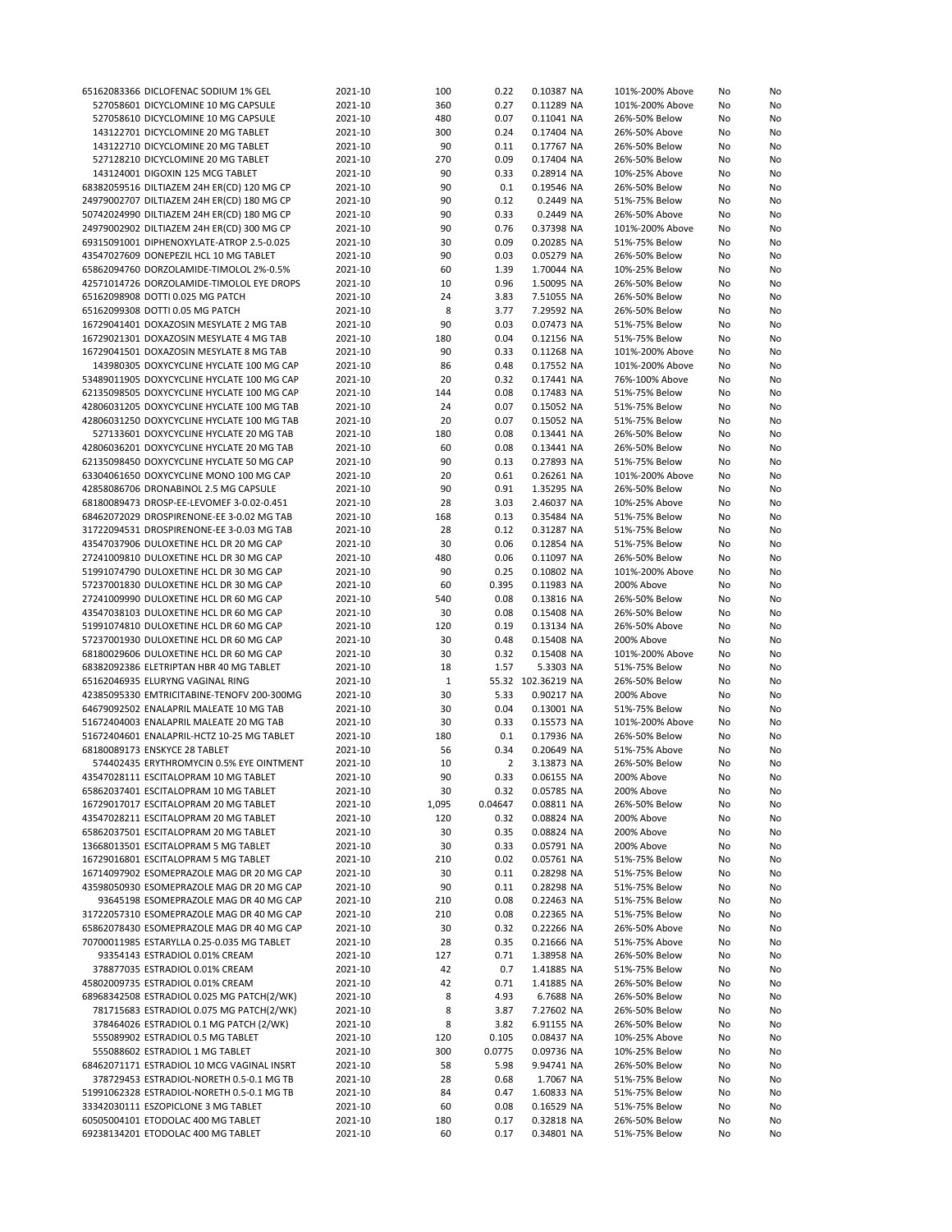| 65162083366 DICLOFENAC SODIUM 1% GEL       | 2021-10 | 100     | 0.22           | 0.10387 NA         | 101%-200% Above | No       | No       |
|--------------------------------------------|---------|---------|----------------|--------------------|-----------------|----------|----------|
| 527058601 DICYCLOMINE 10 MG CAPSULE        | 2021-10 | 360     | 0.27           | 0.11289 NA         | 101%-200% Above | No       | No       |
| 527058610 DICYCLOMINE 10 MG CAPSULE        | 2021-10 | 480     | 0.07           | 0.11041 NA         | 26%-50% Below   | No       | No       |
| 143122701 DICYCLOMINE 20 MG TABLET         | 2021-10 | 300     | 0.24           | 0.17404 NA         | 26%-50% Above   | No       | No       |
| 143122710 DICYCLOMINE 20 MG TABLET         | 2021-10 | 90      | 0.11           | 0.17767 NA         | 26%-50% Below   | No       | No       |
| 527128210 DICYCLOMINE 20 MG TABLET         | 2021-10 | 270     | 0.09           | 0.17404 NA         | 26%-50% Below   | No       | No       |
| 143124001 DIGOXIN 125 MCG TABLET           | 2021-10 | 90      | 0.33           | 0.28914 NA         | 10%-25% Above   | No       | No       |
| 68382059516 DILTIAZEM 24H ER(CD) 120 MG CP | 2021-10 | 90      | 0.1            | 0.19546 NA         | 26%-50% Below   | No       | No       |
| 24979002707 DILTIAZEM 24H ER(CD) 180 MG CP | 2021-10 | 90      | 0.12           | 0.2449 NA          | 51%-75% Below   | No       | No       |
| 50742024990 DILTIAZEM 24H ER(CD) 180 MG CP | 2021-10 | 90      | 0.33           | 0.2449 NA          | 26%-50% Above   | No       | No       |
| 24979002902 DILTIAZEM 24H ER(CD) 300 MG CP | 2021-10 | 90      | 0.76           | 0.37398 NA         | 101%-200% Above | No       | No       |
| 69315091001 DIPHENOXYLATE-ATROP 2.5-0.025  | 2021-10 | 30      | 0.09           | 0.20285 NA         | 51%-75% Below   | No       | No       |
| 43547027609 DONEPEZIL HCL 10 MG TABLET     | 2021-10 | 90      | 0.03           | 0.05279 NA         | 26%-50% Below   | No       | No       |
| 65862094760 DORZOLAMIDE-TIMOLOL 2%-0.5%    | 2021-10 | 60      | 1.39           | 1.70044 NA         | 10%-25% Below   | No       | No       |
| 42571014726 DORZOLAMIDE-TIMOLOL EYE DROPS  | 2021-10 | 10      | 0.96           | 1.50095 NA         | 26%-50% Below   | No       | No       |
| 65162098908 DOTTI 0.025 MG PATCH           | 2021-10 | 24      | 3.83           |                    |                 |          |          |
|                                            |         |         |                | 7.51055 NA         | 26%-50% Below   | No       | No       |
| 65162099308 DOTTI 0.05 MG PATCH            | 2021-10 | 8<br>90 | 3.77           | 7.29592 NA         | 26%-50% Below   | No       | No       |
| 16729041401 DOXAZOSIN MESYLATE 2 MG TAB    | 2021-10 |         | 0.03           | 0.07473 NA         | 51%-75% Below   | No       | No       |
| 16729021301 DOXAZOSIN MESYLATE 4 MG TAB    | 2021-10 | 180     | 0.04           | 0.12156 NA         | 51%-75% Below   | No       | No       |
| 16729041501 DOXAZOSIN MESYLATE 8 MG TAB    | 2021-10 | 90      | 0.33           | 0.11268 NA         | 101%-200% Above | No       | No       |
| 143980305 DOXYCYCLINE HYCLATE 100 MG CAP   | 2021-10 | 86      | 0.48           | 0.17552 NA         | 101%-200% Above | No       | No       |
| 53489011905 DOXYCYCLINE HYCLATE 100 MG CAP | 2021-10 | 20      | 0.32           | 0.17441 NA         | 76%-100% Above  | No       | No       |
| 62135098505 DOXYCYCLINE HYCLATE 100 MG CAP | 2021-10 | 144     | 0.08           | 0.17483 NA         | 51%-75% Below   | No       | No       |
| 42806031205 DOXYCYCLINE HYCLATE 100 MG TAB | 2021-10 | 24      | 0.07           | 0.15052 NA         | 51%-75% Below   | No       | No       |
| 42806031250 DOXYCYCLINE HYCLATE 100 MG TAB | 2021-10 | 20      | 0.07           | 0.15052 NA         | 51%-75% Below   | No       | No       |
| 527133601 DOXYCYCLINE HYCLATE 20 MG TAB    | 2021-10 | 180     | 0.08           | 0.13441 NA         | 26%-50% Below   | No       | No       |
| 42806036201 DOXYCYCLINE HYCLATE 20 MG TAB  | 2021-10 | 60      | 0.08           | 0.13441 NA         | 26%-50% Below   | No       | No       |
| 62135098450 DOXYCYCLINE HYCLATE 50 MG CAP  | 2021-10 | 90      | 0.13           | 0.27893 NA         | 51%-75% Below   | No       | No       |
| 63304061650 DOXYCYCLINE MONO 100 MG CAP    | 2021-10 | 20      | 0.61           | 0.26261 NA         | 101%-200% Above | No       | No       |
| 42858086706 DRONABINOL 2.5 MG CAPSULE      | 2021-10 | 90      | 0.91           | 1.35295 NA         | 26%-50% Below   | No       | No       |
| 68180089473 DROSP-EE-LEVOMEF 3-0.02-0.451  | 2021-10 | 28      | 3.03           | 2.46037 NA         | 10%-25% Above   | No       | No       |
| 68462072029 DROSPIRENONE-EE 3-0.02 MG TAB  | 2021-10 | 168     | 0.13           | 0.35484 NA         | 51%-75% Below   | No       | No       |
| 31722094531 DROSPIRENONE-EE 3-0.03 MG TAB  | 2021-10 | 28      | 0.12           | 0.31287 NA         | 51%-75% Below   | No       | No       |
| 43547037906 DULOXETINE HCL DR 20 MG CAP    | 2021-10 | 30      | 0.06           | 0.12854 NA         | 51%-75% Below   | No       | No       |
| 27241009810 DULOXETINE HCL DR 30 MG CAP    | 2021-10 | 480     | 0.06           | 0.11097 NA         | 26%-50% Below   | No       | No       |
| 51991074790 DULOXETINE HCL DR 30 MG CAP    | 2021-10 | 90      | 0.25           | 0.10802 NA         | 101%-200% Above | No       | No       |
| 57237001830 DULOXETINE HCL DR 30 MG CAP    | 2021-10 | 60      | 0.395          | 0.11983 NA         | 200% Above      | No       | No       |
| 27241009990 DULOXETINE HCL DR 60 MG CAP    | 2021-10 | 540     | 0.08           | 0.13816 NA         | 26%-50% Below   | No       | No       |
| 43547038103 DULOXETINE HCL DR 60 MG CAP    | 2021-10 | 30      | 0.08           | 0.15408 NA         | 26%-50% Below   | No       | No       |
|                                            |         |         | 0.19           |                    |                 |          |          |
| 51991074810 DULOXETINE HCL DR 60 MG CAP    | 2021-10 | 120     |                | 0.13134 NA         | 26%-50% Above   | No       | No       |
| 57237001930 DULOXETINE HCL DR 60 MG CAP    | 2021-10 | 30      | 0.48           | 0.15408 NA         | 200% Above      | No       | No       |
| 68180029606 DULOXETINE HCL DR 60 MG CAP    | 2021-10 | 30      | 0.32           | 0.15408 NA         | 101%-200% Above | No       | No       |
| 68382092386 ELETRIPTAN HBR 40 MG TABLET    | 2021-10 | 18      | 1.57           | 5.3303 NA          | 51%-75% Below   | No       | No       |
| 65162046935 ELURYNG VAGINAL RING           | 2021-10 | 1       |                | 55.32 102.36219 NA | 26%-50% Below   | No       | No       |
| 42385095330 EMTRICITABINE-TENOFV 200-300MG | 2021-10 | 30      | 5.33           | 0.90217 NA         | 200% Above      | No       | No       |
| 64679092502 ENALAPRIL MALEATE 10 MG TAB    | 2021-10 | 30      | 0.04           | 0.13001 NA         | 51%-75% Below   | No       | No       |
| 51672404003 ENALAPRIL MALEATE 20 MG TAB    | 2021-10 | 30      | 0.33           | 0.15573 NA         | 101%-200% Above | No       | No       |
| 51672404601 ENALAPRIL-HCTZ 10-25 MG TABLET | 2021-10 | 180     | 0.1            | 0.17936 NA         | 26%-50% Below   | No       | No       |
| 68180089173 ENSKYCE 28 TABLET              | 2021-10 | 56      | 0.34           | 0.20649 NA         | 51%-75% Above   | No       | No       |
| 574402435 ERYTHROMYCIN 0.5% EYE OINTMENT   | 2021-10 | 10      | $\overline{2}$ | 3.13873 NA         | 26%-50% Below   | No       | No       |
| 43547028111 ESCITALOPRAM 10 MG TABLET      | 2021-10 | 90      | 0.33           | 0.06155 NA         | 200% Above      | No       | No       |
| 65862037401 ESCITALOPRAM 10 MG TABLET      | 2021-10 | 30      | 0.32           | 0.05785 NA         | 200% Above      | No       | No       |
| 16729017017 ESCITALOPRAM 20 MG TABLET      | 2021-10 | 1,095   | 0.04647        | 0.08811 NA         | 26%-50% Below   | No       | No       |
| 43547028211 ESCITALOPRAM 20 MG TABLET      | 2021-10 | 120     | 0.32           | 0.08824 NA         | 200% Above      | No       | No       |
| 65862037501 ESCITALOPRAM 20 MG TABLET      | 2021-10 | 30      | 0.35           | 0.08824 NA         | 200% Above      | No       | No       |
| 13668013501 ESCITALOPRAM 5 MG TABLET       | 2021-10 | 30      | 0.33           | 0.05791 NA         | 200% Above      | No       | No       |
| 16729016801 ESCITALOPRAM 5 MG TABLET       | 2021-10 | 210     | 0.02           | 0.05761 NA         | 51%-75% Below   | No       | No       |
| 16714097902 ESOMEPRAZOLE MAG DR 20 MG CAP  | 2021-10 | 30      | 0.11           | 0.28298 NA         | 51%-75% Below   | No       | No       |
| 43598050930 ESOMEPRAZOLE MAG DR 20 MG CAP  | 2021-10 | 90      | 0.11           | 0.28298 NA         | 51%-75% Below   | No       | No       |
| 93645198 ESOMEPRAZOLE MAG DR 40 MG CAP     | 2021-10 | 210     | 0.08           | 0.22463 NA         | 51%-75% Below   | No       | No       |
| 31722057310 ESOMEPRAZOLE MAG DR 40 MG CAP  | 2021-10 | 210     | 0.08           | 0.22365 NA         | 51%-75% Below   | No       | No       |
| 65862078430 ESOMEPRAZOLE MAG DR 40 MG CAP  | 2021-10 | 30      | 0.32           | 0.22266 NA         | 26%-50% Above   | No       | No       |
| 70700011985 ESTARYLLA 0.25-0.035 MG TABLET | 2021-10 | 28      | 0.35           | 0.21666 NA         | 51%-75% Above   | No       | No       |
| 93354143 ESTRADIOL 0.01% CREAM             | 2021-10 | 127     | 0.71           | 1.38958 NA         | 26%-50% Below   | No       | No       |
| 378877035 ESTRADIOL 0.01% CREAM            | 2021-10 | 42      | 0.7            | 1.41885 NA         | 51%-75% Below   | No       | No       |
| 45802009735 ESTRADIOL 0.01% CREAM          | 2021-10 | 42      | 0.71           | 1.41885 NA         | 26%-50% Below   | No       | No       |
| 68968342508 ESTRADIOL 0.025 MG PATCH(2/WK) | 2021-10 | 8       | 4.93           | 6.7688 NA          | 26%-50% Below   | No       | No       |
| 781715683 ESTRADIOL 0.075 MG PATCH(2/WK)   | 2021-10 | 8       | 3.87           | 7.27602 NA         | 26%-50% Below   | No       | No       |
| 378464026 ESTRADIOL 0.1 MG PATCH (2/WK)    | 2021-10 | 8       | 3.82           | 6.91155 NA         | 26%-50% Below   | No       | No       |
| 555089902 ESTRADIOL 0.5 MG TABLET          | 2021-10 | 120     | 0.105          | 0.08437 NA         | 10%-25% Above   | No       | No       |
| 555088602 ESTRADIOL 1 MG TABLET            | 2021-10 | 300     | 0.0775         | 0.09736 NA         | 10%-25% Below   | No       | No       |
| 68462071171 ESTRADIOL 10 MCG VAGINAL INSRT | 2021-10 | 58      | 5.98           | 9.94741 NA         | 26%-50% Below   | No       | No       |
| 378729453 ESTRADIOL-NORETH 0.5-0.1 MG TB   | 2021-10 | 28      | 0.68           | 1.7067 NA          | 51%-75% Below   | No       | No       |
| 51991062328 ESTRADIOL-NORETH 0.5-0.1 MG TB | 2021-10 | 84      | 0.47           | 1.60833 NA         | 51%-75% Below   | No       | No       |
| 33342030111 ESZOPICLONE 3 MG TABLET        | 2021-10 | 60      | 0.08           | 0.16529 NA         | 51%-75% Below   |          |          |
| 60505004101 ETODOLAC 400 MG TABLET         | 2021-10 | 180     | 0.17           | 0.32818 NA         | 26%-50% Below   | No       | No       |
| 69238134201 ETODOLAC 400 MG TABLET         | 2021-10 | 60      | 0.17           | 0.34801 NA         | 51%-75% Below   | No<br>No | No<br>No |
|                                            |         |         |                |                    |                 |          |          |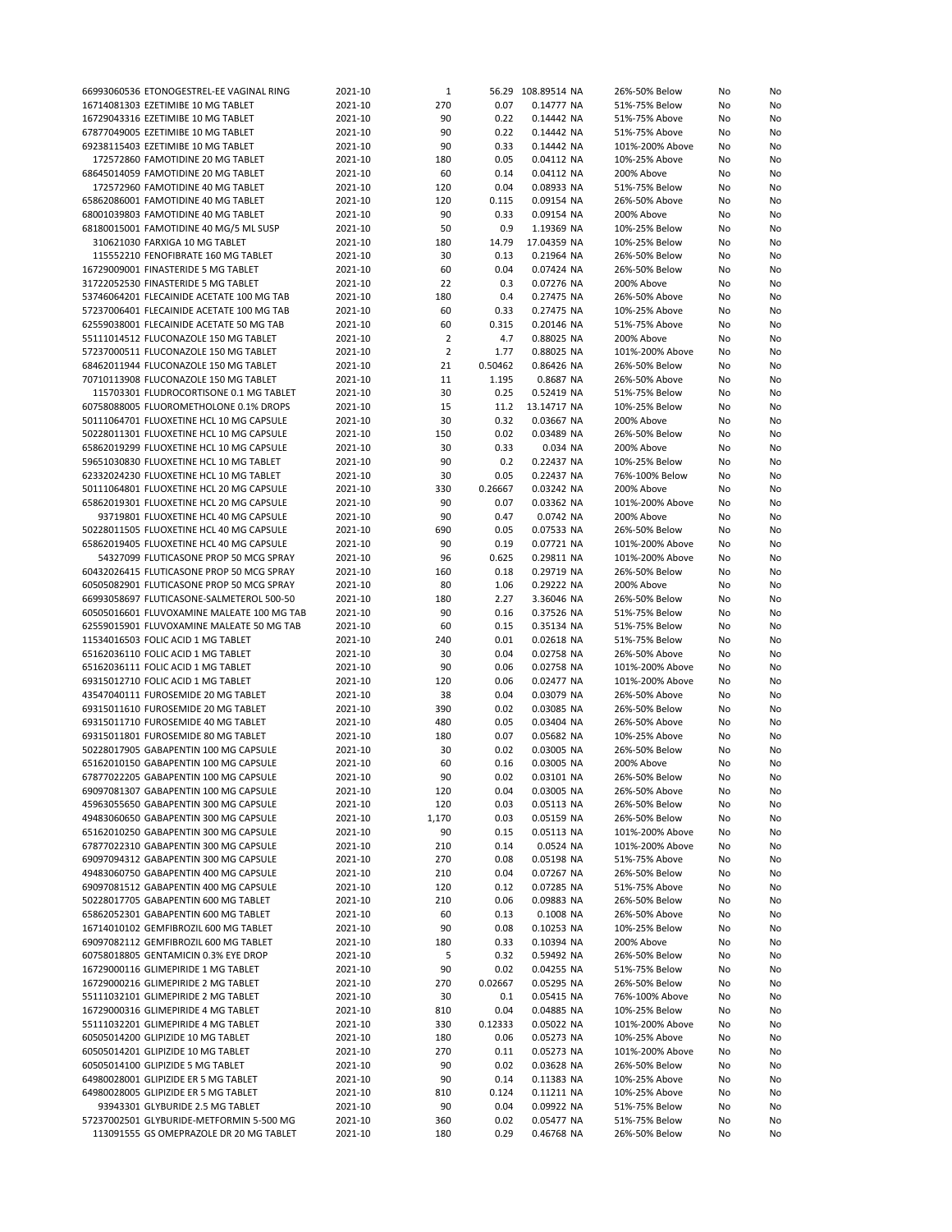| 66993060536 ETONOGESTREL-EE VAGINAL RING   | 2021-10 | $\mathbf 1$    |         | 56.29 108.89514 NA | 26%-50% Below   | No | No |
|--------------------------------------------|---------|----------------|---------|--------------------|-----------------|----|----|
| 16714081303 EZETIMIBE 10 MG TABLET         | 2021-10 | 270            | 0.07    | 0.14777 NA         | 51%-75% Below   | No | No |
| 16729043316 EZETIMIBE 10 MG TABLET         | 2021-10 | 90             | 0.22    | 0.14442 NA         | 51%-75% Above   | No | No |
| 67877049005 EZETIMIBE 10 MG TABLET         | 2021-10 | 90             | 0.22    | 0.14442 NA         | 51%-75% Above   | No | No |
| 69238115403 EZETIMIBE 10 MG TABLET         | 2021-10 | 90             | 0.33    | 0.14442 NA         | 101%-200% Above | No | No |
| 172572860 FAMOTIDINE 20 MG TABLET          | 2021-10 | 180            | 0.05    | 0.04112 NA         | 10%-25% Above   | No | No |
| 68645014059 FAMOTIDINE 20 MG TABLET        | 2021-10 | 60             | 0.14    | 0.04112 NA         | 200% Above      | No | No |
| 172572960 FAMOTIDINE 40 MG TABLET          | 2021-10 | 120            | 0.04    | 0.08933 NA         | 51%-75% Below   | No | No |
| 65862086001 FAMOTIDINE 40 MG TABLET        | 2021-10 | 120            | 0.115   | 0.09154 NA         | 26%-50% Above   | No | No |
| 68001039803 FAMOTIDINE 40 MG TABLET        | 2021-10 | 90             | 0.33    | 0.09154 NA         | 200% Above      | No | No |
| 68180015001 FAMOTIDINE 40 MG/5 ML SUSP     | 2021-10 | 50             | 0.9     | 1.19369 NA         | 10%-25% Below   | No | No |
| 310621030 FARXIGA 10 MG TABLET             | 2021-10 | 180            | 14.79   | 17.04359 NA        | 10%-25% Below   | No | No |
| 115552210 FENOFIBRATE 160 MG TABLET        | 2021-10 | 30             | 0.13    | 0.21964 NA         | 26%-50% Below   | No | No |
| 16729009001 FINASTERIDE 5 MG TABLET        | 2021-10 | 60             | 0.04    | 0.07424 NA         | 26%-50% Below   | No | No |
| 31722052530 FINASTERIDE 5 MG TABLET        | 2021-10 | 22             | 0.3     | 0.07276 NA         | 200% Above      |    |    |
|                                            |         |                |         |                    |                 | No | No |
| 53746064201 FLECAINIDE ACETATE 100 MG TAB  | 2021-10 | 180            | 0.4     | 0.27475 NA         | 26%-50% Above   | No | No |
| 57237006401 FLECAINIDE ACETATE 100 MG TAB  | 2021-10 | 60             | 0.33    | 0.27475 NA         | 10%-25% Above   | No | No |
| 62559038001 FLECAINIDE ACETATE 50 MG TAB   | 2021-10 | 60             | 0.315   | 0.20146 NA         | 51%-75% Above   | No | No |
| 55111014512 FLUCONAZOLE 150 MG TABLET      | 2021-10 | $\overline{2}$ | 4.7     | 0.88025 NA         | 200% Above      | No | No |
| 57237000511 FLUCONAZOLE 150 MG TABLET      | 2021-10 | $\overline{2}$ | 1.77    | 0.88025 NA         | 101%-200% Above | No | No |
| 68462011944 FLUCONAZOLE 150 MG TABLET      | 2021-10 | 21             | 0.50462 | 0.86426 NA         | 26%-50% Below   | No | No |
| 70710113908 FLUCONAZOLE 150 MG TABLET      | 2021-10 | 11             | 1.195   | 0.8687 NA          | 26%-50% Above   | No | No |
| 115703301 FLUDROCORTISONE 0.1 MG TABLET    | 2021-10 | 30             | 0.25    | 0.52419 NA         | 51%-75% Below   | No | No |
| 60758088005 FLUOROMETHOLONE 0.1% DROPS     | 2021-10 | 15             | 11.2    | 13.14717 NA        | 10%-25% Below   | No | No |
| 50111064701 FLUOXETINE HCL 10 MG CAPSULE   | 2021-10 | 30             | 0.32    | 0.03667 NA         | 200% Above      | No | No |
| 50228011301 FLUOXETINE HCL 10 MG CAPSULE   | 2021-10 | 150            | 0.02    | 0.03489 NA         | 26%-50% Below   | No | No |
| 65862019299 FLUOXETINE HCL 10 MG CAPSULE   | 2021-10 | 30             | 0.33    | 0.034 NA           | 200% Above      | No | No |
| 59651030830 FLUOXETINE HCL 10 MG TABLET    | 2021-10 | 90             | 0.2     | 0.22437 NA         | 10%-25% Below   | No | No |
| 62332024230 FLUOXETINE HCL 10 MG TABLET    | 2021-10 | 30             | 0.05    | 0.22437 NA         | 76%-100% Below  | No | No |
| 50111064801 FLUOXETINE HCL 20 MG CAPSULE   | 2021-10 | 330            | 0.26667 | 0.03242 NA         | 200% Above      | No | No |
| 65862019301 FLUOXETINE HCL 20 MG CAPSULE   | 2021-10 | 90             | 0.07    | 0.03362 NA         | 101%-200% Above | No | No |
| 93719801 FLUOXETINE HCL 40 MG CAPSULE      | 2021-10 | 90             | 0.47    | 0.0742 NA          | 200% Above      | No | No |
| 50228011505 FLUOXETINE HCL 40 MG CAPSULE   | 2021-10 | 690            | 0.05    | 0.07533 NA         | 26%-50% Below   | No | No |
| 65862019405 FLUOXETINE HCL 40 MG CAPSULE   | 2021-10 | 90             | 0.19    | 0.07721 NA         | 101%-200% Above | No | No |
| 54327099 FLUTICASONE PROP 50 MCG SPRAY     | 2021-10 | 96             | 0.625   | 0.29811 NA         | 101%-200% Above | No | No |
|                                            |         |                |         |                    |                 |    |    |
| 60432026415 FLUTICASONE PROP 50 MCG SPRAY  | 2021-10 | 160            | 0.18    | 0.29719 NA         | 26%-50% Below   | No | No |
| 60505082901 FLUTICASONE PROP 50 MCG SPRAY  | 2021-10 | 80             | 1.06    | 0.29222 NA         | 200% Above      | No | No |
| 66993058697 FLUTICASONE-SALMETEROL 500-50  | 2021-10 | 180            | 2.27    | 3.36046 NA         | 26%-50% Below   | No | No |
| 60505016601 FLUVOXAMINE MALEATE 100 MG TAB | 2021-10 | 90             | 0.16    | 0.37526 NA         | 51%-75% Below   | No | No |
| 62559015901 FLUVOXAMINE MALEATE 50 MG TAB  | 2021-10 | 60             | 0.15    | 0.35134 NA         | 51%-75% Below   | No | No |
| 11534016503 FOLIC ACID 1 MG TABLET         | 2021-10 | 240            | 0.01    | 0.02618 NA         | 51%-75% Below   | No | No |
| 65162036110 FOLIC ACID 1 MG TABLET         | 2021-10 | 30             | 0.04    | 0.02758 NA         | 26%-50% Above   | No | No |
| 65162036111 FOLIC ACID 1 MG TABLET         | 2021-10 | 90             | 0.06    | 0.02758 NA         | 101%-200% Above | No | No |
| 69315012710 FOLIC ACID 1 MG TABLET         | 2021-10 | 120            | 0.06    | 0.02477 NA         | 101%-200% Above | No | No |
| 43547040111 FUROSEMIDE 20 MG TABLET        | 2021-10 | 38             | 0.04    | 0.03079 NA         | 26%-50% Above   | No | No |
| 69315011610 FUROSEMIDE 20 MG TABLET        | 2021-10 | 390            | 0.02    | 0.03085 NA         | 26%-50% Below   | No | No |
| 69315011710 FUROSEMIDE 40 MG TABLET        | 2021-10 | 480            | 0.05    | 0.03404 NA         | 26%-50% Above   | No | No |
| 69315011801 FUROSEMIDE 80 MG TABLET        | 2021-10 | 180            | 0.07    | 0.05682 NA         | 10%-25% Above   | No | No |
| 50228017905 GABAPENTIN 100 MG CAPSULE      | 2021-10 | 30             | 0.02    | 0.03005 NA         | 26%-50% Below   | No | No |
| 65162010150 GABAPENTIN 100 MG CAPSULE      | 2021-10 | 60             | 0.16    | 0.03005 NA         | 200% Above      | No | No |
| 67877022205 GABAPENTIN 100 MG CAPSULE      | 2021-10 | 90             | 0.02    | 0.03101 NA         | 26%-50% Below   | No | No |
| 69097081307 GABAPENTIN 100 MG CAPSULE      | 2021-10 | 120            | 0.04    | 0.03005 NA         | 26%-50% Above   | No | No |
| 45963055650 GABAPENTIN 300 MG CAPSULE      | 2021-10 | 120            | 0.03    | 0.05113 NA         | 26%-50% Below   | No | No |
| 49483060650 GABAPENTIN 300 MG CAPSULE      | 2021-10 | 1,170          | 0.03    | 0.05159 NA         | 26%-50% Below   | No | No |
| 65162010250 GABAPENTIN 300 MG CAPSULE      | 2021-10 | 90             | 0.15    | 0.05113 NA         | 101%-200% Above | No | No |
| 67877022310 GABAPENTIN 300 MG CAPSULE      | 2021-10 | 210            | 0.14    | 0.0524 NA          | 101%-200% Above | No | No |
| 69097094312 GABAPENTIN 300 MG CAPSULE      | 2021-10 | 270            | 0.08    | 0.05198 NA         | 51%-75% Above   | No | No |
| 49483060750 GABAPENTIN 400 MG CAPSULE      | 2021-10 | 210            | 0.04    | 0.07267 NA         | 26%-50% Below   | No | No |
| 69097081512 GABAPENTIN 400 MG CAPSULE      | 2021-10 | 120            | 0.12    | 0.07285 NA         | 51%-75% Above   | No | No |
| 50228017705 GABAPENTIN 600 MG TABLET       |         |                |         | 0.09883 NA         | 26%-50% Below   |    |    |
|                                            | 2021-10 | 210            | 0.06    |                    |                 | No | No |
| 65862052301 GABAPENTIN 600 MG TABLET       | 2021-10 | 60             | 0.13    | 0.1008 NA          | 26%-50% Above   | No | No |
| 16714010102 GEMFIBROZIL 600 MG TABLET      | 2021-10 | 90             | 0.08    | 0.10253 NA         | 10%-25% Below   | No | No |
| 69097082112 GEMFIBROZIL 600 MG TABLET      | 2021-10 | 180            | 0.33    | 0.10394 NA         | 200% Above      | No | No |
| 60758018805 GENTAMICIN 0.3% EYE DROP       | 2021-10 | 5              | 0.32    | 0.59492 NA         | 26%-50% Below   | No | No |
| 16729000116 GLIMEPIRIDE 1 MG TABLET        | 2021-10 | 90             | 0.02    | 0.04255 NA         | 51%-75% Below   | No | No |
| 16729000216 GLIMEPIRIDE 2 MG TABLET        | 2021-10 | 270            | 0.02667 | 0.05295 NA         | 26%-50% Below   | No | No |
| 55111032101 GLIMEPIRIDE 2 MG TABLET        | 2021-10 | 30             | 0.1     | 0.05415 NA         | 76%-100% Above  | No | No |
| 16729000316 GLIMEPIRIDE 4 MG TABLET        | 2021-10 | 810            | 0.04    | 0.04885 NA         | 10%-25% Below   | No | No |
| 55111032201 GLIMEPIRIDE 4 MG TABLET        | 2021-10 | 330            | 0.12333 | 0.05022 NA         | 101%-200% Above | No | No |
| 60505014200 GLIPIZIDE 10 MG TABLET         | 2021-10 | 180            | 0.06    | 0.05273 NA         | 10%-25% Above   | No | No |
| 60505014201 GLIPIZIDE 10 MG TABLET         | 2021-10 | 270            | 0.11    | 0.05273 NA         | 101%-200% Above | No | No |
| 60505014100 GLIPIZIDE 5 MG TABLET          | 2021-10 | 90             | 0.02    | 0.03628 NA         | 26%-50% Below   | No | No |
| 64980028001 GLIPIZIDE ER 5 MG TABLET       | 2021-10 | 90             | 0.14    | 0.11383 NA         | 10%-25% Above   | No | No |
| 64980028005 GLIPIZIDE ER 5 MG TABLET       | 2021-10 | 810            | 0.124   | 0.11211 NA         | 10%-25% Above   | No | No |
| 93943301 GLYBURIDE 2.5 MG TABLET           | 2021-10 | 90             | 0.04    | 0.09922 NA         | 51%-75% Below   | No | No |
| 57237002501 GLYBURIDE-METFORMIN 5-500 MG   | 2021-10 | 360            | 0.02    | 0.05477 NA         | 51%-75% Below   | No | No |
| 113091555 GS OMEPRAZOLE DR 20 MG TABLET    | 2021-10 | 180            | 0.29    | 0.46768 NA         | 26%-50% Below   | No | No |
|                                            |         |                |         |                    |                 |    |    |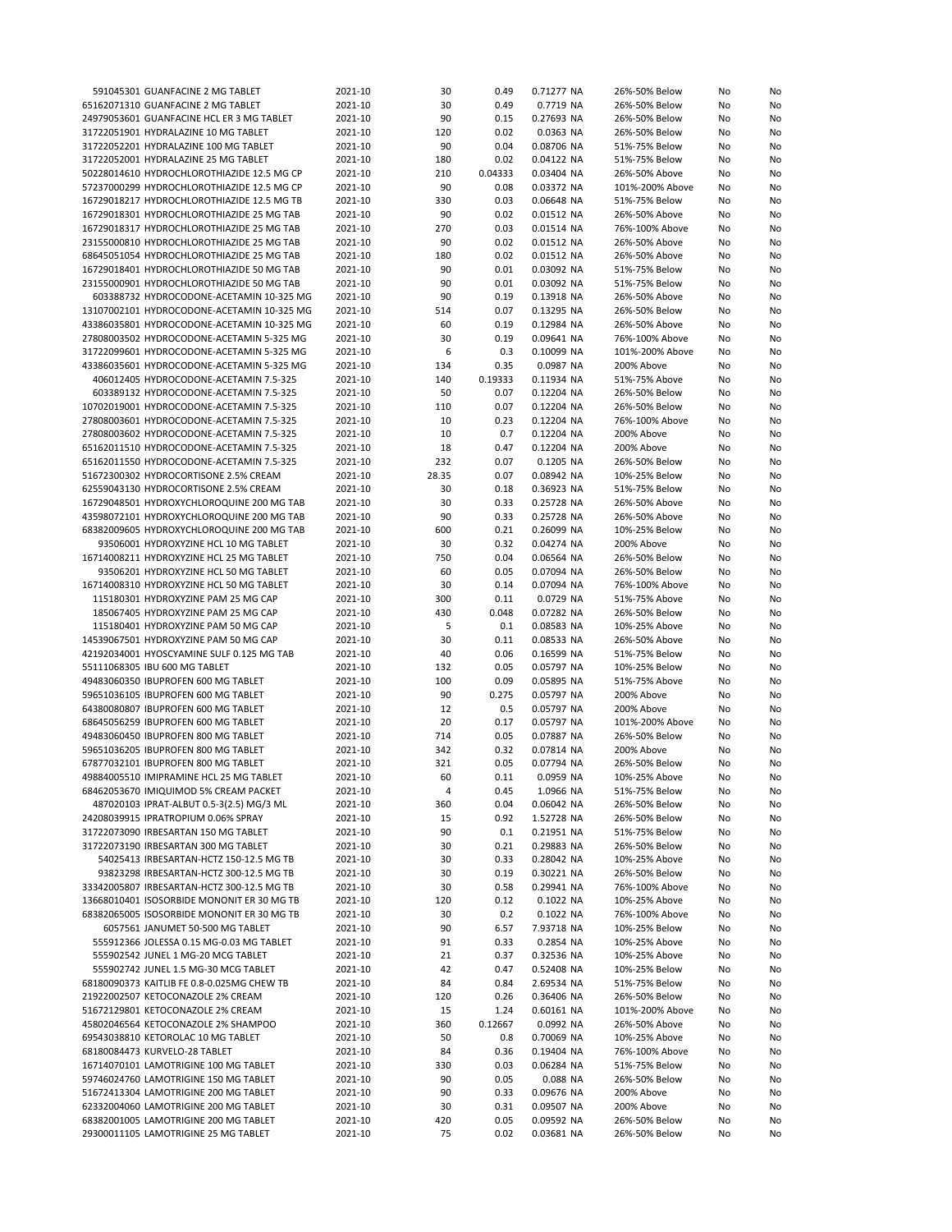| 591045301 GUANFACINE 2 MG TABLET           | 2021-10 | 30    | 0.49    | 0.71277 NA | 26%-50% Below   | No | No |
|--------------------------------------------|---------|-------|---------|------------|-----------------|----|----|
| 65162071310 GUANFACINE 2 MG TABLET         | 2021-10 | 30    | 0.49    | 0.7719 NA  | 26%-50% Below   | No | No |
| 24979053601 GUANFACINE HCL ER 3 MG TABLET  | 2021-10 | 90    | 0.15    | 0.27693 NA | 26%-50% Below   | No | No |
| 31722051901 HYDRALAZINE 10 MG TABLET       | 2021-10 | 120   | 0.02    | 0.0363 NA  | 26%-50% Below   | No | No |
| 31722052201 HYDRALAZINE 100 MG TABLET      | 2021-10 | 90    | 0.04    | 0.08706 NA | 51%-75% Below   | No | No |
|                                            |         |       |         |            |                 |    |    |
| 31722052001 HYDRALAZINE 25 MG TABLET       | 2021-10 | 180   | 0.02    | 0.04122 NA | 51%-75% Below   | No | No |
| 50228014610 HYDROCHLOROTHIAZIDE 12.5 MG CP | 2021-10 | 210   | 0.04333 | 0.03404 NA | 26%-50% Above   | No | No |
| 57237000299 HYDROCHLOROTHIAZIDE 12.5 MG CP | 2021-10 | 90    | 0.08    | 0.03372 NA | 101%-200% Above | No | No |
| 16729018217 HYDROCHLOROTHIAZIDE 12.5 MG TB | 2021-10 | 330   | 0.03    | 0.06648 NA | 51%-75% Below   | No | No |
| 16729018301 HYDROCHLOROTHIAZIDE 25 MG TAB  | 2021-10 | 90    | 0.02    | 0.01512 NA | 26%-50% Above   | No | No |
| 16729018317 HYDROCHLOROTHIAZIDE 25 MG TAB  | 2021-10 | 270   | 0.03    | 0.01514 NA | 76%-100% Above  | No | No |
| 23155000810 HYDROCHLOROTHIAZIDE 25 MG TAB  | 2021-10 | 90    | 0.02    | 0.01512 NA | 26%-50% Above   | No | No |
| 68645051054 HYDROCHLOROTHIAZIDE 25 MG TAB  | 2021-10 | 180   | 0.02    | 0.01512 NA | 26%-50% Above   | No | No |
|                                            |         |       |         |            |                 |    |    |
| 16729018401 HYDROCHLOROTHIAZIDE 50 MG TAB  | 2021-10 | 90    | 0.01    | 0.03092 NA | 51%-75% Below   | No | No |
| 23155000901 HYDROCHLOROTHIAZIDE 50 MG TAB  | 2021-10 | 90    | 0.01    | 0.03092 NA | 51%-75% Below   | No | No |
| 603388732 HYDROCODONE-ACETAMIN 10-325 MG   | 2021-10 | 90    | 0.19    | 0.13918 NA | 26%-50% Above   | No | No |
| 13107002101 HYDROCODONE-ACETAMIN 10-325 MG | 2021-10 | 514   | 0.07    | 0.13295 NA | 26%-50% Below   | No | No |
| 43386035801 HYDROCODONE-ACETAMIN 10-325 MG | 2021-10 | 60    | 0.19    | 0.12984 NA | 26%-50% Above   | No | No |
| 27808003502 HYDROCODONE-ACETAMIN 5-325 MG  | 2021-10 | 30    | 0.19    | 0.09641 NA | 76%-100% Above  | No | No |
| 31722099601 HYDROCODONE-ACETAMIN 5-325 MG  | 2021-10 | 6     | 0.3     | 0.10099 NA | 101%-200% Above | No | No |
| 43386035601 HYDROCODONE-ACETAMIN 5-325 MG  | 2021-10 | 134   | 0.35    | 0.0987 NA  | 200% Above      | No | No |
|                                            |         |       |         |            |                 |    |    |
| 406012405 HYDROCODONE-ACETAMIN 7.5-325     | 2021-10 | 140   | 0.19333 | 0.11934 NA | 51%-75% Above   | No | No |
| 603389132 HYDROCODONE-ACETAMIN 7.5-325     | 2021-10 | 50    | 0.07    | 0.12204 NA | 26%-50% Below   | No | No |
| 10702019001 HYDROCODONE-ACETAMIN 7.5-325   | 2021-10 | 110   | 0.07    | 0.12204 NA | 26%-50% Below   | No | No |
| 27808003601 HYDROCODONE-ACETAMIN 7.5-325   | 2021-10 | 10    | 0.23    | 0.12204 NA | 76%-100% Above  | No | No |
| 27808003602 HYDROCODONE-ACETAMIN 7.5-325   | 2021-10 | 10    | 0.7     | 0.12204 NA | 200% Above      | No | No |
| 65162011510 HYDROCODONE-ACETAMIN 7.5-325   | 2021-10 | 18    | 0.47    | 0.12204 NA | 200% Above      | No | No |
| 65162011550 HYDROCODONE-ACETAMIN 7.5-325   | 2021-10 | 232   | 0.07    | 0.1205 NA  | 26%-50% Below   | No | No |
| 51672300302 HYDROCORTISONE 2.5% CREAM      | 2021-10 | 28.35 | 0.07    | 0.08942 NA | 10%-25% Below   | No | No |
|                                            |         |       |         | 0.36923 NA |                 |    | No |
| 62559043130 HYDROCORTISONE 2.5% CREAM      | 2021-10 | 30    | 0.18    |            | 51%-75% Below   | No |    |
| 16729048501 HYDROXYCHLOROQUINE 200 MG TAB  | 2021-10 | 30    | 0.33    | 0.25728 NA | 26%-50% Above   | No | No |
| 43598072101 HYDROXYCHLOROQUINE 200 MG TAB  | 2021-10 | 90    | 0.33    | 0.25728 NA | 26%-50% Above   | No | No |
| 68382009605 HYDROXYCHLOROQUINE 200 MG TAB  | 2021-10 | 600   | 0.21    | 0.26099 NA | 10%-25% Below   | No | No |
| 93506001 HYDROXYZINE HCL 10 MG TABLET      | 2021-10 | 30    | 0.32    | 0.04274 NA | 200% Above      | No | No |
| 16714008211 HYDROXYZINE HCL 25 MG TABLET   | 2021-10 | 750   | 0.04    | 0.06564 NA | 26%-50% Below   | No | No |
| 93506201 HYDROXYZINE HCL 50 MG TABLET      | 2021-10 | 60    | 0.05    | 0.07094 NA | 26%-50% Below   | No | No |
| 16714008310 HYDROXYZINE HCL 50 MG TABLET   | 2021-10 | 30    | 0.14    | 0.07094 NA | 76%-100% Above  | No | No |
|                                            |         |       |         |            |                 |    |    |
| 115180301 HYDROXYZINE PAM 25 MG CAP        | 2021-10 | 300   | 0.11    | 0.0729 NA  | 51%-75% Above   | No | No |
| 185067405 HYDROXYZINE PAM 25 MG CAP        | 2021-10 | 430   | 0.048   | 0.07282 NA | 26%-50% Below   | No | No |
| 115180401 HYDROXYZINE PAM 50 MG CAP        | 2021-10 | 5     | 0.1     | 0.08583 NA | 10%-25% Above   | No | No |
| 14539067501 HYDROXYZINE PAM 50 MG CAP      | 2021-10 | 30    | 0.11    | 0.08533 NA | 26%-50% Above   | No | No |
| 42192034001 HYOSCYAMINE SULF 0.125 MG TAB  | 2021-10 | 40    | 0.06    | 0.16599 NA | 51%-75% Below   | No | No |
| 55111068305 IBU 600 MG TABLET              | 2021-10 | 132   | 0.05    | 0.05797 NA | 10%-25% Below   | No | No |
| 49483060350 IBUPROFEN 600 MG TABLET        | 2021-10 | 100   | 0.09    | 0.05895 NA | 51%-75% Above   | No | No |
| 59651036105 IBUPROFEN 600 MG TABLET        | 2021-10 | 90    | 0.275   | 0.05797 NA | 200% Above      | No | No |
| 64380080807 IBUPROFEN 600 MG TABLET        | 2021-10 | 12    | 0.5     | 0.05797 NA | 200% Above      | No | No |
|                                            | 2021-10 | 20    | 0.17    |            |                 |    |    |
| 68645056259 IBUPROFEN 600 MG TABLET        |         |       |         | 0.05797 NA | 101%-200% Above | No | No |
| 49483060450 IBUPROFEN 800 MG TABLET        | 2021-10 | 714   | 0.05    | 0.07887 NA | 26%-50% Below   | No | No |
| 59651036205 IBUPROFEN 800 MG TABLET        | 2021-10 | 342   | 0.32    | 0.07814 NA | 200% Above      | No | No |
| 67877032101 IBUPROFEN 800 MG TABLET        | 2021-10 | 321   | 0.05    | 0.07794 NA | 26%-50% Below   | No | No |
| 49884005510 IMIPRAMINE HCL 25 MG TABLET    | 2021-10 | 60    | 0.11    | 0.0959 NA  | 10%-25% Above   | No | No |
| 68462053670 IMIQUIMOD 5% CREAM PACKET      | 2021-10 | 4     | 0.45    | 1.0966 NA  | 51%-75% Below   | No | No |
| 487020103 IPRAT-ALBUT 0.5-3(2.5) MG/3 ML   | 2021-10 | 360   | 0.04    | 0.06042 NA | 26%-50% Below   | No | No |
| 24208039915 IPRATROPIUM 0.06% SPRAY        | 2021-10 | 15    | 0.92    | 1.52728 NA | 26%-50% Below   | No | No |
| 31722073090 IRBESARTAN 150 MG TABLET       | 2021-10 | 90    | 0.1     | 0.21951 NA | 51%-75% Below   | No | No |
| 31722073190 IRBESARTAN 300 MG TABLET       | 2021-10 | 30    | 0.21    | 0.29883 NA | 26%-50% Below   | No | No |
|                                            |         |       |         |            |                 |    |    |
| 54025413 IRBESARTAN-HCTZ 150-12.5 MG TB    | 2021-10 | 30    | 0.33    | 0.28042 NA | 10%-25% Above   | No | No |
| 93823298 IRBESARTAN-HCTZ 300-12.5 MG TB    | 2021-10 | 30    | 0.19    | 0.30221 NA | 26%-50% Below   | No | No |
| 33342005807 IRBESARTAN-HCTZ 300-12.5 MG TB | 2021-10 | 30    | 0.58    | 0.29941 NA | 76%-100% Above  | No | No |
| 13668010401 ISOSORBIDE MONONIT ER 30 MG TB | 2021-10 | 120   | 0.12    | 0.1022 NA  | 10%-25% Above   | No | No |
| 68382065005 ISOSORBIDE MONONIT ER 30 MG TB | 2021-10 | 30    | 0.2     | 0.1022 NA  | 76%-100% Above  | No | No |
| 6057561 JANUMET 50-500 MG TABLET           | 2021-10 | 90    | 6.57    | 7.93718 NA | 10%-25% Below   | No | No |
| 555912366 JOLESSA 0.15 MG-0.03 MG TABLET   | 2021-10 | 91    | 0.33    | 0.2854 NA  | 10%-25% Above   | No | No |
| 555902542 JUNEL 1 MG-20 MCG TABLET         | 2021-10 | 21    | 0.37    | 0.32536 NA | 10%-25% Above   | No | No |
|                                            |         |       |         |            |                 |    |    |
| 555902742 JUNEL 1.5 MG-30 MCG TABLET       | 2021-10 | 42    | 0.47    | 0.52408 NA | 10%-25% Below   | No | No |
| 68180090373 KAITLIB FE 0.8-0.025MG CHEW TB | 2021-10 | 84    | 0.84    | 2.69534 NA | 51%-75% Below   | No | No |
| 21922002507 KETOCONAZOLE 2% CREAM          | 2021-10 | 120   | 0.26    | 0.36406 NA | 26%-50% Below   | No | No |
| 51672129801 KETOCONAZOLE 2% CREAM          | 2021-10 | 15    | 1.24    | 0.60161 NA | 101%-200% Above | No | No |
| 45802046564 KETOCONAZOLE 2% SHAMPOO        | 2021-10 | 360   | 0.12667 | 0.0992 NA  | 26%-50% Above   | No | No |
| 69543038810 KETOROLAC 10 MG TABLET         | 2021-10 | 50    | 0.8     | 0.70069 NA | 10%-25% Above   | No | No |
| 68180084473 KURVELO-28 TABLET              | 2021-10 | 84    | 0.36    | 0.19404 NA | 76%-100% Above  | No | No |
| 16714070101 LAMOTRIGINE 100 MG TABLET      | 2021-10 | 330   | 0.03    | 0.06284 NA | 51%-75% Below   | No | No |
| 59746024760 LAMOTRIGINE 150 MG TABLET      | 2021-10 | 90    | 0.05    | 0.088 NA   | 26%-50% Below   | No | No |
| 51672413304 LAMOTRIGINE 200 MG TABLET      | 2021-10 | 90    | 0.33    | 0.09676 NA | 200% Above      | No | No |
|                                            |         |       |         |            |                 |    |    |
| 62332004060 LAMOTRIGINE 200 MG TABLET      | 2021-10 | 30    | 0.31    | 0.09507 NA | 200% Above      | No | No |
| 68382001005 LAMOTRIGINE 200 MG TABLET      | 2021-10 | 420   | 0.05    | 0.09592 NA | 26%-50% Below   | No | No |
| 29300011105 LAMOTRIGINE 25 MG TABLET       | 2021-10 | 75    | 0.02    | 0.03681 NA | 26%-50% Below   | No | No |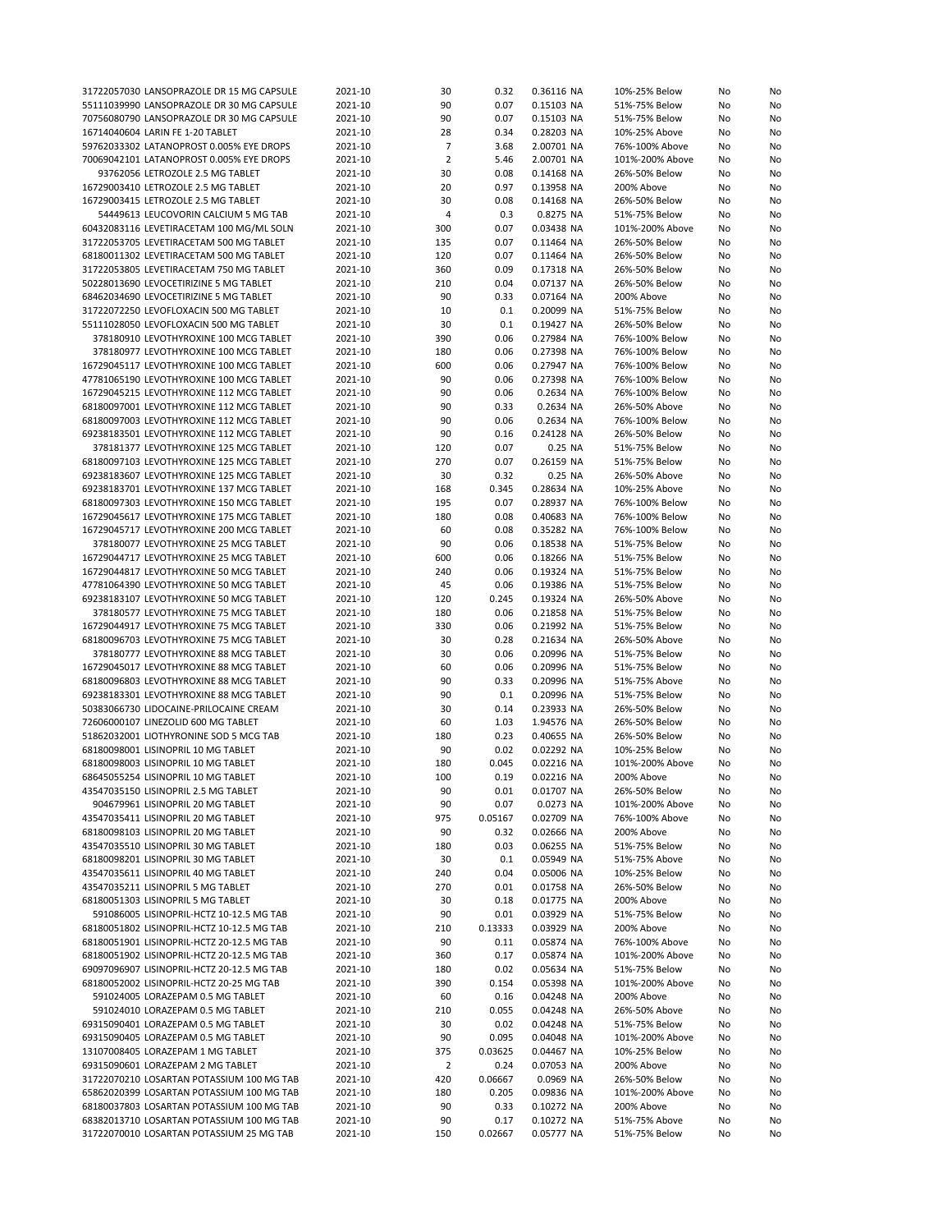| 31722057030 LANSOPRAZOLE DR 15 MG CAPSULE  | 2021-10 | 30             | 0.32    | 0.36116 NA | 10%-25% Below   | No | No |
|--------------------------------------------|---------|----------------|---------|------------|-----------------|----|----|
| 55111039990 LANSOPRAZOLE DR 30 MG CAPSULE  | 2021-10 | 90             | 0.07    | 0.15103 NA | 51%-75% Below   | No | No |
| 70756080790 LANSOPRAZOLE DR 30 MG CAPSULE  | 2021-10 | 90             | 0.07    | 0.15103 NA | 51%-75% Below   | No | No |
| 16714040604 LARIN FE 1-20 TABLET           | 2021-10 | 28             | 0.34    | 0.28203 NA | 10%-25% Above   | No | No |
| 59762033302 LATANOPROST 0.005% EYE DROPS   | 2021-10 | 7              | 3.68    | 2.00701 NA | 76%-100% Above  | No | No |
| 70069042101 LATANOPROST 0.005% EYE DROPS   | 2021-10 | $\overline{2}$ | 5.46    | 2.00701 NA | 101%-200% Above | No | No |
| 93762056 LETROZOLE 2.5 MG TABLET           | 2021-10 | 30             | 0.08    | 0.14168 NA | 26%-50% Below   | No | No |
| 16729003410 LETROZOLE 2.5 MG TABLET        | 2021-10 | 20             | 0.97    | 0.13958 NA | 200% Above      | No | No |
| 16729003415 LETROZOLE 2.5 MG TABLET        | 2021-10 | 30             | 0.08    | 0.14168 NA | 26%-50% Below   | No | No |
| 54449613 LEUCOVORIN CALCIUM 5 MG TAB       | 2021-10 | $\overline{4}$ | 0.3     | 0.8275 NA  | 51%-75% Below   | No | No |
| 60432083116 LEVETIRACETAM 100 MG/ML SOLN   | 2021-10 | 300            | 0.07    | 0.03438 NA | 101%-200% Above | No | No |
| 31722053705 LEVETIRACETAM 500 MG TABLET    | 2021-10 | 135            | 0.07    | 0.11464 NA | 26%-50% Below   | No | No |
| 68180011302 LEVETIRACETAM 500 MG TABLET    | 2021-10 | 120            | 0.07    | 0.11464 NA | 26%-50% Below   | No | No |
| 31722053805 LEVETIRACETAM 750 MG TABLET    | 2021-10 | 360            | 0.09    | 0.17318 NA | 26%-50% Below   | No | No |
| 50228013690 LEVOCETIRIZINE 5 MG TABLET     | 2021-10 | 210            | 0.04    | 0.07137 NA | 26%-50% Below   | No | No |
| 68462034690 LEVOCETIRIZINE 5 MG TABLET     | 2021-10 | 90             | 0.33    | 0.07164 NA | 200% Above      | No | No |
| 31722072250 LEVOFLOXACIN 500 MG TABLET     | 2021-10 | 10             | 0.1     | 0.20099 NA | 51%-75% Below   | No | No |
| 55111028050 LEVOFLOXACIN 500 MG TABLET     | 2021-10 | 30             | 0.1     | 0.19427 NA | 26%-50% Below   | No | No |
|                                            |         |                |         |            |                 |    |    |
| 378180910 LEVOTHYROXINE 100 MCG TABLET     | 2021-10 | 390            | 0.06    | 0.27984 NA | 76%-100% Below  | No | No |
| 378180977 LEVOTHYROXINE 100 MCG TABLET     | 2021-10 | 180            | 0.06    | 0.27398 NA | 76%-100% Below  | No | No |
| 16729045117 LEVOTHYROXINE 100 MCG TABLET   | 2021-10 | 600            | 0.06    | 0.27947 NA | 76%-100% Below  | No | No |
| 47781065190 LEVOTHYROXINE 100 MCG TABLET   | 2021-10 | 90             | 0.06    | 0.27398 NA | 76%-100% Below  | No | No |
| 16729045215 LEVOTHYROXINE 112 MCG TABLET   | 2021-10 | 90             | 0.06    | 0.2634 NA  | 76%-100% Below  | No | No |
| 68180097001 LEVOTHYROXINE 112 MCG TABLET   | 2021-10 | 90             | 0.33    | 0.2634 NA  | 26%-50% Above   | No | No |
| 68180097003 LEVOTHYROXINE 112 MCG TABLET   | 2021-10 | 90             | 0.06    | 0.2634 NA  | 76%-100% Below  | No | No |
| 69238183501 LEVOTHYROXINE 112 MCG TABLET   | 2021-10 | 90             | 0.16    | 0.24128 NA | 26%-50% Below   | No | No |
| 378181377 LEVOTHYROXINE 125 MCG TABLET     | 2021-10 | 120            | 0.07    | 0.25 NA    | 51%-75% Below   | No | No |
| 68180097103 LEVOTHYROXINE 125 MCG TABLET   | 2021-10 | 270            | 0.07    | 0.26159 NA | 51%-75% Below   | No | No |
| 69238183607 LEVOTHYROXINE 125 MCG TABLET   | 2021-10 | 30             | 0.32    | 0.25 NA    | 26%-50% Above   | No | No |
| 69238183701 LEVOTHYROXINE 137 MCG TABLET   | 2021-10 | 168            | 0.345   | 0.28634 NA | 10%-25% Above   | No | No |
| 68180097303 LEVOTHYROXINE 150 MCG TABLET   | 2021-10 | 195            | 0.07    | 0.28937 NA | 76%-100% Below  | No | No |
| 16729045617 LEVOTHYROXINE 175 MCG TABLET   | 2021-10 | 180            | 0.08    | 0.40683 NA | 76%-100% Below  | No | No |
| 16729045717 LEVOTHYROXINE 200 MCG TABLET   | 2021-10 | 60             | 0.08    | 0.35282 NA | 76%-100% Below  | No | No |
| 378180077 LEVOTHYROXINE 25 MCG TABLET      | 2021-10 | 90             | 0.06    | 0.18538 NA | 51%-75% Below   | No | No |
| 16729044717 LEVOTHYROXINE 25 MCG TABLET    | 2021-10 | 600            | 0.06    | 0.18266 NA | 51%-75% Below   | No | No |
|                                            |         |                |         |            |                 |    |    |
| 16729044817 LEVOTHYROXINE 50 MCG TABLET    | 2021-10 | 240            | 0.06    | 0.19324 NA | 51%-75% Below   | No | No |
| 47781064390 LEVOTHYROXINE 50 MCG TABLET    | 2021-10 | 45             | 0.06    | 0.19386 NA | 51%-75% Below   | No | No |
| 69238183107 LEVOTHYROXINE 50 MCG TABLET    | 2021-10 | 120            | 0.245   | 0.19324 NA | 26%-50% Above   | No | No |
| 378180577 LEVOTHYROXINE 75 MCG TABLET      | 2021-10 | 180            | 0.06    | 0.21858 NA | 51%-75% Below   | No | No |
| 16729044917 LEVOTHYROXINE 75 MCG TABLET    | 2021-10 | 330            | 0.06    | 0.21992 NA | 51%-75% Below   | No | No |
| 68180096703 LEVOTHYROXINE 75 MCG TABLET    | 2021-10 | 30             | 0.28    | 0.21634 NA | 26%-50% Above   | No | No |
| 378180777 LEVOTHYROXINE 88 MCG TABLET      | 2021-10 | 30             | 0.06    | 0.20996 NA | 51%-75% Below   | No | No |
| 16729045017 LEVOTHYROXINE 88 MCG TABLET    | 2021-10 | 60             | 0.06    | 0.20996 NA | 51%-75% Below   | No | No |
| 68180096803 LEVOTHYROXINE 88 MCG TABLET    | 2021-10 | 90             | 0.33    | 0.20996 NA | 51%-75% Above   | No | No |
| 69238183301 LEVOTHYROXINE 88 MCG TABLET    | 2021-10 | 90             | 0.1     | 0.20996 NA | 51%-75% Below   | No | No |
| 50383066730 LIDOCAINE-PRILOCAINE CREAM     | 2021-10 | 30             | 0.14    | 0.23933 NA | 26%-50% Below   | No | No |
| 72606000107 LINEZOLID 600 MG TABLET        | 2021-10 | 60             | 1.03    | 1.94576 NA | 26%-50% Below   | No | No |
| 51862032001 LIOTHYRONINE SOD 5 MCG TAB     | 2021-10 | 180            | 0.23    | 0.40655 NA | 26%-50% Below   | No | No |
| 68180098001 LISINOPRIL 10 MG TABLET        | 2021-10 | 90             | 0.02    | 0.02292 NA | 10%-25% Below   | No | No |
| 68180098003 LISINOPRIL 10 MG TABLET        | 2021-10 | 180            | 0.045   | 0.02216 NA | 101%-200% Above | No | No |
| 68645055254 LISINOPRIL 10 MG TABLET        | 2021-10 | 100            | 0.19    | 0.02216 NA | 200% Above      | No | No |
| 43547035150 LISINOPRIL 2.5 MG TABLET       | 2021-10 | 90             | 0.01    | 0.01707 NA | 26%-50% Below   | No | No |
| 904679961 LISINOPRIL 20 MG TABLET          | 2021-10 | 90             | 0.07    | 0.0273 NA  | 101%-200% Above | No | No |
| 43547035411 LISINOPRIL 20 MG TABLET        | 2021-10 | 975            | 0.05167 | 0.02709 NA | 76%-100% Above  | No | No |
| 68180098103 LISINOPRIL 20 MG TABLET        | 2021-10 | 90             | 0.32    | 0.02666 NA | 200% Above      | No | No |
| 43547035510 LISINOPRIL 30 MG TABLET        | 2021-10 | 180            | 0.03    | 0.06255 NA | 51%-75% Below   | No | No |
| 68180098201 LISINOPRIL 30 MG TABLET        | 2021-10 | 30             | 0.1     | 0.05949 NA | 51%-75% Above   | No | No |
| 43547035611 LISINOPRIL 40 MG TABLET        | 2021-10 | 240            | 0.04    | 0.05006 NA | 10%-25% Below   | No | No |
| 43547035211 LISINOPRIL 5 MG TABLET         | 2021-10 | 270            | 0.01    | 0.01758 NA | 26%-50% Below   | No | No |
|                                            |         |                |         | 0.01775 NA |                 |    |    |
| 68180051303 LISINOPRIL 5 MG TABLET         | 2021-10 | 30             | 0.18    |            | 200% Above      | No | No |
| 591086005 LISINOPRIL-HCTZ 10-12.5 MG TAB   | 2021-10 | 90             | 0.01    | 0.03929 NA | 51%-75% Below   | No | No |
| 68180051802 LISINOPRIL-HCTZ 10-12.5 MG TAB | 2021-10 | 210            | 0.13333 | 0.03929 NA | 200% Above      | No | No |
| 68180051901 LISINOPRIL-HCTZ 20-12.5 MG TAB | 2021-10 | 90             | 0.11    | 0.05874 NA | 76%-100% Above  | No | No |
| 68180051902 LISINOPRIL-HCTZ 20-12.5 MG TAB | 2021-10 | 360            | 0.17    | 0.05874 NA | 101%-200% Above | No | No |
| 69097096907 LISINOPRIL-HCTZ 20-12.5 MG TAB | 2021-10 | 180            | 0.02    | 0.05634 NA | 51%-75% Below   | No | No |
| 68180052002 LISINOPRIL-HCTZ 20-25 MG TAB   | 2021-10 | 390            | 0.154   | 0.05398 NA | 101%-200% Above | No | No |
| 591024005 LORAZEPAM 0.5 MG TABLET          | 2021-10 | 60             | 0.16    | 0.04248 NA | 200% Above      | No | No |
| 591024010 LORAZEPAM 0.5 MG TABLET          | 2021-10 | 210            | 0.055   | 0.04248 NA | 26%-50% Above   | No | No |
| 69315090401 LORAZEPAM 0.5 MG TABLET        | 2021-10 | 30             | 0.02    | 0.04248 NA | 51%-75% Below   | No | No |
| 69315090405 LORAZEPAM 0.5 MG TABLET        | 2021-10 | 90             | 0.095   | 0.04048 NA | 101%-200% Above | No | No |
| 13107008405 LORAZEPAM 1 MG TABLET          | 2021-10 | 375            | 0.03625 | 0.04467 NA | 10%-25% Below   | No | No |
| 69315090601 LORAZEPAM 2 MG TABLET          | 2021-10 | $\overline{2}$ | 0.24    | 0.07053 NA | 200% Above      | No | No |
| 31722070210 LOSARTAN POTASSIUM 100 MG TAB  | 2021-10 | 420            | 0.06667 | 0.0969 NA  | 26%-50% Below   | No | No |
| 65862020399 LOSARTAN POTASSIUM 100 MG TAB  | 2021-10 | 180            | 0.205   | 0.09836 NA | 101%-200% Above | No | No |
| 68180037803 LOSARTAN POTASSIUM 100 MG TAB  | 2021-10 | 90             | 0.33    | 0.10272 NA | 200% Above      | No | No |
| 68382013710 LOSARTAN POTASSIUM 100 MG TAB  | 2021-10 | 90             | 0.17    | 0.10272 NA | 51%-75% Above   | No | No |
| 31722070010 LOSARTAN POTASSIUM 25 MG TAB   | 2021-10 | 150            | 0.02667 | 0.05777 NA | 51%-75% Below   | No | No |
|                                            |         |                |         |            |                 |    |    |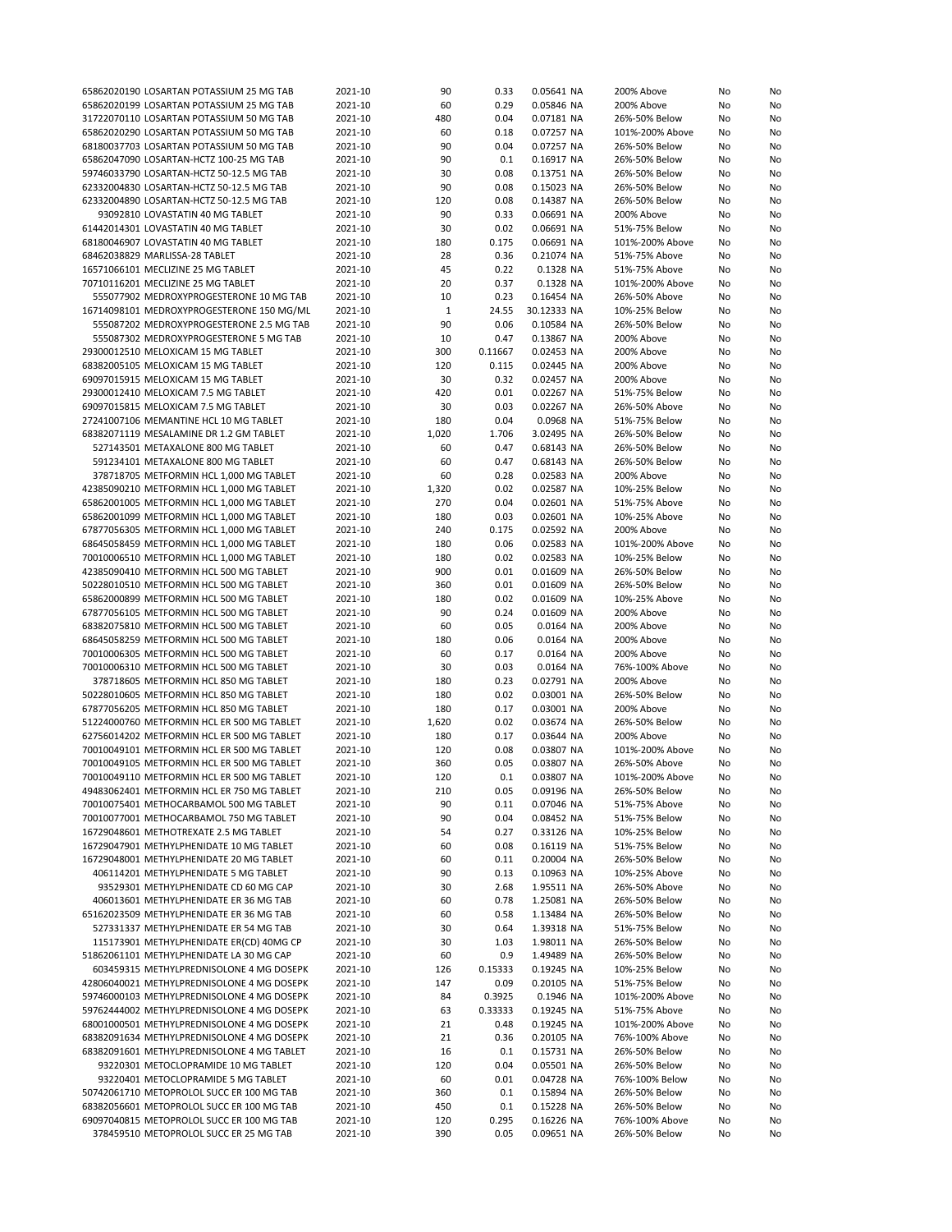| 65862020190 LOSARTAN POTASSIUM 25 MG TAB                                            | 2021-10            | 90         | 0.33          | 0.05641 NA               | 200% Above                      | No       | No       |
|-------------------------------------------------------------------------------------|--------------------|------------|---------------|--------------------------|---------------------------------|----------|----------|
| 65862020199 LOSARTAN POTASSIUM 25 MG TAB                                            | 2021-10            | 60         | 0.29          | 0.05846 NA               | 200% Above                      | No       | No       |
| 31722070110 LOSARTAN POTASSIUM 50 MG TAB                                            | 2021-10            | 480        | 0.04          | 0.07181 NA               | 26%-50% Below                   | No       | No       |
|                                                                                     |                    |            |               |                          |                                 |          |          |
| 65862020290 LOSARTAN POTASSIUM 50 MG TAB                                            | 2021-10            | 60         | 0.18          | 0.07257 NA               | 101%-200% Above                 | No       | No       |
| 68180037703 LOSARTAN POTASSIUM 50 MG TAB                                            | 2021-10            | 90         | 0.04          | 0.07257 NA               | 26%-50% Below                   | No       | No       |
| 65862047090 LOSARTAN-HCTZ 100-25 MG TAB                                             | 2021-10            | 90         | 0.1           | 0.16917 NA               | 26%-50% Below                   | No       | No       |
| 59746033790 LOSARTAN-HCTZ 50-12.5 MG TAB                                            | 2021-10            | 30         | 0.08          | 0.13751 NA               | 26%-50% Below                   | No       | No       |
| 62332004830 LOSARTAN-HCTZ 50-12.5 MG TAB                                            | 2021-10            | 90         | 0.08          | 0.15023 NA               | 26%-50% Below                   | No       | No       |
|                                                                                     |                    |            |               |                          |                                 |          |          |
| 62332004890 LOSARTAN-HCTZ 50-12.5 MG TAB                                            | 2021-10            | 120        | 0.08          | 0.14387 NA               | 26%-50% Below                   | No       | No       |
| 93092810 LOVASTATIN 40 MG TABLET                                                    | 2021-10            | 90         | 0.33          | 0.06691 NA               | 200% Above                      | No       | No       |
| 61442014301 LOVASTATIN 40 MG TABLET                                                 | 2021-10            | 30         | 0.02          | 0.06691 NA               | 51%-75% Below                   | No       | No       |
| 68180046907 LOVASTATIN 40 MG TABLET                                                 | 2021-10            | 180        | 0.175         | 0.06691 NA               | 101%-200% Above                 | No       | No       |
| 68462038829 MARLISSA-28 TABLET                                                      | 2021-10            | 28         | 0.36          | 0.21074 NA               | 51%-75% Above                   | No       | No       |
|                                                                                     |                    |            |               |                          |                                 |          |          |
| 16571066101 MECLIZINE 25 MG TABLET                                                  | 2021-10            | 45         | 0.22          | 0.1328 NA                | 51%-75% Above                   | No       | No       |
| 70710116201 MECLIZINE 25 MG TABLET                                                  | 2021-10            | 20         | 0.37          | 0.1328 NA                | 101%-200% Above                 | No       | No       |
| 555077902 MEDROXYPROGESTERONE 10 MG TAB                                             | 2021-10            | 10         | 0.23          | 0.16454 NA               | 26%-50% Above                   | No       | No       |
| 16714098101 MEDROXYPROGESTERONE 150 MG/ML                                           | 2021-10            | 1          | 24.55         | 30.12333 NA              | 10%-25% Below                   | No       | No       |
| 555087202 MEDROXYPROGESTERONE 2.5 MG TAB                                            | 2021-10            | 90         | 0.06          | 0.10584 NA               | 26%-50% Below                   | No       | No       |
|                                                                                     |                    |            |               |                          |                                 |          |          |
| 555087302 MEDROXYPROGESTERONE 5 MG TAB                                              | 2021-10            | 10         | 0.47          | 0.13867 NA               | 200% Above                      | No       | No       |
| 29300012510 MELOXICAM 15 MG TABLET                                                  | 2021-10            | 300        | 0.11667       | 0.02453 NA               | 200% Above                      | No       | No       |
| 68382005105 MELOXICAM 15 MG TABLET                                                  | 2021-10            | 120        | 0.115         | 0.02445 NA               | 200% Above                      | No       | No       |
| 69097015915 MELOXICAM 15 MG TABLET                                                  | 2021-10            | 30         | 0.32          | 0.02457 NA               | 200% Above                      | No       | No       |
| 29300012410 MELOXICAM 7.5 MG TABLET                                                 | 2021-10            | 420        | 0.01          | 0.02267 NA               | 51%-75% Below                   | No       | No       |
|                                                                                     |                    |            | 0.03          |                          | 26%-50% Above                   |          |          |
| 69097015815 MELOXICAM 7.5 MG TABLET                                                 | 2021-10            | 30         |               | 0.02267 NA               |                                 | No       | No       |
| 27241007106 MEMANTINE HCL 10 MG TABLET                                              | 2021-10            | 180        | 0.04          | 0.0968 NA                | 51%-75% Below                   | No       | No       |
| 68382071119 MESALAMINE DR 1.2 GM TABLET                                             | 2021-10            | 1,020      | 1.706         | 3.02495 NA               | 26%-50% Below                   | No       | No       |
| 527143501 METAXALONE 800 MG TABLET                                                  | 2021-10            | 60         | 0.47          | 0.68143 NA               | 26%-50% Below                   | No       | No       |
| 591234101 METAXALONE 800 MG TABLET                                                  | 2021-10            | 60         | 0.47          | 0.68143 NA               | 26%-50% Below                   | No       | No       |
|                                                                                     |                    |            |               |                          |                                 |          |          |
| 378718705 METFORMIN HCL 1,000 MG TABLET                                             | 2021-10            | 60         | 0.28          | 0.02583 NA               | 200% Above                      | No       | No       |
| 42385090210 METFORMIN HCL 1,000 MG TABLET                                           | 2021-10            | 1,320      | 0.02          | 0.02587 NA               | 10%-25% Below                   | No       | No       |
| 65862001005 METFORMIN HCL 1,000 MG TABLET                                           | 2021-10            | 270        | 0.04          | 0.02601 NA               | 51%-75% Above                   | No       | No       |
| 65862001099 METFORMIN HCL 1,000 MG TABLET                                           | 2021-10            | 180        | 0.03          | 0.02601 NA               | 10%-25% Above                   | No       | No       |
| 67877056305 METFORMIN HCL 1,000 MG TABLET                                           | 2021-10            | 240        | 0.175         | 0.02592 NA               | 200% Above                      | No       | No       |
|                                                                                     |                    |            |               |                          |                                 |          |          |
| 68645058459 METFORMIN HCL 1,000 MG TABLET                                           | 2021-10            | 180        | 0.06          | 0.02583 NA               | 101%-200% Above                 | No       | No       |
| 70010006510 METFORMIN HCL 1,000 MG TABLET                                           | 2021-10            | 180        | 0.02          | 0.02583 NA               | 10%-25% Below                   | No       | No       |
| 42385090410 METFORMIN HCL 500 MG TABLET                                             | 2021-10            | 900        | 0.01          | 0.01609 NA               | 26%-50% Below                   | No       | No       |
| 50228010510 METFORMIN HCL 500 MG TABLET                                             | 2021-10            | 360        | 0.01          | 0.01609 NA               | 26%-50% Below                   | No       | No       |
| 65862000899 METFORMIN HCL 500 MG TABLET                                             | 2021-10            | 180        | 0.02          | 0.01609 NA               | 10%-25% Above                   | No       | No       |
|                                                                                     |                    |            |               |                          |                                 |          |          |
| 67877056105 METFORMIN HCL 500 MG TABLET                                             | 2021-10            | 90         | 0.24          | 0.01609 NA               | 200% Above                      | No       | No       |
| 68382075810 METFORMIN HCL 500 MG TABLET                                             | 2021-10            | 60         | 0.05          | 0.0164 NA                | 200% Above                      | No       | No       |
| 68645058259 METFORMIN HCL 500 MG TABLET                                             | 2021-10            | 180        | 0.06          | 0.0164 NA                | 200% Above                      | No       | No       |
| 70010006305 METFORMIN HCL 500 MG TABLET                                             | 2021-10            | 60         | 0.17          | 0.0164 NA                | 200% Above                      | No       | No       |
| 70010006310 METFORMIN HCL 500 MG TABLET                                             | 2021-10            | 30         | 0.03          | 0.0164 NA                | 76%-100% Above                  | No       | No       |
|                                                                                     |                    | 180        |               |                          |                                 |          |          |
| 378718605 METFORMIN HCL 850 MG TABLET                                               |                    |            | 0.23          | 0.02791 NA               | 200% Above                      | No       | No       |
|                                                                                     | 2021-10            |            |               |                          |                                 |          | No       |
| 50228010605 METFORMIN HCL 850 MG TABLET                                             | 2021-10            | 180        | 0.02          | 0.03001 NA               | 26%-50% Below                   | No       |          |
| 67877056205 METFORMIN HCL 850 MG TABLET                                             | 2021-10            | 180        | 0.17          | 0.03001 NA               | 200% Above                      | No       | No       |
|                                                                                     |                    |            |               | 0.03674 NA               |                                 |          |          |
| 51224000760 METFORMIN HCL ER 500 MG TABLET                                          | 2021-10            | 1,620      | 0.02          |                          | 26%-50% Below                   | No       | No       |
| 62756014202 METFORMIN HCL ER 500 MG TABLET                                          | 2021-10            | 180        | 0.17          | 0.03644 NA               | 200% Above                      | No       | No       |
| 70010049101 METFORMIN HCL ER 500 MG TABLET                                          | 2021-10            | 120        | 0.08          | 0.03807 NA               | 101%-200% Above                 | No       | No       |
| 70010049105 METFORMIN HCL ER 500 MG TABLET                                          | 2021-10            | 360        | 0.05          | 0.03807 NA               | 26%-50% Above                   | No       | No       |
| 70010049110 METFORMIN HCL ER 500 MG TABLET                                          | 2021-10            | 120        | 0.1           | 0.03807 NA               | 101%-200% Above                 | No       | No       |
|                                                                                     |                    |            |               |                          |                                 |          |          |
| 49483062401 METFORMIN HCL ER 750 MG TABLET                                          | 2021-10            | 210        | 0.05          | 0.09196 NA               | 26%-50% Below                   | No       | No       |
| 70010075401 METHOCARBAMOL 500 MG TABLET                                             | 2021-10            | 90         | 0.11          | 0.07046 NA               | 51%-75% Above                   | No       | No       |
| 70010077001 METHOCARBAMOL 750 MG TABLET                                             | 2021-10            | 90         | 0.04          | 0.08452 NA               | 51%-75% Below                   | No       | No       |
| 16729048601 METHOTREXATE 2.5 MG TABLET                                              | 2021-10            | 54         | 0.27          | 0.33126 NA               | 10%-25% Below                   | No       | No       |
| 16729047901 METHYLPHENIDATE 10 MG TABLET                                            | 2021-10            | 60         | 0.08          | 0.16119 NA               | 51%-75% Below                   | No       | No       |
| 16729048001 METHYLPHENIDATE 20 MG TABLET                                            | 2021-10            | 60         | 0.11          | 0.20004 NA               | 26%-50% Below                   | No       | No       |
|                                                                                     |                    |            |               |                          |                                 |          |          |
| 406114201 METHYLPHENIDATE 5 MG TABLET                                               | 2021-10            | 90         | 0.13          | 0.10963 NA               | 10%-25% Above                   | No       | No       |
| 93529301 METHYLPHENIDATE CD 60 MG CAP                                               | 2021-10            | 30         | 2.68          | 1.95511 NA               | 26%-50% Above                   | No       | No       |
| 406013601 METHYLPHENIDATE ER 36 MG TAB                                              | 2021-10            | 60         | 0.78          | 1.25081 NA               | 26%-50% Below                   | No       | No       |
| 65162023509 METHYLPHENIDATE ER 36 MG TAB                                            | 2021-10            | 60         | 0.58          | 1.13484 NA               | 26%-50% Below                   | No       | No       |
| 527331337 METHYLPHENIDATE ER 54 MG TAB                                              | 2021-10            | 30         | 0.64          | 1.39318 NA               | 51%-75% Below                   | No       | No       |
|                                                                                     |                    |            |               |                          |                                 |          |          |
| 115173901 METHYLPHENIDATE ER(CD) 40MG CP                                            | 2021-10            | 30         | 1.03          | 1.98011 NA               | 26%-50% Below                   | No       | No       |
| 51862061101 METHYLPHENIDATE LA 30 MG CAP                                            | 2021-10            | 60         | 0.9           | 1.49489 NA               | 26%-50% Below                   | No       | No       |
| 603459315 METHYLPREDNISOLONE 4 MG DOSEPK                                            | 2021-10            | 126        | 0.15333       | 0.19245 NA               | 10%-25% Below                   | No       | No       |
| 42806040021 METHYLPREDNISOLONE 4 MG DOSEPK                                          | 2021-10            | 147        | 0.09          | 0.20105 NA               | 51%-75% Below                   | No       | No       |
| 59746000103 METHYLPREDNISOLONE 4 MG DOSEPK                                          | 2021-10            | 84         | 0.3925        | 0.1946 NA                | 101%-200% Above                 | No       | No       |
| 59762444002 METHYLPREDNISOLONE 4 MG DOSEPK                                          |                    | 63         | 0.33333       | 0.19245 NA               | 51%-75% Above                   | No       | No       |
|                                                                                     | 2021-10            |            |               |                          |                                 |          |          |
| 68001000501 METHYLPREDNISOLONE 4 MG DOSEPK                                          | 2021-10            | 21         | 0.48          | 0.19245 NA               | 101%-200% Above                 | No       | No       |
| 68382091634 METHYLPREDNISOLONE 4 MG DOSEPK                                          | 2021-10            | 21         | 0.36          | 0.20105 NA               | 76%-100% Above                  | No       | No       |
| 68382091601 METHYLPREDNISOLONE 4 MG TABLET                                          | 2021-10            | 16         | 0.1           | 0.15731 NA               | 26%-50% Below                   | No       | No       |
| 93220301 METOCLOPRAMIDE 10 MG TABLET                                                | 2021-10            | 120        | 0.04          | 0.05501 NA               | 26%-50% Below                   | No       | No       |
| 93220401 METOCLOPRAMIDE 5 MG TABLET                                                 | 2021-10            | 60         | 0.01          | 0.04728 NA               | 76%-100% Below                  | No       | No       |
|                                                                                     |                    |            |               |                          |                                 |          |          |
| 50742061710 METOPROLOL SUCC ER 100 MG TAB                                           | 2021-10            | 360        | 0.1           | 0.15894 NA               | 26%-50% Below                   | No       | No       |
| 68382056601 METOPROLOL SUCC ER 100 MG TAB                                           | 2021-10            | 450        | 0.1           | 0.15228 NA               | 26%-50% Below                   | No       | No       |
| 69097040815 METOPROLOL SUCC ER 100 MG TAB<br>378459510 METOPROLOL SUCC ER 25 MG TAB | 2021-10<br>2021-10 | 120<br>390 | 0.295<br>0.05 | 0.16226 NA<br>0.09651 NA | 76%-100% Above<br>26%-50% Below | No<br>No | No<br>No |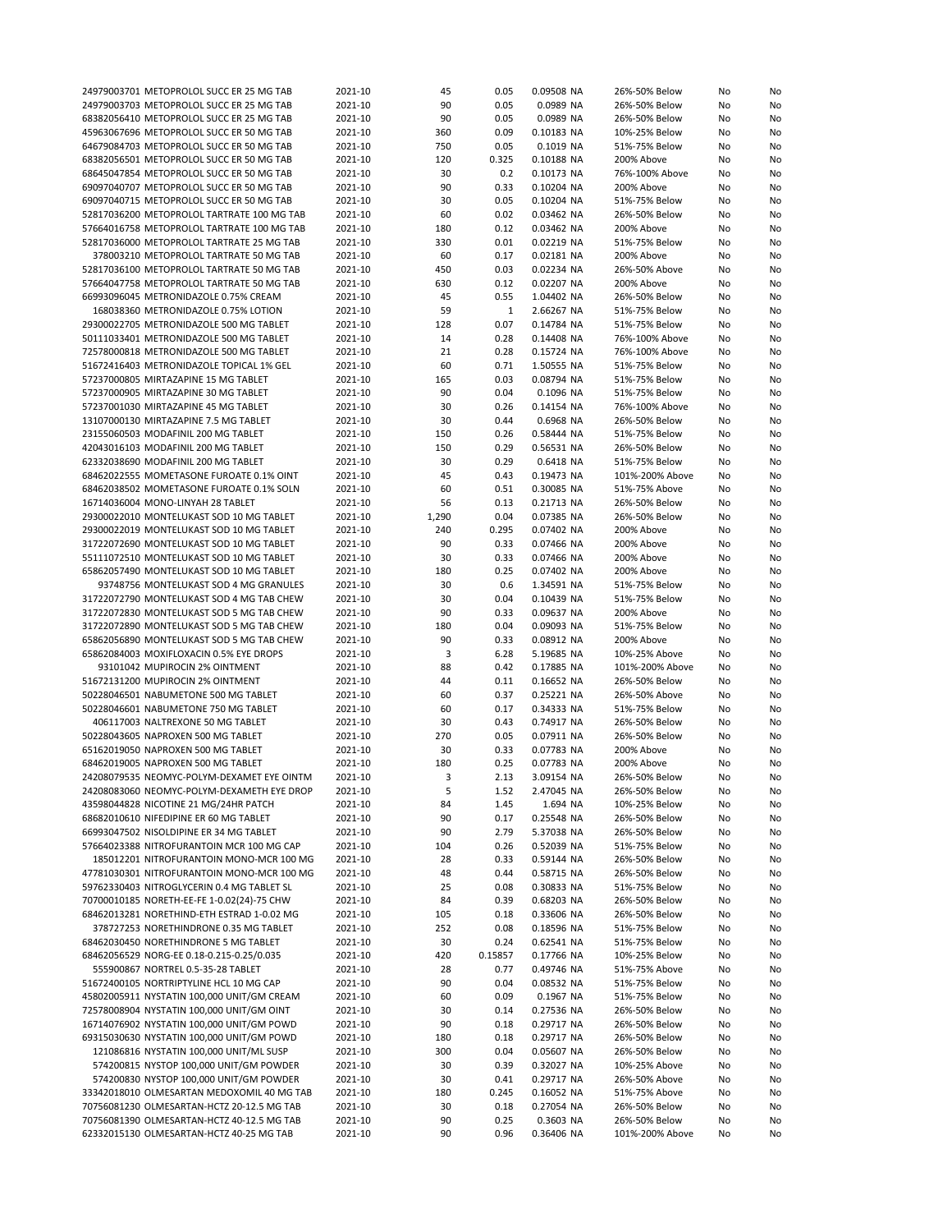|                                                                                        | 24979003701 METOPROLOL SUCC ER 25 MG TAB   | 2021-10            | 45       | 0.05         | 0.09508 NA              | 26%-50% Below                    | No | No |
|----------------------------------------------------------------------------------------|--------------------------------------------|--------------------|----------|--------------|-------------------------|----------------------------------|----|----|
|                                                                                        |                                            |                    | 90       |              |                         |                                  |    |    |
| 24979003703 METOPROLOL SUCC ER 25 MG TAB                                               |                                            | 2021-10            |          | 0.05         | 0.0989 NA               | 26%-50% Below                    | No | No |
| 68382056410 METOPROLOL SUCC ER 25 MG TAB                                               |                                            | 2021-10            | 90       | 0.05         | 0.0989 NA               | 26%-50% Below                    | No | No |
| 45963067696 METOPROLOL SUCC ER 50 MG TAB                                               |                                            | 2021-10            | 360      | 0.09         | 0.10183 NA              | 10%-25% Below                    | No | No |
| 64679084703 METOPROLOL SUCC ER 50 MG TAB                                               |                                            | 2021-10            | 750      | 0.05         | 0.1019 NA               | 51%-75% Below                    | No | No |
|                                                                                        |                                            |                    |          |              |                         |                                  |    |    |
| 68382056501 METOPROLOL SUCC ER 50 MG TAB                                               |                                            | 2021-10            | 120      | 0.325        | 0.10188 NA              | 200% Above                       | No | No |
| 68645047854 METOPROLOL SUCC ER 50 MG TAB                                               |                                            | 2021-10            | 30       | 0.2          | 0.10173 NA              | 76%-100% Above                   | No | No |
| 69097040707 METOPROLOL SUCC ER 50 MG TAB                                               |                                            | 2021-10            | 90       | 0.33         | 0.10204 NA              | 200% Above                       | No | No |
|                                                                                        |                                            |                    |          |              |                         |                                  |    |    |
| 69097040715 METOPROLOL SUCC ER 50 MG TAB                                               |                                            | 2021-10            | 30       | 0.05         | 0.10204 NA              | 51%-75% Below                    | No | No |
| 52817036200 METOPROLOL TARTRATE 100 MG TAB                                             |                                            | 2021-10            | 60       | 0.02         | 0.03462 NA              | 26%-50% Below                    | No | No |
| 57664016758 METOPROLOL TARTRATE 100 MG TAB                                             |                                            | 2021-10            | 180      | 0.12         | 0.03462 NA              | 200% Above                       | No | No |
|                                                                                        |                                            |                    | 330      | 0.01         | 0.02219 NA              |                                  |    |    |
| 52817036000 METOPROLOL TARTRATE 25 MG TAB                                              |                                            | 2021-10            |          |              |                         | 51%-75% Below                    | No | No |
|                                                                                        | 378003210 METOPROLOL TARTRATE 50 MG TAB    | 2021-10            | 60       | 0.17         | 0.02181 NA              | 200% Above                       | No | No |
| 52817036100 METOPROLOL TARTRATE 50 MG TAB                                              |                                            | 2021-10            | 450      | 0.03         | 0.02234 NA              | 26%-50% Above                    | No | No |
| 57664047758 METOPROLOL TARTRATE 50 MG TAB                                              |                                            | 2021-10            | 630      | 0.12         | 0.02207 NA              | 200% Above                       | No | No |
|                                                                                        |                                            |                    |          |              |                         |                                  |    |    |
| 66993096045 METRONIDAZOLE 0.75% CREAM                                                  |                                            | 2021-10            | 45       | 0.55         | 1.04402 NA              | 26%-50% Below                    | No | No |
| 168038360 METRONIDAZOLE 0.75% LOTION                                                   |                                            | 2021-10            | 59       | 1            | 2.66267 NA              | 51%-75% Below                    | No | No |
| 29300022705 METRONIDAZOLE 500 MG TABLET                                                |                                            | 2021-10            | 128      | 0.07         | 0.14784 NA              | 51%-75% Below                    | No | No |
|                                                                                        |                                            |                    |          |              |                         |                                  |    |    |
| 50111033401 METRONIDAZOLE 500 MG TABLET                                                |                                            | 2021-10            | 14       | 0.28         | 0.14408 NA              | 76%-100% Above                   | No | No |
| 72578000818 METRONIDAZOLE 500 MG TABLET                                                |                                            | 2021-10            | 21       | 0.28         | 0.15724 NA              | 76%-100% Above                   | No | No |
| 51672416403 METRONIDAZOLE TOPICAL 1% GEL                                               |                                            | 2021-10            | 60       | 0.71         | 1.50555 NA              | 51%-75% Below                    | No | No |
| 57237000805 MIRTAZAPINE 15 MG TABLET                                                   |                                            | 2021-10            | 165      | 0.03         | 0.08794 NA              | 51%-75% Below                    |    | No |
|                                                                                        |                                            |                    |          |              |                         |                                  | No |    |
| 57237000905 MIRTAZAPINE 30 MG TABLET                                                   |                                            | 2021-10            | 90       | 0.04         | 0.1096 NA               | 51%-75% Below                    | No | No |
| 57237001030 MIRTAZAPINE 45 MG TABLET                                                   |                                            | 2021-10            | 30       | 0.26         | 0.14154 NA              | 76%-100% Above                   | No | No |
| 13107000130 MIRTAZAPINE 7.5 MG TABLET                                                  |                                            | 2021-10            | 30       | 0.44         | 0.6968 NA               | 26%-50% Below                    | No | No |
|                                                                                        |                                            |                    |          |              |                         |                                  |    |    |
| 23155060503 MODAFINIL 200 MG TABLET                                                    |                                            | 2021-10            | 150      | 0.26         | 0.58444 NA              | 51%-75% Below                    | No | No |
| 42043016103 MODAFINIL 200 MG TABLET                                                    |                                            | 2021-10            | 150      | 0.29         | 0.56531 NA              | 26%-50% Below                    | No | No |
| 62332038690 MODAFINIL 200 MG TABLET                                                    |                                            | 2021-10            | 30       | 0.29         | 0.6418 NA               | 51%-75% Below                    | No | No |
|                                                                                        |                                            |                    |          |              |                         |                                  |    |    |
| 68462022555 MOMETASONE FUROATE 0.1% OINT                                               |                                            | 2021-10            | 45       | 0.43         | 0.19473 NA              | 101%-200% Above                  | No | No |
| 68462038502 MOMETASONE FUROATE 0.1% SOLN                                               |                                            | 2021-10            | 60       | 0.51         | 0.30085 NA              | 51%-75% Above                    | No | No |
| 16714036004 MONO-LINYAH 28 TABLET                                                      |                                            | 2021-10            | 56       | 0.13         | 0.21713 NA              | 26%-50% Below                    | No | No |
|                                                                                        |                                            |                    |          |              |                         |                                  |    |    |
| 29300022010 MONTELUKAST SOD 10 MG TABLET                                               |                                            | 2021-10            | 1,290    | 0.04         | 0.07385 NA              | 26%-50% Below                    | No | No |
| 29300022019 MONTELUKAST SOD 10 MG TABLET                                               |                                            | 2021-10            | 240      | 0.295        | 0.07402 NA              | 200% Above                       | No | No |
| 31722072690 MONTELUKAST SOD 10 MG TABLET                                               |                                            | 2021-10            | 90       | 0.33         | 0.07466 NA              | 200% Above                       | No | No |
|                                                                                        |                                            |                    |          |              |                         |                                  |    |    |
| 55111072510 MONTELUKAST SOD 10 MG TABLET                                               |                                            | 2021-10            | 30       | 0.33         | 0.07466 NA              | 200% Above                       | No | No |
| 65862057490 MONTELUKAST SOD 10 MG TABLET                                               |                                            | 2021-10            | 180      | 0.25         | 0.07402 NA              | 200% Above                       | No | No |
|                                                                                        | 93748756 MONTELUKAST SOD 4 MG GRANULES     | 2021-10            | 30       | 0.6          | 1.34591 NA              | 51%-75% Below                    | No | No |
| 31722072790 MONTELUKAST SOD 4 MG TAB CHEW                                              |                                            | 2021-10            | 30       | 0.04         | 0.10439 NA              | 51%-75% Below                    | No | No |
|                                                                                        |                                            |                    |          |              |                         |                                  |    |    |
| 31722072830 MONTELUKAST SOD 5 MG TAB CHEW                                              |                                            | 2021-10            | 90       | 0.33         | 0.09637 NA              | 200% Above                       | No | No |
| 31722072890 MONTELUKAST SOD 5 MG TAB CHEW                                              |                                            | 2021-10            | 180      | 0.04         | 0.09093 NA              | 51%-75% Below                    | No | No |
| 65862056890 MONTELUKAST SOD 5 MG TAB CHEW                                              |                                            | 2021-10            | 90       | 0.33         | 0.08912 NA              | 200% Above                       | No | No |
|                                                                                        |                                            |                    |          |              |                         |                                  |    |    |
| 65862084003 MOXIFLOXACIN 0.5% EYE DROPS                                                |                                            | 2021-10            | 3        | 6.28         | 5.19685 NA              | 10%-25% Above                    | No | No |
| 93101042 MUPIROCIN 2% OINTMENT                                                         |                                            | 2021-10            | 88       | 0.42         | 0.17885 NA              | 101%-200% Above                  | No | No |
| 51672131200 MUPIROCIN 2% OINTMENT                                                      |                                            | 2021-10            | 44       | 0.11         | 0.16652 NA              | 26%-50% Below                    | No | No |
|                                                                                        |                                            |                    |          |              |                         |                                  |    |    |
| 50228046501 NABUMETONE 500 MG TABLET                                                   |                                            | 2021-10            | 60       | 0.37         | 0.25221 NA              | 26%-50% Above                    | No | No |
| 50228046601 NABUMETONE 750 MG TABLET                                                   |                                            | 2021-10            | 60       | 0.17         | 0.34333 NA              | 51%-75% Below                    | No | No |
| 406117003 NALTREXONE 50 MG TABLET                                                      |                                            | 2021-10            | 30       | 0.43         | 0.74917 NA              | 26%-50% Below                    | No | No |
|                                                                                        |                                            |                    | 270      | 0.05         |                         | 26%-50% Below                    |    |    |
| 50228043605 NAPROXEN 500 MG TABLET                                                     |                                            | 2021-10            |          |              | 0.07911 NA              |                                  | No | No |
| 65162019050 NAPROXEN 500 MG TABLET                                                     |                                            | 2021-10            | 30       | 0.33         |                         | 200% Above                       | No | No |
| 68462019005 NAPROXEN 500 MG TABLET                                                     |                                            | 2021-10            |          |              | 0.07783 NA              |                                  |    |    |
|                                                                                        |                                            |                    | 180      | 0.25         | 0.07783 NA              | 200% Above                       | No | No |
|                                                                                        |                                            |                    |          |              |                         |                                  |    |    |
|                                                                                        | 24208079535 NEOMYC-POLYM-DEXAMET EYE OINTM | 2021-10            | 3        | 2.13         | 3.09154 NA              | 26%-50% Below                    | No | No |
|                                                                                        | 24208083060 NEOMYC-POLYM-DEXAMETH EYE DROP | 2021-10            | 5        | 1.52         | 2.47045 NA              | 26%-50% Below                    | No | No |
| 43598044828 NICOTINE 21 MG/24HR PATCH                                                  |                                            | 2021-10            | 84       | 1.45         | 1.694 NA                | 10%-25% Below                    | No | No |
|                                                                                        |                                            |                    |          |              |                         |                                  |    |    |
| 68682010610 NIFEDIPINE ER 60 MG TABLET                                                 |                                            | 2021-10            | 90       | 0.17         | 0.25548 NA              | 26%-50% Below                    | No | No |
| 66993047502 NISOLDIPINE ER 34 MG TABLET                                                |                                            | 2021-10            | 90       | 2.79         | 5.37038 NA              | 26%-50% Below                    | No | No |
| 57664023388 NITROFURANTOIN MCR 100 MG CAP                                              |                                            | 2021-10            | 104      | 0.26         | 0.52039 NA              | 51%-75% Below                    | No | No |
|                                                                                        | 185012201 NITROFURANTOIN MONO-MCR 100 MG   | 2021-10            | 28       | 0.33         | 0.59144 NA              | 26%-50% Below                    | No | No |
|                                                                                        |                                            |                    |          |              |                         |                                  |    |    |
|                                                                                        | 47781030301 NITROFURANTOIN MONO-MCR 100 MG | 2021-10            | 48       | 0.44         | 0.58715 NA              | 26%-50% Below                    | No | No |
| 59762330403 NITROGLYCERIN 0.4 MG TABLET SL                                             |                                            | 2021-10            | 25       | 0.08         | 0.30833 NA              | 51%-75% Below                    | No | No |
| 70700010185 NORETH-EE-FE 1-0.02(24)-75 CHW                                             |                                            | 2021-10            | 84       | 0.39         | 0.68203 NA              | 26%-50% Below                    | No | No |
|                                                                                        |                                            |                    |          |              |                         |                                  |    |    |
| 68462013281 NORETHIND-ETH ESTRAD 1-0.02 MG                                             |                                            | 2021-10            | 105      | 0.18         | 0.33606 NA              | 26%-50% Below                    | No | No |
| 378727253 NORETHINDRONE 0.35 MG TABLET                                                 |                                            | 2021-10            | 252      | 0.08         | 0.18596 NA              | 51%-75% Below                    | No | No |
| 68462030450 NORETHINDRONE 5 MG TABLET                                                  |                                            | 2021-10            | 30       | 0.24         | 0.62541 NA              | 51%-75% Below                    | No | No |
| 68462056529 NORG-EE 0.18-0.215-0.25/0.035                                              |                                            |                    | 420      | 0.15857      | 0.17766 NA              | 10%-25% Below                    | No | No |
|                                                                                        |                                            | 2021-10            |          |              |                         |                                  |    |    |
| 555900867 NORTREL 0.5-35-28 TABLET                                                     |                                            | 2021-10            | 28       | 0.77         | 0.49746 NA              | 51%-75% Above                    | No | No |
| 51672400105 NORTRIPTYLINE HCL 10 MG CAP                                                |                                            | 2021-10            | 90       | 0.04         | 0.08532 NA              | 51%-75% Below                    | No | No |
| 45802005911 NYSTATIN 100,000 UNIT/GM CREAM                                             |                                            | 2021-10            | 60       | 0.09         | 0.1967 NA               | 51%-75% Below                    | No |    |
|                                                                                        |                                            |                    |          |              |                         |                                  |    | No |
| 72578008904 NYSTATIN 100,000 UNIT/GM OINT                                              |                                            | 2021-10            | 30       | 0.14         | 0.27536 NA              | 26%-50% Below                    | No | No |
| 16714076902 NYSTATIN 100,000 UNIT/GM POWD                                              |                                            | 2021-10            | 90       | 0.18         | 0.29717 NA              | 26%-50% Below                    | No | No |
| 69315030630 NYSTATIN 100,000 UNIT/GM POWD                                              |                                            | 2021-10            | 180      | 0.18         | 0.29717 NA              | 26%-50% Below                    | No | No |
|                                                                                        |                                            |                    |          |              |                         |                                  |    |    |
| 121086816 NYSTATIN 100,000 UNIT/ML SUSP                                                |                                            | 2021-10            | 300      | 0.04         | 0.05607 NA              | 26%-50% Below                    | No | No |
|                                                                                        | 574200815 NYSTOP 100,000 UNIT/GM POWDER    | 2021-10            | 30       | 0.39         | 0.32027 NA              | 10%-25% Above                    | No | No |
|                                                                                        | 574200830 NYSTOP 100,000 UNIT/GM POWDER    | 2021-10            | 30       | 0.41         | 0.29717 NA              | 26%-50% Above                    | No | No |
|                                                                                        | 33342018010 OLMESARTAN MEDOXOMIL 40 MG TAB |                    | 180      | 0.245        | 0.16052 NA              | 51%-75% Above                    | No | No |
|                                                                                        |                                            | 2021-10            |          |              |                         |                                  |    |    |
| 70756081230 OLMESARTAN-HCTZ 20-12.5 MG TAB                                             |                                            | 2021-10            | 30       | 0.18         | 0.27054 NA              | 26%-50% Below                    | No | No |
| 70756081390 OLMESARTAN-HCTZ 40-12.5 MG TAB<br>62332015130 OLMESARTAN-HCTZ 40-25 MG TAB |                                            | 2021-10<br>2021-10 | 90<br>90 | 0.25<br>0.96 | 0.3603 NA<br>0.36406 NA | 26%-50% Below<br>101%-200% Above | No | No |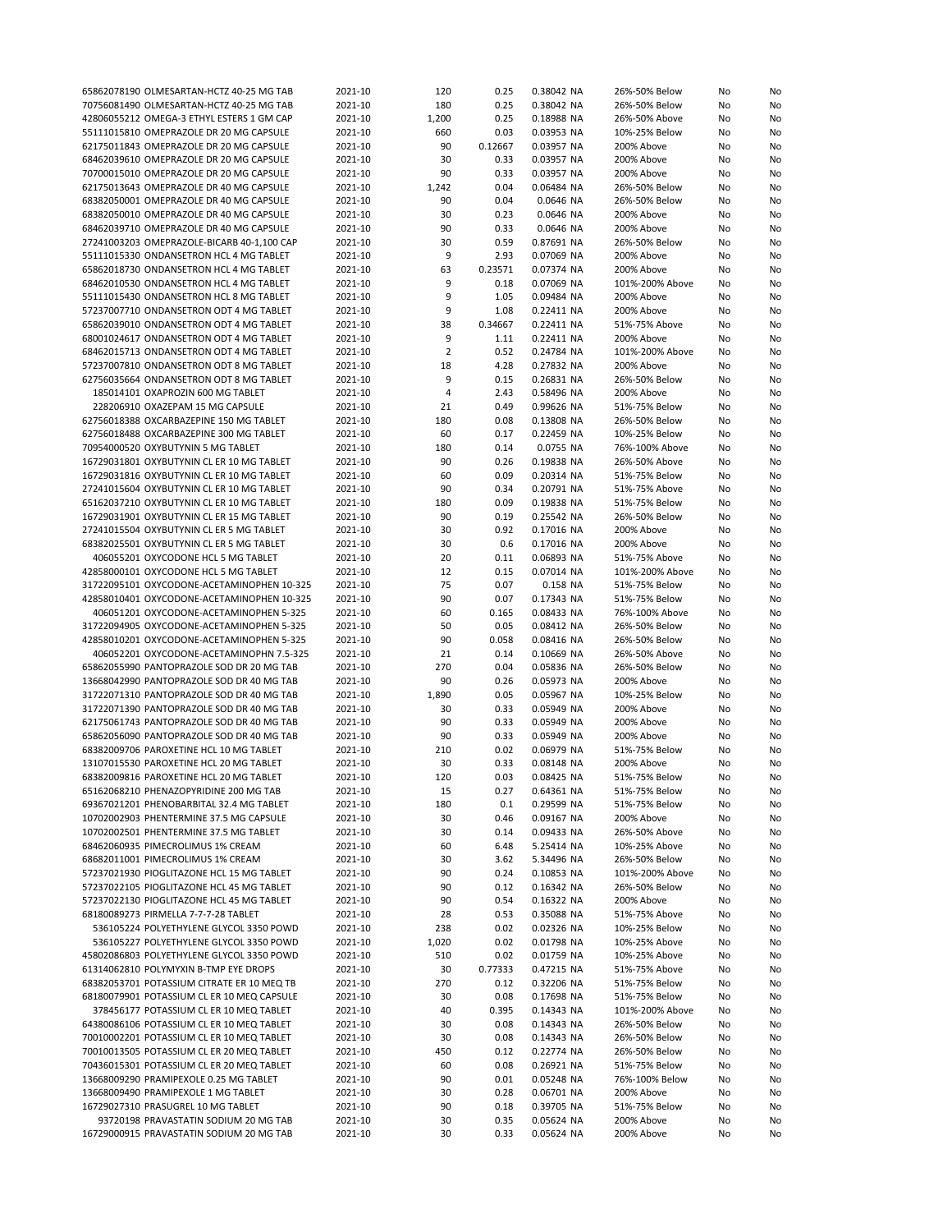| 65862078190 OLMESARTAN-HCTZ 40-25 MG TAB   | 2021-10 | 120            | 0.25    | 0.38042 NA | 26%-50% Below   | No | No |
|--------------------------------------------|---------|----------------|---------|------------|-----------------|----|----|
| 70756081490 OLMESARTAN-HCTZ 40-25 MG TAB   | 2021-10 | 180            | 0.25    | 0.38042 NA | 26%-50% Below   | No | No |
|                                            |         |                |         |            |                 |    |    |
| 42806055212 OMEGA-3 ETHYL ESTERS 1 GM CAP  | 2021-10 | 1,200          | 0.25    | 0.18988 NA | 26%-50% Above   | No | No |
| 55111015810 OMEPRAZOLE DR 20 MG CAPSULE    | 2021-10 | 660            | 0.03    | 0.03953 NA | 10%-25% Below   | No | No |
| 62175011843 OMEPRAZOLE DR 20 MG CAPSULE    | 2021-10 | 90             | 0.12667 | 0.03957 NA | 200% Above      | No | No |
| 68462039610 OMEPRAZOLE DR 20 MG CAPSULE    | 2021-10 | 30             | 0.33    | 0.03957 NA | 200% Above      | No | No |
| 70700015010 OMEPRAZOLE DR 20 MG CAPSULE    | 2021-10 | 90             | 0.33    | 0.03957 NA | 200% Above      | No | No |
| 62175013643 OMEPRAZOLE DR 40 MG CAPSULE    | 2021-10 | 1,242          | 0.04    | 0.06484 NA | 26%-50% Below   | No | No |
|                                            |         |                |         |            |                 |    |    |
| 68382050001 OMEPRAZOLE DR 40 MG CAPSULE    | 2021-10 | 90             | 0.04    | 0.0646 NA  | 26%-50% Below   | No | No |
| 68382050010 OMEPRAZOLE DR 40 MG CAPSULE    | 2021-10 | 30             | 0.23    | 0.0646 NA  | 200% Above      | No | No |
| 68462039710 OMEPRAZOLE DR 40 MG CAPSULE    | 2021-10 | 90             | 0.33    | 0.0646 NA  | 200% Above      | No | No |
| 27241003203 OMEPRAZOLE-BICARB 40-1,100 CAP | 2021-10 | 30             | 0.59    | 0.87691 NA | 26%-50% Below   | No | No |
|                                            |         | 9              | 2.93    |            |                 |    |    |
| 55111015330 ONDANSETRON HCL 4 MG TABLET    | 2021-10 |                |         | 0.07069 NA | 200% Above      | No | No |
| 65862018730 ONDANSETRON HCL 4 MG TABLET    | 2021-10 | 63             | 0.23571 | 0.07374 NA | 200% Above      | No | No |
| 68462010530 ONDANSETRON HCL 4 MG TABLET    | 2021-10 | 9              | 0.18    | 0.07069 NA | 101%-200% Above | No | No |
| 55111015430 ONDANSETRON HCL 8 MG TABLET    | 2021-10 | 9              | 1.05    | 0.09484 NA | 200% Above      | No | No |
| 57237007710 ONDANSETRON ODT 4 MG TABLET    | 2021-10 | 9              | 1.08    | 0.22411 NA | 200% Above      | No | No |
| 65862039010 ONDANSETRON ODT 4 MG TABLET    | 2021-10 | 38             | 0.34667 | 0.22411 NA | 51%-75% Above   | No | No |
|                                            |         |                |         |            |                 |    |    |
| 68001024617 ONDANSETRON ODT 4 MG TABLET    | 2021-10 | 9              | 1.11    | 0.22411 NA | 200% Above      | No | No |
| 68462015713 ONDANSETRON ODT 4 MG TABLET    | 2021-10 | $\overline{2}$ | 0.52    | 0.24784 NA | 101%-200% Above | No | No |
| 57237007810 ONDANSETRON ODT 8 MG TABLET    | 2021-10 | 18             | 4.28    | 0.27832 NA | 200% Above      | No | No |
| 62756035664 ONDANSETRON ODT 8 MG TABLET    | 2021-10 | 9              | 0.15    | 0.26831 NA | 26%-50% Below   | No | No |
| 185014101 OXAPROZIN 600 MG TABLET          | 2021-10 | 4              | 2.43    | 0.58496 NA | 200% Above      | No | No |
| 228206910 OXAZEPAM 15 MG CAPSULE           |         |                |         |            |                 |    |    |
|                                            | 2021-10 | 21             | 0.49    | 0.99626 NA | 51%-75% Below   | No | No |
| 62756018388 OXCARBAZEPINE 150 MG TABLET    | 2021-10 | 180            | 0.08    | 0.13808 NA | 26%-50% Below   | No | No |
| 62756018488 OXCARBAZEPINE 300 MG TABLET    | 2021-10 | 60             | 0.17    | 0.22459 NA | 10%-25% Below   | No | No |
| 70954000520 OXYBUTYNIN 5 MG TABLET         | 2021-10 | 180            | 0.14    | 0.0755 NA  | 76%-100% Above  | No | No |
| 16729031801 OXYBUTYNIN CL ER 10 MG TABLET  | 2021-10 | 90             | 0.26    | 0.19838 NA | 26%-50% Above   | No | No |
|                                            |         |                |         |            |                 |    |    |
| 16729031816 OXYBUTYNIN CL ER 10 MG TABLET  | 2021-10 | 60             | 0.09    | 0.20314 NA | 51%-75% Below   | No | No |
| 27241015604 OXYBUTYNIN CL ER 10 MG TABLET  | 2021-10 | 90             | 0.34    | 0.20791 NA | 51%-75% Above   | No | No |
| 65162037210 OXYBUTYNIN CL ER 10 MG TABLET  | 2021-10 | 180            | 0.09    | 0.19838 NA | 51%-75% Below   | No | No |
| 16729031901 OXYBUTYNIN CL ER 15 MG TABLET  | 2021-10 | 90             | 0.19    | 0.25542 NA | 26%-50% Below   | No | No |
| 27241015504 OXYBUTYNIN CL ER 5 MG TABLET   | 2021-10 | 30             | 0.92    | 0.17016 NA | 200% Above      | No | No |
|                                            |         |                |         |            |                 |    |    |
| 68382025501 OXYBUTYNIN CL ER 5 MG TABLET   | 2021-10 | 30             | 0.6     | 0.17016 NA | 200% Above      | No | No |
| 406055201 OXYCODONE HCL 5 MG TABLET        | 2021-10 | 20             | 0.11    | 0.06893 NA | 51%-75% Above   | No | No |
| 42858000101 OXYCODONE HCL 5 MG TABLET      | 2021-10 | 12             | 0.15    | 0.07014 NA | 101%-200% Above | No | No |
| 31722095101 OXYCODONE-ACETAMINOPHEN 10-325 | 2021-10 | 75             | 0.07    | 0.158 NA   | 51%-75% Below   | No | No |
| 42858010401 OXYCODONE-ACETAMINOPHEN 10-325 | 2021-10 | 90             | 0.07    | 0.17343 NA | 51%-75% Below   | No | No |
| 406051201 OXYCODONE-ACETAMINOPHEN 5-325    | 2021-10 | 60             | 0.165   | 0.08433 NA | 76%-100% Above  |    | No |
|                                            |         |                |         |            |                 | No |    |
| 31722094905 OXYCODONE-ACETAMINOPHEN 5-325  | 2021-10 | 50             | 0.05    | 0.08412 NA | 26%-50% Below   | No | No |
| 42858010201 OXYCODONE-ACETAMINOPHEN 5-325  | 2021-10 | 90             | 0.058   | 0.08416 NA | 26%-50% Below   | No | No |
| 406052201 OXYCODONE-ACETAMINOPHN 7.5-325   | 2021-10 | 21             | 0.14    | 0.10669 NA | 26%-50% Above   | No | No |
| 65862055990 PANTOPRAZOLE SOD DR 20 MG TAB  | 2021-10 | 270            | 0.04    | 0.05836 NA | 26%-50% Below   | No | No |
| 13668042990 PANTOPRAZOLE SOD DR 40 MG TAB  | 2021-10 | 90             | 0.26    |            | 200% Above      |    |    |
|                                            |         |                |         | 0.05973 NA |                 | No | No |
| 31722071310 PANTOPRAZOLE SOD DR 40 MG TAB  | 2021-10 | 1,890          | 0.05    | 0.05967 NA | 10%-25% Below   | No | No |
| 31722071390 PANTOPRAZOLE SOD DR 40 MG TAB  | 2021-10 | 30             | 0.33    | 0.05949 NA | 200% Above      | No | No |
| 62175061743 PANTOPRAZOLE SOD DR 40 MG TAB  | 2021-10 | 90             | 0.33    | 0.05949 NA | 200% Above      | No | No |
| 65862056090 PANTOPRAZOLE SOD DR 40 MG TAB  | 2021-10 | 90             | 0.33    | 0.05949 NA | 200% Above      | No | No |
| 68382009706 PAROXETINE HCL 10 MG TABLET    | 2021-10 | 210            | 0.02    | 0.06979 NA | 51%-75% Below   | No | No |
|                                            |         |                |         |            |                 |    |    |
| 13107015530 PAROXETINE HCL 20 MG TABLET    | 2021-10 | 30             | 0.33    | 0.08148 NA | 200% Above      | No | No |
| 68382009816 PAROXETINE HCL 20 MG TABLET    | 2021-10 | 120            | 0.03    | 0.08425 NA | 51%-75% Below   | No | No |
| 65162068210 PHENAZOPYRIDINE 200 MG TAB     | 2021-10 | 15             | 0.27    | 0.64361 NA | 51%-75% Below   | No | No |
| 69367021201 PHENOBARBITAL 32.4 MG TABLET   | 2021-10 | 180            | 0.1     | 0.29599 NA | 51%-75% Below   | No | No |
| 10702002903 PHENTERMINE 37.5 MG CAPSULE    | 2021-10 | 30             | 0.46    | 0.09167 NA | 200% Above      | No | No |
|                                            |         | 30             |         |            |                 |    |    |
| 10702002501 PHENTERMINE 37.5 MG TABLET     | 2021-10 |                | 0.14    | 0.09433 NA | 26%-50% Above   | No | No |
| 68462060935 PIMECROLIMUS 1% CREAM          | 2021-10 | 60             | 6.48    | 5.25414 NA | 10%-25% Above   | No | No |
| 68682011001 PIMECROLIMUS 1% CREAM          | 2021-10 | 30             | 3.62    | 5.34496 NA | 26%-50% Below   | No | No |
| 57237021930 PIOGLITAZONE HCL 15 MG TABLET  | 2021-10 | 90             | 0.24    | 0.10853 NA | 101%-200% Above | No | No |
| 57237022105 PIOGLITAZONE HCL 45 MG TABLET  | 2021-10 | 90             | 0.12    | 0.16342 NA | 26%-50% Below   | No | No |
| 57237022130 PIOGLITAZONE HCL 45 MG TABLET  | 2021-10 | 90             | 0.54    | 0.16322 NA | 200% Above      |    |    |
|                                            |         |                |         |            |                 | No | No |
| 68180089273 PIRMELLA 7-7-7-28 TABLET       | 2021-10 | 28             | 0.53    | 0.35088 NA | 51%-75% Above   | No | No |
| 536105224 POLYETHYLENE GLYCOL 3350 POWD    | 2021-10 | 238            | 0.02    | 0.02326 NA | 10%-25% Below   | No | No |
| 536105227 POLYETHYLENE GLYCOL 3350 POWD    | 2021-10 | 1,020          | 0.02    | 0.01798 NA | 10%-25% Above   | No | No |
| 45802086803 POLYETHYLENE GLYCOL 3350 POWD  | 2021-10 | 510            | 0.02    | 0.01759 NA | 10%-25% Above   | No | No |
| 61314062810 POLYMYXIN B-TMP EYE DROPS      | 2021-10 | 30             | 0.77333 | 0.47215 NA | 51%-75% Above   | No | No |
|                                            |         |                |         |            |                 |    |    |
| 68382053701 POTASSIUM CITRATE ER 10 MEQ TB | 2021-10 | 270            | 0.12    | 0.32206 NA | 51%-75% Below   | No | No |
| 68180079901 POTASSIUM CL ER 10 MEQ CAPSULE | 2021-10 | 30             | 0.08    | 0.17698 NA | 51%-75% Below   | No | No |
| 378456177 POTASSIUM CL ER 10 MEQ TABLET    | 2021-10 | 40             | 0.395   | 0.14343 NA | 101%-200% Above | No | No |
| 64380086106 POTASSIUM CL ER 10 MEQ TABLET  | 2021-10 | 30             | 0.08    | 0.14343 NA | 26%-50% Below   | No | No |
| 70010002201 POTASSIUM CL ER 10 MEQ TABLET  | 2021-10 | 30             | 0.08    | 0.14343 NA | 26%-50% Below   | No | No |
|                                            |         |                |         |            |                 |    |    |
| 70010013505 POTASSIUM CL ER 20 MEQ TABLET  | 2021-10 | 450            | 0.12    | 0.22774 NA | 26%-50% Below   | No | No |
| 70436015301 POTASSIUM CL ER 20 MEQ TABLET  | 2021-10 | 60             | 0.08    | 0.26921 NA | 51%-75% Below   | No | No |
| 13668009290 PRAMIPEXOLE 0.25 MG TABLET     | 2021-10 | 90             | 0.01    | 0.05248 NA | 76%-100% Below  | No | No |
| 13668009490 PRAMIPEXOLE 1 MG TABLET        | 2021-10 | 30             | 0.28    | 0.06701 NA | 200% Above      | No | No |
| 16729027310 PRASUGREL 10 MG TABLET         | 2021-10 | 90             | 0.18    | 0.39705 NA | 51%-75% Below   | No | No |
| 93720198 PRAVASTATIN SODIUM 20 MG TAB      | 2021-10 | 30             | 0.35    | 0.05624 NA | 200% Above      | No | No |
|                                            |         |                |         |            |                 |    |    |
| 16729000915 PRAVASTATIN SODIUM 20 MG TAB   | 2021-10 | 30             | 0.33    | 0.05624 NA | 200% Above      | No | No |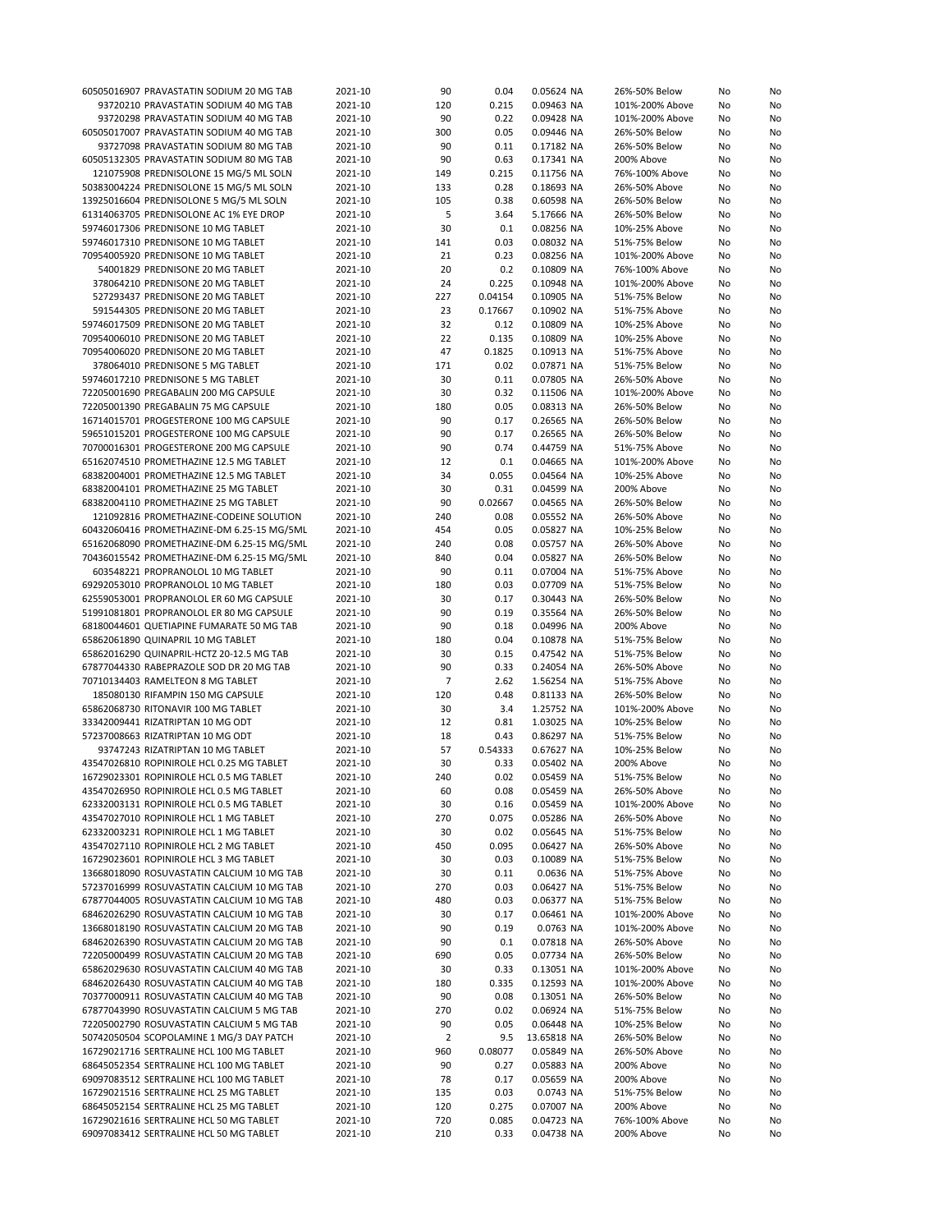| 60505016907 PRAVASTATIN SODIUM 20 MG TAB   | 2021-10 |                |         |             |                 |    |    |
|--------------------------------------------|---------|----------------|---------|-------------|-----------------|----|----|
|                                            |         | 90             | 0.04    | 0.05624 NA  | 26%-50% Below   | No | No |
| 93720210 PRAVASTATIN SODIUM 40 MG TAB      | 2021-10 | 120            | 0.215   | 0.09463 NA  | 101%-200% Above | No | No |
| 93720298 PRAVASTATIN SODIUM 40 MG TAB      | 2021-10 | 90             | 0.22    | 0.09428 NA  | 101%-200% Above | No | No |
| 60505017007 PRAVASTATIN SODIUM 40 MG TAB   | 2021-10 | 300            | 0.05    | 0.09446 NA  | 26%-50% Below   | No | No |
| 93727098 PRAVASTATIN SODIUM 80 MG TAB      | 2021-10 | 90             | 0.11    | 0.17182 NA  | 26%-50% Below   | No | No |
|                                            |         |                |         |             |                 |    |    |
| 60505132305 PRAVASTATIN SODIUM 80 MG TAB   | 2021-10 | 90             | 0.63    | 0.17341 NA  | 200% Above      | No | No |
| 121075908 PREDNISOLONE 15 MG/5 ML SOLN     | 2021-10 | 149            | 0.215   | 0.11756 NA  | 76%-100% Above  | No | No |
| 50383004224 PREDNISOLONE 15 MG/5 ML SOLN   | 2021-10 | 133            | 0.28    | 0.18693 NA  | 26%-50% Above   | No | No |
|                                            |         |                |         |             |                 |    |    |
| 13925016604 PREDNISOLONE 5 MG/5 ML SOLN    | 2021-10 | 105            | 0.38    | 0.60598 NA  | 26%-50% Below   | No | No |
| 61314063705 PREDNISOLONE AC 1% EYE DROP    | 2021-10 | 5              | 3.64    | 5.17666 NA  | 26%-50% Below   | No | No |
| 59746017306 PREDNISONE 10 MG TABLET        | 2021-10 | 30             | 0.1     | 0.08256 NA  | 10%-25% Above   | No | No |
| 59746017310 PREDNISONE 10 MG TABLET        | 2021-10 | 141            | 0.03    | 0.08032 NA  | 51%-75% Below   | No | No |
|                                            |         |                |         |             |                 |    |    |
| 70954005920 PREDNISONE 10 MG TABLET        | 2021-10 | 21             | 0.23    | 0.08256 NA  | 101%-200% Above | No | No |
| 54001829 PREDNISONE 20 MG TABLET           | 2021-10 | 20             | 0.2     | 0.10809 NA  | 76%-100% Above  | No | No |
| 378064210 PREDNISONE 20 MG TABLET          | 2021-10 | 24             | 0.225   | 0.10948 NA  | 101%-200% Above | No | No |
| 527293437 PREDNISONE 20 MG TABLET          | 2021-10 | 227            | 0.04154 | 0.10905 NA  | 51%-75% Below   | No | No |
| 591544305 PREDNISONE 20 MG TABLET          | 2021-10 |                |         |             |                 |    |    |
|                                            |         | 23             | 0.17667 | 0.10902 NA  | 51%-75% Above   | No | No |
| 59746017509 PREDNISONE 20 MG TABLET        | 2021-10 | 32             | 0.12    | 0.10809 NA  | 10%-25% Above   | No | No |
| 70954006010 PREDNISONE 20 MG TABLET        | 2021-10 | 22             | 0.135   | 0.10809 NA  | 10%-25% Above   | No | No |
| 70954006020 PREDNISONE 20 MG TABLET        | 2021-10 | 47             | 0.1825  | 0.10913 NA  | 51%-75% Above   | No | No |
|                                            |         |                |         |             |                 |    |    |
| 378064010 PREDNISONE 5 MG TABLET           | 2021-10 | 171            | 0.02    | 0.07871 NA  | 51%-75% Below   | No | No |
| 59746017210 PREDNISONE 5 MG TABLET         | 2021-10 | 30             | 0.11    | 0.07805 NA  | 26%-50% Above   | No | No |
| 72205001690 PREGABALIN 200 MG CAPSULE      | 2021-10 | 30             | 0.32    | 0.11506 NA  | 101%-200% Above | No | No |
| 72205001390 PREGABALIN 75 MG CAPSULE       | 2021-10 | 180            | 0.05    | 0.08313 NA  | 26%-50% Below   | No | No |
| 16714015701 PROGESTERONE 100 MG CAPSULE    |         | 90             | 0.17    |             |                 |    |    |
|                                            | 2021-10 |                |         | 0.26565 NA  | 26%-50% Below   | No | No |
| 59651015201 PROGESTERONE 100 MG CAPSULE    | 2021-10 | 90             | 0.17    | 0.26565 NA  | 26%-50% Below   | No | No |
| 70700016301 PROGESTERONE 200 MG CAPSULE    | 2021-10 | 90             | 0.74    | 0.44759 NA  | 51%-75% Above   | No | No |
| 65162074510 PROMETHAZINE 12.5 MG TABLET    | 2021-10 | 12             | 0.1     | 0.04665 NA  | 101%-200% Above | No | No |
|                                            |         |                |         |             |                 |    |    |
| 68382004001 PROMETHAZINE 12.5 MG TABLET    | 2021-10 | 34             | 0.055   | 0.04564 NA  | 10%-25% Above   | No | No |
| 68382004101 PROMETHAZINE 25 MG TABLET      | 2021-10 | 30             | 0.31    | 0.04599 NA  | 200% Above      | No | No |
| 68382004110 PROMETHAZINE 25 MG TABLET      | 2021-10 | 90             | 0.02667 | 0.04565 NA  | 26%-50% Below   | No | No |
| 121092816 PROMETHAZINE-CODEINE SOLUTION    | 2021-10 | 240            | 0.08    | 0.05552 NA  | 26%-50% Above   | No | No |
|                                            |         |                |         |             |                 |    |    |
| 60432060416 PROMETHAZINE-DM 6.25-15 MG/5ML | 2021-10 | 454            | 0.05    | 0.05827 NA  | 10%-25% Below   | No | No |
| 65162068090 PROMETHAZINE-DM 6.25-15 MG/5ML | 2021-10 | 240            | 0.08    | 0.05757 NA  | 26%-50% Above   | No | No |
| 70436015542 PROMETHAZINE-DM 6.25-15 MG/5ML | 2021-10 | 840            | 0.04    | 0.05827 NA  | 26%-50% Below   | No | No |
| 603548221 PROPRANOLOL 10 MG TABLET         | 2021-10 | 90             | 0.11    | 0.07004 NA  | 51%-75% Above   | No | No |
|                                            |         |                |         |             |                 |    |    |
| 69292053010 PROPRANOLOL 10 MG TABLET       | 2021-10 | 180            | 0.03    | 0.07709 NA  | 51%-75% Below   | No | No |
| 62559053001 PROPRANOLOL ER 60 MG CAPSULE   | 2021-10 | 30             | 0.17    | 0.30443 NA  | 26%-50% Below   | No | No |
| 51991081801 PROPRANOLOL ER 80 MG CAPSULE   | 2021-10 | 90             | 0.19    | 0.35564 NA  | 26%-50% Below   | No | No |
| 68180044601 QUETIAPINE FUMARATE 50 MG TAB  | 2021-10 | 90             | 0.18    | 0.04996 NA  | 200% Above      | No | No |
|                                            |         |                |         |             |                 |    |    |
| 65862061890 QUINAPRIL 10 MG TABLET         | 2021-10 | 180            | 0.04    | 0.10878 NA  | 51%-75% Below   | No | No |
| 65862016290 QUINAPRIL-HCTZ 20-12.5 MG TAB  | 2021-10 | 30             | 0.15    | 0.47542 NA  | 51%-75% Below   | No | No |
| 67877044330 RABEPRAZOLE SOD DR 20 MG TAB   | 2021-10 | 90             | 0.33    | 0.24054 NA  | 26%-50% Above   | No | No |
| 70710134403 RAMELTEON 8 MG TABLET          | 2021-10 | $\overline{7}$ | 2.62    | 1.56254 NA  | 51%-75% Above   | No | No |
|                                            |         |                |         |             |                 |    |    |
| 185080130 RIFAMPIN 150 MG CAPSULE          | 2021-10 | 120            | 0.48    | 0.81133 NA  | 26%-50% Below   | No | No |
| 65862068730 RITONAVIR 100 MG TABLET        | 2021-10 | 30             | 3.4     | 1.25752 NA  | 101%-200% Above | No | No |
| 33342009441 RIZATRIPTAN 10 MG ODT          | 2021-10 | 12             | 0.81    | 1.03025 NA  | 10%-25% Below   | No | No |
| 57237008663 RIZATRIPTAN 10 MG ODT          | 2021-10 | 18             | 0.43    | 0.86297 NA  | 51%-75% Below   | No | No |
|                                            |         |                |         |             |                 |    |    |
| 93747243 RIZATRIPTAN 10 MG TABLET          | 2021-10 | 57             | 0.54333 | 0.67627 NA  | 10%-25% Below   | No | No |
| 43547026810 ROPINIROLE HCL 0.25 MG TABLET  | 2021-10 | 30             | 0.33    | 0.05402 NA  | 200% Above      | No | No |
| 16729023301 ROPINIROLE HCL 0.5 MG TABLET   | 2021-10 | 240            | 0.02    | 0.05459 NA  | 51%-75% Below   | No | No |
| 43547026950 ROPINIROLE HCL 0.5 MG TABLET   | 2021-10 | 60             | 0.08    | 0.05459 NA  | 26%-50% Above   | No | No |
|                                            |         |                |         |             |                 |    |    |
| 62332003131 ROPINIROLE HCL 0.5 MG TABLET   | 2021-10 | 30             | 0.16    | 0.05459 NA  | 101%-200% Above | No | No |
| 43547027010 ROPINIROLE HCL 1 MG TABLET     | 2021-10 | 270            | 0.075   | 0.05286 NA  | 26%-50% Above   | No | No |
| 62332003231 ROPINIROLE HCL 1 MG TABLET     | 2021-10 | 30             | 0.02    | 0.05645 NA  | 51%-75% Below   | No | No |
| 43547027110 ROPINIROLE HCL 2 MG TABLET     | 2021-10 | 450            | 0.095   | 0.06427 NA  | 26%-50% Above   | No | No |
|                                            |         |                |         |             |                 |    |    |
| 16729023601 ROPINIROLE HCL 3 MG TABLET     | 2021-10 | 30             | 0.03    | 0.10089 NA  | 51%-75% Below   | No | No |
| 13668018090 ROSUVASTATIN CALCIUM 10 MG TAB | 2021-10 | 30             | 0.11    | 0.0636 NA   | 51%-75% Above   | No | No |
| 57237016999 ROSUVASTATIN CALCIUM 10 MG TAB | 2021-10 | 270            | 0.03    | 0.06427 NA  | 51%-75% Below   | No | No |
| 67877044005 ROSUVASTATIN CALCIUM 10 MG TAB | 2021-10 | 480            | 0.03    | 0.06377 NA  | 51%-75% Below   | No | No |
|                                            |         |                |         |             |                 |    |    |
| 68462026290 ROSUVASTATIN CALCIUM 10 MG TAB | 2021-10 | 30             | 0.17    | 0.06461 NA  | 101%-200% Above | No | No |
| 13668018190 ROSUVASTATIN CALCIUM 20 MG TAB | 2021-10 | 90             | 0.19    | 0.0763 NA   | 101%-200% Above | No | No |
| 68462026390 ROSUVASTATIN CALCIUM 20 MG TAB | 2021-10 | 90             | 0.1     | 0.07818 NA  | 26%-50% Above   | No | No |
| 72205000499 ROSUVASTATIN CALCIUM 20 MG TAB | 2021-10 | 690            | 0.05    | 0.07734 NA  | 26%-50% Below   | No | No |
|                                            |         |                |         |             |                 |    |    |
| 65862029630 ROSUVASTATIN CALCIUM 40 MG TAB | 2021-10 | 30             | 0.33    | 0.13051 NA  | 101%-200% Above | No | No |
| 68462026430 ROSUVASTATIN CALCIUM 40 MG TAB | 2021-10 | 180            | 0.335   | 0.12593 NA  | 101%-200% Above | No | No |
| 70377000911 ROSUVASTATIN CALCIUM 40 MG TAB | 2021-10 | 90             | 0.08    | 0.13051 NA  | 26%-50% Below   | No | No |
| 67877043990 ROSUVASTATIN CALCIUM 5 MG TAB  | 2021-10 | 270            | 0.02    | 0.06924 NA  | 51%-75% Below   | No | No |
|                                            |         |                |         |             |                 |    |    |
| 72205002790 ROSUVASTATIN CALCIUM 5 MG TAB  | 2021-10 | 90             | 0.05    | 0.06448 NA  | 10%-25% Below   | No | No |
| 50742050504 SCOPOLAMINE 1 MG/3 DAY PATCH   | 2021-10 | $\overline{2}$ | 9.5     | 13.65818 NA | 26%-50% Below   | No | No |
| 16729021716 SERTRALINE HCL 100 MG TABLET   | 2021-10 | 960            | 0.08077 | 0.05849 NA  | 26%-50% Above   | No | No |
| 68645052354 SERTRALINE HCL 100 MG TABLET   | 2021-10 | 90             | 0.27    | 0.05883 NA  | 200% Above      | No | No |
|                                            |         |                |         |             |                 |    |    |
| 69097083512 SERTRALINE HCL 100 MG TABLET   | 2021-10 | 78             | 0.17    | 0.05659 NA  | 200% Above      | No | No |
| 16729021516 SERTRALINE HCL 25 MG TABLET    | 2021-10 | 135            | 0.03    | 0.0743 NA   | 51%-75% Below   | No | No |
| 68645052154 SERTRALINE HCL 25 MG TABLET    | 2021-10 | 120            | 0.275   | 0.07007 NA  | 200% Above      | No | No |
| 16729021616 SERTRALINE HCL 50 MG TABLET    | 2021-10 | 720            | 0.085   | 0.04723 NA  | 76%-100% Above  | No | No |
| 69097083412 SERTRALINE HCL 50 MG TABLET    | 2021-10 | 210            | 0.33    | 0.04738 NA  | 200% Above      | No | No |
|                                            |         |                |         |             |                 |    |    |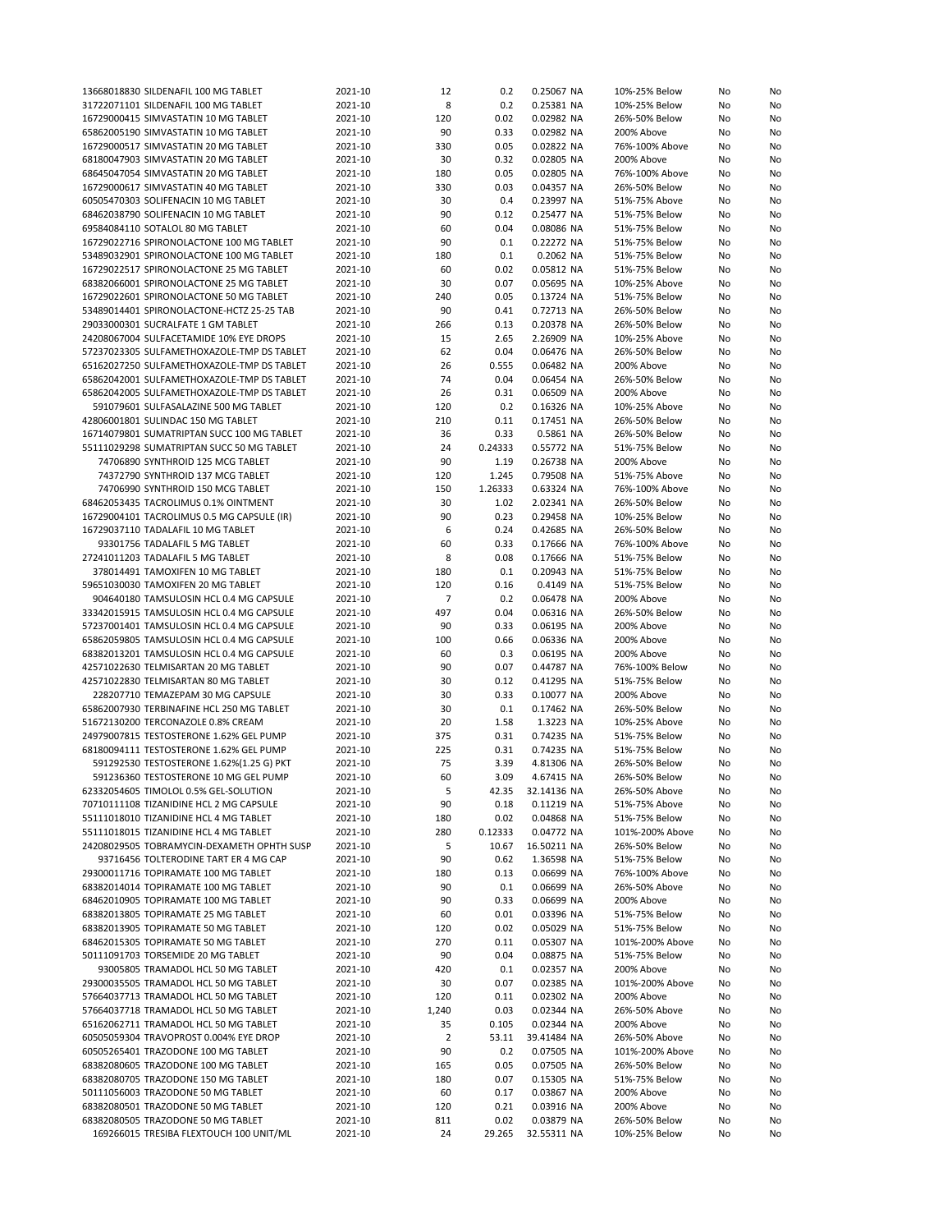| 13668018830 SILDENAFIL 100 MG TABLET                                          | 2021-10            | 12             | 0.2            | 0.25067 NA                | 10%-25% Below                  | No | No |
|-------------------------------------------------------------------------------|--------------------|----------------|----------------|---------------------------|--------------------------------|----|----|
| 31722071101 SILDENAFIL 100 MG TABLET                                          | 2021-10            | 8              | 0.2            | 0.25381 NA                | 10%-25% Below                  | No | No |
|                                                                               |                    |                |                |                           |                                |    |    |
| 16729000415 SIMVASTATIN 10 MG TABLET                                          | 2021-10            | 120            | 0.02           | 0.02982 NA                | 26%-50% Below                  | No | No |
| 65862005190 SIMVASTATIN 10 MG TABLET                                          | 2021-10            | 90             | 0.33           | 0.02982 NA                | 200% Above                     | No | No |
| 16729000517 SIMVASTATIN 20 MG TABLET                                          | 2021-10            | 330            | 0.05           | 0.02822 NA                | 76%-100% Above                 | No | No |
| 68180047903 SIMVASTATIN 20 MG TABLET                                          | 2021-10            | 30             | 0.32           | 0.02805 NA                | 200% Above                     | No | No |
| 68645047054 SIMVASTATIN 20 MG TABLET                                          | 2021-10            | 180            | 0.05           | 0.02805 NA                | 76%-100% Above                 | No | No |
| 16729000617 SIMVASTATIN 40 MG TABLET                                          | 2021-10            | 330            | 0.03           | 0.04357 NA                | 26%-50% Below                  | No | No |
|                                                                               |                    |                |                |                           |                                |    |    |
| 60505470303 SOLIFENACIN 10 MG TABLET                                          | 2021-10            | 30             | 0.4            | 0.23997 NA                | 51%-75% Above                  | No | No |
| 68462038790 SOLIFENACIN 10 MG TABLET                                          | 2021-10            | 90             | 0.12           | 0.25477 NA                | 51%-75% Below                  | No | No |
| 69584084110 SOTALOL 80 MG TABLET                                              | 2021-10            | 60             | 0.04           | 0.08086 NA                | 51%-75% Below                  | No | No |
| 16729022716 SPIRONOLACTONE 100 MG TABLET                                      | 2021-10            | 90             | 0.1            | 0.22272 NA                | 51%-75% Below                  | No | No |
| 53489032901 SPIRONOLACTONE 100 MG TABLET                                      | 2021-10            | 180            | 0.1            | 0.2062 NA                 | 51%-75% Below                  | No |    |
|                                                                               |                    |                |                |                           |                                |    | No |
| 16729022517 SPIRONOLACTONE 25 MG TABLET                                       | 2021-10            | 60             | 0.02           | 0.05812 NA                | 51%-75% Below                  | No | No |
| 68382066001 SPIRONOLACTONE 25 MG TABLET                                       | 2021-10            | 30             | 0.07           | 0.05695 NA                | 10%-25% Above                  | No | No |
| 16729022601 SPIRONOLACTONE 50 MG TABLET                                       | 2021-10            | 240            | 0.05           | 0.13724 NA                | 51%-75% Below                  | No | No |
| 53489014401 SPIRONOLACTONE-HCTZ 25-25 TAB                                     | 2021-10            | 90             | 0.41           | 0.72713 NA                | 26%-50% Below                  | No | No |
| 29033000301 SUCRALFATE 1 GM TABLET                                            | 2021-10            | 266            | 0.13           | 0.20378 NA                | 26%-50% Below                  | No | No |
|                                                                               |                    |                |                |                           |                                |    |    |
| 24208067004 SULFACETAMIDE 10% EYE DROPS                                       | 2021-10            | 15             | 2.65           | 2.26909 NA                | 10%-25% Above                  | No | No |
| 57237023305 SULFAMETHOXAZOLE-TMP DS TABLET                                    | 2021-10            | 62             | 0.04           | 0.06476 NA                | 26%-50% Below                  | No | No |
| 65162027250 SULFAMETHOXAZOLE-TMP DS TABLET                                    | 2021-10            | 26             | 0.555          | 0.06482 NA                | 200% Above                     | No | No |
| 65862042001 SULFAMETHOXAZOLE-TMP DS TABLET                                    | 2021-10            | 74             | 0.04           | 0.06454 NA                | 26%-50% Below                  | No | No |
| 65862042005 SULFAMETHOXAZOLE-TMP DS TABLET                                    | 2021-10            | 26             | 0.31           | 0.06509 NA                | 200% Above                     | No | No |
|                                                                               |                    |                |                |                           |                                |    |    |
| 591079601 SULFASALAZINE 500 MG TABLET                                         | 2021-10            | 120            | 0.2            | 0.16326 NA                | 10%-25% Above                  | No | No |
| 42806001801 SULINDAC 150 MG TABLET                                            | 2021-10            | 210            | 0.11           | 0.17451 NA                | 26%-50% Below                  | No | No |
| 16714079801 SUMATRIPTAN SUCC 100 MG TABLET                                    | 2021-10            | 36             | 0.33           | 0.5861 NA                 | 26%-50% Below                  | No | No |
| 55111029298 SUMATRIPTAN SUCC 50 MG TABLET                                     | 2021-10            | 24             | 0.24333        | 0.55772 NA                | 51%-75% Below                  | No | No |
| 74706890 SYNTHROID 125 MCG TABLET                                             | 2021-10            | 90             | 1.19           | 0.26738 NA                | 200% Above                     | No | No |
|                                                                               |                    |                |                |                           |                                |    |    |
| 74372790 SYNTHROID 137 MCG TABLET                                             | 2021-10            | 120            | 1.245          | 0.79508 NA                | 51%-75% Above                  | No | No |
| 74706990 SYNTHROID 150 MCG TABLET                                             | 2021-10            | 150            | 1.26333        | 0.63324 NA                | 76%-100% Above                 | No | No |
| 68462053435 TACROLIMUS 0.1% OINTMENT                                          | 2021-10            | 30             | 1.02           | 2.02341 NA                | 26%-50% Below                  | No | No |
| 16729004101 TACROLIMUS 0.5 MG CAPSULE (IR)                                    | 2021-10            | 90             | 0.23           | 0.29458 NA                | 10%-25% Below                  | No | No |
| 16729037110 TADALAFIL 10 MG TABLET                                            | 2021-10            | 6              | 0.24           | 0.42685 NA                | 26%-50% Below                  | No | No |
|                                                                               |                    |                |                |                           |                                |    |    |
| 93301756 TADALAFIL 5 MG TABLET                                                | 2021-10            | 60             | 0.33           | 0.17666 NA                | 76%-100% Above                 | No | No |
| 27241011203 TADALAFIL 5 MG TABLET                                             | 2021-10            | 8              | 0.08           | 0.17666 NA                | 51%-75% Below                  | No | No |
| 378014491 TAMOXIFEN 10 MG TABLET                                              | 2021-10            | 180            | 0.1            | 0.20943 NA                | 51%-75% Below                  | No | No |
| 59651030030 TAMOXIFEN 20 MG TABLET                                            | 2021-10            | 120            | 0.16           | 0.4149 NA                 | 51%-75% Below                  | No | No |
|                                                                               |                    | 7              | 0.2            |                           |                                |    |    |
| 904640180 TAMSULOSIN HCL 0.4 MG CAPSULE                                       | 2021-10            |                |                | 0.06478 NA                | 200% Above                     | No | No |
| 33342015915 TAMSULOSIN HCL 0.4 MG CAPSULE                                     | 2021-10            | 497            | 0.04           | 0.06316 NA                | 26%-50% Below                  | No | No |
| 57237001401 TAMSULOSIN HCL 0.4 MG CAPSULE                                     | 2021-10            | 90             | 0.33           | 0.06195 NA                | 200% Above                     | No | No |
| 65862059805 TAMSULOSIN HCL 0.4 MG CAPSULE                                     | 2021-10            | 100            | 0.66           | 0.06336 NA                | 200% Above                     | No | No |
| 68382013201 TAMSULOSIN HCL 0.4 MG CAPSULE                                     | 2021-10            | 60             | 0.3            | 0.06195 NA                | 200% Above                     | No | No |
| 42571022630 TELMISARTAN 20 MG TABLET                                          | 2021-10            | 90             | 0.07           | 0.44787 NA                | 76%-100% Below                 | No | No |
|                                                                               |                    |                |                |                           |                                |    |    |
| 42571022830 TELMISARTAN 80 MG TABLET                                          | 2021-10            | 30             | 0.12           | 0.41295 NA                | 51%-75% Below                  | No | No |
| 228207710 TEMAZEPAM 30 MG CAPSULE                                             | 2021-10            | 30             | 0.33           | 0.10077 NA                | 200% Above                     | No | No |
| 65862007930 TERBINAFINE HCL 250 MG TABLET                                     | 2021-10            | 30             | 0.1            | 0.17462 NA                | 26%-50% Below                  | No | No |
| 51672130200 TERCONAZOLE 0.8% CREAM                                            | 2021-10            | 20             | 1.58           | 1.3223 NA                 | 10%-25% Above                  | No | No |
|                                                                               |                    |                |                |                           |                                |    |    |
| 24979007815 TESTOSTERONE 1.62% GEL PUMP                                       | 2021-10            | 375            | 0.31           | 0.74235 NA                | 51%-75% Below                  | No | No |
| 68180094111 TESTOSTERONE 1.62% GEL PUMP                                       | 2021-10            | 225            | 0.31           | 0.74235 NA                | 51%-75% Below                  | No | No |
| 591292530 TESTOSTERONE 1.62%(1.25 G) PKT                                      | 2021-10            | 75             | 3.39           | 4.81306 NA                | 26%-50% Below                  | No | No |
| 591236360 TESTOSTERONE 10 MG GEL PUMP                                         | 2021-10            | 60             | 3.09           | 4.67415 NA                | 26%-50% Below                  | No | No |
| 62332054605 TIMOLOL 0.5% GEL-SOLUTION                                         | 2021-10            | 5              | 42.35          | 32.14136 NA               | 26%-50% Above                  | No | No |
| 70710111108 TIZANIDINE HCL 2 MG CAPSULE                                       | 2021-10            | 90             | 0.18           | 0.11219 NA                | 51%-75% Above                  | No | No |
|                                                                               |                    |                |                |                           |                                |    |    |
| 55111018010 TIZANIDINE HCL 4 MG TABLET                                        | 2021-10            | 180            | 0.02           | 0.04868 NA                | 51%-75% Below                  | No | No |
| 55111018015 TIZANIDINE HCL 4 MG TABLET                                        | 2021-10            | 280            | 0.12333        | 0.04772 NA                | 101%-200% Above                | No | No |
| 24208029505 TOBRAMYCIN-DEXAMETH OPHTH SUSP                                    | 2021-10            | 5              | 10.67          | 16.50211 NA               | 26%-50% Below                  | No | No |
| 93716456 TOLTERODINE TART ER 4 MG CAP                                         | 2021-10            | 90             | 0.62           | 1.36598 NA                | 51%-75% Below                  | No | No |
| 29300011716 TOPIRAMATE 100 MG TABLET                                          | 2021-10            | 180            | 0.13           | 0.06699 NA                | 76%-100% Above                 | No | No |
| 68382014014 TOPIRAMATE 100 MG TABLET                                          | 2021-10            |                |                | 0.06699 NA                |                                |    |    |
|                                                                               |                    | 90             | 0.1            |                           | 26%-50% Above                  | No | No |
|                                                                               |                    |                |                |                           |                                |    | No |
| 68462010905 TOPIRAMATE 100 MG TABLET                                          | 2021-10            | 90             | 0.33           | 0.06699 NA                | 200% Above                     | No |    |
| 68382013805 TOPIRAMATE 25 MG TABLET                                           | 2021-10            | 60             | 0.01           | 0.03396 NA                | 51%-75% Below                  | No | No |
|                                                                               |                    |                |                |                           |                                |    |    |
| 68382013905 TOPIRAMATE 50 MG TABLET                                           | 2021-10            | 120            | 0.02           | 0.05029 NA                | 51%-75% Below                  | No | No |
| 68462015305 TOPIRAMATE 50 MG TABLET                                           | 2021-10            | 270            | 0.11           | 0.05307 NA                | 101%-200% Above                | No | No |
| 50111091703 TORSEMIDE 20 MG TABLET                                            | 2021-10            | 90             | 0.04           | 0.08875 NA                | 51%-75% Below                  | No | No |
| 93005805 TRAMADOL HCL 50 MG TABLET                                            | 2021-10            | 420            | 0.1            | 0.02357 NA                | 200% Above                     | No | No |
| 29300035505 TRAMADOL HCL 50 MG TABLET                                         | 2021-10            | 30             | 0.07           | 0.02385 NA                | 101%-200% Above                | No | No |
| 57664037713 TRAMADOL HCL 50 MG TABLET                                         | 2021-10            | 120            | 0.11           | 0.02302 NA                | 200% Above                     | No | No |
|                                                                               |                    |                |                |                           |                                |    |    |
| 57664037718 TRAMADOL HCL 50 MG TABLET                                         | 2021-10            | 1,240          | 0.03           | 0.02344 NA                | 26%-50% Above                  | No | No |
| 65162062711 TRAMADOL HCL 50 MG TABLET                                         | 2021-10            | 35             | 0.105          | 0.02344 NA                | 200% Above                     | No | No |
| 60505059304 TRAVOPROST 0.004% EYE DROP                                        | 2021-10            | $\overline{2}$ | 53.11          | 39.41484 NA               | 26%-50% Above                  | No | No |
| 60505265401 TRAZODONE 100 MG TABLET                                           | 2021-10            | 90             | 0.2            | 0.07505 NA                | 101%-200% Above                | No | No |
| 68382080605 TRAZODONE 100 MG TABLET                                           | 2021-10            | 165            | 0.05           | 0.07505 NA                | 26%-50% Below                  | No | No |
|                                                                               |                    |                |                |                           |                                |    |    |
| 68382080705 TRAZODONE 150 MG TABLET                                           | 2021-10            | 180            | 0.07           | 0.15305 NA                | 51%-75% Below                  | No | No |
| 50111056003 TRAZODONE 50 MG TABLET                                            | 2021-10            | 60             | 0.17           | 0.03867 NA                | 200% Above                     | No | No |
| 68382080501 TRAZODONE 50 MG TABLET                                            | 2021-10            | 120            | 0.21           | 0.03916 NA                | 200% Above                     | No | No |
| 68382080505 TRAZODONE 50 MG TABLET<br>169266015 TRESIBA FLEXTOUCH 100 UNIT/ML | 2021-10<br>2021-10 | 811<br>24      | 0.02<br>29.265 | 0.03879 NA<br>32.55311 NA | 26%-50% Below<br>10%-25% Below | No | No |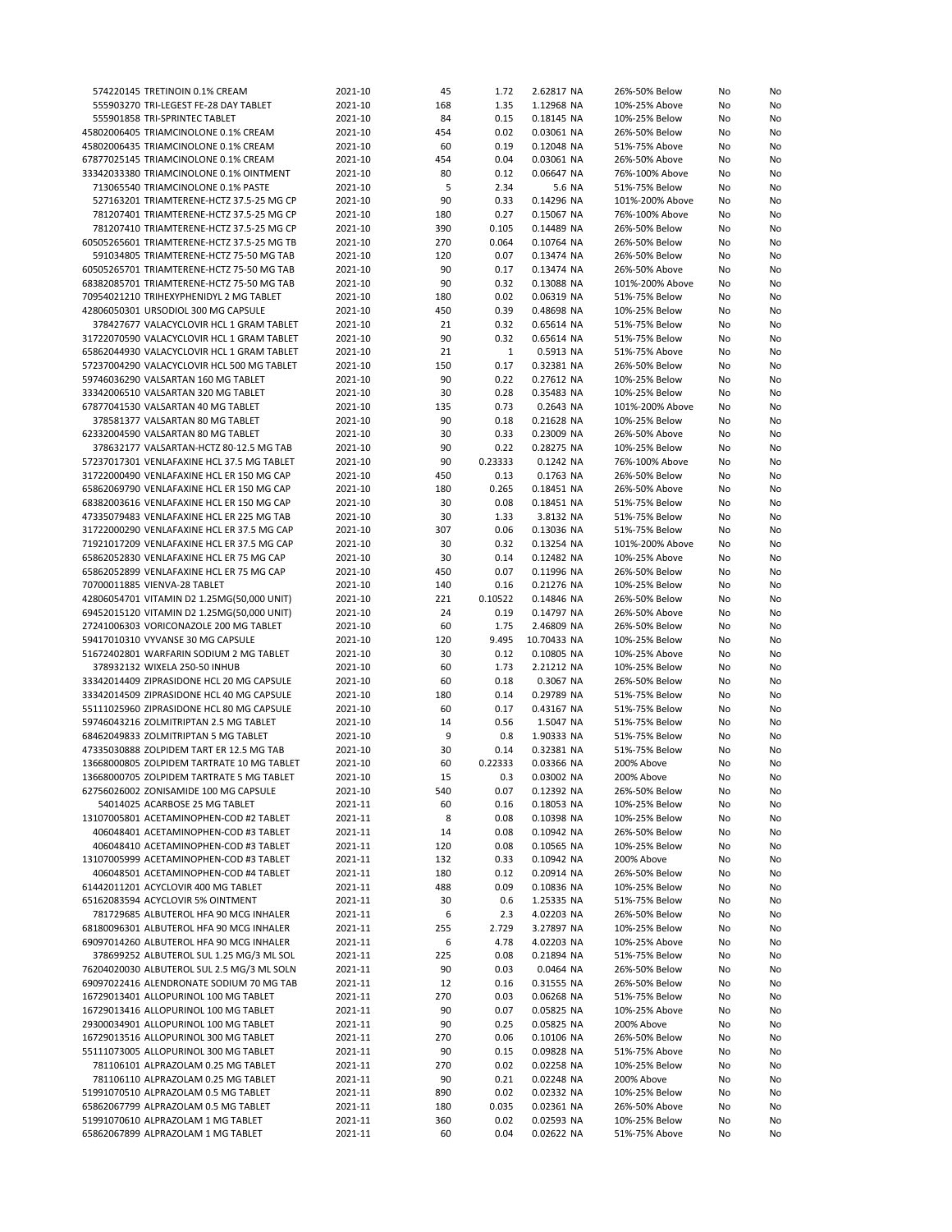| 574220145 TRETINOIN 0.1% CREAM             | 2021-10 | 45  | 1.72    | 2.62817 NA  | 26%-50% Below   | No | No |
|--------------------------------------------|---------|-----|---------|-------------|-----------------|----|----|
| 555903270 TRI-LEGEST FE-28 DAY TABLET      | 2021-10 | 168 | 1.35    | 1.12968 NA  | 10%-25% Above   | No | No |
| 555901858 TRI-SPRINTEC TABLET              | 2021-10 | 84  | 0.15    | 0.18145 NA  | 10%-25% Below   | No | No |
| 45802006405 TRIAMCINOLONE 0.1% CREAM       | 2021-10 | 454 | 0.02    | 0.03061 NA  | 26%-50% Below   | No | No |
| 45802006435 TRIAMCINOLONE 0.1% CREAM       | 2021-10 | 60  | 0.19    | 0.12048 NA  | 51%-75% Above   | No | No |
|                                            |         |     |         |             |                 |    |    |
| 67877025145 TRIAMCINOLONE 0.1% CREAM       | 2021-10 | 454 | 0.04    | 0.03061 NA  | 26%-50% Above   | No | No |
| 33342033380 TRIAMCINOLONE 0.1% OINTMENT    | 2021-10 | 80  | 0.12    | 0.06647 NA  | 76%-100% Above  | No | No |
| 713065540 TRIAMCINOLONE 0.1% PASTE         | 2021-10 | 5   | 2.34    | 5.6 NA      | 51%-75% Below   | No | No |
| 527163201 TRIAMTERENE-HCTZ 37.5-25 MG CP   | 2021-10 | 90  | 0.33    | 0.14296 NA  | 101%-200% Above | No | No |
| 781207401 TRIAMTERENE-HCTZ 37.5-25 MG CP   | 2021-10 | 180 | 0.27    | 0.15067 NA  | 76%-100% Above  | No | No |
| 781207410 TRIAMTERENE-HCTZ 37.5-25 MG CP   | 2021-10 | 390 | 0.105   | 0.14489 NA  | 26%-50% Below   | No | No |
| 60505265601 TRIAMTERENE-HCTZ 37.5-25 MG TB | 2021-10 | 270 | 0.064   | 0.10764 NA  | 26%-50% Below   | No | No |
| 591034805 TRIAMTERENE-HCTZ 75-50 MG TAB    | 2021-10 | 120 | 0.07    | 0.13474 NA  | 26%-50% Below   | No | No |
| 60505265701 TRIAMTERENE-HCTZ 75-50 MG TAB  | 2021-10 | 90  | 0.17    | 0.13474 NA  | 26%-50% Above   | No | No |
| 68382085701 TRIAMTERENE-HCTZ 75-50 MG TAB  | 2021-10 | 90  | 0.32    | 0.13088 NA  | 101%-200% Above |    |    |
|                                            |         |     |         |             |                 | No | No |
| 70954021210 TRIHEXYPHENIDYL 2 MG TABLET    | 2021-10 | 180 | 0.02    | 0.06319 NA  | 51%-75% Below   | No | No |
| 42806050301 URSODIOL 300 MG CAPSULE        | 2021-10 | 450 | 0.39    | 0.48698 NA  | 10%-25% Below   | No | No |
| 378427677 VALACYCLOVIR HCL 1 GRAM TABLET   | 2021-10 | 21  | 0.32    | 0.65614 NA  | 51%-75% Below   | No | No |
| 31722070590 VALACYCLOVIR HCL 1 GRAM TABLET | 2021-10 | 90  | 0.32    | 0.65614 NA  | 51%-75% Below   | No | No |
| 65862044930 VALACYCLOVIR HCL 1 GRAM TABLET | 2021-10 | 21  | 1       | 0.5913 NA   | 51%-75% Above   | No | No |
| 57237004290 VALACYCLOVIR HCL 500 MG TABLET | 2021-10 | 150 | 0.17    | 0.32381 NA  | 26%-50% Below   | No | No |
| 59746036290 VALSARTAN 160 MG TABLET        | 2021-10 | 90  | 0.22    | 0.27612 NA  | 10%-25% Below   | No | No |
| 33342006510 VALSARTAN 320 MG TABLET        | 2021-10 | 30  | 0.28    | 0.35483 NA  | 10%-25% Below   | No | No |
| 67877041530 VALSARTAN 40 MG TABLET         | 2021-10 | 135 | 0.73    | 0.2643 NA   | 101%-200% Above | No | No |
| 378581377 VALSARTAN 80 MG TABLET           | 2021-10 | 90  | 0.18    | 0.21628 NA  | 10%-25% Below   | No | No |
| 62332004590 VALSARTAN 80 MG TABLET         | 2021-10 | 30  | 0.33    | 0.23009 NA  | 26%-50% Above   |    | No |
|                                            |         |     |         |             |                 | No |    |
| 378632177 VALSARTAN-HCTZ 80-12.5 MG TAB    | 2021-10 | 90  | 0.22    | 0.28275 NA  | 10%-25% Below   | No | No |
| 57237017301 VENLAFAXINE HCL 37.5 MG TABLET | 2021-10 | 90  | 0.23333 | 0.1242 NA   | 76%-100% Above  | No | No |
| 31722000490 VENLAFAXINE HCL ER 150 MG CAP  | 2021-10 | 450 | 0.13    | 0.1763 NA   | 26%-50% Below   | No | No |
| 65862069790 VENLAFAXINE HCL ER 150 MG CAP  | 2021-10 | 180 | 0.265   | 0.18451 NA  | 26%-50% Above   | No | No |
| 68382003616 VENLAFAXINE HCL ER 150 MG CAP  | 2021-10 | 30  | 0.08    | 0.18451 NA  | 51%-75% Below   | No | No |
| 47335079483 VENLAFAXINE HCL ER 225 MG TAB  | 2021-10 | 30  | 1.33    | 3.8132 NA   | 51%-75% Below   | No | No |
| 31722000290 VENLAFAXINE HCL ER 37.5 MG CAP | 2021-10 | 307 | 0.06    | 0.13036 NA  | 51%-75% Below   | No | No |
| 71921017209 VENLAFAXINE HCL ER 37.5 MG CAP | 2021-10 | 30  | 0.32    | 0.13254 NA  | 101%-200% Above | No | No |
| 65862052830 VENLAFAXINE HCL ER 75 MG CAP   | 2021-10 | 30  | 0.14    | 0.12482 NA  | 10%-25% Above   | No | No |
| 65862052899 VENLAFAXINE HCL ER 75 MG CAP   | 2021-10 | 450 | 0.07    | 0.11996 NA  | 26%-50% Below   |    | No |
|                                            |         |     |         |             |                 | No |    |
| 70700011885 VIENVA-28 TABLET               | 2021-10 | 140 | 0.16    | 0.21276 NA  | 10%-25% Below   | No | No |
| 42806054701 VITAMIN D2 1.25MG(50,000 UNIT) | 2021-10 | 221 | 0.10522 | 0.14846 NA  | 26%-50% Below   | No | No |
| 69452015120 VITAMIN D2 1.25MG(50,000 UNIT) | 2021-10 | 24  | 0.19    | 0.14797 NA  | 26%-50% Above   | No | No |
| 27241006303 VORICONAZOLE 200 MG TABLET     | 2021-10 | 60  | 1.75    | 2.46809 NA  | 26%-50% Below   | No | No |
| 59417010310 VYVANSE 30 MG CAPSULE          | 2021-10 | 120 | 9.495   | 10.70433 NA | 10%-25% Below   | No | No |
| 51672402801 WARFARIN SODIUM 2 MG TABLET    | 2021-10 | 30  | 0.12    | 0.10805 NA  | 10%-25% Above   | No | No |
| 378932132 WIXELA 250-50 INHUB              | 2021-10 | 60  | 1.73    | 2.21212 NA  | 10%-25% Below   | No | No |
| 33342014409 ZIPRASIDONE HCL 20 MG CAPSULE  | 2021-10 | 60  | 0.18    | 0.3067 NA   | 26%-50% Below   | No | No |
| 33342014509 ZIPRASIDONE HCL 40 MG CAPSULE  | 2021-10 | 180 | 0.14    | 0.29789 NA  | 51%-75% Below   | No | No |
| 55111025960 ZIPRASIDONE HCL 80 MG CAPSULE  | 2021-10 | 60  | 0.17    | 0.43167 NA  | 51%-75% Below   | No | No |
| 59746043216 ZOLMITRIPTAN 2.5 MG TABLET     | 2021-10 | 14  | 0.56    | 1.5047 NA   | 51%-75% Below   | No | No |
|                                            |         |     |         |             |                 |    |    |
| 68462049833 ZOLMITRIPTAN 5 MG TABLET       | 2021-10 | 9   | 0.8     | 1.90333 NA  | 51%-75% Below   | No | No |
| 47335030888 ZOLPIDEM TART ER 12.5 MG TAB   | 2021-10 | 30  | 0.14    | 0.32381 NA  | 51%-75% Below   | No | No |
| 13668000805 ZOLPIDEM TARTRATE 10 MG TABLET | 2021-10 | 60  | 0.22333 | 0.03366 NA  | 200% Above      | No | No |
| 13668000705 ZOLPIDEM TARTRATE 5 MG TABLET  | 2021-10 | 15  | 0.3     | 0.03002 NA  | 200% Above      | No | No |
| 62756026002 ZONISAMIDE 100 MG CAPSULE      | 2021-10 | 540 | 0.07    | 0.12392 NA  | 26%-50% Below   | No | No |
| 54014025 ACARBOSE 25 MG TABLET             | 2021-11 | 60  | 0.16    | 0.18053 NA  | 10%-25% Below   | No | No |
| 13107005801 ACETAMINOPHEN-COD #2 TABLET    | 2021-11 | 8   | 0.08    | 0.10398 NA  | 10%-25% Below   | No | No |
| 406048401 ACETAMINOPHEN-COD #3 TABLET      | 2021-11 | 14  | 0.08    | 0.10942 NA  | 26%-50% Below   | No | No |
| 406048410 ACETAMINOPHEN-COD #3 TABLET      | 2021-11 | 120 | 0.08    | 0.10565 NA  | 10%-25% Below   | No | No |
| 13107005999 ACETAMINOPHEN-COD #3 TABLET    | 2021-11 | 132 | 0.33    | 0.10942 NA  | 200% Above      | No | No |
| 406048501 ACETAMINOPHEN-COD #4 TABLET      | 2021-11 | 180 | 0.12    | 0.20914 NA  | 26%-50% Below   | No |    |
|                                            |         |     |         |             |                 |    | No |
| 61442011201 ACYCLOVIR 400 MG TABLET        | 2021-11 | 488 | 0.09    | 0.10836 NA  | 10%-25% Below   | No | No |
| 65162083594 ACYCLOVIR 5% OINTMENT          | 2021-11 | 30  | 0.6     | 1.25335 NA  | 51%-75% Below   | No | No |
| 781729685 ALBUTEROL HFA 90 MCG INHALER     | 2021-11 | 6   | 2.3     | 4.02203 NA  | 26%-50% Below   | No | No |
| 68180096301 ALBUTEROL HFA 90 MCG INHALER   | 2021-11 | 255 | 2.729   | 3.27897 NA  | 10%-25% Below   | No | No |
| 69097014260 ALBUTEROL HFA 90 MCG INHALER   | 2021-11 | 6   | 4.78    | 4.02203 NA  | 10%-25% Above   | No | No |
| 378699252 ALBUTEROL SUL 1.25 MG/3 ML SOL   | 2021-11 | 225 | 0.08    | 0.21894 NA  | 51%-75% Below   | No | No |
| 76204020030 ALBUTEROL SUL 2.5 MG/3 ML SOLN | 2021-11 | 90  | 0.03    | 0.0464 NA   | 26%-50% Below   | No | No |
| 69097022416 ALENDRONATE SODIUM 70 MG TAB   | 2021-11 | 12  | 0.16    | 0.31555 NA  | 26%-50% Below   | No | No |
| 16729013401 ALLOPURINOL 100 MG TABLET      | 2021-11 | 270 | 0.03    | 0.06268 NA  | 51%-75% Below   | No | No |
|                                            |         |     |         |             |                 |    |    |
| 16729013416 ALLOPURINOL 100 MG TABLET      | 2021-11 | 90  | 0.07    | 0.05825 NA  | 10%-25% Above   | No | No |
| 29300034901 ALLOPURINOL 100 MG TABLET      | 2021-11 | 90  | 0.25    | 0.05825 NA  | 200% Above      | No | No |
| 16729013516 ALLOPURINOL 300 MG TABLET      | 2021-11 | 270 | 0.06    | 0.10106 NA  | 26%-50% Below   | No | No |
| 55111073005 ALLOPURINOL 300 MG TABLET      | 2021-11 | 90  | 0.15    | 0.09828 NA  | 51%-75% Above   | No | No |
| 781106101 ALPRAZOLAM 0.25 MG TABLET        | 2021-11 | 270 | 0.02    | 0.02258 NA  | 10%-25% Below   | No | No |
| 781106110 ALPRAZOLAM 0.25 MG TABLET        | 2021-11 | 90  | 0.21    | 0.02248 NA  | 200% Above      | No | No |
| 51991070510 ALPRAZOLAM 0.5 MG TABLET       | 2021-11 | 890 | 0.02    | 0.02332 NA  | 10%-25% Below   | No | No |
| 65862067799 ALPRAZOLAM 0.5 MG TABLET       | 2021-11 | 180 | 0.035   | 0.02361 NA  | 26%-50% Above   | No | No |
| 51991070610 ALPRAZOLAM 1 MG TABLET         | 2021-11 | 360 | 0.02    | 0.02593 NA  | 10%-25% Below   | No | No |
| 65862067899 ALPRAZOLAM 1 MG TABLET         | 2021-11 | 60  | 0.04    | 0.02622 NA  | 51%-75% Above   | No | No |
|                                            |         |     |         |             |                 |    |    |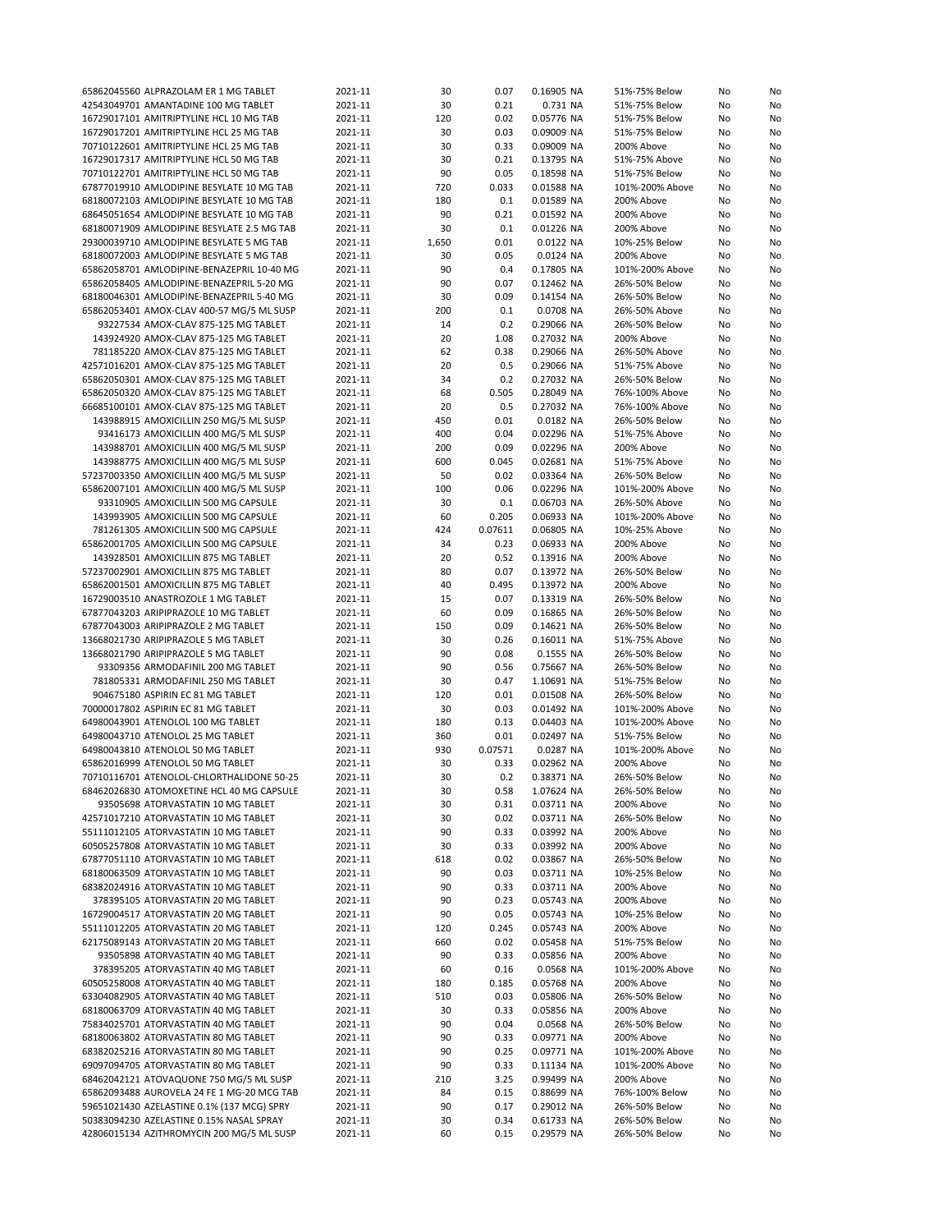| 65862045560 ALPRAZOLAM ER 1 MG TABLET                                                 | 2021-11            | 30       | 0.07         | 0.16905 NA               | 51%-75% Below                  | No       | No       |
|---------------------------------------------------------------------------------------|--------------------|----------|--------------|--------------------------|--------------------------------|----------|----------|
| 42543049701 AMANTADINE 100 MG TABLET                                                  | 2021-11            | 30       | 0.21         | 0.731 NA                 | 51%-75% Below                  | No       | No       |
| 16729017101 AMITRIPTYLINE HCL 10 MG TAB                                               | 2021-11            | 120      | 0.02         | 0.05776 NA               | 51%-75% Below                  | No       | No       |
|                                                                                       |                    |          |              |                          |                                |          |          |
| 16729017201 AMITRIPTYLINE HCL 25 MG TAB                                               | 2021-11            | 30       | 0.03         | 0.09009 NA               | 51%-75% Below                  | No       | No       |
| 70710122601 AMITRIPTYLINE HCL 25 MG TAB                                               | 2021-11            | 30       | 0.33         | 0.09009 NA               | 200% Above                     | No       | No       |
| 16729017317 AMITRIPTYLINE HCL 50 MG TAB                                               | 2021-11            | 30       | 0.21         | 0.13795 NA               | 51%-75% Above                  | No       | No       |
| 70710122701 AMITRIPTYLINE HCL 50 MG TAB                                               | 2021-11            | 90       | 0.05         | 0.18598 NA               | 51%-75% Below                  | No       | No       |
| 67877019910 AMLODIPINE BESYLATE 10 MG TAB                                             | 2021-11            | 720      | 0.033        | 0.01588 NA               | 101%-200% Above                | No       | No       |
|                                                                                       |                    |          |              |                          |                                |          |          |
| 68180072103 AMLODIPINE BESYLATE 10 MG TAB                                             | 2021-11            | 180      | 0.1          | 0.01589 NA               | 200% Above                     | No       | No       |
| 68645051654 AMLODIPINE BESYLATE 10 MG TAB                                             | 2021-11            | 90       | 0.21         | 0.01592 NA               | 200% Above                     | No       | No       |
| 68180071909 AMLODIPINE BESYLATE 2.5 MG TAB                                            | 2021-11            | 30       | 0.1          | 0.01226 NA               | 200% Above                     | No       | No       |
| 29300039710 AMLODIPINE BESYLATE 5 MG TAB                                              | 2021-11            | 1,650    | 0.01         | 0.0122 NA                | 10%-25% Below                  | No       | No       |
| 68180072003 AMLODIPINE BESYLATE 5 MG TAB                                              | 2021-11            | 30       | 0.05         | 0.0124 NA                | 200% Above                     | No       | No       |
|                                                                                       |                    |          |              |                          |                                |          |          |
| 65862058701 AMLODIPINE-BENAZEPRIL 10-40 MG                                            | 2021-11            | 90       | 0.4          | 0.17805 NA               | 101%-200% Above                | No       | No       |
| 65862058405 AMLODIPINE-BENAZEPRIL 5-20 MG                                             | 2021-11            | 90       | 0.07         | 0.12462 NA               | 26%-50% Below                  | No       | No       |
| 68180046301 AMLODIPINE-BENAZEPRIL 5-40 MG                                             | 2021-11            | 30       | 0.09         | 0.14154 NA               | 26%-50% Below                  | No       | No       |
| 65862053401 AMOX-CLAV 400-57 MG/5 ML SUSP                                             | 2021-11            | 200      | 0.1          | 0.0708 NA                | 26%-50% Above                  | No       | No       |
| 93227534 AMOX-CLAV 875-125 MG TABLET                                                  | 2021-11            | 14       | 0.2          | 0.29066 NA               | 26%-50% Below                  | No       | No       |
| 143924920 AMOX-CLAV 875-125 MG TABLET                                                 | 2021-11            | 20       | 1.08         | 0.27032 NA               | 200% Above                     | No       | No       |
|                                                                                       |                    |          |              |                          |                                |          |          |
| 781185220 AMOX-CLAV 875-125 MG TABLET                                                 | 2021-11            | 62       | 0.38         | 0.29066 NA               | 26%-50% Above                  | No       | No       |
| 42571016201 AMOX-CLAV 875-125 MG TABLET                                               | 2021-11            | 20       | 0.5          | 0.29066 NA               | 51%-75% Above                  | No       | No       |
| 65862050301 AMOX-CLAV 875-125 MG TABLET                                               | 2021-11            | 34       | 0.2          | 0.27032 NA               | 26%-50% Below                  | No       | No       |
| 65862050320 AMOX-CLAV 875-125 MG TABLET                                               | 2021-11            | 68       | 0.505        | 0.28049 NA               | 76%-100% Above                 | No       | No       |
| 66685100101 AMOX-CLAV 875-125 MG TABLET                                               | 2021-11            | 20       | 0.5          | 0.27032 NA               | 76%-100% Above                 | No       | No       |
|                                                                                       |                    |          |              |                          |                                |          |          |
| 143988915 AMOXICILLIN 250 MG/5 ML SUSP                                                | 2021-11            | 450      | 0.01         | 0.0182 NA                | 26%-50% Below                  | No       | No       |
| 93416173 AMOXICILLIN 400 MG/5 ML SUSP                                                 | 2021-11            | 400      | 0.04         | 0.02296 NA               | 51%-75% Above                  | No       | No       |
| 143988701 AMOXICILLIN 400 MG/5 ML SUSP                                                | 2021-11            | 200      | 0.09         | 0.02296 NA               | 200% Above                     | No       | No       |
| 143988775 AMOXICILLIN 400 MG/5 ML SUSP                                                | 2021-11            | 600      | 0.045        | 0.02681 NA               | 51%-75% Above                  | No       | No       |
|                                                                                       |                    |          | 0.02         |                          |                                |          |          |
| 57237003350 AMOXICILLIN 400 MG/5 ML SUSP                                              | 2021-11            | 50       |              | 0.03364 NA               | 26%-50% Below                  | No       | No       |
| 65862007101 AMOXICILLIN 400 MG/5 ML SUSP                                              | 2021-11            | 100      | 0.06         | 0.02296 NA               | 101%-200% Above                | No       | No       |
| 93310905 AMOXICILLIN 500 MG CAPSULE                                                   | 2021-11            | 30       | 0.1          | 0.06703 NA               | 26%-50% Above                  | No       | No       |
| 143993905 AMOXICILLIN 500 MG CAPSULE                                                  | 2021-11            | 60       | 0.205        | 0.06933 NA               | 101%-200% Above                | No       | No       |
| 781261305 AMOXICILLIN 500 MG CAPSULE                                                  | 2021-11            | 424      | 0.07611      | 0.06805 NA               | 10%-25% Above                  | No       | No       |
|                                                                                       |                    |          |              |                          |                                |          |          |
| 65862001705 AMOXICILLIN 500 MG CAPSULE                                                | 2021-11            | 34       | 0.23         | 0.06933 NA               | 200% Above                     | No       | No       |
| 143928501 AMOXICILLIN 875 MG TABLET                                                   | 2021-11            | 20       | 0.52         | 0.13916 NA               | 200% Above                     | No       | No       |
| 57237002901 AMOXICILLIN 875 MG TABLET                                                 | 2021-11            | 80       | 0.07         | 0.13972 NA               | 26%-50% Below                  | No       | No       |
| 65862001501 AMOXICILLIN 875 MG TABLET                                                 | 2021-11            | 40       | 0.495        | 0.13972 NA               | 200% Above                     | No       | No       |
| 16729003510 ANASTROZOLE 1 MG TABLET                                                   | 2021-11            | 15       | 0.07         | 0.13319 NA               | 26%-50% Below                  | No       | No       |
|                                                                                       |                    | 60       | 0.09         |                          |                                |          |          |
| 67877043203 ARIPIPRAZOLE 10 MG TABLET                                                 | 2021-11            |          |              | 0.16865 NA               | 26%-50% Below                  | No       | No       |
| 67877043003 ARIPIPRAZOLE 2 MG TABLET                                                  | 2021-11            | 150      | 0.09         | 0.14621 NA               | 26%-50% Below                  | No       | No       |
| 13668021730 ARIPIPRAZOLE 5 MG TABLET                                                  | 2021-11            | 30       | 0.26         | 0.16011 NA               | 51%-75% Above                  | No       | No       |
| 13668021790 ARIPIPRAZOLE 5 MG TABLET                                                  | 2021-11            | 90       | 0.08         | 0.1555 NA                | 26%-50% Below                  | No       | No       |
| 93309356 ARMODAFINIL 200 MG TABLET                                                    | 2021-11            | 90       | 0.56         | 0.75667 NA               | 26%-50% Below                  | No       | No       |
|                                                                                       |                    |          | 0.47         | 1.10691 NA               | 51%-75% Below                  | No       | No       |
|                                                                                       |                    |          |              |                          |                                |          |          |
| 781805331 ARMODAFINIL 250 MG TABLET                                                   | 2021-11            | 30       |              |                          |                                |          | No       |
| 904675180 ASPIRIN EC 81 MG TABLET                                                     | 2021-11            | 120      | 0.01         | 0.01508 NA               | 26%-50% Below                  | No       |          |
| 70000017802 ASPIRIN EC 81 MG TABLET                                                   | 2021-11            | 30       | 0.03         | 0.01492 NA               | 101%-200% Above                | No       | No       |
| 64980043901 ATENOLOL 100 MG TABLET                                                    | 2021-11            | 180      | 0.13         | 0.04403 NA               | 101%-200% Above                | No       | No       |
|                                                                                       |                    |          |              |                          |                                |          |          |
| 64980043710 ATENOLOL 25 MG TABLET                                                     | 2021-11            | 360      | 0.01         | 0.02497 NA               | 51%-75% Below                  | No       | No       |
| 64980043810 ATENOLOL 50 MG TABLET                                                     | 2021-11            | 930      | 0.07571      | 0.0287 NA                | 101%-200% Above                | No       | No       |
| 65862016999 ATENOLOL 50 MG TABLET                                                     | 2021-11            | 30       | 0.33         | 0.02962 NA               | 200% Above                     | No       | No       |
| 70710116701 ATENOLOL-CHLORTHALIDONE 50-25                                             | 2021-11            | 30       | 0.2          | 0.38371 NA               | 26%-50% Below                  | No       | No       |
| 68462026830 ATOMOXETINE HCL 40 MG CAPSULE                                             | 2021-11            | 30       | 0.58         | 1.07624 NA               | 26%-50% Below                  | No       | No       |
|                                                                                       |                    |          |              |                          |                                |          |          |
| 93505698 ATORVASTATIN 10 MG TABLET                                                    | 2021-11            | 30       | 0.31         | 0.03711 NA               | 200% Above                     | No       | No       |
| 42571017210 ATORVASTATIN 10 MG TABLET                                                 | 2021-11            | 30       | 0.02         | 0.03711 NA               | 26%-50% Below                  | No       | No       |
| 55111012105 ATORVASTATIN 10 MG TABLET                                                 | 2021-11            | 90       | 0.33         | 0.03992 NA               | 200% Above                     | No       | No       |
| 60505257808 ATORVASTATIN 10 MG TABLET                                                 | 2021-11            | 30       | 0.33         | 0.03992 NA               | 200% Above                     | No       | No       |
| 67877051110 ATORVASTATIN 10 MG TABLET                                                 | 2021-11            | 618      | 0.02         | 0.03867 NA               | 26%-50% Below                  | No       | No       |
| 68180063509 ATORVASTATIN 10 MG TABLET                                                 |                    |          |              |                          |                                |          |          |
|                                                                                       | 2021-11            | 90       | 0.03         | 0.03711 NA               | 10%-25% Below                  | No       | No       |
| 68382024916 ATORVASTATIN 10 MG TABLET                                                 | 2021-11            | 90       | 0.33         | 0.03711 NA               | 200% Above                     | No       | No       |
| 378395105 ATORVASTATIN 20 MG TABLET                                                   | 2021-11            | 90       | 0.23         | 0.05743 NA               | 200% Above                     | No       | No       |
| 16729004517 ATORVASTATIN 20 MG TABLET                                                 | 2021-11            | 90       | 0.05         | 0.05743 NA               | 10%-25% Below                  | No       | No       |
| 55111012205 ATORVASTATIN 20 MG TABLET                                                 | 2021-11            | 120      | 0.245        | 0.05743 NA               | 200% Above                     | No       | No       |
| 62175089143 ATORVASTATIN 20 MG TABLET                                                 | 2021-11            | 660      | 0.02         | 0.05458 NA               | 51%-75% Below                  | No       |          |
|                                                                                       |                    |          |              |                          |                                |          | No       |
| 93505898 ATORVASTATIN 40 MG TABLET                                                    | 2021-11            | 90       | 0.33         | 0.05856 NA               | 200% Above                     | No       | No       |
| 378395205 ATORVASTATIN 40 MG TABLET                                                   | 2021-11            | 60       | 0.16         | 0.0568 NA                | 101%-200% Above                | No       | No       |
| 60505258008 ATORVASTATIN 40 MG TABLET                                                 | 2021-11            | 180      | 0.185        | 0.05768 NA               | 200% Above                     | No       | No       |
| 63304082905 ATORVASTATIN 40 MG TABLET                                                 | 2021-11            | 510      | 0.03         | 0.05806 NA               | 26%-50% Below                  | No       | No       |
| 68180063709 ATORVASTATIN 40 MG TABLET                                                 | 2021-11            | 30       | 0.33         | 0.05856 NA               | 200% Above                     | No       | No       |
|                                                                                       |                    |          |              |                          |                                |          |          |
| 75834025701 ATORVASTATIN 40 MG TABLET                                                 | 2021-11            | 90       | 0.04         | 0.0568 NA                | 26%-50% Below                  | No       | No       |
| 68180063802 ATORVASTATIN 80 MG TABLET                                                 | 2021-11            | 90       | 0.33         | 0.09771 NA               | 200% Above                     | No       | No       |
| 68382025216 ATORVASTATIN 80 MG TABLET                                                 | 2021-11            | 90       | 0.25         | 0.09771 NA               | 101%-200% Above                | No       | No       |
| 69097094705 ATORVASTATIN 80 MG TABLET                                                 | 2021-11            | 90       | 0.33         | 0.11134 NA               | 101%-200% Above                | No       | No       |
| 68462042121 ATOVAQUONE 750 MG/5 ML SUSP                                               | 2021-11            | 210      | 3.25         | 0.99499 NA               | 200% Above                     | No       | No       |
| 65862093488 AUROVELA 24 FE 1 MG-20 MCG TAB                                            | 2021-11            | 84       | 0.15         | 0.88699 NA               | 76%-100% Below                 | No       | No       |
|                                                                                       |                    |          |              |                          |                                |          |          |
| 59651021430 AZELASTINE 0.1% (137 MCG) SPRY                                            | 2021-11            | 90       | 0.17         | 0.29012 NA               | 26%-50% Below                  | No       | No       |
| 50383094230 AZELASTINE 0.15% NASAL SPRAY<br>42806015134 AZITHROMYCIN 200 MG/5 ML SUSP | 2021-11<br>2021-11 | 30<br>60 | 0.34<br>0.15 | 0.61733 NA<br>0.29579 NA | 26%-50% Below<br>26%-50% Below | No<br>No | No<br>No |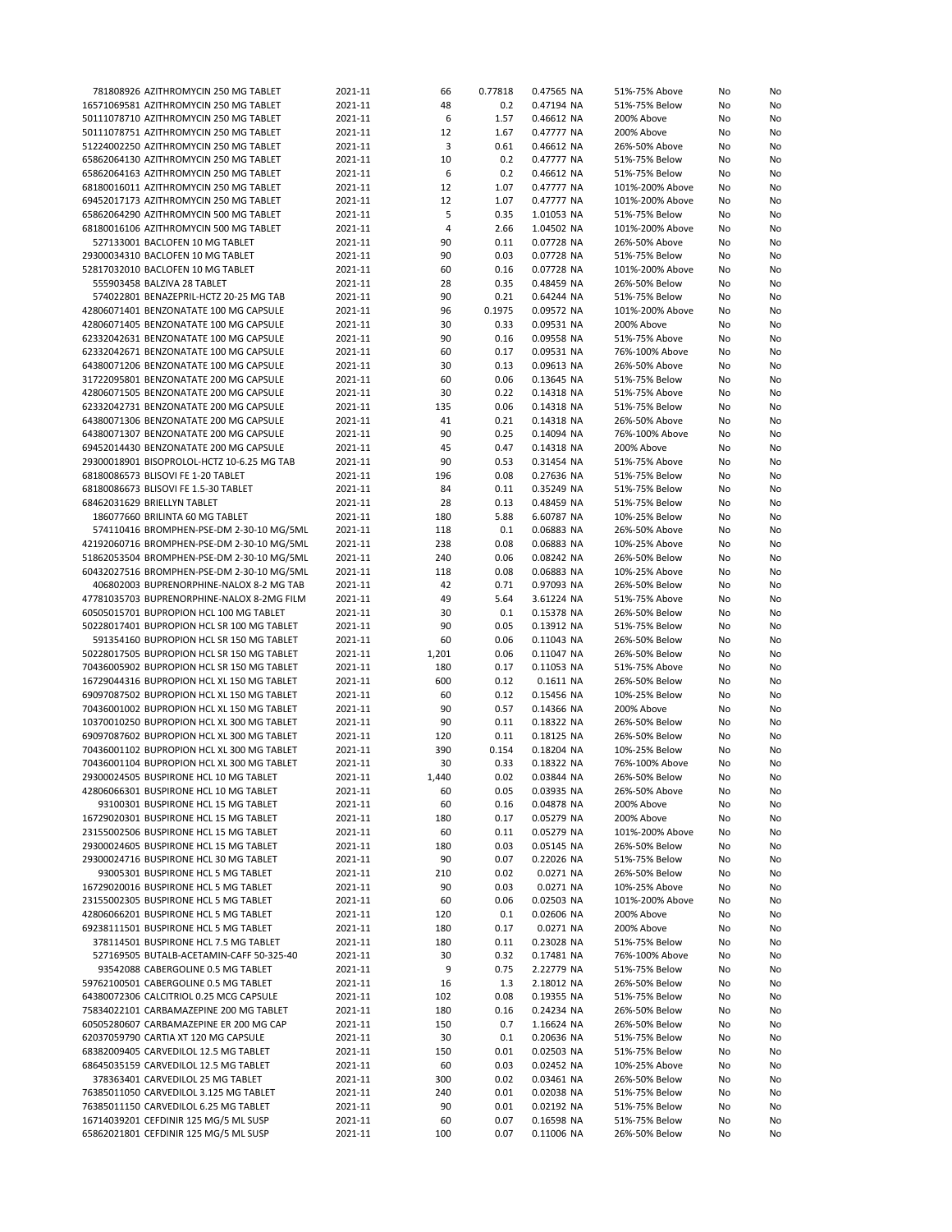| 781808926 AZITHROMYCIN 250 MG TABLET       | 2021-11 | 66    | 0.77818 | 0.47565 NA | 51%-75% Above   | No | No |
|--------------------------------------------|---------|-------|---------|------------|-----------------|----|----|
|                                            |         |       |         |            |                 |    |    |
| 16571069581 AZITHROMYCIN 250 MG TABLET     | 2021-11 | 48    | 0.2     | 0.47194 NA | 51%-75% Below   | No | No |
| 50111078710 AZITHROMYCIN 250 MG TABLET     | 2021-11 | 6     | 1.57    | 0.46612 NA | 200% Above      | No | No |
| 50111078751 AZITHROMYCIN 250 MG TABLET     | 2021-11 | 12    | 1.67    | 0.47777 NA | 200% Above      | No | No |
| 51224002250 AZITHROMYCIN 250 MG TABLET     | 2021-11 | 3     | 0.61    | 0.46612 NA | 26%-50% Above   | No | No |
| 65862064130 AZITHROMYCIN 250 MG TABLET     | 2021-11 | 10    | 0.2     | 0.47777 NA | 51%-75% Below   | No | No |
| 65862064163 AZITHROMYCIN 250 MG TABLET     | 2021-11 | 6     | 0.2     | 0.46612 NA | 51%-75% Below   | No |    |
|                                            |         |       |         |            |                 |    | No |
| 68180016011 AZITHROMYCIN 250 MG TABLET     | 2021-11 | 12    | 1.07    | 0.47777 NA | 101%-200% Above | No | No |
| 69452017173 AZITHROMYCIN 250 MG TABLET     | 2021-11 | 12    | 1.07    | 0.47777 NA | 101%-200% Above | No | No |
| 65862064290 AZITHROMYCIN 500 MG TABLET     | 2021-11 | 5     | 0.35    | 1.01053 NA | 51%-75% Below   | No | No |
| 68180016106 AZITHROMYCIN 500 MG TABLET     | 2021-11 | 4     | 2.66    | 1.04502 NA | 101%-200% Above | No | No |
| 527133001 BACLOFEN 10 MG TABLET            | 2021-11 | 90    | 0.11    |            | 26%-50% Above   |    |    |
|                                            |         |       |         | 0.07728 NA |                 | No | No |
| 29300034310 BACLOFEN 10 MG TABLET          | 2021-11 | 90    | 0.03    | 0.07728 NA | 51%-75% Below   | No | No |
| 52817032010 BACLOFEN 10 MG TABLET          | 2021-11 | 60    | 0.16    | 0.07728 NA | 101%-200% Above | No | No |
| 555903458 BALZIVA 28 TABLET                | 2021-11 | 28    | 0.35    | 0.48459 NA | 26%-50% Below   | No | No |
| 574022801 BENAZEPRIL-HCTZ 20-25 MG TAB     | 2021-11 | 90    | 0.21    | 0.64244 NA | 51%-75% Below   | No | No |
| 42806071401 BENZONATATE 100 MG CAPSULE     | 2021-11 |       | 0.1975  |            |                 |    |    |
|                                            |         | 96    |         | 0.09572 NA | 101%-200% Above | No | No |
| 42806071405 BENZONATATE 100 MG CAPSULE     | 2021-11 | 30    | 0.33    | 0.09531 NA | 200% Above      | No | No |
| 62332042631 BENZONATATE 100 MG CAPSULE     | 2021-11 | 90    | 0.16    | 0.09558 NA | 51%-75% Above   | No | No |
| 62332042671 BENZONATATE 100 MG CAPSULE     | 2021-11 | 60    | 0.17    | 0.09531 NA | 76%-100% Above  | No | No |
| 64380071206 BENZONATATE 100 MG CAPSULE     | 2021-11 | 30    | 0.13    | 0.09613 NA | 26%-50% Above   | No | No |
| 31722095801 BENZONATATE 200 MG CAPSULE     | 2021-11 | 60    | 0.06    | 0.13645 NA | 51%-75% Below   | No |    |
|                                            |         |       |         |            |                 |    | No |
| 42806071505 BENZONATATE 200 MG CAPSULE     | 2021-11 | 30    | 0.22    | 0.14318 NA | 51%-75% Above   | No | No |
| 62332042731 BENZONATATE 200 MG CAPSULE     | 2021-11 | 135   | 0.06    | 0.14318 NA | 51%-75% Below   | No | No |
| 64380071306 BENZONATATE 200 MG CAPSULE     | 2021-11 | 41    | 0.21    | 0.14318 NA | 26%-50% Above   | No | No |
| 64380071307 BENZONATATE 200 MG CAPSULE     | 2021-11 | 90    | 0.25    | 0.14094 NA | 76%-100% Above  | No | No |
|                                            |         |       |         |            | 200% Above      |    |    |
| 69452014430 BENZONATATE 200 MG CAPSULE     | 2021-11 | 45    | 0.47    | 0.14318 NA |                 | No | No |
| 29300018901 BISOPROLOL-HCTZ 10-6.25 MG TAB | 2021-11 | 90    | 0.53    | 0.31454 NA | 51%-75% Above   | No | No |
| 68180086573 BLISOVI FE 1-20 TABLET         | 2021-11 | 196   | 0.08    | 0.27636 NA | 51%-75% Below   | No | No |
| 68180086673 BLISOVI FE 1.5-30 TABLET       | 2021-11 | 84    | 0.11    | 0.35249 NA | 51%-75% Below   | No | No |
| 68462031629 BRIELLYN TABLET                | 2021-11 | 28    | 0.13    | 0.48459 NA | 51%-75% Below   | No | No |
|                                            |         |       |         |            |                 |    |    |
| 186077660 BRILINTA 60 MG TABLET            | 2021-11 | 180   | 5.88    | 6.60787 NA | 10%-25% Below   | No | No |
| 574110416 BROMPHEN-PSE-DM 2-30-10 MG/5ML   | 2021-11 | 118   | 0.1     | 0.06883 NA | 26%-50% Above   | No | No |
| 42192060716 BROMPHEN-PSE-DM 2-30-10 MG/5ML | 2021-11 | 238   | 0.08    | 0.06883 NA | 10%-25% Above   | No | No |
| 51862053504 BROMPHEN-PSE-DM 2-30-10 MG/5ML | 2021-11 | 240   | 0.06    | 0.08242 NA | 26%-50% Below   | No | No |
| 60432027516 BROMPHEN-PSE-DM 2-30-10 MG/5ML | 2021-11 | 118   | 0.08    | 0.06883 NA | 10%-25% Above   | No | No |
|                                            |         |       |         |            |                 |    |    |
| 406802003 BUPRENORPHINE-NALOX 8-2 MG TAB   | 2021-11 | 42    | 0.71    | 0.97093 NA | 26%-50% Below   | No | No |
| 47781035703 BUPRENORPHINE-NALOX 8-2MG FILM | 2021-11 | 49    | 5.64    | 3.61224 NA | 51%-75% Above   | No | No |
| 60505015701 BUPROPION HCL 100 MG TABLET    | 2021-11 | 30    | 0.1     | 0.15378 NA | 26%-50% Below   | No | No |
| 50228017401 BUPROPION HCL SR 100 MG TABLET | 2021-11 | 90    | 0.05    | 0.13912 NA | 51%-75% Below   | No | No |
| 591354160 BUPROPION HCL SR 150 MG TABLET   | 2021-11 | 60    | 0.06    | 0.11043 NA | 26%-50% Below   | No | No |
|                                            |         |       |         |            |                 |    |    |
| 50228017505 BUPROPION HCL SR 150 MG TABLET | 2021-11 | 1,201 | 0.06    | 0.11047 NA | 26%-50% Below   | No | No |
| 70436005902 BUPROPION HCL SR 150 MG TABLET | 2021-11 | 180   | 0.17    | 0.11053 NA | 51%-75% Above   | No | No |
| 16729044316 BUPROPION HCL XL 150 MG TABLET | 2021-11 | 600   | 0.12    | 0.1611 NA  | 26%-50% Below   | No | No |
| 69097087502 BUPROPION HCL XL 150 MG TABLET | 2021-11 | 60    | 0.12    | 0.15456 NA | 10%-25% Below   | No | No |
| 70436001002 BUPROPION HCL XL 150 MG TABLET | 2021-11 | 90    | 0.57    | 0.14366 NA | 200% Above      | No | No |
|                                            |         |       |         |            |                 |    |    |
| 10370010250 BUPROPION HCL XL 300 MG TABLET | 2021-11 | 90    | 0.11    | 0.18322 NA | 26%-50% Below   | No | No |
| 69097087602 BUPROPION HCL XL 300 MG TABLET | 2021-11 | 120   | 0.11    | 0.18125 NA | 26%-50% Below   | No | No |
| 70436001102 BUPROPION HCL XL 300 MG TABLET | 2021-11 | 390   | 0.154   | 0.18204 NA | 10%-25% Below   | No | No |
| 70436001104 BUPROPION HCL XL 300 MG TABLET | 2021-11 | 30    | 0.33    | 0.18322 NA | 76%-100% Above  | No | No |
| 29300024505 BUSPIRONE HCL 10 MG TABLET     | 2021-11 | 1.440 | 0.02    | 0.03844 NA | 26%-50% Below   | No | No |
|                                            |         |       |         |            |                 |    |    |
| 42806066301 BUSPIRONE HCL 10 MG TABLET     | 2021-11 | 60    | 0.05    | 0.03935 NA | 26%-50% Above   | No | No |
| 93100301 BUSPIRONE HCL 15 MG TABLET        | 2021-11 | 60    | 0.16    | 0.04878 NA | 200% Above      | No | No |
| 16729020301 BUSPIRONE HCL 15 MG TABLET     | 2021-11 | 180   | 0.17    | 0.05279 NA | 200% Above      | No | No |
| 23155002506 BUSPIRONE HCL 15 MG TABLET     | 2021-11 | 60    | 0.11    | 0.05279 NA | 101%-200% Above | No | No |
| 29300024605 BUSPIRONE HCL 15 MG TABLET     | 2021-11 | 180   | 0.03    | 0.05145 NA | 26%-50% Below   | No | No |
|                                            |         |       |         |            |                 |    |    |
| 29300024716 BUSPIRONE HCL 30 MG TABLET     | 2021-11 | 90    | 0.07    | 0.22026 NA | 51%-75% Below   | No | No |
| 93005301 BUSPIRONE HCL 5 MG TABLET         | 2021-11 | 210   | 0.02    | 0.0271 NA  | 26%-50% Below   | No | No |
| 16729020016 BUSPIRONE HCL 5 MG TABLET      | 2021-11 | 90    | 0.03    | 0.0271 NA  | 10%-25% Above   | No | No |
| 23155002305 BUSPIRONE HCL 5 MG TABLET      | 2021-11 | 60    | 0.06    | 0.02503 NA | 101%-200% Above | No | No |
| 42806066201 BUSPIRONE HCL 5 MG TABLET      | 2021-11 | 120   | 0.1     | 0.02606 NA | 200% Above      | No | No |
| 69238111501 BUSPIRONE HCL 5 MG TABLET      |         |       |         |            |                 |    |    |
|                                            | 2021-11 | 180   | 0.17    | 0.0271 NA  | 200% Above      | No | No |
| 378114501 BUSPIRONE HCL 7.5 MG TABLET      | 2021-11 | 180   | 0.11    | 0.23028 NA | 51%-75% Below   | No | No |
| 527169505 BUTALB-ACETAMIN-CAFF 50-325-40   | 2021-11 | 30    | 0.32    | 0.17481 NA | 76%-100% Above  | No | No |
| 93542088 CABERGOLINE 0.5 MG TABLET         | 2021-11 | 9     | 0.75    | 2.22779 NA | 51%-75% Below   | No | No |
| 59762100501 CABERGOLINE 0.5 MG TABLET      | 2021-11 | 16    | 1.3     | 2.18012 NA | 26%-50% Below   | No | No |
|                                            |         |       |         |            |                 |    |    |
| 64380072306 CALCITRIOL 0.25 MCG CAPSULE    | 2021-11 | 102   | 0.08    | 0.19355 NA | 51%-75% Below   | No | No |
| 75834022101 CARBAMAZEPINE 200 MG TABLET    | 2021-11 | 180   | 0.16    | 0.24234 NA | 26%-50% Below   | No | No |
| 60505280607 CARBAMAZEPINE ER 200 MG CAP    | 2021-11 | 150   | 0.7     | 1.16624 NA | 26%-50% Below   | No | No |
| 62037059790 CARTIA XT 120 MG CAPSULE       | 2021-11 | 30    | 0.1     | 0.20636 NA | 51%-75% Below   | No | No |
| 68382009405 CARVEDILOL 12.5 MG TABLET      | 2021-11 | 150   | 0.01    | 0.02503 NA | 51%-75% Below   | No | No |
| 68645035159 CARVEDILOL 12.5 MG TABLET      |         | 60    | 0.03    | 0.02452 NA | 10%-25% Above   |    |    |
|                                            | 2021-11 |       |         |            |                 | No | No |
| 378363401 CARVEDILOL 25 MG TABLET          | 2021-11 | 300   | 0.02    | 0.03461 NA | 26%-50% Below   | No | No |
| 76385011050 CARVEDILOL 3.125 MG TABLET     | 2021-11 | 240   | 0.01    | 0.02038 NA | 51%-75% Below   | No | No |
| 76385011150 CARVEDILOL 6.25 MG TABLET      | 2021-11 | 90    | 0.01    | 0.02192 NA | 51%-75% Below   | No | No |
| 16714039201 CEFDINIR 125 MG/5 ML SUSP      | 2021-11 | 60    | 0.07    | 0.16598 NA | 51%-75% Below   | No | No |
| 65862021801 CEFDINIR 125 MG/5 ML SUSP      |         | 100   | 0.07    | 0.11006 NA | 26%-50% Below   |    |    |
|                                            | 2021-11 |       |         |            |                 | No | No |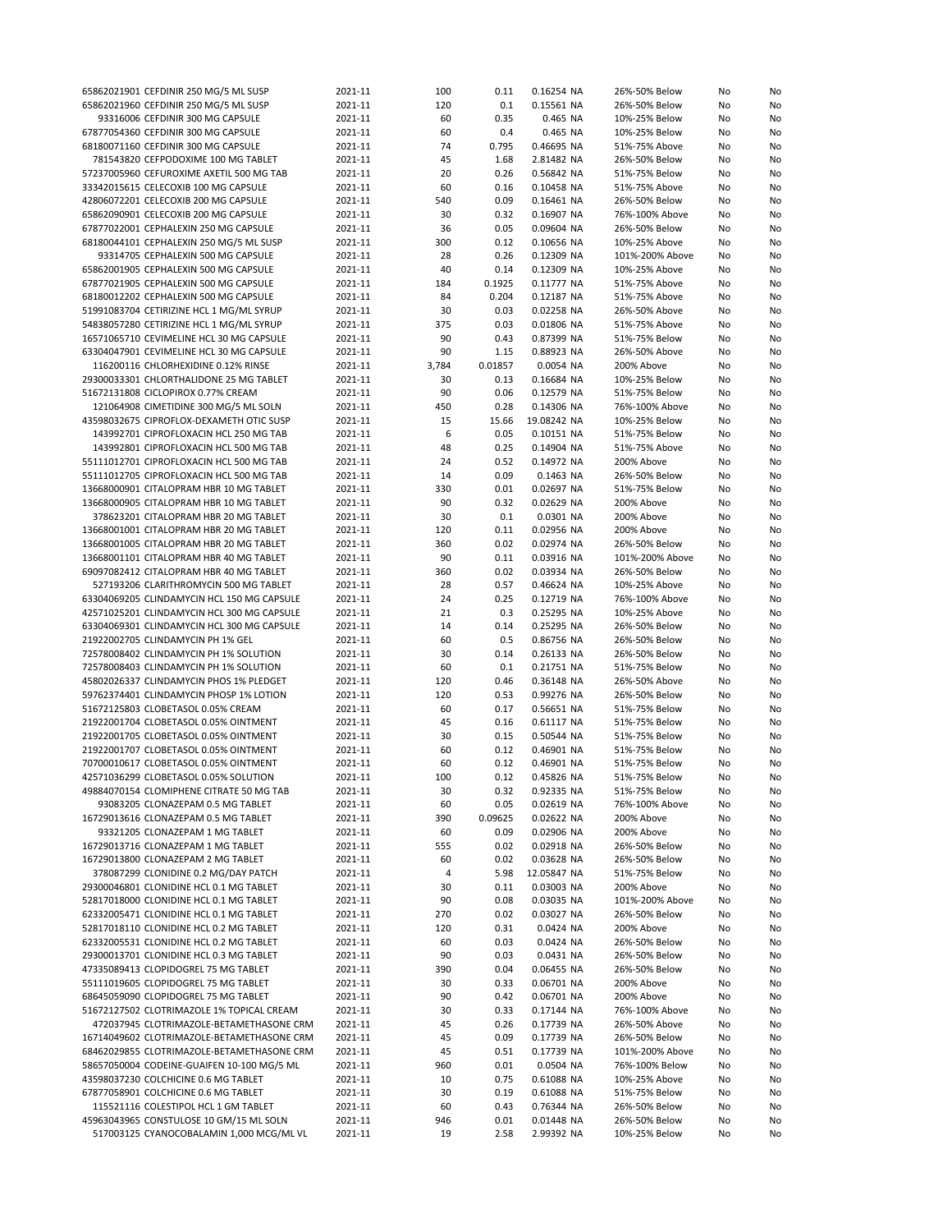| 65862021901 CEFDINIR 250 MG/5 ML SUSP                                               | 2021-11            | 100       | 0.11         | 0.16254 NA               | 26%-50% Below                  | No       | No       |
|-------------------------------------------------------------------------------------|--------------------|-----------|--------------|--------------------------|--------------------------------|----------|----------|
| 65862021960 CEFDINIR 250 MG/5 ML SUSP                                               | 2021-11            | 120       | 0.1          | 0.15561 NA               | 26%-50% Below                  | No       | No       |
| 93316006 CEFDINIR 300 MG CAPSULE                                                    | 2021-11            | 60        | 0.35         | 0.465 NA                 | 10%-25% Below                  | No       | No       |
| 67877054360 CEFDINIR 300 MG CAPSULE                                                 | 2021-11            | 60        | 0.4          | 0.465 NA                 | 10%-25% Below                  | No       | No       |
| 68180071160 CEFDINIR 300 MG CAPSULE                                                 | 2021-11            | 74        | 0.795        | 0.46695 NA               | 51%-75% Above                  | No       | No       |
| 781543820 CEFPODOXIME 100 MG TABLET                                                 |                    | 45        |              |                          | 26%-50% Below                  |          | No       |
|                                                                                     | 2021-11            |           | 1.68         | 2.81482 NA               |                                | No       |          |
| 57237005960 CEFUROXIME AXETIL 500 MG TAB                                            | 2021-11            | 20        | 0.26         | 0.56842 NA               | 51%-75% Below                  | No       | No       |
| 33342015615 CELECOXIB 100 MG CAPSULE                                                | 2021-11            | 60        | 0.16         | 0.10458 NA               | 51%-75% Above                  | No       | No       |
| 42806072201 CELECOXIB 200 MG CAPSULE                                                | 2021-11            | 540       | 0.09         | 0.16461 NA               | 26%-50% Below                  | No       | No       |
| 65862090901 CELECOXIB 200 MG CAPSULE                                                | 2021-11            | 30        | 0.32         | 0.16907 NA               | 76%-100% Above                 | No       | No       |
| 67877022001 CEPHALEXIN 250 MG CAPSULE                                               | 2021-11            | 36        | 0.05         | 0.09604 NA               | 26%-50% Below                  | No       | No       |
| 68180044101 CEPHALEXIN 250 MG/5 ML SUSP                                             | 2021-11            | 300       | 0.12         | 0.10656 NA               | 10%-25% Above                  | No       | No       |
| 93314705 CEPHALEXIN 500 MG CAPSULE                                                  | 2021-11            | 28        | 0.26         | 0.12309 NA               | 101%-200% Above                | No       | No       |
| 65862001905 CEPHALEXIN 500 MG CAPSULE                                               | 2021-11            | 40        | 0.14         | 0.12309 NA               | 10%-25% Above                  | No       | No       |
| 67877021905 CEPHALEXIN 500 MG CAPSULE                                               | 2021-11            | 184       | 0.1925       | 0.11777 NA               | 51%-75% Above                  | No       | No       |
| 68180012202 CEPHALEXIN 500 MG CAPSULE                                               |                    |           |              |                          |                                |          |          |
|                                                                                     | 2021-11            | 84        | 0.204        | 0.12187 NA               | 51%-75% Above                  | No       | No       |
| 51991083704 CETIRIZINE HCL 1 MG/ML SYRUP                                            | 2021-11            | 30        | 0.03         | 0.02258 NA               | 26%-50% Above                  | No       | No       |
| 54838057280 CETIRIZINE HCL 1 MG/ML SYRUP                                            | 2021-11            | 375       | 0.03         | 0.01806 NA               | 51%-75% Above                  | No       | No       |
| 16571065710 CEVIMELINE HCL 30 MG CAPSULE                                            | 2021-11            | 90        | 0.43         | 0.87399 NA               | 51%-75% Below                  | No       | No       |
| 63304047901 CEVIMELINE HCL 30 MG CAPSULE                                            | 2021-11            | 90        | 1.15         | 0.88923 NA               | 26%-50% Above                  | No       | No       |
| 116200116 CHLORHEXIDINE 0.12% RINSE                                                 | 2021-11            | 3,784     | 0.01857      | 0.0054 NA                | 200% Above                     | No       | No       |
| 29300033301 CHLORTHALIDONE 25 MG TABLET                                             | 2021-11            | 30        | 0.13         | 0.16684 NA               | 10%-25% Below                  | No       | No       |
| 51672131808 CICLOPIROX 0.77% CREAM                                                  | 2021-11            | 90        | 0.06         | 0.12579 NA               | 51%-75% Below                  | No       | No       |
| 121064908 CIMETIDINE 300 MG/5 ML SOLN                                               | 2021-11            | 450       | 0.28         | 0.14306 NA               | 76%-100% Above                 | No       | No       |
| 43598032675 CIPROFLOX-DEXAMETH OTIC SUSP                                            | 2021-11            | 15        | 15.66        | 19.08242 NA              | 10%-25% Below                  | No       | No       |
|                                                                                     |                    | 6         |              | 0.10151 NA               |                                |          |          |
| 143992701 CIPROFLOXACIN HCL 250 MG TAB                                              | 2021-11            |           | 0.05         |                          | 51%-75% Below                  | No       | No       |
| 143992801 CIPROFLOXACIN HCL 500 MG TAB                                              | 2021-11            | 48        | 0.25         | 0.14904 NA               | 51%-75% Above                  | No       | No       |
| 55111012701 CIPROFLOXACIN HCL 500 MG TAB                                            | 2021-11            | 24        | 0.52         | 0.14972 NA               | 200% Above                     | No       | No       |
| 55111012705 CIPROFLOXACIN HCL 500 MG TAB                                            | 2021-11            | 14        | 0.09         | 0.1463 NA                | 26%-50% Below                  | No       | No       |
| 13668000901 CITALOPRAM HBR 10 MG TABLET                                             | 2021-11            | 330       | 0.01         | 0.02697 NA               | 51%-75% Below                  | No       | No       |
| 13668000905 CITALOPRAM HBR 10 MG TABLET                                             | 2021-11            | 90        | 0.32         | 0.02629 NA               | 200% Above                     | No       | No       |
| 378623201 CITALOPRAM HBR 20 MG TABLET                                               | 2021-11            | 30        | 0.1          | 0.0301 NA                | 200% Above                     | No       | No       |
| 13668001001 CITALOPRAM HBR 20 MG TABLET                                             | 2021-11            | 120       | 0.11         | 0.02956 NA               | 200% Above                     | No       | No       |
| 13668001005 CITALOPRAM HBR 20 MG TABLET                                             | 2021-11            | 360       | 0.02         | 0.02974 NA               | 26%-50% Below                  | No       | No       |
|                                                                                     |                    | 90        |              |                          |                                |          |          |
| 13668001101 CITALOPRAM HBR 40 MG TABLET                                             | 2021-11            |           | 0.11         | 0.03916 NA               | 101%-200% Above                | No       | No       |
| 69097082412 CITALOPRAM HBR 40 MG TABLET                                             | 2021-11            | 360       | 0.02         | 0.03934 NA               | 26%-50% Below                  | No       | No       |
| 527193206 CLARITHROMYCIN 500 MG TABLET                                              | 2021-11            | 28        | 0.57         | 0.46624 NA               | 10%-25% Above                  | No       | No       |
| 63304069205 CLINDAMYCIN HCL 150 MG CAPSULE                                          | 2021-11            | 24        | 0.25         | 0.12719 NA               | 76%-100% Above                 | No       | No       |
| 42571025201 CLINDAMYCIN HCL 300 MG CAPSULE                                          | 2021-11            | 21        | 0.3          | 0.25295 NA               | 10%-25% Above                  | No       | No       |
| 63304069301 CLINDAMYCIN HCL 300 MG CAPSULE                                          | 2021-11            | 14        | 0.14         | 0.25295 NA               | 26%-50% Below                  | No       | No       |
| 21922002705 CLINDAMYCIN PH 1% GEL                                                   | 2021-11            | 60        | 0.5          | 0.86756 NA               | 26%-50% Below                  | No       | No       |
| 72578008402 CLINDAMYCIN PH 1% SOLUTION                                              | 2021-11            | 30        | 0.14         | 0.26133 NA               | 26%-50% Below                  | No       | No       |
| 72578008403 CLINDAMYCIN PH 1% SOLUTION                                              | 2021-11            | 60        | 0.1          | 0.21751 NA               | 51%-75% Below                  | No       | No       |
|                                                                                     |                    | 120       |              |                          |                                |          |          |
| 45802026337 CLINDAMYCIN PHOS 1% PLEDGET                                             | 2021-11            |           | 0.46         | 0.36148 NA               | 26%-50% Above                  | No       | No       |
| 59762374401 CLINDAMYCIN PHOSP 1% LOTION                                             | 2021-11            | 120       | 0.53         | 0.99276 NA               | 26%-50% Below                  | No       | No       |
| 51672125803 CLOBETASOL 0.05% CREAM                                                  | 2021-11            | 60        | 0.17         | 0.56651 NA               | 51%-75% Below                  | No       | No       |
| 21922001704 CLOBETASOL 0.05% OINTMENT                                               | 2021-11            | 45        | 0.16         | 0.61117 NA               | 51%-75% Below                  | No       | No       |
| 21922001705 CLOBETASOL 0.05% OINTMENT                                               | 2021-11            | 30        | 0.15         | 0.50544 NA               | 51%-75% Below                  | No       | No       |
| 21922001707 CLOBETASOL 0.05% OINTMENT                                               | 2021-11            | 60        | 0.12         | 0.46901 NA               | 51%-75% Below                  | No       | No       |
| 70700010617 CLOBETASOL 0.05% OINTMENT                                               | 2021-11            | 60        | 0.12         | 0.46901 NA               | 51%-75% Below                  | No       | No       |
| 42571036299 CLOBETASOL 0.05% SOLUTION                                               | 2021-11            | 100       | 0.12         | 0.45826 NA               | 51%-75% Below                  | No       | No       |
| 49884070154 CLOMIPHENE CITRATE 50 MG TAB                                            | 2021-11            | 30        | 0.32         | 0.92335 NA               | 51%-75% Below                  | No       | No       |
| 93083205 CLONAZEPAM 0.5 MG TABLET                                                   | 2021-11            | 60        | 0.05         | 0.02619 NA               | 76%-100% Above                 | No       | No       |
|                                                                                     | 2021-11            |           | 0.09625      |                          |                                |          |          |
| 16729013616 CLONAZEPAM 0.5 MG TABLET                                                |                    | 390       |              | 0.02622 NA               | 200% Above                     | No       | No       |
| 93321205 CLONAZEPAM 1 MG TABLET                                                     | 2021-11            | 60        | 0.09         | 0.02906 NA               | 200% Above                     | No       | No       |
| 16729013716 CLONAZEPAM 1 MG TABLET                                                  | 2021-11            | 555       | 0.02         | 0.02918 NA               | 26%-50% Below                  | No       | No       |
| 16729013800 CLONAZEPAM 2 MG TABLET                                                  | 2021-11            | 60        | 0.02         | 0.03628 NA               | 26%-50% Below                  | No       | No       |
| 378087299 CLONIDINE 0.2 MG/DAY PATCH                                                | 2021-11            | 4         | 5.98         | 12.05847 NA              | 51%-75% Below                  | No       | No       |
| 29300046801 CLONIDINE HCL 0.1 MG TABLET                                             | 2021-11            | 30        | 0.11         | 0.03003 NA               | 200% Above                     | No       | No       |
| 52817018000 CLONIDINE HCL 0.1 MG TABLET                                             | 2021-11            | 90        | 0.08         | 0.03035 NA               | 101%-200% Above                | No       | No       |
|                                                                                     |                    |           |              |                          |                                |          | No       |
|                                                                                     |                    |           |              |                          |                                |          |          |
| 62332005471 CLONIDINE HCL 0.1 MG TABLET                                             | 2021-11            | 270       | 0.02         | 0.03027 NA               | 26%-50% Below                  | No       |          |
| 52817018110 CLONIDINE HCL 0.2 MG TABLET                                             | 2021-11            | 120       | 0.31         | 0.0424 NA                | 200% Above                     | No       | No       |
| 62332005531 CLONIDINE HCL 0.2 MG TABLET                                             | 2021-11            | 60        | 0.03         | 0.0424 NA                | 26%-50% Below                  | No       | No       |
| 29300013701 CLONIDINE HCL 0.3 MG TABLET                                             | 2021-11            | 90        | 0.03         | 0.0431 NA                | 26%-50% Below                  | No       | No       |
| 47335089413 CLOPIDOGREL 75 MG TABLET                                                | 2021-11            | 390       | 0.04         | 0.06455 NA               | 26%-50% Below                  | No       | No       |
| 55111019605 CLOPIDOGREL 75 MG TABLET                                                | 2021-11            | 30        | 0.33         | 0.06701 NA               | 200% Above                     | No       | No       |
| 68645059090 CLOPIDOGREL 75 MG TABLET                                                | 2021-11            | 90        | 0.42         | 0.06701 NA               | 200% Above                     | No       | No       |
| 51672127502 CLOTRIMAZOLE 1% TOPICAL CREAM                                           | 2021-11            | 30        | 0.33         | 0.17144 NA               | 76%-100% Above                 | No       | No       |
| 472037945 CLOTRIMAZOLE-BETAMETHASONE CRM                                            | 2021-11            | 45        | 0.26         | 0.17739 NA               | 26%-50% Above                  | No       | No       |
| 16714049602 CLOTRIMAZOLE-BETAMETHASONE CRM                                          | 2021-11            | 45        | 0.09         | 0.17739 NA               | 26%-50% Below                  | No       | No       |
|                                                                                     |                    |           |              |                          |                                |          |          |
| 68462029855 CLOTRIMAZOLE-BETAMETHASONE CRM                                          | 2021-11            | 45        | 0.51         | 0.17739 NA               | 101%-200% Above                | No       | No       |
| 58657050004 CODEINE-GUAIFEN 10-100 MG/5 ML                                          | 2021-11            | 960       | 0.01         | 0.0504 NA                | 76%-100% Below                 | No       | No       |
| 43598037230 COLCHICINE 0.6 MG TABLET                                                | 2021-11            | 10        | 0.75         | 0.61088 NA               | 10%-25% Above                  | No       | No       |
| 67877058901 COLCHICINE 0.6 MG TABLET                                                | 2021-11            | 30        | 0.19         | 0.61088 NA               | 51%-75% Below                  | No       | No       |
| 115521116 COLESTIPOL HCL 1 GM TABLET                                                | 2021-11            | 60        | 0.43         | 0.76344 NA               | 26%-50% Below                  | No       | No       |
| 45963043965 CONSTULOSE 10 GM/15 ML SOLN<br>517003125 CYANOCOBALAMIN 1,000 MCG/ML VL | 2021-11<br>2021-11 | 946<br>19 | 0.01<br>2.58 | 0.01448 NA<br>2.99392 NA | 26%-50% Below<br>10%-25% Below | No<br>No | No<br>No |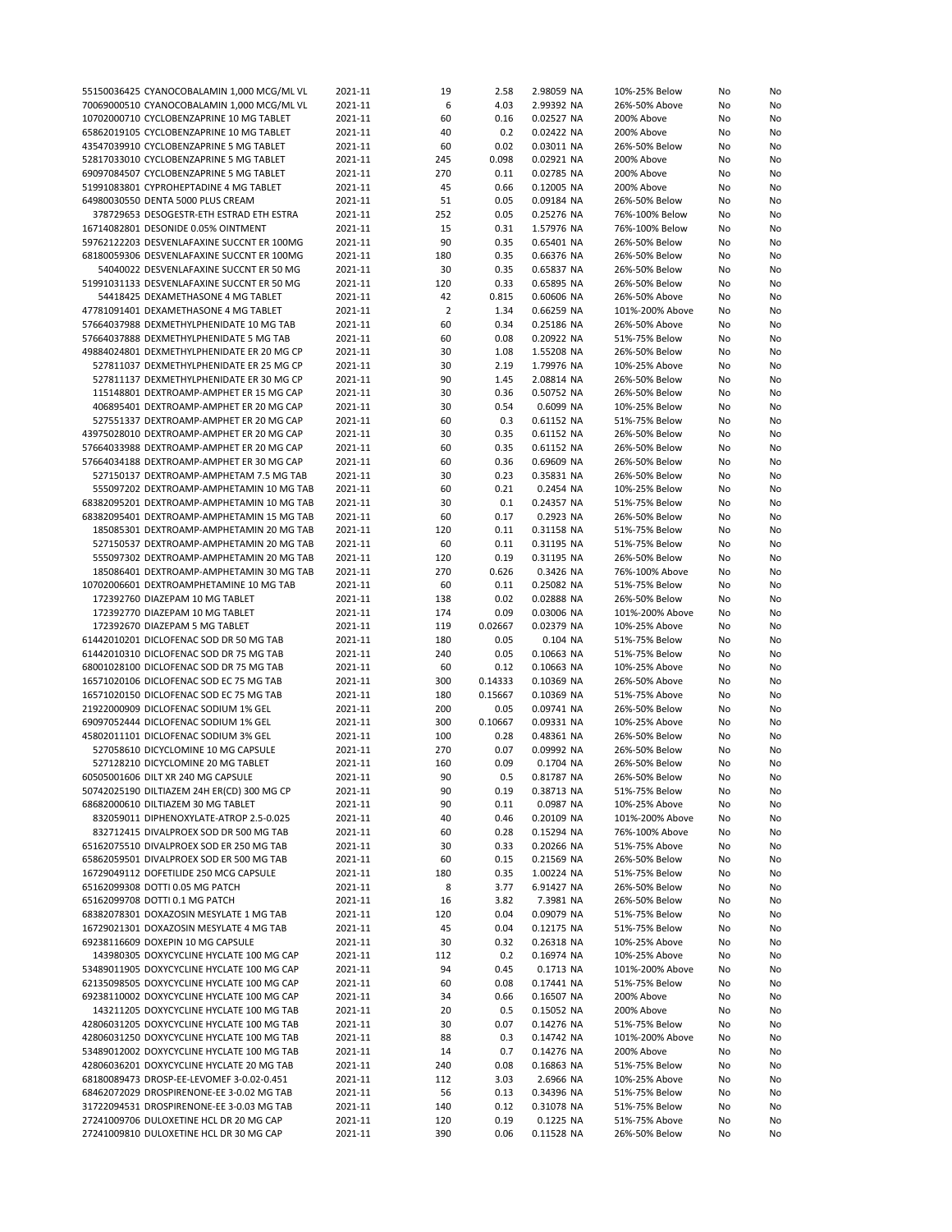| 55150036425 CYANOCOBALAMIN 1,000 MCG/ML VL | 2021-11 | 19             | 2.58    | 2.98059 NA | 10%-25% Below   | No | No |
|--------------------------------------------|---------|----------------|---------|------------|-----------------|----|----|
| 70069000510 CYANOCOBALAMIN 1,000 MCG/ML VL | 2021-11 | 6              | 4.03    | 2.99392 NA | 26%-50% Above   | No | No |
| 10702000710 CYCLOBENZAPRINE 10 MG TABLET   | 2021-11 | 60             | 0.16    | 0.02527 NA | 200% Above      | No | No |
| 65862019105 CYCLOBENZAPRINE 10 MG TABLET   | 2021-11 | 40             | 0.2     | 0.02422 NA | 200% Above      |    | No |
|                                            |         |                |         |            |                 | No |    |
| 43547039910 CYCLOBENZAPRINE 5 MG TABLET    | 2021-11 | 60             | 0.02    | 0.03011 NA | 26%-50% Below   | No | No |
| 52817033010 CYCLOBENZAPRINE 5 MG TABLET    | 2021-11 | 245            | 0.098   | 0.02921 NA | 200% Above      | No | No |
| 69097084507 CYCLOBENZAPRINE 5 MG TABLET    | 2021-11 | 270            | 0.11    | 0.02785 NA | 200% Above      | No | No |
| 51991083801 CYPROHEPTADINE 4 MG TABLET     | 2021-11 | 45             | 0.66    | 0.12005 NA | 200% Above      | No | No |
|                                            |         | 51             | 0.05    |            |                 |    |    |
| 64980030550 DENTA 5000 PLUS CREAM          | 2021-11 |                |         | 0.09184 NA | 26%-50% Below   | No | No |
| 378729653 DESOGESTR-ETH ESTRAD ETH ESTRA   | 2021-11 | 252            | 0.05    | 0.25276 NA | 76%-100% Below  | No | No |
| 16714082801 DESONIDE 0.05% OINTMENT        | 2021-11 | 15             | 0.31    | 1.57976 NA | 76%-100% Below  | No | No |
| 59762122203 DESVENLAFAXINE SUCCNT ER 100MG | 2021-11 | 90             | 0.35    | 0.65401 NA | 26%-50% Below   | No | No |
| 68180059306 DESVENLAFAXINE SUCCNT ER 100MG | 2021-11 | 180            | 0.35    | 0.66376 NA | 26%-50% Below   | No | No |
| 54040022 DESVENLAFAXINE SUCCNT ER 50 MG    | 2021-11 | 30             | 0.35    | 0.65837 NA | 26%-50% Below   | No | No |
|                                            |         |                |         |            |                 |    |    |
| 51991031133 DESVENLAFAXINE SUCCNT ER 50 MG | 2021-11 | 120            | 0.33    | 0.65895 NA | 26%-50% Below   | No | No |
| 54418425 DEXAMETHASONE 4 MG TABLET         | 2021-11 | 42             | 0.815   | 0.60606 NA | 26%-50% Above   | No | No |
| 47781091401 DEXAMETHASONE 4 MG TABLET      | 2021-11 | $\overline{2}$ | 1.34    | 0.66259 NA | 101%-200% Above | No | No |
| 57664037988 DEXMETHYLPHENIDATE 10 MG TAB   | 2021-11 | 60             | 0.34    | 0.25186 NA | 26%-50% Above   | No | No |
|                                            |         |                |         |            |                 |    |    |
| 57664037888 DEXMETHYLPHENIDATE 5 MG TAB    | 2021-11 | 60             | 0.08    | 0.20922 NA | 51%-75% Below   | No | No |
| 49884024801 DEXMETHYLPHENIDATE ER 20 MG CP | 2021-11 | 30             | 1.08    | 1.55208 NA | 26%-50% Below   | No | No |
| 527811037 DEXMETHYLPHENIDATE ER 25 MG CP   | 2021-11 | 30             | 2.19    | 1.79976 NA | 10%-25% Above   | No | No |
| 527811137 DEXMETHYLPHENIDATE ER 30 MG CP   | 2021-11 | 90             | 1.45    | 2.08814 NA | 26%-50% Below   | No | No |
| 115148801 DEXTROAMP-AMPHET ER 15 MG CAP    | 2021-11 | 30             | 0.36    | 0.50752 NA | 26%-50% Below   | No | No |
|                                            |         |                |         |            |                 |    |    |
| 406895401 DEXTROAMP-AMPHET ER 20 MG CAP    | 2021-11 | 30             | 0.54    | 0.6099 NA  | 10%-25% Below   | No | No |
| 527551337 DEXTROAMP-AMPHET ER 20 MG CAP    | 2021-11 | 60             | 0.3     | 0.61152 NA | 51%-75% Below   | No | No |
| 43975028010 DEXTROAMP-AMPHET ER 20 MG CAP  | 2021-11 | 30             | 0.35    | 0.61152 NA | 26%-50% Below   | No | No |
| 57664033988 DEXTROAMP-AMPHET ER 20 MG CAP  | 2021-11 | 60             | 0.35    | 0.61152 NA | 26%-50% Below   | No | No |
| 57664034188 DEXTROAMP-AMPHET ER 30 MG CAP  | 2021-11 | 60             | 0.36    | 0.69609 NA | 26%-50% Below   | No | No |
|                                            |         |                |         |            |                 |    |    |
| 527150137 DEXTROAMP-AMPHETAM 7.5 MG TAB    | 2021-11 | 30             | 0.23    | 0.35831 NA | 26%-50% Below   | No | No |
| 555097202 DEXTROAMP-AMPHETAMIN 10 MG TAB   | 2021-11 | 60             | 0.21    | 0.2454 NA  | 10%-25% Below   | No | No |
| 68382095201 DEXTROAMP-AMPHETAMIN 10 MG TAB | 2021-11 | 30             | 0.1     | 0.24357 NA | 51%-75% Below   | No | No |
| 68382095401 DEXTROAMP-AMPHETAMIN 15 MG TAB | 2021-11 | 60             | 0.17    | 0.2923 NA  | 26%-50% Below   | No | No |
| 185085301 DEXTROAMP-AMPHETAMIN 20 MG TAB   | 2021-11 | 120            | 0.11    | 0.31158 NA | 51%-75% Below   | No | No |
|                                            |         |                |         |            |                 |    |    |
| 527150537 DEXTROAMP-AMPHETAMIN 20 MG TAB   | 2021-11 | 60             | 0.11    | 0.31195 NA | 51%-75% Below   | No | No |
| 555097302 DEXTROAMP-AMPHETAMIN 20 MG TAB   | 2021-11 | 120            | 0.19    | 0.31195 NA | 26%-50% Below   | No | No |
| 185086401 DEXTROAMP-AMPHETAMIN 30 MG TAB   | 2021-11 | 270            | 0.626   | 0.3426 NA  | 76%-100% Above  | No | No |
| 10702006601 DEXTROAMPHETAMINE 10 MG TAB    | 2021-11 | 60             | 0.11    | 0.25082 NA | 51%-75% Below   | No | No |
| 172392760 DIAZEPAM 10 MG TABLET            | 2021-11 | 138            | 0.02    | 0.02888 NA | 26%-50% Below   | No | No |
|                                            |         |                |         |            |                 |    |    |
| 172392770 DIAZEPAM 10 MG TABLET            | 2021-11 | 174            | 0.09    | 0.03006 NA | 101%-200% Above | No | No |
| 172392670 DIAZEPAM 5 MG TABLET             | 2021-11 | 119            | 0.02667 | 0.02379 NA | 10%-25% Above   | No | No |
| 61442010201 DICLOFENAC SOD DR 50 MG TAB    | 2021-11 | 180            | 0.05    | 0.104 NA   | 51%-75% Below   | No | No |
| 61442010310 DICLOFENAC SOD DR 75 MG TAB    | 2021-11 | 240            | 0.05    | 0.10663 NA | 51%-75% Below   | No | No |
| 68001028100 DICLOFENAC SOD DR 75 MG TAB    | 2021-11 | 60             | 0.12    | 0.10663 NA | 10%-25% Above   | No | No |
|                                            |         |                |         |            |                 |    |    |
| 16571020106 DICLOFENAC SOD EC 75 MG TAB    | 2021-11 | 300            | 0.14333 | 0.10369 NA | 26%-50% Above   | No | No |
| 16571020150 DICLOFENAC SOD EC 75 MG TAB    | 2021-11 | 180            | 0.15667 | 0.10369 NA | 51%-75% Above   | No | No |
| 21922000909 DICLOFENAC SODIUM 1% GEL       | 2021-11 | 200            | 0.05    | 0.09741 NA | 26%-50% Below   | No | No |
| 69097052444 DICLOFENAC SODIUM 1% GEL       | 2021-11 | 300            | 0.10667 | 0.09331 NA | 10%-25% Above   | No | No |
| 45802011101 DICLOFENAC SODIUM 3% GEL       | 2021-11 | 100            | 0.28    | 0.48361 NA | 26%-50% Below   | No | No |
|                                            |         |                |         |            |                 |    |    |
| 527058610 DICYCLOMINE 10 MG CAPSULE        | 2021-11 | 270            | 0.07    | 0.09992 NA | 26%-50% Below   | No | No |
| 527128210 DICYCLOMINE 20 MG TABLET         | 2021-11 | 160            | 0.09    | 0.1704 NA  | 26%-50% Below   | No | No |
| 60505001606 DILT XR 240 MG CAPSULE         | 2021-11 | 90             | 0.5     | 0.81787 NA | 26%-50% Below   | No | No |
| 50742025190 DILTIAZEM 24H ER(CD) 300 MG CP | 2021-11 | 90             | 0.19    | 0.38713 NA | 51%-75% Below   | No | No |
| 68682000610 DILTIAZEM 30 MG TABLET         | 2021-11 | 90             | 0.11    | 0.0987 NA  | 10%-25% Above   | No | No |
| 832059011 DIPHENOXYLATE-ATROP 2.5-0.025    |         |                |         | 0.20109 NA |                 |    |    |
|                                            | 2021-11 | 40             | 0.46    |            | 101%-200% Above | No | No |
| 832712415 DIVALPROEX SOD DR 500 MG TAB     | 2021-11 | 60             | 0.28    | 0.15294 NA | 76%-100% Above  | No | No |
| 65162075510 DIVALPROEX SOD ER 250 MG TAB   | 2021-11 | 30             | 0.33    | 0.20266 NA | 51%-75% Above   | No | No |
| 65862059501 DIVALPROEX SOD ER 500 MG TAB   | 2021-11 | 60             | 0.15    | 0.21569 NA | 26%-50% Below   | No | No |
| 16729049112 DOFETILIDE 250 MCG CAPSULE     | 2021-11 | 180            | 0.35    | 1.00224 NA | 51%-75% Below   | No | No |
| 65162099308 DOTTI 0.05 MG PATCH            |         | 8              | 3.77    | 6.91427 NA |                 |    |    |
|                                            | 2021-11 |                |         |            | 26%-50% Below   | No | No |
| 65162099708 DOTTI 0.1 MG PATCH             | 2021-11 | 16             | 3.82    | 7.3981 NA  | 26%-50% Below   | No | No |
| 68382078301 DOXAZOSIN MESYLATE 1 MG TAB    | 2021-11 | 120            | 0.04    | 0.09079 NA | 51%-75% Below   | No | No |
| 16729021301 DOXAZOSIN MESYLATE 4 MG TAB    | 2021-11 | 45             | 0.04    | 0.12175 NA | 51%-75% Below   | No | No |
| 69238116609 DOXEPIN 10 MG CAPSULE          | 2021-11 | 30             | 0.32    | 0.26318 NA | 10%-25% Above   | No | No |
| 143980305 DOXYCYCLINE HYCLATE 100 MG CAP   |         |                | 0.2     | 0.16974 NA | 10%-25% Above   |    |    |
|                                            | 2021-11 | 112            |         |            |                 | No | No |
| 53489011905 DOXYCYCLINE HYCLATE 100 MG CAP | 2021-11 | 94             | 0.45    | 0.1713 NA  | 101%-200% Above | No | No |
| 62135098505 DOXYCYCLINE HYCLATE 100 MG CAP | 2021-11 | 60             | 0.08    | 0.17441 NA | 51%-75% Below   | No | No |
| 69238110002 DOXYCYCLINE HYCLATE 100 MG CAP | 2021-11 | 34             | 0.66    | 0.16507 NA | 200% Above      | No | No |
| 143211205 DOXYCYCLINE HYCLATE 100 MG TAB   | 2021-11 | 20             | 0.5     | 0.15052 NA | 200% Above      | No | No |
| 42806031205 DOXYCYCLINE HYCLATE 100 MG TAB |         |                | 0.07    |            |                 |    |    |
|                                            | 2021-11 | 30             |         | 0.14276 NA | 51%-75% Below   | No | No |
| 42806031250 DOXYCYCLINE HYCLATE 100 MG TAB | 2021-11 | 88             | 0.3     | 0.14742 NA | 101%-200% Above | No | No |
| 53489012002 DOXYCYCLINE HYCLATE 100 MG TAB | 2021-11 | 14             | 0.7     | 0.14276 NA | 200% Above      | No | No |
| 42806036201 DOXYCYCLINE HYCLATE 20 MG TAB  | 2021-11 | 240            | 0.08    | 0.16863 NA | 51%-75% Below   | No | No |
| 68180089473 DROSP-EE-LEVOMEF 3-0.02-0.451  | 2021-11 | 112            | 3.03    | 2.6966 NA  | 10%-25% Above   | No | No |
| 68462072029 DROSPIRENONE-EE 3-0.02 MG TAB  | 2021-11 | 56             | 0.13    | 0.34396 NA | 51%-75% Below   | No | No |
|                                            |         |                |         |            |                 |    |    |
| 31722094531 DROSPIRENONE-EE 3-0.03 MG TAB  | 2021-11 | 140            | 0.12    | 0.31078 NA | 51%-75% Below   | No | No |
| 27241009706 DULOXETINE HCL DR 20 MG CAP    | 2021-11 | 120            | 0.19    | 0.1225 NA  | 51%-75% Above   | No | No |
| 27241009810 DULOXETINE HCL DR 30 MG CAP    | 2021-11 | 390            | 0.06    | 0.11528 NA | 26%-50% Below   | No | No |
|                                            |         |                |         |            |                 |    |    |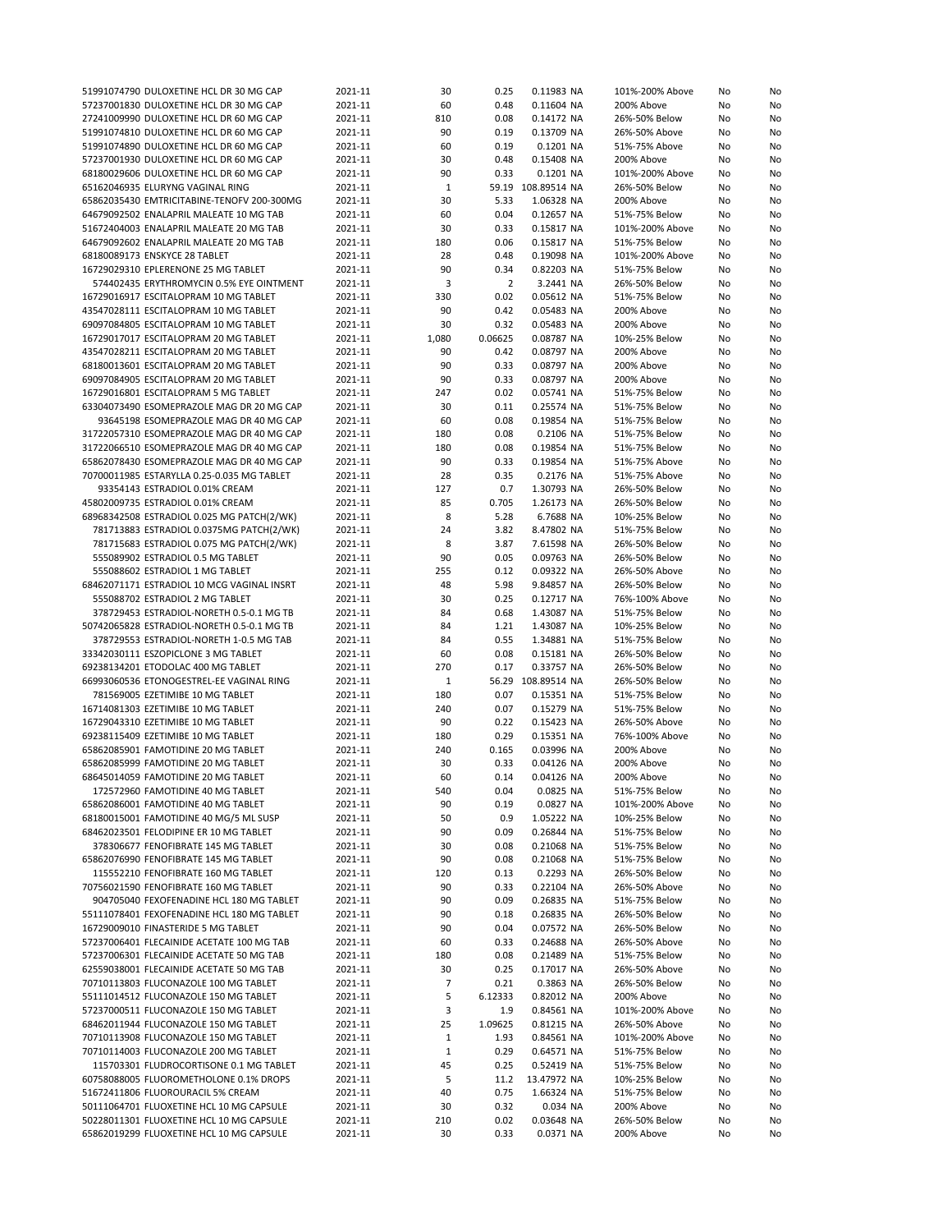| 51991074790 DULOXETINE HCL DR 30 MG CAP    | 2021-11 | 30           | 0.25           | 0.11983 NA         | 101%-200% Above | No | No |
|--------------------------------------------|---------|--------------|----------------|--------------------|-----------------|----|----|
| 57237001830 DULOXETINE HCL DR 30 MG CAP    | 2021-11 | 60           | 0.48           | 0.11604 NA         | 200% Above      | No | No |
| 27241009990 DULOXETINE HCL DR 60 MG CAP    | 2021-11 | 810          | 0.08           | 0.14172 NA         | 26%-50% Below   | No | No |
| 51991074810 DULOXETINE HCL DR 60 MG CAP    | 2021-11 | 90           | 0.19           | 0.13709 NA         | 26%-50% Above   | No | No |
| 51991074890 DULOXETINE HCL DR 60 MG CAP    | 2021-11 | 60           | 0.19           | 0.1201 NA          | 51%-75% Above   | No | No |
| 57237001930 DULOXETINE HCL DR 60 MG CAP    | 2021-11 | 30           | 0.48           | 0.15408 NA         | 200% Above      | No | No |
| 68180029606 DULOXETINE HCL DR 60 MG CAP    | 2021-11 | 90           | 0.33           | 0.1201 NA          | 101%-200% Above | No | No |
| 65162046935 ELURYNG VAGINAL RING           | 2021-11 | 1            |                | 59.19 108.89514 NA | 26%-50% Below   | No | No |
| 65862035430 EMTRICITABINE-TENOFV 200-300MG | 2021-11 | 30           | 5.33           | 1.06328 NA         | 200% Above      | No |    |
|                                            |         |              |                |                    |                 |    | No |
| 64679092502 ENALAPRIL MALEATE 10 MG TAB    | 2021-11 | 60           | 0.04           | 0.12657 NA         | 51%-75% Below   | No | No |
| 51672404003 ENALAPRIL MALEATE 20 MG TAB    | 2021-11 | 30           | 0.33           | 0.15817 NA         | 101%-200% Above | No | No |
| 64679092602 ENALAPRIL MALEATE 20 MG TAB    | 2021-11 | 180          | 0.06           | 0.15817 NA         | 51%-75% Below   | No | No |
| 68180089173 ENSKYCE 28 TABLET              | 2021-11 | 28           | 0.48           | 0.19098 NA         | 101%-200% Above | No | No |
| 16729029310 EPLERENONE 25 MG TABLET        | 2021-11 | 90           | 0.34           | 0.82203 NA         | 51%-75% Below   | No | No |
| 574402435 ERYTHROMYCIN 0.5% EYE OINTMENT   | 2021-11 | 3            | $\overline{2}$ | 3.2441 NA          | 26%-50% Below   | No | No |
| 16729016917 ESCITALOPRAM 10 MG TABLET      | 2021-11 | 330          | 0.02           | 0.05612 NA         | 51%-75% Below   | No | No |
| 43547028111 ESCITALOPRAM 10 MG TABLET      | 2021-11 | 90           | 0.42           | 0.05483 NA         | 200% Above      | No | No |
| 69097084805 ESCITALOPRAM 10 MG TABLET      | 2021-11 | 30           | 0.32           | 0.05483 NA         | 200% Above      | No | No |
| 16729017017 ESCITALOPRAM 20 MG TABLET      | 2021-11 | 1,080        | 0.06625        | 0.08787 NA         | 10%-25% Below   | No | No |
|                                            |         |              |                |                    |                 |    |    |
| 43547028211 ESCITALOPRAM 20 MG TABLET      | 2021-11 | 90           | 0.42           | 0.08797 NA         | 200% Above      | No | No |
| 68180013601 ESCITALOPRAM 20 MG TABLET      | 2021-11 | 90           | 0.33           | 0.08797 NA         | 200% Above      | No | No |
| 69097084905 ESCITALOPRAM 20 MG TABLET      | 2021-11 | 90           | 0.33           | 0.08797 NA         | 200% Above      | No | No |
| 16729016801 ESCITALOPRAM 5 MG TABLET       | 2021-11 | 247          | 0.02           | 0.05741 NA         | 51%-75% Below   | No | No |
| 63304073490 ESOMEPRAZOLE MAG DR 20 MG CAP  | 2021-11 | 30           | 0.11           | 0.25574 NA         | 51%-75% Below   | No | No |
| 93645198 ESOMEPRAZOLE MAG DR 40 MG CAP     | 2021-11 | 60           | 0.08           | 0.19854 NA         | 51%-75% Below   | No | No |
| 31722057310 ESOMEPRAZOLE MAG DR 40 MG CAP  | 2021-11 | 180          | 0.08           | 0.2106 NA          | 51%-75% Below   | No | No |
| 31722066510 ESOMEPRAZOLE MAG DR 40 MG CAP  | 2021-11 | 180          | 0.08           | 0.19854 NA         | 51%-75% Below   | No | No |
| 65862078430 ESOMEPRAZOLE MAG DR 40 MG CAP  | 2021-11 | 90           | 0.33           | 0.19854 NA         | 51%-75% Above   | No | No |
| 70700011985 ESTARYLLA 0.25-0.035 MG TABLET | 2021-11 | 28           | 0.35           | 0.2176 NA          | 51%-75% Above   |    |    |
|                                            |         |              |                |                    |                 | No | No |
| 93354143 ESTRADIOL 0.01% CREAM             | 2021-11 | 127          | 0.7            | 1.30793 NA         | 26%-50% Below   | No | No |
| 45802009735 ESTRADIOL 0.01% CREAM          | 2021-11 | 85           | 0.705          | 1.26173 NA         | 26%-50% Below   | No | No |
| 68968342508 ESTRADIOL 0.025 MG PATCH(2/WK) | 2021-11 | 8            | 5.28           | 6.7688 NA          | 10%-25% Below   | No | No |
| 781713883 ESTRADIOL 0.0375MG PATCH(2/WK)   | 2021-11 | 24           | 3.82           | 8.47802 NA         | 51%-75% Below   | No | No |
| 781715683 ESTRADIOL 0.075 MG PATCH(2/WK)   | 2021-11 | 8            | 3.87           | 7.61598 NA         | 26%-50% Below   | No | No |
| 555089902 ESTRADIOL 0.5 MG TABLET          | 2021-11 | 90           | 0.05           | 0.09763 NA         | 26%-50% Below   | No | No |
| 555088602 ESTRADIOL 1 MG TABLET            | 2021-11 | 255          | 0.12           | 0.09322 NA         | 26%-50% Above   | No | No |
| 68462071171 ESTRADIOL 10 MCG VAGINAL INSRT | 2021-11 | 48           | 5.98           | 9.84857 NA         | 26%-50% Below   | No | No |
| 555088702 ESTRADIOL 2 MG TABLET            | 2021-11 | 30           | 0.25           | 0.12717 NA         |                 |    | No |
|                                            |         |              |                |                    | 76%-100% Above  | No |    |
| 378729453 ESTRADIOL-NORETH 0.5-0.1 MG TB   | 2021-11 | 84           | 0.68           | 1.43087 NA         | 51%-75% Below   | No | No |
| 50742065828 ESTRADIOL-NORETH 0.5-0.1 MG TB | 2021-11 | 84           | 1.21           | 1.43087 NA         | 10%-25% Below   | No | No |
| 378729553 ESTRADIOL-NORETH 1-0.5 MG TAB    | 2021-11 | 84           | 0.55           | 1.34881 NA         | 51%-75% Below   | No | No |
| 33342030111 ESZOPICLONE 3 MG TABLET        | 2021-11 | 60           | 0.08           | 0.15181 NA         | 26%-50% Below   | No | No |
| 69238134201 ETODOLAC 400 MG TABLET         | 2021-11 | 270          | 0.17           | 0.33757 NA         | 26%-50% Below   | No | No |
| 66993060536 ETONOGESTREL-EE VAGINAL RING   | 2021-11 | $\mathbf{1}$ |                | 56.29 108.89514 NA | 26%-50% Below   | No | No |
| 781569005 EZETIMIBE 10 MG TABLET           | 2021-11 | 180          | 0.07           | 0.15351 NA         | 51%-75% Below   | No | No |
| 16714081303 EZETIMIBE 10 MG TABLET         | 2021-11 | 240          | 0.07           | 0.15279 NA         | 51%-75% Below   | No | No |
| 16729043310 EZETIMIBE 10 MG TABLET         | 2021-11 | 90           | 0.22           | 0.15423 NA         | 26%-50% Above   | No | No |
| 69238115409 EZETIMIBE 10 MG TABLET         | 2021-11 | 180          | 0.29           | 0.15351 NA         | 76%-100% Above  | No | No |
| 65862085901 FAMOTIDINE 20 MG TABLET        | 2021-11 | 240          | 0.165          | 0.03996 NA         | 200% Above      | No |    |
|                                            |         |              |                |                    |                 |    | No |
| 65862085999 FAMOTIDINE 20 MG TABLET        | 2021-11 | 30           | 0.33           | 0.04126 NA         | 200% Above      | No | No |
| 68645014059 FAMOTIDINE 20 MG TABLET        | 2021-11 | 60           | 0.14           | 0.04126 NA         | 200% Above      | No | No |
| 172572960 FAMOTIDINE 40 MG TABLET          | 2021-11 | 540          | 0.04           | 0.0825 NA          | 51%-75% Below   | No | No |
| 65862086001 FAMOTIDINE 40 MG TABLET        | 2021-11 | 90           | 0.19           | 0.0827 NA          | 101%-200% Above | No | No |
| 68180015001 FAMOTIDINE 40 MG/5 ML SUSP     | 2021-11 | 50           | 0.9            | 1.05222 NA         | 10%-25% Below   | No | No |
| 68462023501 FELODIPINE ER 10 MG TABLET     | 2021-11 | 90           | 0.09           | 0.26844 NA         | 51%-75% Below   | No | No |
| 378306677 FENOFIBRATE 145 MG TABLET        | 2021-11 | 30           | 0.08           | 0.21068 NA         | 51%-75% Below   | No | No |
| 65862076990 FENOFIBRATE 145 MG TABLET      | 2021-11 | 90           | 0.08           | 0.21068 NA         | 51%-75% Below   | No | No |
| 115552210 FENOFIBRATE 160 MG TABLET        | 2021-11 | 120          | 0.13           | 0.2293 NA          | 26%-50% Below   | No | No |
| 70756021590 FENOFIBRATE 160 MG TABLET      |         |              | 0.33           | 0.22104 NA         |                 |    |    |
|                                            | 2021-11 | 90           |                |                    | 26%-50% Above   | No | No |
| 904705040 FEXOFENADINE HCL 180 MG TABLET   | 2021-11 | 90           | 0.09           | 0.26835 NA         | 51%-75% Below   | No | No |
| 55111078401 FEXOFENADINE HCL 180 MG TABLET | 2021-11 | 90           | 0.18           | 0.26835 NA         | 26%-50% Below   | No | No |
| 16729009010 FINASTERIDE 5 MG TABLET        | 2021-11 | 90           | 0.04           | 0.07572 NA         | 26%-50% Below   | No | No |
| 57237006401 FLECAINIDE ACETATE 100 MG TAB  | 2021-11 | 60           | 0.33           | 0.24688 NA         | 26%-50% Above   | No | No |
| 57237006301 FLECAINIDE ACETATE 50 MG TAB   | 2021-11 | 180          | 0.08           | 0.21489 NA         | 51%-75% Below   | No | No |
| 62559038001 FLECAINIDE ACETATE 50 MG TAB   | 2021-11 | 30           | 0.25           | 0.17017 NA         | 26%-50% Above   | No | No |
| 70710113803 FLUCONAZOLE 100 MG TABLET      | 2021-11 | 7            | 0.21           | 0.3863 NA          | 26%-50% Below   | No | No |
| 55111014512 FLUCONAZOLE 150 MG TABLET      | 2021-11 | 5            | 6.12333        | 0.82012 NA         | 200% Above      | No | No |
| 57237000511 FLUCONAZOLE 150 MG TABLET      |         | 3            | 1.9            |                    | 101%-200% Above |    |    |
|                                            | 2021-11 |              |                | 0.84561 NA         |                 | No | No |
| 68462011944 FLUCONAZOLE 150 MG TABLET      | 2021-11 | 25           | 1.09625        | 0.81215 NA         | 26%-50% Above   | No | No |
| 70710113908 FLUCONAZOLE 150 MG TABLET      | 2021-11 | $\mathbf{1}$ | 1.93           | 0.84561 NA         | 101%-200% Above | No | No |
| 70710114003 FLUCONAZOLE 200 MG TABLET      | 2021-11 | $\mathbf{1}$ | 0.29           | 0.64571 NA         | 51%-75% Below   | No | No |
| 115703301 FLUDROCORTISONE 0.1 MG TABLET    | 2021-11 | 45           | 0.25           | 0.52419 NA         | 51%-75% Below   | No | No |
| 60758088005 FLUOROMETHOLONE 0.1% DROPS     | 2021-11 | 5            | 11.2           | 13.47972 NA        | 10%-25% Below   | No | No |
| 51672411806 FLUOROURACIL 5% CREAM          | 2021-11 | 40           | 0.75           | 1.66324 NA         | 51%-75% Below   | No | No |
| 50111064701 FLUOXETINE HCL 10 MG CAPSULE   | 2021-11 | 30           | 0.32           | 0.034 NA           | 200% Above      | No | No |
| 50228011301 FLUOXETINE HCL 10 MG CAPSULE   | 2021-11 | 210          | 0.02           | 0.03648 NA         | 26%-50% Below   | No | No |
| 65862019299 FLUOXETINE HCL 10 MG CAPSULE   | 2021-11 | 30           | 0.33           | 0.0371 NA          | 200% Above      | No | No |
|                                            |         |              |                |                    |                 |    |    |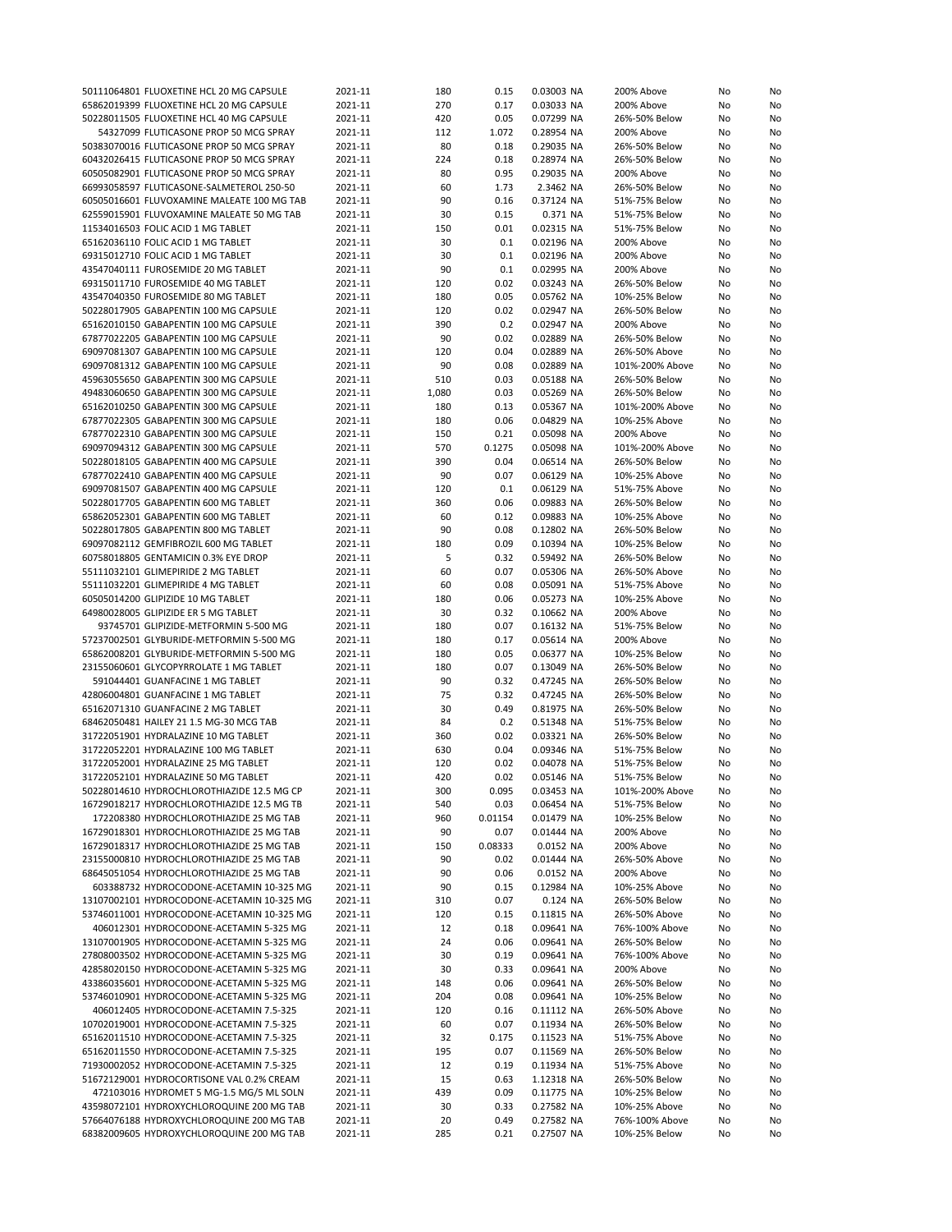| 50111064801 FLUOXETINE HCL 20 MG CAPSULE   | 2021-11 | 180   | 0.15    | 0.03003 NA | 200% Above      | No | No |
|--------------------------------------------|---------|-------|---------|------------|-----------------|----|----|
| 65862019399 FLUOXETINE HCL 20 MG CAPSULE   | 2021-11 | 270   | 0.17    | 0.03033 NA | 200% Above      | No | No |
| 50228011505 FLUOXETINE HCL 40 MG CAPSULE   | 2021-11 | 420   | 0.05    | 0.07299 NA | 26%-50% Below   | No | No |
| 54327099 FLUTICASONE PROP 50 MCG SPRAY     | 2021-11 | 112   | 1.072   | 0.28954 NA | 200% Above      | No | No |
| 50383070016 FLUTICASONE PROP 50 MCG SPRAY  | 2021-11 | 80    | 0.18    | 0.29035 NA | 26%-50% Below   | No | No |
| 60432026415 FLUTICASONE PROP 50 MCG SPRAY  | 2021-11 | 224   | 0.18    | 0.28974 NA | 26%-50% Below   | No | No |
| 60505082901 FLUTICASONE PROP 50 MCG SPRAY  | 2021-11 | 80    | 0.95    | 0.29035 NA | 200% Above      | No | No |
| 66993058597 FLUTICASONE-SALMETEROL 250-50  | 2021-11 | 60    | 1.73    | 2.3462 NA  | 26%-50% Below   | No | No |
| 60505016601 FLUVOXAMINE MALEATE 100 MG TAB | 2021-11 | 90    | 0.16    | 0.37124 NA | 51%-75% Below   | No | No |
| 62559015901 FLUVOXAMINE MALEATE 50 MG TAB  | 2021-11 | 30    | 0.15    | 0.371 NA   | 51%-75% Below   | No | No |
| 11534016503 FOLIC ACID 1 MG TABLET         | 2021-11 | 150   | 0.01    | 0.02315 NA | 51%-75% Below   | No | No |
| 65162036110 FOLIC ACID 1 MG TABLET         | 2021-11 | 30    | 0.1     | 0.02196 NA | 200% Above      | No | No |
| 69315012710 FOLIC ACID 1 MG TABLET         | 2021-11 | 30    | 0.1     | 0.02196 NA | 200% Above      | No | No |
| 43547040111 FUROSEMIDE 20 MG TABLET        | 2021-11 | 90    | 0.1     | 0.02995 NA | 200% Above      | No | No |
| 69315011710 FUROSEMIDE 40 MG TABLET        | 2021-11 | 120   | 0.02    | 0.03243 NA | 26%-50% Below   | No | No |
| 43547040350 FUROSEMIDE 80 MG TABLET        |         | 180   | 0.05    |            | 10%-25% Below   |    |    |
|                                            | 2021-11 |       |         | 0.05762 NA |                 | No | No |
| 50228017905 GABAPENTIN 100 MG CAPSULE      | 2021-11 | 120   | 0.02    | 0.02947 NA | 26%-50% Below   | No | No |
| 65162010150 GABAPENTIN 100 MG CAPSULE      | 2021-11 | 390   | 0.2     | 0.02947 NA | 200% Above      | No | No |
| 67877022205 GABAPENTIN 100 MG CAPSULE      | 2021-11 | 90    | 0.02    | 0.02889 NA | 26%-50% Below   | No | No |
| 69097081307 GABAPENTIN 100 MG CAPSULE      | 2021-11 | 120   | 0.04    | 0.02889 NA | 26%-50% Above   | No | No |
| 69097081312 GABAPENTIN 100 MG CAPSULE      | 2021-11 | 90    | 0.08    | 0.02889 NA | 101%-200% Above | No | No |
| 45963055650 GABAPENTIN 300 MG CAPSULE      | 2021-11 | 510   | 0.03    | 0.05188 NA | 26%-50% Below   | No | No |
| 49483060650 GABAPENTIN 300 MG CAPSULE      | 2021-11 | 1,080 | 0.03    | 0.05269 NA | 26%-50% Below   | No | No |
| 65162010250 GABAPENTIN 300 MG CAPSULE      | 2021-11 | 180   | 0.13    | 0.05367 NA | 101%-200% Above | No | No |
| 67877022305 GABAPENTIN 300 MG CAPSULE      | 2021-11 | 180   | 0.06    | 0.04829 NA | 10%-25% Above   | No | No |
| 67877022310 GABAPENTIN 300 MG CAPSULE      | 2021-11 | 150   | 0.21    | 0.05098 NA | 200% Above      | No | No |
| 69097094312 GABAPENTIN 300 MG CAPSULE      | 2021-11 | 570   | 0.1275  | 0.05098 NA | 101%-200% Above | No | No |
| 50228018105 GABAPENTIN 400 MG CAPSULE      | 2021-11 | 390   | 0.04    | 0.06514 NA | 26%-50% Below   | No | No |
| 67877022410 GABAPENTIN 400 MG CAPSULE      | 2021-11 | 90    | 0.07    | 0.06129 NA | 10%-25% Above   | No | No |
| 69097081507 GABAPENTIN 400 MG CAPSULE      | 2021-11 | 120   | 0.1     | 0.06129 NA | 51%-75% Above   | No | No |
| 50228017705 GABAPENTIN 600 MG TABLET       | 2021-11 | 360   | 0.06    | 0.09883 NA | 26%-50% Below   | No | No |
| 65862052301 GABAPENTIN 600 MG TABLET       | 2021-11 | 60    | 0.12    | 0.09883 NA | 10%-25% Above   | No | No |
| 50228017805 GABAPENTIN 800 MG TABLET       | 2021-11 | 90    | 0.08    | 0.12802 NA | 26%-50% Below   | No | No |
| 69097082112 GEMFIBROZIL 600 MG TABLET      | 2021-11 | 180   | 0.09    | 0.10394 NA | 10%-25% Below   | No | No |
| 60758018805 GENTAMICIN 0.3% EYE DROP       | 2021-11 | 5     | 0.32    | 0.59492 NA | 26%-50% Below   | No | No |
| 55111032101 GLIMEPIRIDE 2 MG TABLET        | 2021-11 | 60    | 0.07    | 0.05306 NA | 26%-50% Above   | No |    |
|                                            |         |       | 0.08    |            |                 |    | No |
| 55111032201 GLIMEPIRIDE 4 MG TABLET        | 2021-11 | 60    |         | 0.05091 NA | 51%-75% Above   | No | No |
| 60505014200 GLIPIZIDE 10 MG TABLET         | 2021-11 | 180   | 0.06    | 0.05273 NA | 10%-25% Above   | No | No |
| 64980028005 GLIPIZIDE ER 5 MG TABLET       | 2021-11 | 30    | 0.32    | 0.10662 NA | 200% Above      | No | No |
| 93745701 GLIPIZIDE-METFORMIN 5-500 MG      | 2021-11 | 180   | 0.07    | 0.16132 NA | 51%-75% Below   | No | No |
| 57237002501 GLYBURIDE-METFORMIN 5-500 MG   | 2021-11 | 180   | 0.17    | 0.05614 NA | 200% Above      | No | No |
| 65862008201 GLYBURIDE-METFORMIN 5-500 MG   | 2021-11 | 180   | 0.05    | 0.06377 NA | 10%-25% Below   | No | No |
| 23155060601 GLYCOPYRROLATE 1 MG TABLET     | 2021-11 | 180   | 0.07    | 0.13049 NA | 26%-50% Below   | No | No |
| 591044401 GUANFACINE 1 MG TABLET           | 2021-11 | 90    | 0.32    | 0.47245 NA | 26%-50% Below   | No | No |
| 42806004801 GUANFACINE 1 MG TABLET         | 2021-11 | 75    | 0.32    | 0.47245 NA | 26%-50% Below   | No | No |
| 65162071310 GUANFACINE 2 MG TABLET         | 2021-11 | 30    | 0.49    | 0.81975 NA | 26%-50% Below   | No | No |
| 68462050481 HAILEY 21 1.5 MG-30 MCG TAB    | 2021-11 | 84    | 0.2     | 0.51348 NA | 51%-75% Below   | No | No |
| 31722051901 HYDRALAZINE 10 MG TABLET       | 2021-11 | 360   | 0.02    | 0.03321 NA | 26%-50% Below   | No | No |
| 31722052201 HYDRALAZINE 100 MG TABLET      | 2021-11 | 630   | 0.04    | 0.09346 NA | 51%-75% Below   | No | No |
| 31722052001 HYDRALAZINE 25 MG TABLET       | 2021-11 | 120   | 0.02    | 0.04078 NA | 51%-75% Below   | No | No |
| 31722052101 HYDRALAZINE 50 MG TABLET       | 2021-11 | 420   | 0.02    | 0.05146 NA | 51%-75% Below   | No | No |
| 50228014610 HYDROCHLOROTHIAZIDE 12.5 MG CP | 2021-11 | 300   | 0.095   | 0.03453 NA | 101%-200% Above | No | No |
| 16729018217 HYDROCHLOROTHIAZIDE 12.5 MG TB | 2021-11 | 540   | 0.03    | 0.06454 NA | 51%-75% Below   | No | No |
| 172208380 HYDROCHLOROTHIAZIDE 25 MG TAB    | 2021-11 | 960   | 0.01154 | 0.01479 NA | 10%-25% Below   | No | No |
| 16729018301 HYDROCHLOROTHIAZIDE 25 MG TAB  | 2021-11 | 90    | 0.07    | 0.01444 NA | 200% Above      | No | No |
| 16729018317 HYDROCHLOROTHIAZIDE 25 MG TAB  | 2021-11 | 150   | 0.08333 | 0.0152 NA  | 200% Above      | No | No |
| 23155000810 HYDROCHLOROTHIAZIDE 25 MG TAB  | 2021-11 | 90    | 0.02    | 0.01444 NA | 26%-50% Above   | No | No |
| 68645051054 HYDROCHLOROTHIAZIDE 25 MG TAB  | 2021-11 | 90    | 0.06    | 0.0152 NA  | 200% Above      | No | No |
| 603388732 HYDROCODONE-ACETAMIN 10-325 MG   | 2021-11 | 90    | 0.15    | 0.12984 NA | 10%-25% Above   | No | No |
| 13107002101 HYDROCODONE-ACETAMIN 10-325 MG | 2021-11 | 310   | 0.07    | 0.124 NA   | 26%-50% Below   | No | No |
| 53746011001 HYDROCODONE-ACETAMIN 10-325 MG | 2021-11 | 120   | 0.15    | 0.11815 NA | 26%-50% Above   | No | No |
| 406012301 HYDROCODONE-ACETAMIN 5-325 MG    | 2021-11 | 12    | 0.18    | 0.09641 NA | 76%-100% Above  | No | No |
| 13107001905 HYDROCODONE-ACETAMIN 5-325 MG  |         |       |         |            |                 |    |    |
|                                            | 2021-11 | 24    | 0.06    | 0.09641 NA | 26%-50% Below   | No | No |
| 27808003502 HYDROCODONE-ACETAMIN 5-325 MG  | 2021-11 | 30    | 0.19    | 0.09641 NA | 76%-100% Above  | No | No |
| 42858020150 HYDROCODONE-ACETAMIN 5-325 MG  | 2021-11 | 30    | 0.33    | 0.09641 NA | 200% Above      | No | No |
| 43386035601 HYDROCODONE-ACETAMIN 5-325 MG  | 2021-11 | 148   | 0.06    | 0.09641 NA | 26%-50% Below   | No | No |
| 53746010901 HYDROCODONE-ACETAMIN 5-325 MG  | 2021-11 | 204   | 0.08    | 0.09641 NA | 10%-25% Below   | No | No |
| 406012405 HYDROCODONE-ACETAMIN 7.5-325     | 2021-11 | 120   | 0.16    | 0.11112 NA | 26%-50% Above   | No | No |
| 10702019001 HYDROCODONE-ACETAMIN 7.5-325   | 2021-11 | 60    | 0.07    | 0.11934 NA | 26%-50% Below   | No | No |
| 65162011510 HYDROCODONE-ACETAMIN 7.5-325   | 2021-11 | 32    | 0.175   | 0.11523 NA | 51%-75% Above   | No | No |
| 65162011550 HYDROCODONE-ACETAMIN 7.5-325   | 2021-11 | 195   | 0.07    | 0.11569 NA | 26%-50% Below   | No | No |
| 71930002052 HYDROCODONE-ACETAMIN 7.5-325   | 2021-11 | 12    | 0.19    | 0.11934 NA | 51%-75% Above   | No | No |
| 51672129001 HYDROCORTISONE VAL 0.2% CREAM  | 2021-11 | 15    | 0.63    | 1.12318 NA | 26%-50% Below   | No | No |
| 472103016 HYDROMET 5 MG-1.5 MG/5 ML SOLN   | 2021-11 | 439   | 0.09    | 0.11775 NA | 10%-25% Below   | No | No |
| 43598072101 HYDROXYCHLOROQUINE 200 MG TAB  | 2021-11 | 30    | 0.33    | 0.27582 NA | 10%-25% Above   | No | No |
| 57664076188 HYDROXYCHLOROQUINE 200 MG TAB  | 2021-11 | 20    | 0.49    | 0.27582 NA | 76%-100% Above  | No | No |
| 68382009605 HYDROXYCHLOROQUINE 200 MG TAB  | 2021-11 | 285   | 0.21    | 0.27507 NA | 10%-25% Below   | No | No |
|                                            |         |       |         |            |                 |    |    |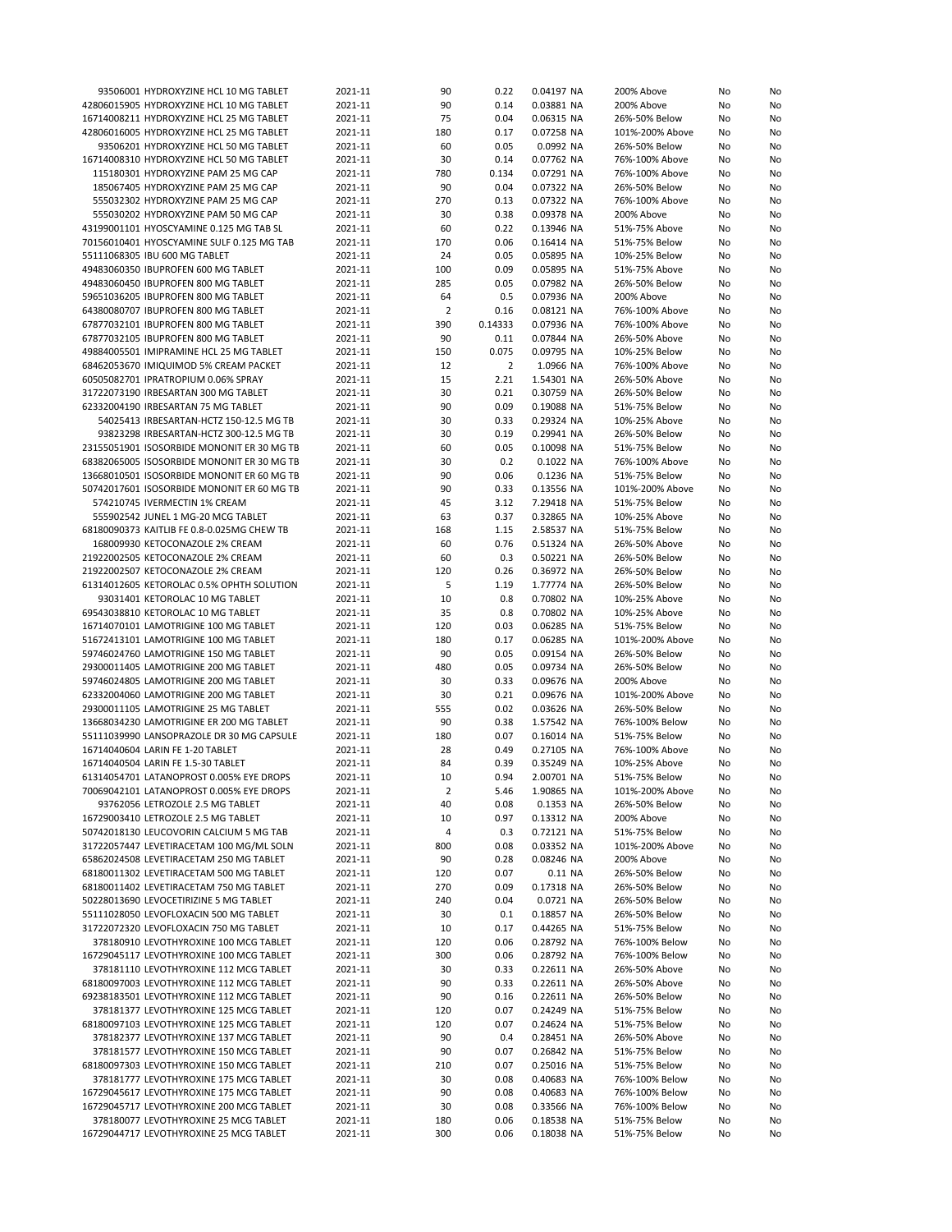| 93506001 HYDROXYZINE HCL 10 MG TABLET      | 2021-11 | 90             | 0.22    | 0.04197 NA | 200% Above      | No | No |
|--------------------------------------------|---------|----------------|---------|------------|-----------------|----|----|
| 42806015905 HYDROXYZINE HCL 10 MG TABLET   | 2021-11 | 90             | 0.14    | 0.03881 NA | 200% Above      | No | No |
|                                            |         | 75             | 0.04    |            |                 | No | No |
| 16714008211 HYDROXYZINE HCL 25 MG TABLET   | 2021-11 |                |         | 0.06315 NA | 26%-50% Below   |    |    |
| 42806016005 HYDROXYZINE HCL 25 MG TABLET   | 2021-11 | 180            | 0.17    | 0.07258 NA | 101%-200% Above | No | No |
| 93506201 HYDROXYZINE HCL 50 MG TABLET      | 2021-11 | 60             | 0.05    | 0.0992 NA  | 26%-50% Below   | No | No |
| 16714008310 HYDROXYZINE HCL 50 MG TABLET   | 2021-11 | 30             | 0.14    | 0.07762 NA | 76%-100% Above  | No | No |
| 115180301 HYDROXYZINE PAM 25 MG CAP        | 2021-11 | 780            | 0.134   | 0.07291 NA | 76%-100% Above  | No | No |
| 185067405 HYDROXYZINE PAM 25 MG CAP        | 2021-11 | 90             | 0.04    | 0.07322 NA | 26%-50% Below   | No | No |
|                                            |         |                |         |            |                 |    |    |
| 555032302 HYDROXYZINE PAM 25 MG CAP        | 2021-11 | 270            | 0.13    | 0.07322 NA | 76%-100% Above  | No | No |
| 555030202 HYDROXYZINE PAM 50 MG CAP        | 2021-11 | 30             | 0.38    | 0.09378 NA | 200% Above      | No | No |
| 43199001101 HYOSCYAMINE 0.125 MG TAB SL    | 2021-11 | 60             | 0.22    | 0.13946 NA | 51%-75% Above   | No | No |
| 70156010401 HYOSCYAMINE SULF 0.125 MG TAB  | 2021-11 | 170            | 0.06    | 0.16414 NA | 51%-75% Below   | No | No |
| 55111068305 IBU 600 MG TABLET              | 2021-11 | 24             | 0.05    | 0.05895 NA | 10%-25% Below   |    | No |
|                                            |         |                |         |            |                 | No |    |
| 49483060350 IBUPROFEN 600 MG TABLET        | 2021-11 | 100            | 0.09    | 0.05895 NA | 51%-75% Above   | No | No |
| 49483060450 IBUPROFEN 800 MG TABLET        | 2021-11 | 285            | 0.05    | 0.07982 NA | 26%-50% Below   | No | No |
| 59651036205 IBUPROFEN 800 MG TABLET        | 2021-11 | 64             | 0.5     | 0.07936 NA | 200% Above      | No | No |
| 64380080707 IBUPROFEN 800 MG TABLET        | 2021-11 | $\overline{2}$ | 0.16    | 0.08121 NA | 76%-100% Above  | No | No |
| 67877032101 IBUPROFEN 800 MG TABLET        | 2021-11 | 390            | 0.14333 | 0.07936 NA | 76%-100% Above  | No | No |
|                                            |         |                |         |            |                 |    |    |
| 67877032105 IBUPROFEN 800 MG TABLET        | 2021-11 | 90             | 0.11    | 0.07844 NA | 26%-50% Above   | No | No |
| 49884005501 IMIPRAMINE HCL 25 MG TABLET    | 2021-11 | 150            | 0.075   | 0.09795 NA | 10%-25% Below   | No | No |
| 68462053670 IMIQUIMOD 5% CREAM PACKET      | 2021-11 | 12             | 2       | 1.0966 NA  | 76%-100% Above  | No | No |
| 60505082701 IPRATROPIUM 0.06% SPRAY        | 2021-11 | 15             | 2.21    | 1.54301 NA | 26%-50% Above   | No | No |
| 31722073190 IRBESARTAN 300 MG TABLET       | 2021-11 | 30             | 0.21    | 0.30759 NA | 26%-50% Below   | No | No |
|                                            |         |                |         |            |                 |    |    |
| 62332004190 IRBESARTAN 75 MG TABLET        | 2021-11 | 90             | 0.09    | 0.19088 NA | 51%-75% Below   | No | No |
| 54025413 IRBESARTAN-HCTZ 150-12.5 MG TB    | 2021-11 | 30             | 0.33    | 0.29324 NA | 10%-25% Above   | No | No |
| 93823298 IRBESARTAN-HCTZ 300-12.5 MG TB    | 2021-11 | 30             | 0.19    | 0.29941 NA | 26%-50% Below   | No | No |
| 23155051901 ISOSORBIDE MONONIT ER 30 MG TB | 2021-11 | 60             | 0.05    | 0.10098 NA | 51%-75% Below   | No | No |
| 68382065005 ISOSORBIDE MONONIT ER 30 MG TB | 2021-11 | 30             | 0.2     | 0.1022 NA  | 76%-100% Above  | No | No |
|                                            |         |                |         |            |                 |    |    |
| 13668010501 ISOSORBIDE MONONIT ER 60 MG TB | 2021-11 | 90             | 0.06    | 0.1236 NA  | 51%-75% Below   | No | No |
| 50742017601 ISOSORBIDE MONONIT ER 60 MG TB | 2021-11 | 90             | 0.33    | 0.13556 NA | 101%-200% Above | No | No |
| 574210745 IVERMECTIN 1% CREAM              | 2021-11 | 45             | 3.12    | 7.29418 NA | 51%-75% Below   | No | No |
| 555902542 JUNEL 1 MG-20 MCG TABLET         | 2021-11 | 63             | 0.37    | 0.32865 NA | 10%-25% Above   | No | No |
|                                            |         |                |         |            |                 |    |    |
| 68180090373 KAITLIB FE 0.8-0.025MG CHEW TB | 2021-11 | 168            | 1.15    | 2.58537 NA | 51%-75% Below   | No | No |
| 168009930 KETOCONAZOLE 2% CREAM            | 2021-11 | 60             | 0.76    | 0.51324 NA | 26%-50% Above   | No | No |
| 21922002505 KETOCONAZOLE 2% CREAM          | 2021-11 | 60             | 0.3     | 0.50221 NA | 26%-50% Below   | No | No |
| 21922002507 KETOCONAZOLE 2% CREAM          | 2021-11 | 120            | 0.26    | 0.36972 NA | 26%-50% Below   | No | No |
| 61314012605 KETOROLAC 0.5% OPHTH SOLUTION  | 2021-11 | 5              | 1.19    | 1.77774 NA | 26%-50% Below   | No | No |
|                                            |         |                |         |            |                 |    |    |
| 93031401 KETOROLAC 10 MG TABLET            | 2021-11 | 10             | 0.8     | 0.70802 NA | 10%-25% Above   | No | No |
| 69543038810 KETOROLAC 10 MG TABLET         | 2021-11 | 35             | 0.8     | 0.70802 NA | 10%-25% Above   | No | No |
| 16714070101 LAMOTRIGINE 100 MG TABLET      | 2021-11 | 120            | 0.03    | 0.06285 NA | 51%-75% Below   | No | No |
| 51672413101 LAMOTRIGINE 100 MG TABLET      | 2021-11 | 180            | 0.17    | 0.06285 NA | 101%-200% Above | No | No |
| 59746024760 LAMOTRIGINE 150 MG TABLET      | 2021-11 | 90             | 0.05    | 0.09154 NA | 26%-50% Below   | No | No |
| 29300011405 LAMOTRIGINE 200 MG TABLET      | 2021-11 | 480            | 0.05    | 0.09734 NA | 26%-50% Below   | No | No |
|                                            |         |                |         |            |                 |    |    |
| 59746024805 LAMOTRIGINE 200 MG TABLET      | 2021-11 | 30             | 0.33    | 0.09676 NA | 200% Above      | No | No |
| 62332004060 LAMOTRIGINE 200 MG TABLET      | 2021-11 | 30             | 0.21    | 0.09676 NA | 101%-200% Above | No | No |
| 29300011105 LAMOTRIGINE 25 MG TABLET       | 2021-11 | 555            | 0.02    | 0.03626 NA | 26%-50% Below   | No | No |
| 13668034230 LAMOTRIGINE ER 200 MG TABLET   | 2021-11 | 90             | 0.38    | 1.57542 NA | 76%-100% Below  | No | No |
|                                            | 2021-11 | 180            | 0.07    |            | 51%-75% Below   |    |    |
| 55111039990 LANSOPRAZOLE DR 30 MG CAPSULE  |         |                |         | 0.16014 NA |                 | No | No |
| 16714040604 LARIN FE 1-20 TABLET           | 2021-11 | 28             | 0.49    | 0.27105 NA | 76%-100% Above  | No | No |
| 16714040504 LARIN FE 1.5-30 TABLET         | 2021-11 | 84             | 0.39    | 0.35249 NA | 10%-25% Above   | No | No |
| 61314054701 LATANOPROST 0.005% EYE DROPS   | 2021-11 | 10             | 0.94    | 2.00701 NA | 51%-75% Below   | No | No |
| 70069042101 LATANOPROST 0.005% EYE DROPS   | 2021-11 | 2              | 5.46    | 1.90865 NA | 101%-200% Above | No | No |
| 93762056 LETROZOLE 2.5 MG TABLET           | 2021-11 | 40             | 0.08    | 0.1353 NA  | 26%-50% Below   | No | No |
|                                            |         |                |         |            |                 |    |    |
| 16729003410 LETROZOLE 2.5 MG TABLET        | 2021-11 | 10             | 0.97    | 0.13312 NA | 200% Above      | No | No |
| 50742018130 LEUCOVORIN CALCIUM 5 MG TAB    | 2021-11 | 4              | 0.3     | 0.72121 NA | 51%-75% Below   | No | No |
| 31722057447 LEVETIRACETAM 100 MG/ML SOLN   | 2021-11 | 800            | 0.08    | 0.03352 NA | 101%-200% Above | No | No |
| 65862024508 LEVETIRACETAM 250 MG TABLET    | 2021-11 | 90             | 0.28    | 0.08246 NA | 200% Above      | No | No |
| 68180011302 LEVETIRACETAM 500 MG TABLET    | 2021-11 | 120            | 0.07    | 0.11 NA    | 26%-50% Below   | No | No |
|                                            |         |                |         |            |                 |    |    |
| 68180011402 LEVETIRACETAM 750 MG TABLET    | 2021-11 | 270            | 0.09    | 0.17318 NA | 26%-50% Below   | No | No |
| 50228013690 LEVOCETIRIZINE 5 MG TABLET     | 2021-11 | 240            | 0.04    | 0.0721 NA  | 26%-50% Below   | No | No |
| 55111028050 LEVOFLOXACIN 500 MG TABLET     | 2021-11 | 30             | 0.1     | 0.18857 NA | 26%-50% Below   | No | No |
| 31722072320 LEVOFLOXACIN 750 MG TABLET     | 2021-11 | 10             | 0.17    | 0.44265 NA | 51%-75% Below   | No | No |
| 378180910 LEVOTHYROXINE 100 MCG TABLET     | 2021-11 | 120            | 0.06    | 0.28792 NA | 76%-100% Below  | No | No |
|                                            |         |                |         |            |                 |    |    |
| 16729045117 LEVOTHYROXINE 100 MCG TABLET   | 2021-11 | 300            | 0.06    | 0.28792 NA | 76%-100% Below  | No | No |
| 378181110 LEVOTHYROXINE 112 MCG TABLET     | 2021-11 | 30             | 0.33    | 0.22611 NA | 26%-50% Above   | No | No |
| 68180097003 LEVOTHYROXINE 112 MCG TABLET   | 2021-11 | 90             | 0.33    | 0.22611 NA | 26%-50% Above   | No | No |
| 69238183501 LEVOTHYROXINE 112 MCG TABLET   | 2021-11 | 90             | 0.16    | 0.22611 NA | 26%-50% Below   | No | No |
| 378181377 LEVOTHYROXINE 125 MCG TABLET     | 2021-11 | 120            | 0.07    | 0.24249 NA | 51%-75% Below   | No | No |
|                                            |         |                |         |            |                 |    |    |
| 68180097103 LEVOTHYROXINE 125 MCG TABLET   | 2021-11 | 120            | 0.07    | 0.24624 NA | 51%-75% Below   | No | No |
| 378182377 LEVOTHYROXINE 137 MCG TABLET     | 2021-11 | 90             | 0.4     | 0.28451 NA | 26%-50% Above   | No | No |
| 378181577 LEVOTHYROXINE 150 MCG TABLET     | 2021-11 | 90             | 0.07    | 0.26842 NA | 51%-75% Below   | No | No |
| 68180097303 LEVOTHYROXINE 150 MCG TABLET   | 2021-11 | 210            | 0.07    | 0.25016 NA | 51%-75% Below   | No | No |
| 378181777 LEVOTHYROXINE 175 MCG TABLET     | 2021-11 | 30             | 0.08    | 0.40683 NA | 76%-100% Below  | No | No |
|                                            |         |                |         |            |                 |    |    |
| 16729045617 LEVOTHYROXINE 175 MCG TABLET   | 2021-11 | 90             | 0.08    | 0.40683 NA | 76%-100% Below  | No | No |
| 16729045717 LEVOTHYROXINE 200 MCG TABLET   | 2021-11 | 30             | 0.08    | 0.33566 NA | 76%-100% Below  | No | No |
| 378180077 LEVOTHYROXINE 25 MCG TABLET      | 2021-11 | 180            | 0.06    | 0.18538 NA | 51%-75% Below   | No | No |
| 16729044717 LEVOTHYROXINE 25 MCG TABLET    | 2021-11 | 300            | 0.06    | 0.18038 NA | 51%-75% Below   | No | No |
|                                            |         |                |         |            |                 |    |    |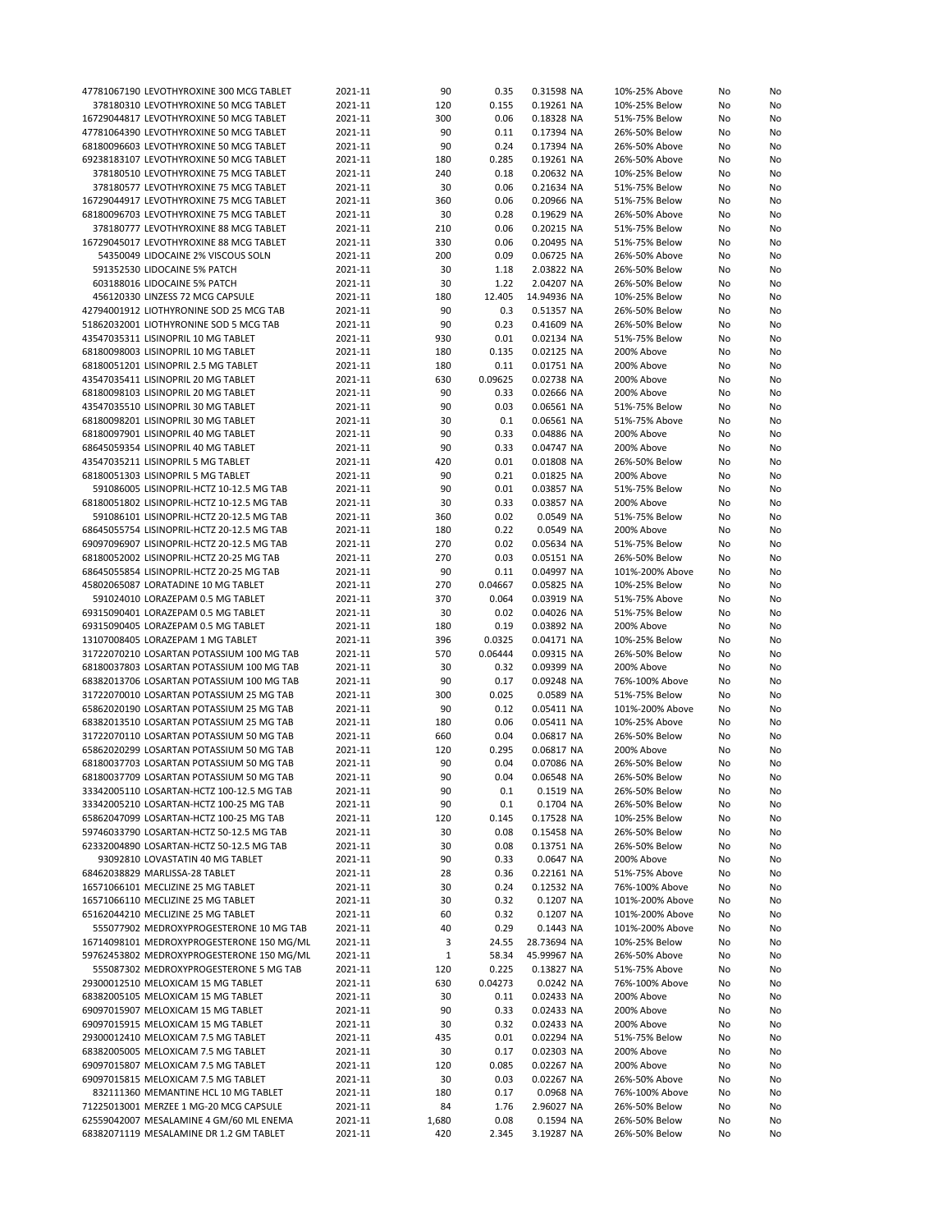| 47781067190 LEVOTHYROXINE 300 MCG TABLET                                           | 2021-11            | 90           | 0.35          | 0.31598 NA              | 10%-25% Above                  | No       | No       |
|------------------------------------------------------------------------------------|--------------------|--------------|---------------|-------------------------|--------------------------------|----------|----------|
| 378180310 LEVOTHYROXINE 50 MCG TABLET                                              | 2021-11            | 120          | 0.155         | 0.19261 NA              | 10%-25% Below                  | No       | No       |
|                                                                                    |                    |              |               |                         |                                |          |          |
| 16729044817 LEVOTHYROXINE 50 MCG TABLET                                            | 2021-11            | 300          | 0.06          | 0.18328 NA              | 51%-75% Below                  | No       | No       |
| 47781064390 LEVOTHYROXINE 50 MCG TABLET                                            | 2021-11            | 90           | 0.11          | 0.17394 NA              | 26%-50% Below                  | No       | No       |
| 68180096603 LEVOTHYROXINE 50 MCG TABLET                                            | 2021-11            | 90           | 0.24          | 0.17394 NA              | 26%-50% Above                  | No       | No       |
| 69238183107 LEVOTHYROXINE 50 MCG TABLET                                            | 2021-11            | 180          | 0.285         | 0.19261 NA              | 26%-50% Above                  | No       | No       |
| 378180510 LEVOTHYROXINE 75 MCG TABLET                                              | 2021-11            | 240          | 0.18          | 0.20632 NA              | 10%-25% Below                  | No       | No       |
| 378180577 LEVOTHYROXINE 75 MCG TABLET                                              | 2021-11            | 30           | 0.06          | 0.21634 NA              | 51%-75% Below                  | No       |          |
|                                                                                    |                    |              |               |                         |                                |          | No       |
| 16729044917 LEVOTHYROXINE 75 MCG TABLET                                            | 2021-11            | 360          | 0.06          | 0.20966 NA              | 51%-75% Below                  | No       | No       |
| 68180096703 LEVOTHYROXINE 75 MCG TABLET                                            | 2021-11            | 30           | 0.28          | 0.19629 NA              | 26%-50% Above                  | No       | No       |
| 378180777 LEVOTHYROXINE 88 MCG TABLET                                              | 2021-11            | 210          | 0.06          | 0.20215 NA              | 51%-75% Below                  | No       | No       |
| 16729045017 LEVOTHYROXINE 88 MCG TABLET                                            | 2021-11            | 330          | 0.06          | 0.20495 NA              | 51%-75% Below                  | No       | No       |
| 54350049 LIDOCAINE 2% VISCOUS SOLN                                                 |                    |              |               |                         |                                |          |          |
|                                                                                    | 2021-11            | 200          | 0.09          | 0.06725 NA              | 26%-50% Above                  | No       | No       |
| 591352530 LIDOCAINE 5% PATCH                                                       | 2021-11            | 30           | 1.18          | 2.03822 NA              | 26%-50% Below                  | No       | No       |
| 603188016 LIDOCAINE 5% PATCH                                                       | 2021-11            | 30           | 1.22          | 2.04207 NA              | 26%-50% Below                  | No       | No       |
| 456120330 LINZESS 72 MCG CAPSULE                                                   | 2021-11            | 180          | 12.405        | 14.94936 NA             | 10%-25% Below                  | No       | No       |
| 42794001912 LIOTHYRONINE SOD 25 MCG TAB                                            | 2021-11            | 90           | 0.3           | 0.51357 NA              | 26%-50% Below                  | No       | No       |
| 51862032001 LIOTHYRONINE SOD 5 MCG TAB                                             | 2021-11            | 90           | 0.23          | 0.41609 NA              | 26%-50% Below                  | No       | No       |
|                                                                                    |                    |              |               |                         |                                |          |          |
| 43547035311 LISINOPRIL 10 MG TABLET                                                | 2021-11            | 930          | 0.01          | 0.02134 NA              | 51%-75% Below                  | No       | No       |
| 68180098003 LISINOPRIL 10 MG TABLET                                                | 2021-11            | 180          | 0.135         | 0.02125 NA              | 200% Above                     | No       | No       |
| 68180051201 LISINOPRIL 2.5 MG TABLET                                               | 2021-11            | 180          | 0.11          | 0.01751 NA              | 200% Above                     | No       | No       |
| 43547035411 LISINOPRIL 20 MG TABLET                                                | 2021-11            | 630          | 0.09625       | 0.02738 NA              | 200% Above                     | No       | No       |
| 68180098103 LISINOPRIL 20 MG TABLET                                                | 2021-11            | 90           | 0.33          | 0.02666 NA              | 200% Above                     | No       | No       |
|                                                                                    |                    |              |               |                         |                                |          |          |
| 43547035510 LISINOPRIL 30 MG TABLET                                                | 2021-11            | 90           | 0.03          | 0.06561 NA              | 51%-75% Below                  | No       | No       |
| 68180098201 LISINOPRIL 30 MG TABLET                                                | 2021-11            | 30           | 0.1           | 0.06561 NA              | 51%-75% Above                  | No       | No       |
| 68180097901 LISINOPRIL 40 MG TABLET                                                | 2021-11            | 90           | 0.33          | 0.04886 NA              | 200% Above                     | No       | No       |
| 68645059354 LISINOPRIL 40 MG TABLET                                                | 2021-11            | 90           | 0.33          | 0.04747 NA              | 200% Above                     | No       | No       |
| 43547035211 LISINOPRIL 5 MG TABLET                                                 | 2021-11            | 420          | 0.01          | 0.01808 NA              | 26%-50% Below                  | No       | No       |
|                                                                                    |                    |              |               |                         |                                |          |          |
| 68180051303 LISINOPRIL 5 MG TABLET                                                 | 2021-11            | 90           | 0.21          | 0.01825 NA              | 200% Above                     | No       | No       |
| 591086005 LISINOPRIL-HCTZ 10-12.5 MG TAB                                           | 2021-11            | 90           | 0.01          | 0.03857 NA              | 51%-75% Below                  | No       | No       |
| 68180051802 LISINOPRIL-HCTZ 10-12.5 MG TAB                                         | 2021-11            | 30           | 0.33          | 0.03857 NA              | 200% Above                     | No       | No       |
| 591086101 LISINOPRIL-HCTZ 20-12.5 MG TAB                                           | 2021-11            | 360          | 0.02          | 0.0549 NA               | 51%-75% Below                  | No       | No       |
| 68645055754 LISINOPRIL-HCTZ 20-12.5 MG TAB                                         | 2021-11            | 180          | 0.22          | 0.0549 NA               | 200% Above                     | No       |          |
|                                                                                    |                    |              |               |                         |                                |          | No       |
| 69097096907 LISINOPRIL-HCTZ 20-12.5 MG TAB                                         | 2021-11            | 270          | 0.02          | 0.05634 NA              | 51%-75% Below                  | No       | No       |
| 68180052002 LISINOPRIL-HCTZ 20-25 MG TAB                                           | 2021-11            | 270          | 0.03          | 0.05151 NA              | 26%-50% Below                  | No       | No       |
| 68645055854 LISINOPRIL-HCTZ 20-25 MG TAB                                           | 2021-11            | 90           | 0.11          | 0.04997 NA              | 101%-200% Above                | No       | No       |
| 45802065087 LORATADINE 10 MG TABLET                                                | 2021-11            | 270          | 0.04667       | 0.05825 NA              | 10%-25% Below                  | No       | No       |
| 591024010 LORAZEPAM 0.5 MG TABLET                                                  |                    | 370          | 0.064         | 0.03919 NA              |                                |          |          |
|                                                                                    | 2021-11            |              |               |                         | 51%-75% Above                  | No       | No       |
| 69315090401 LORAZEPAM 0.5 MG TABLET                                                | 2021-11            | 30           | 0.02          | 0.04026 NA              | 51%-75% Below                  | No       | No       |
| 69315090405 LORAZEPAM 0.5 MG TABLET                                                | 2021-11            | 180          | 0.19          | 0.03892 NA              | 200% Above                     | No       | No       |
| 13107008405 LORAZEPAM 1 MG TABLET                                                  | 2021-11            | 396          | 0.0325        | 0.04171 NA              | 10%-25% Below                  | No       | No       |
| 31722070210 LOSARTAN POTASSIUM 100 MG TAB                                          | 2021-11            | 570          | 0.06444       | 0.09315 NA              | 26%-50% Below                  | No       | No       |
| 68180037803 LOSARTAN POTASSIUM 100 MG TAB                                          | 2021-11            | 30           | 0.32          | 0.09399 NA              | 200% Above                     | No       | No       |
|                                                                                    |                    |              |               |                         |                                |          |          |
| 68382013706 LOSARTAN POTASSIUM 100 MG TAB                                          | 2021-11            | 90           | 0.17          | 0.09248 NA              | 76%-100% Above                 | No       | No       |
| 31722070010 LOSARTAN POTASSIUM 25 MG TAB                                           | 2021-11            | 300          | 0.025         | 0.0589 NA               | 51%-75% Below                  | No       | No       |
| 65862020190 LOSARTAN POTASSIUM 25 MG TAB                                           | 2021-11            | 90           | 0.12          | 0.05411 NA              | 101%-200% Above                | No       | No       |
| 68382013510 LOSARTAN POTASSIUM 25 MG TAB                                           | 2021-11            | 180          | 0.06          | 0.05411 NA              | 10%-25% Above                  | No       | No       |
| 31722070110 LOSARTAN POTASSIUM 50 MG TAB                                           | 2021-11            | 660          | 0.04          | 0.06817 NA              | 26%-50% Below                  | No       | No       |
|                                                                                    |                    |              |               |                         |                                |          |          |
| 65862020299 LOSARTAN POTASSIUM 50 MG TAB                                           | 2021-11            | 120          | 0.295         | 0.06817 NA              | 200% Above                     | No       | No       |
| 68180037703 LOSARTAN POTASSIUM 50 MG TAB                                           | 2021-11            | 90           | 0.04          | 0.07086 NA              | 26%-50% Below                  | No       | No       |
| 68180037709 LOSARTAN POTASSIUM 50 MG TAB                                           | 2021-11            | 90           | 0.04          | 0.06548 NA              | 26%-50% Below                  | No       | No       |
| 33342005110 LOSARTAN-HCTZ 100-12.5 MG TAB                                          | 2021-11            | 90           | 0.1           | 0.1519 NA               | 26%-50% Below                  | No       | No       |
| 33342005210 LOSARTAN-HCTZ 100-25 MG TAB                                            | 2021-11            | 90           | 0.1           | 0.1704 NA               | 26%-50% Below                  | No       | No       |
| 65862047099 LOSARTAN-HCTZ 100-25 MG TAB                                            |                    |              |               | 0.17528 NA              |                                |          |          |
|                                                                                    | 2021-11            | 120          | 0.145         |                         | 10%-25% Below                  | No       | No       |
|                                                                                    |                    |              |               |                         |                                |          |          |
| 59746033790 LOSARTAN-HCTZ 50-12.5 MG TAB                                           | 2021-11            | 30           | 0.08          | 0.15458 NA              | 26%-50% Below                  | No       | No       |
| 62332004890 LOSARTAN-HCTZ 50-12.5 MG TAB                                           | 2021-11            | 30           | 0.08          | 0.13751 NA              | 26%-50% Below                  | No       | No       |
| 93092810 LOVASTATIN 40 MG TABLET                                                   | 2021-11            | 90           | 0.33          | 0.0647 NA               | 200% Above                     | No       | No       |
|                                                                                    |                    |              |               |                         |                                |          |          |
| 68462038829 MARLISSA-28 TABLET                                                     | 2021-11            | 28           | 0.36          | 0.22161 NA              | 51%-75% Above                  | No       | No       |
| 16571066101 MECLIZINE 25 MG TABLET                                                 | 2021-11            | 30           | 0.24          | 0.12532 NA              | 76%-100% Above                 | No       | No       |
| 16571066110 MECLIZINE 25 MG TABLET                                                 | 2021-11            | 30           | 0.32          | 0.1207 NA               | 101%-200% Above                | No       | No       |
| 65162044210 MECLIZINE 25 MG TABLET                                                 | 2021-11            | 60           | 0.32          | 0.1207 NA               | 101%-200% Above                | No       | No       |
| 555077902 MEDROXYPROGESTERONE 10 MG TAB                                            | 2021-11            | 40           | 0.29          | 0.1443 NA               | 101%-200% Above                | No       | No       |
|                                                                                    |                    |              |               |                         |                                |          |          |
| 16714098101 MEDROXYPROGESTERONE 150 MG/ML                                          | 2021-11            | 3            | 24.55         | 28.73694 NA             | 10%-25% Below                  | No       | No       |
| 59762453802 MEDROXYPROGESTERONE 150 MG/ML                                          | 2021-11            | $\mathbf{1}$ | 58.34         | 45.99967 NA             | 26%-50% Above                  | No       | No       |
| 555087302 MEDROXYPROGESTERONE 5 MG TAB                                             | 2021-11            | 120          | 0.225         | 0.13827 NA              | 51%-75% Above                  | No       | No       |
| 29300012510 MELOXICAM 15 MG TABLET                                                 | 2021-11            | 630          | 0.04273       | 0.0242 NA               | 76%-100% Above                 | No       | No       |
| 68382005105 MELOXICAM 15 MG TABLET                                                 | 2021-11            | 30           | 0.11          | 0.02433 NA              | 200% Above                     | No       | No       |
| 69097015907 MELOXICAM 15 MG TABLET                                                 | 2021-11            | 90           | 0.33          | 0.02433 NA              | 200% Above                     | No       | No       |
|                                                                                    |                    |              |               |                         |                                |          |          |
| 69097015915 MELOXICAM 15 MG TABLET                                                 | 2021-11            | 30           | 0.32          | 0.02433 NA              | 200% Above                     | No       | No       |
| 29300012410 MELOXICAM 7.5 MG TABLET                                                | 2021-11            | 435          | 0.01          | 0.02294 NA              | 51%-75% Below                  | No       | No       |
| 68382005005 MELOXICAM 7.5 MG TABLET                                                | 2021-11            | 30           | 0.17          | 0.02303 NA              | 200% Above                     | No       | No       |
| 69097015807 MELOXICAM 7.5 MG TABLET                                                | 2021-11            | 120          | 0.085         | 0.02267 NA              | 200% Above                     | No       | No       |
| 69097015815 MELOXICAM 7.5 MG TABLET                                                | 2021-11            | 30           | 0.03          | 0.02267 NA              | 26%-50% Above                  | No       | No       |
|                                                                                    |                    |              |               |                         |                                |          |          |
| 832111360 MEMANTINE HCL 10 MG TABLET                                               | 2021-11            | 180          | 0.17          | 0.0968 NA               | 76%-100% Above                 | No       | No       |
| 71225013001 MERZEE 1 MG-20 MCG CAPSULE                                             | 2021-11            | 84           | 1.76          | 2.96027 NA              | 26%-50% Below                  | No       | No       |
| 62559042007 MESALAMINE 4 GM/60 ML ENEMA<br>68382071119 MESALAMINE DR 1.2 GM TABLET | 2021-11<br>2021-11 | 1,680<br>420 | 0.08<br>2.345 | 0.1594 NA<br>3.19287 NA | 26%-50% Below<br>26%-50% Below | No<br>No | No<br>No |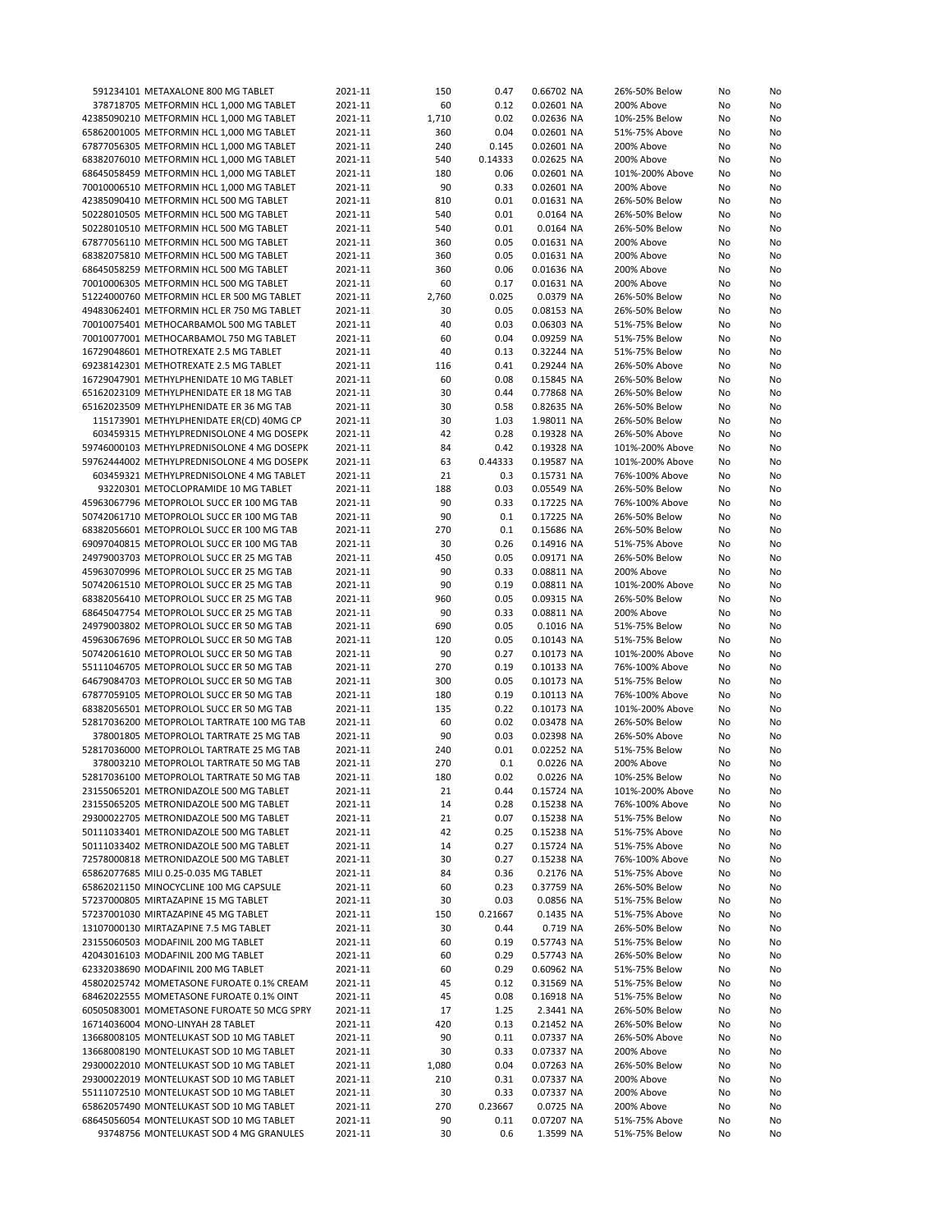| 591234101 METAXALONE 800 MG TABLET         | 2021-11 | 150   | 0.47    | 0.66702 NA | 26%-50% Below   | No | No |
|--------------------------------------------|---------|-------|---------|------------|-----------------|----|----|
| 378718705 METFORMIN HCL 1,000 MG TABLET    | 2021-11 | 60    | 0.12    | 0.02601 NA | 200% Above      | No | No |
| 42385090210 METFORMIN HCL 1,000 MG TABLET  | 2021-11 | 1,710 | 0.02    | 0.02636 NA | 10%-25% Below   | No | No |
| 65862001005 METFORMIN HCL 1,000 MG TABLET  | 2021-11 | 360   | 0.04    | 0.02601 NA | 51%-75% Above   | No | No |
| 67877056305 METFORMIN HCL 1,000 MG TABLET  | 2021-11 | 240   | 0.145   | 0.02601 NA | 200% Above      | No | No |
|                                            |         |       | 0.14333 |            |                 |    |    |
| 68382076010 METFORMIN HCL 1,000 MG TABLET  | 2021-11 | 540   |         | 0.02625 NA | 200% Above      | No | No |
| 68645058459 METFORMIN HCL 1,000 MG TABLET  | 2021-11 | 180   | 0.06    | 0.02601 NA | 101%-200% Above | No | No |
| 70010006510 METFORMIN HCL 1,000 MG TABLET  | 2021-11 | 90    | 0.33    | 0.02601 NA | 200% Above      | No | No |
| 42385090410 METFORMIN HCL 500 MG TABLET    | 2021-11 | 810   | 0.01    | 0.01631 NA | 26%-50% Below   | No | No |
| 50228010505 METFORMIN HCL 500 MG TABLET    | 2021-11 | 540   | 0.01    | 0.0164 NA  | 26%-50% Below   | No | No |
| 50228010510 METFORMIN HCL 500 MG TABLET    | 2021-11 | 540   | 0.01    | 0.0164 NA  | 26%-50% Below   | No | No |
| 67877056110 METFORMIN HCL 500 MG TABLET    | 2021-11 | 360   | 0.05    | 0.01631 NA | 200% Above      | No | No |
| 68382075810 METFORMIN HCL 500 MG TABLET    | 2021-11 | 360   | 0.05    | 0.01631 NA | 200% Above      | No | No |
|                                            |         |       | 0.06    |            |                 |    |    |
| 68645058259 METFORMIN HCL 500 MG TABLET    | 2021-11 | 360   |         | 0.01636 NA | 200% Above      | No | No |
| 70010006305 METFORMIN HCL 500 MG TABLET    | 2021-11 | 60    | 0.17    | 0.01631 NA | 200% Above      | No | No |
| 51224000760 METFORMIN HCL ER 500 MG TABLET | 2021-11 | 2,760 | 0.025   | 0.0379 NA  | 26%-50% Below   | No | No |
| 49483062401 METFORMIN HCL ER 750 MG TABLET | 2021-11 | 30    | 0.05    | 0.08153 NA | 26%-50% Below   | No | No |
| 70010075401 METHOCARBAMOL 500 MG TABLET    | 2021-11 | 40    | 0.03    | 0.06303 NA | 51%-75% Below   | No | No |
| 70010077001 METHOCARBAMOL 750 MG TABLET    | 2021-11 | 60    | 0.04    | 0.09259 NA | 51%-75% Below   | No | No |
| 16729048601 METHOTREXATE 2.5 MG TABLET     | 2021-11 | 40    | 0.13    | 0.32244 NA | 51%-75% Below   | No | No |
| 69238142301 METHOTREXATE 2.5 MG TABLET     | 2021-11 | 116   | 0.41    | 0.29244 NA | 26%-50% Above   | No | No |
|                                            | 2021-11 | 60    | 0.08    | 0.15845 NA |                 |    |    |
| 16729047901 METHYLPHENIDATE 10 MG TABLET   |         |       |         |            | 26%-50% Below   | No | No |
| 65162023109 METHYLPHENIDATE ER 18 MG TAB   | 2021-11 | 30    | 0.44    | 0.77868 NA | 26%-50% Below   | No | No |
| 65162023509 METHYLPHENIDATE ER 36 MG TAB   | 2021-11 | 30    | 0.58    | 0.82635 NA | 26%-50% Below   | No | No |
| 115173901 METHYLPHENIDATE ER(CD) 40MG CP   | 2021-11 | 30    | 1.03    | 1.98011 NA | 26%-50% Below   | No | No |
| 603459315 METHYLPREDNISOLONE 4 MG DOSEPK   | 2021-11 | 42    | 0.28    | 0.19328 NA | 26%-50% Above   | No | No |
| 59746000103 METHYLPREDNISOLONE 4 MG DOSEPK | 2021-11 | 84    | 0.42    | 0.19328 NA | 101%-200% Above | No | No |
| 59762444002 METHYLPREDNISOLONE 4 MG DOSEPK | 2021-11 | 63    | 0.44333 | 0.19587 NA | 101%-200% Above | No | No |
| 603459321 METHYLPREDNISOLONE 4 MG TABLET   | 2021-11 | 21    | 0.3     | 0.15731 NA | 76%-100% Above  | No | No |
| 93220301 METOCLOPRAMIDE 10 MG TABLET       | 2021-11 | 188   | 0.03    | 0.05549 NA | 26%-50% Below   | No | No |
|                                            |         |       |         |            |                 |    |    |
| 45963067796 METOPROLOL SUCC ER 100 MG TAB  | 2021-11 | 90    | 0.33    | 0.17225 NA | 76%-100% Above  | No | No |
| 50742061710 METOPROLOL SUCC ER 100 MG TAB  | 2021-11 | 90    | 0.1     | 0.17225 NA | 26%-50% Below   | No | No |
| 68382056601 METOPROLOL SUCC ER 100 MG TAB  | 2021-11 | 270   | 0.1     | 0.15686 NA | 26%-50% Below   | No | No |
| 69097040815 METOPROLOL SUCC ER 100 MG TAB  | 2021-11 | 30    | 0.26    | 0.14916 NA | 51%-75% Above   | No | No |
| 24979003703 METOPROLOL SUCC ER 25 MG TAB   | 2021-11 | 450   | 0.05    | 0.09171 NA | 26%-50% Below   | No | No |
| 45963070996 METOPROLOL SUCC ER 25 MG TAB   | 2021-11 | 90    | 0.33    | 0.08811 NA | 200% Above      | No | No |
| 50742061510 METOPROLOL SUCC ER 25 MG TAB   | 2021-11 | 90    | 0.19    | 0.08811 NA | 101%-200% Above | No | No |
| 68382056410 METOPROLOL SUCC ER 25 MG TAB   | 2021-11 | 960   | 0.05    | 0.09315 NA | 26%-50% Below   | No | No |
| 68645047754 METOPROLOL SUCC ER 25 MG TAB   | 2021-11 | 90    | 0.33    | 0.08811 NA | 200% Above      | No | No |
|                                            |         |       |         |            |                 |    |    |
| 24979003802 METOPROLOL SUCC ER 50 MG TAB   | 2021-11 | 690   | 0.05    | 0.1016 NA  | 51%-75% Below   | No | No |
| 45963067696 METOPROLOL SUCC ER 50 MG TAB   | 2021-11 | 120   | 0.05    | 0.10143 NA | 51%-75% Below   | No | No |
| 50742061610 METOPROLOL SUCC ER 50 MG TAB   | 2021-11 | 90    | 0.27    | 0.10173 NA | 101%-200% Above | No | No |
| 55111046705 METOPROLOL SUCC ER 50 MG TAB   | 2021-11 | 270   | 0.19    | 0.10133 NA | 76%-100% Above  | No | No |
| 64679084703 METOPROLOL SUCC ER 50 MG TAB   | 2021-11 | 300   | 0.05    | 0.10173 NA | 51%-75% Below   | No | No |
| 67877059105 METOPROLOL SUCC ER 50 MG TAB   | 2021-11 | 180   | 0.19    | 0.10113 NA | 76%-100% Above  | No | No |
| 68382056501 METOPROLOL SUCC ER 50 MG TAB   | 2021-11 | 135   | 0.22    | 0.10173 NA | 101%-200% Above | No | No |
| 52817036200 METOPROLOL TARTRATE 100 MG TAB | 2021-11 | 60    | 0.02    | 0.03478 NA | 26%-50% Below   | No | No |
| 378001805 METOPROLOL TARTRATE 25 MG TAB    | 2021-11 | 90    | 0.03    | 0.02398 NA | 26%-50% Above   |    | No |
|                                            |         |       |         |            |                 | No |    |
| 52817036000 METOPROLOL TARTRATE 25 MG TAB  | 2021-11 | 240   | 0.01    | 0.02252 NA | 51%-75% Below   | No | No |
| 378003210 METOPROLOL TARTRATE 50 MG TAB    | 2021-11 | 270   | 0.1     | 0.0226 NA  | 200% Above      | No | No |
| 52817036100 METOPROLOL TARTRATE 50 MG TAB  | 2021-11 | 180   | 0.02    | 0.0226 NA  | 10%-25% Below   | No | No |
| 23155065201 METRONIDAZOLE 500 MG TABLET    | 2021-11 | 21    | 0.44    | 0.15724 NA | 101%-200% Above | No | No |
| 23155065205 METRONIDAZOLE 500 MG TABLET    | 2021-11 | 14    | 0.28    | 0.15238 NA | 76%-100% Above  | No | No |
| 29300022705 METRONIDAZOLE 500 MG TABLET    | 2021-11 | 21    | 0.07    | 0.15238 NA | 51%-75% Below   | No | No |
| 50111033401 METRONIDAZOLE 500 MG TABLET    | 2021-11 | 42    | 0.25    | 0.15238 NA | 51%-75% Above   | No | No |
| 50111033402 METRONIDAZOLE 500 MG TABLET    | 2021-11 | 14    | 0.27    | 0.15724 NA | 51%-75% Above   | No | No |
| 72578000818 METRONIDAZOLE 500 MG TABLET    | 2021-11 | 30    | 0.27    | 0.15238 NA | 76%-100% Above  | No | No |
|                                            |         |       |         |            |                 |    |    |
| 65862077685 MILI 0.25-0.035 MG TABLET      | 2021-11 | 84    | 0.36    | 0.2176 NA  | 51%-75% Above   | No | No |
| 65862021150 MINOCYCLINE 100 MG CAPSULE     | 2021-11 | 60    | 0.23    | 0.37759 NA | 26%-50% Below   | No | No |
| 57237000805 MIRTAZAPINE 15 MG TABLET       | 2021-11 | 30    | 0.03    | 0.0856 NA  | 51%-75% Below   | No | No |
| 57237001030 MIRTAZAPINE 45 MG TABLET       | 2021-11 | 150   | 0.21667 | 0.1435 NA  | 51%-75% Above   | No | No |
| 13107000130 MIRTAZAPINE 7.5 MG TABLET      | 2021-11 | 30    | 0.44    | 0.719 NA   | 26%-50% Below   | No | No |
| 23155060503 MODAFINIL 200 MG TABLET        | 2021-11 | 60    | 0.19    | 0.57743 NA | 51%-75% Below   | No | No |
| 42043016103 MODAFINIL 200 MG TABLET        | 2021-11 | 60    | 0.29    | 0.57743 NA | 26%-50% Below   | No | No |
| 62332038690 MODAFINIL 200 MG TABLET        | 2021-11 | 60    | 0.29    | 0.60962 NA | 51%-75% Below   | No | No |
| 45802025742 MOMETASONE FUROATE 0.1% CREAM  | 2021-11 | 45    | 0.12    | 0.31569 NA | 51%-75% Below   | No | No |
| 68462022555 MOMETASONE FUROATE 0.1% OINT   | 2021-11 | 45    | 0.08    | 0.16918 NA | 51%-75% Below   | No |    |
|                                            |         |       |         |            |                 |    | No |
| 60505083001 MOMETASONE FUROATE 50 MCG SPRY | 2021-11 | 17    | 1.25    | 2.3441 NA  | 26%-50% Below   | No | No |
| 16714036004 MONO-LINYAH 28 TABLET          | 2021-11 | 420   | 0.13    | 0.21452 NA | 26%-50% Below   | No | No |
| 13668008105 MONTELUKAST SOD 10 MG TABLET   | 2021-11 | 90    | 0.11    | 0.07337 NA | 26%-50% Above   | No | No |
| 13668008190 MONTELUKAST SOD 10 MG TABLET   | 2021-11 | 30    | 0.33    | 0.07337 NA | 200% Above      | No | No |
| 29300022010 MONTELUKAST SOD 10 MG TABLET   | 2021-11 | 1,080 | 0.04    | 0.07263 NA | 26%-50% Below   | No | No |
| 29300022019 MONTELUKAST SOD 10 MG TABLET   | 2021-11 | 210   | 0.31    | 0.07337 NA | 200% Above      | No | No |
| 55111072510 MONTELUKAST SOD 10 MG TABLET   | 2021-11 | 30    | 0.33    | 0.07337 NA | 200% Above      | No | No |
| 65862057490 MONTELUKAST SOD 10 MG TABLET   | 2021-11 | 270   | 0.23667 | 0.0725 NA  | 200% Above      | No | No |
| 68645056054 MONTELUKAST SOD 10 MG TABLET   | 2021-11 | 90    | 0.11    | 0.07207 NA | 51%-75% Above   | No | No |
| 93748756 MONTELUKAST SOD 4 MG GRANULES     | 2021-11 | 30    | 0.6     | 1.3599 NA  | 51%-75% Below   | No | No |
|                                            |         |       |         |            |                 |    |    |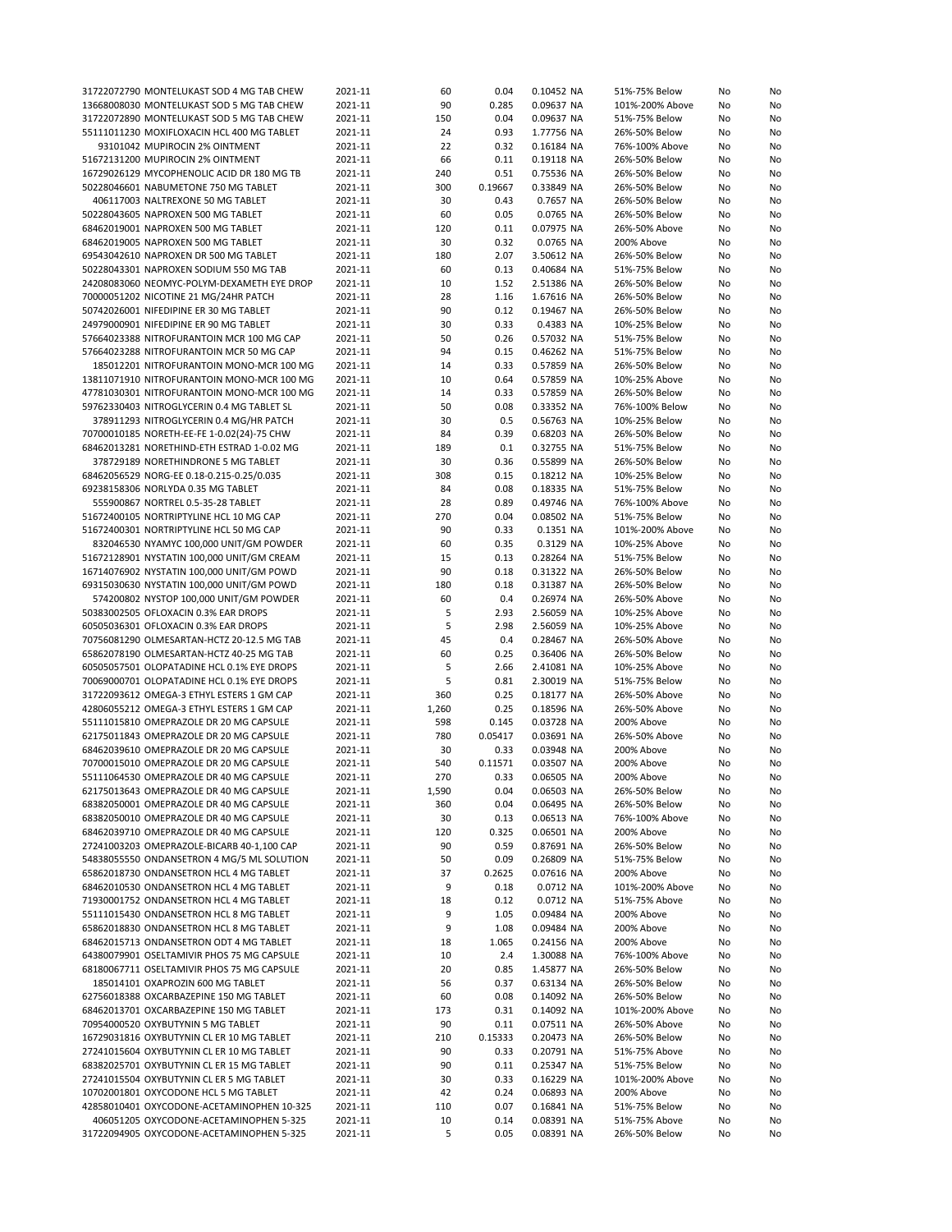| 31722072790 MONTELUKAST SOD 4 MG TAB CHEW                                            | 2021-11            | 60           | 0.04            | 0.10452 NA               | 51%-75% Below                  | No       | No       |
|--------------------------------------------------------------------------------------|--------------------|--------------|-----------------|--------------------------|--------------------------------|----------|----------|
| 13668008030 MONTELUKAST SOD 5 MG TAB CHEW                                            | 2021-11            | 90           | 0.285           | 0.09637 NA               | 101%-200% Above                | No       | No       |
| 31722072890 MONTELUKAST SOD 5 MG TAB CHEW                                            | 2021-11            | 150          | 0.04            | 0.09637 NA               | 51%-75% Below                  | No       | No       |
| 55111011230 MOXIFLOXACIN HCL 400 MG TABLET                                           | 2021-11            | 24           | 0.93            | 1.77756 NA               | 26%-50% Below                  | No       | No       |
| 93101042 MUPIROCIN 2% OINTMENT                                                       | 2021-11            | 22           | 0.32            | 0.16184 NA               | 76%-100% Above                 | No       | No       |
| 51672131200 MUPIROCIN 2% OINTMENT                                                    | 2021-11            | 66           | 0.11            | 0.19118 NA               | 26%-50% Below                  | No       | No       |
| 16729026129 MYCOPHENOLIC ACID DR 180 MG TB                                           | 2021-11            | 240          | 0.51            | 0.75536 NA               | 26%-50% Below                  | No       | No       |
| 50228046601 NABUMETONE 750 MG TABLET                                                 | 2021-11            | 300          | 0.19667         | 0.33849 NA               | 26%-50% Below                  | No       | No       |
| 406117003 NALTREXONE 50 MG TABLET                                                    | 2021-11            | 30           | 0.43            | 0.7657 NA                | 26%-50% Below                  | No       | No       |
| 50228043605 NAPROXEN 500 MG TABLET                                                   | 2021-11            | 60           | 0.05            | 0.0765 NA                | 26%-50% Below                  | No       | No       |
| 68462019001 NAPROXEN 500 MG TABLET                                                   | 2021-11            | 120          | 0.11            | 0.07975 NA               | 26%-50% Above                  | No       | No       |
| 68462019005 NAPROXEN 500 MG TABLET                                                   | 2021-11            | 30           | 0.32            | 0.0765 NA                | 200% Above                     | No       | No       |
| 69543042610 NAPROXEN DR 500 MG TABLET                                                | 2021-11            | 180          | 2.07            | 3.50612 NA               | 26%-50% Below                  | No       | No       |
| 50228043301 NAPROXEN SODIUM 550 MG TAB                                               | 2021-11            | 60           | 0.13            | 0.40684 NA               | 51%-75% Below                  | No       | No       |
| 24208083060 NEOMYC-POLYM-DEXAMETH EYE DROP                                           | 2021-11            | 10           | 1.52            | 2.51386 NA               | 26%-50% Below                  | No       | No       |
| 70000051202 NICOTINE 21 MG/24HR PATCH                                                | 2021-11            | 28           | 1.16            | 1.67616 NA               | 26%-50% Below                  | No       | No       |
| 50742026001 NIFEDIPINE ER 30 MG TABLET                                               | 2021-11            | 90           | 0.12            | 0.19467 NA               | 26%-50% Below                  | No       | No       |
| 24979000901 NIFEDIPINE ER 90 MG TABLET                                               | 2021-11            | 30           | 0.33            | 0.4383 NA                | 10%-25% Below                  | No       | No       |
| 57664023388 NITROFURANTOIN MCR 100 MG CAP                                            | 2021-11            | 50           | 0.26            | 0.57032 NA               | 51%-75% Below                  | No       | No       |
| 57664023288 NITROFURANTOIN MCR 50 MG CAP                                             | 2021-11            | 94           | 0.15            | 0.46262 NA               | 51%-75% Below                  | No       | No       |
| 185012201 NITROFURANTOIN MONO-MCR 100 MG                                             | 2021-11            | 14           | 0.33            | 0.57859 NA               | 26%-50% Below                  | No       | No       |
| 13811071910 NITROFURANTOIN MONO-MCR 100 MG                                           | 2021-11            | 10           | 0.64            | 0.57859 NA               | 10%-25% Above                  | No       | No       |
| 47781030301 NITROFURANTOIN MONO-MCR 100 MG                                           | 2021-11            | 14           | 0.33            | 0.57859 NA               | 26%-50% Below                  | No       | No       |
| 59762330403 NITROGLYCERIN 0.4 MG TABLET SL                                           | 2021-11            | 50           | 0.08            | 0.33352 NA               | 76%-100% Below                 | No       | No       |
| 378911293 NITROGLYCERIN 0.4 MG/HR PATCH                                              | 2021-11            | 30           | 0.5             | 0.56763 NA               | 10%-25% Below                  | No       | No       |
| 70700010185 NORETH-EE-FE 1-0.02(24)-75 CHW                                           | 2021-11            | 84           | 0.39            | 0.68203 NA               | 26%-50% Below                  | No       | No       |
| 68462013281 NORETHIND-ETH ESTRAD 1-0.02 MG                                           | 2021-11            | 189          | 0.1             | 0.32755 NA               | 51%-75% Below                  | No       | No       |
| 378729189 NORETHINDRONE 5 MG TABLET                                                  | 2021-11            | 30           | 0.36            | 0.55899 NA               | 26%-50% Below                  | No       | No       |
| 68462056529 NORG-EE 0.18-0.215-0.25/0.035                                            | 2021-11            | 308          | 0.15            | 0.18212 NA               | 10%-25% Below                  | No       | No       |
| 69238158306 NORLYDA 0.35 MG TABLET                                                   | 2021-11            | 84           | 0.08            | 0.18335 NA               | 51%-75% Below                  | No       | No       |
| 555900867 NORTREL 0.5-35-28 TABLET                                                   | 2021-11            | 28           | 0.89            | 0.49746 NA               | 76%-100% Above                 | No       | No       |
| 51672400105 NORTRIPTYLINE HCL 10 MG CAP                                              | 2021-11            | 270          | 0.04            | 0.08502 NA               | 51%-75% Below                  | No       | No       |
| 51672400301 NORTRIPTYLINE HCL 50 MG CAP                                              | 2021-11            | 90           | 0.33            | 0.1351 NA                | 101%-200% Above                | No       | No       |
| 832046530 NYAMYC 100,000 UNIT/GM POWDER                                              | 2021-11            | 60           | 0.35            | 0.3129 NA                | 10%-25% Above                  | No       | No       |
| 51672128901 NYSTATIN 100,000 UNIT/GM CREAM                                           | 2021-11            | 15           | 0.13            | 0.28264 NA               | 51%-75% Below                  | No       | No       |
| 16714076902 NYSTATIN 100,000 UNIT/GM POWD                                            | 2021-11            | 90           | 0.18            | 0.31322 NA               | 26%-50% Below                  | No       | No       |
| 69315030630 NYSTATIN 100,000 UNIT/GM POWD                                            | 2021-11            | 180          | 0.18            | 0.31387 NA               | 26%-50% Below                  | No       | No       |
| 574200802 NYSTOP 100,000 UNIT/GM POWDER                                              | 2021-11            | 60           | 0.4             | 0.26974 NA               | 26%-50% Above                  | No       | No       |
| 50383002505 OFLOXACIN 0.3% EAR DROPS                                                 | 2021-11            | 5            | 2.93            | 2.56059 NA               | 10%-25% Above                  | No       | No       |
| 60505036301 OFLOXACIN 0.3% EAR DROPS                                                 | 2021-11            | 5            | 2.98            | 2.56059 NA               | 10%-25% Above                  | No       | No       |
| 70756081290 OLMESARTAN-HCTZ 20-12.5 MG TAB                                           | 2021-11            | 45           | 0.4             | 0.28467 NA               | 26%-50% Above                  | No       | No       |
| 65862078190 OLMESARTAN-HCTZ 40-25 MG TAB                                             | 2021-11            | 60           | 0.25            | 0.36406 NA               | 26%-50% Below                  | No       | No       |
| 60505057501 OLOPATADINE HCL 0.1% EYE DROPS                                           | 2021-11            | 5            | 2.66            | 2.41081 NA               | 10%-25% Above                  | No       | No       |
| 70069000701 OLOPATADINE HCL 0.1% EYE DROPS                                           | 2021-11            | 5            | 0.81            | 2.30019 NA               |                                |          | No       |
| 31722093612 OMEGA-3 ETHYL ESTERS 1 GM CAP                                            | 2021-11            | 360          | 0.25            | 0.18177 NA               | 51%-75% Below<br>26%-50% Above | No<br>No | No       |
| 42806055212 OMEGA-3 ETHYL ESTERS 1 GM CAP                                            | 2021-11            |              | 0.25            | 0.18596 NA               | 26%-50% Above                  |          |          |
| 55111015810 OMEPRAZOLE DR 20 MG CAPSULE                                              | 2021-11            | 1,260<br>598 | 0.145           | 0.03728 NA               | 200% Above                     | No       | No<br>No |
| 62175011843 OMEPRAZOLE DR 20 MG CAPSULE                                              | 2021-11            | 780          | 0.05417         | 0.03691 NA               |                                | No       |          |
| 68462039610 OMEPRAZOLE DR 20 MG CAPSULE                                              | 2021-11            |              |                 | 0.03948 NA               | 26%-50% Above                  | No       | No       |
| 70700015010 OMEPRAZOLE DR 20 MG CAPSULE                                              | 2021-11            | 30<br>540    | 0.33            |                          | 200% Above                     | No       | No       |
| 55111064530 OMEPRAZOLE DR 40 MG CAPSULE                                              |                    | 270          | 0.11571<br>0.33 | 0.03507 NA<br>0.06505 NA | 200% Above                     | No<br>No | No<br>No |
|                                                                                      | 2021-11            |              |                 |                          | 200% Above                     |          |          |
| 62175013643 OMEPRAZOLE DR 40 MG CAPSULE                                              | 2021-11            | 1,590        | 0.04            | 0.06503 NA               | 26%-50% Below                  | No       | No       |
| 68382050001 OMEPRAZOLE DR 40 MG CAPSULE                                              | 2021-11            | 360          | 0.04            | 0.06495 NA               | 26%-50% Below                  | No       | No       |
| 68382050010 OMEPRAZOLE DR 40 MG CAPSULE                                              | 2021-11            | 30           | 0.13            | 0.06513 NA               | 76%-100% Above                 | No       | No       |
| 68462039710 OMEPRAZOLE DR 40 MG CAPSULE                                              | 2021-11            | 120          | 0.325           | 0.06501 NA               | 200% Above                     | No       | No       |
| 27241003203 OMEPRAZOLE-BICARB 40-1,100 CAP                                           | 2021-11            | 90           | 0.59            | 0.87691 NA               | 26%-50% Below                  | No       | No       |
| 54838055550 ONDANSETRON 4 MG/5 ML SOLUTION                                           | 2021-11            | 50           | 0.09            | 0.26809 NA               | 51%-75% Below                  | No       | No       |
| 65862018730 ONDANSETRON HCL 4 MG TABLET                                              | 2021-11            | 37           | 0.2625          | 0.07616 NA               | 200% Above                     | No       | No       |
| 68462010530 ONDANSETRON HCL 4 MG TABLET                                              | 2021-11            | 9            | 0.18            | 0.0712 NA                | 101%-200% Above                | No       | No       |
| 71930001752 ONDANSETRON HCL 4 MG TABLET                                              | 2021-11            | 18           | 0.12            | 0.0712 NA                | 51%-75% Above                  | No       | No       |
| 55111015430 ONDANSETRON HCL 8 MG TABLET                                              | 2021-11            | 9            | 1.05            | 0.09484 NA               | 200% Above                     | No       | No       |
| 65862018830 ONDANSETRON HCL 8 MG TABLET                                              | 2021-11            | 9            | 1.08            | 0.09484 NA               | 200% Above                     | No       | No       |
| 68462015713 ONDANSETRON ODT 4 MG TABLET                                              | 2021-11            | 18           | 1.065           | 0.24156 NA               | 200% Above                     | No       | No       |
| 64380079901 OSELTAMIVIR PHOS 75 MG CAPSULE                                           | 2021-11            | 10           | 2.4             | 1.30088 NA               | 76%-100% Above                 | No       | No       |
| 68180067711 OSELTAMIVIR PHOS 75 MG CAPSULE                                           | 2021-11            | 20           | 0.85            | 1.45877 NA               | 26%-50% Below                  | No       | No       |
| 185014101 OXAPROZIN 600 MG TABLET                                                    | 2021-11            | 56           | 0.37            | 0.63134 NA               | 26%-50% Below                  | No       | No       |
| 62756018388 OXCARBAZEPINE 150 MG TABLET                                              |                    |              | 0.08            | 0.14092 NA               | 26%-50% Below                  | No       | No       |
|                                                                                      | 2021-11            | 60           |                 |                          |                                |          |          |
| 68462013701 OXCARBAZEPINE 150 MG TABLET                                              | 2021-11            | 173          | 0.31            | 0.14092 NA               | 101%-200% Above                | No       | No       |
| 70954000520 OXYBUTYNIN 5 MG TABLET                                                   | 2021-11            | 90           | 0.11            | 0.07511 NA               | 26%-50% Above                  | No       | No       |
| 16729031816 OXYBUTYNIN CL ER 10 MG TABLET                                            | 2021-11            | 210          | 0.15333         | 0.20473 NA               | 26%-50% Below                  | No       | No       |
| 27241015604 OXYBUTYNIN CL ER 10 MG TABLET                                            | 2021-11            | 90           | 0.33            | 0.20791 NA               | 51%-75% Above                  | No       | No       |
| 68382025701 OXYBUTYNIN CL ER 15 MG TABLET                                            | 2021-11            | 90           | 0.11            | 0.25347 NA               | 51%-75% Below                  | No       | No       |
| 27241015504 OXYBUTYNIN CL ER 5 MG TABLET                                             | 2021-11            | 30           | 0.33            | 0.16229 NA               | 101%-200% Above                | No       | No       |
| 10702001801 OXYCODONE HCL 5 MG TABLET                                                | 2021-11            | 42           | 0.24            | 0.06893 NA               | 200% Above                     | No       | No       |
| 42858010401 OXYCODONE-ACETAMINOPHEN 10-325                                           | 2021-11            | 110          | 0.07            | 0.16841 NA               | 51%-75% Below                  | No       | No       |
| 406051205 OXYCODONE-ACETAMINOPHEN 5-325<br>31722094905 OXYCODONE-ACETAMINOPHEN 5-325 | 2021-11<br>2021-11 | 10<br>5      | 0.14<br>0.05    | 0.08391 NA<br>0.08391 NA | 51%-75% Above<br>26%-50% Below | No<br>No | No<br>No |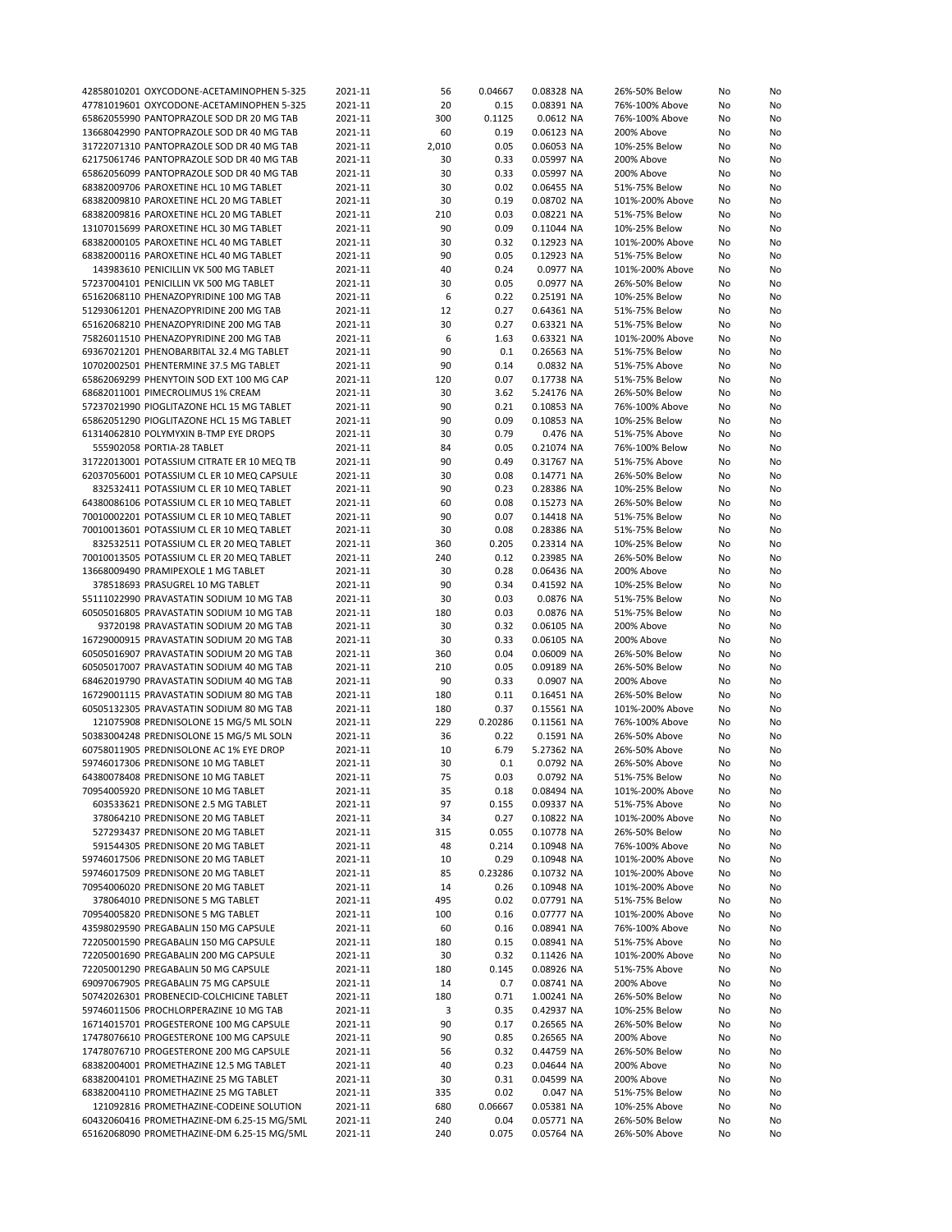| 42858010201 OXYCODONE-ACETAMINOPHEN 5-325  | 2021-11 | 56    | 0.04667 | 0.08328 NA | 26%-50% Below   | No | No |
|--------------------------------------------|---------|-------|---------|------------|-----------------|----|----|
| 47781019601 OXYCODONE-ACETAMINOPHEN 5-325  |         | 20    | 0.15    | 0.08391 NA | 76%-100% Above  |    | No |
|                                            | 2021-11 |       |         |            |                 | No |    |
| 65862055990 PANTOPRAZOLE SOD DR 20 MG TAB  | 2021-11 | 300   | 0.1125  | 0.0612 NA  | 76%-100% Above  | No | No |
| 13668042990 PANTOPRAZOLE SOD DR 40 MG TAB  | 2021-11 | 60    | 0.19    | 0.06123 NA | 200% Above      | No | No |
| 31722071310 PANTOPRAZOLE SOD DR 40 MG TAB  | 2021-11 | 2,010 | 0.05    | 0.06053 NA | 10%-25% Below   | No | No |
|                                            |         |       |         |            |                 |    |    |
| 62175061746 PANTOPRAZOLE SOD DR 40 MG TAB  | 2021-11 | 30    | 0.33    | 0.05997 NA | 200% Above      | No | No |
| 65862056099 PANTOPRAZOLE SOD DR 40 MG TAB  | 2021-11 | 30    | 0.33    | 0.05997 NA | 200% Above      | No | No |
| 68382009706 PAROXETINE HCL 10 MG TABLET    | 2021-11 | 30    | 0.02    | 0.06455 NA | 51%-75% Below   | No | No |
|                                            |         |       |         |            |                 |    |    |
| 68382009810 PAROXETINE HCL 20 MG TABLET    | 2021-11 | 30    | 0.19    | 0.08702 NA | 101%-200% Above | No | No |
| 68382009816 PAROXETINE HCL 20 MG TABLET    | 2021-11 | 210   | 0.03    | 0.08221 NA | 51%-75% Below   | No | No |
| 13107015699 PAROXETINE HCL 30 MG TABLET    | 2021-11 | 90    | 0.09    | 0.11044 NA | 10%-25% Below   | No | No |
|                                            |         |       |         |            |                 |    |    |
| 68382000105 PAROXETINE HCL 40 MG TABLET    | 2021-11 | 30    | 0.32    | 0.12923 NA | 101%-200% Above | No | No |
| 68382000116 PAROXETINE HCL 40 MG TABLET    | 2021-11 | 90    | 0.05    | 0.12923 NA | 51%-75% Below   | No | No |
| 143983610 PENICILLIN VK 500 MG TABLET      | 2021-11 | 40    | 0.24    | 0.0977 NA  | 101%-200% Above | No | No |
|                                            |         |       |         |            |                 |    |    |
| 57237004101 PENICILLIN VK 500 MG TABLET    | 2021-11 | 30    | 0.05    | 0.0977 NA  | 26%-50% Below   | No | No |
| 65162068110 PHENAZOPYRIDINE 100 MG TAB     | 2021-11 | 6     | 0.22    | 0.25191 NA | 10%-25% Below   | No | No |
| 51293061201 PHENAZOPYRIDINE 200 MG TAB     | 2021-11 | 12    | 0.27    | 0.64361 NA | 51%-75% Below   | No | No |
| 65162068210 PHENAZOPYRIDINE 200 MG TAB     | 2021-11 | 30    | 0.27    | 0.63321 NA | 51%-75% Below   | No |    |
|                                            |         |       |         |            |                 |    | No |
| 75826011510 PHENAZOPYRIDINE 200 MG TAB     | 2021-11 | 6     | 1.63    | 0.63321 NA | 101%-200% Above | No | No |
| 69367021201 PHENOBARBITAL 32.4 MG TABLET   | 2021-11 | 90    | 0.1     | 0.26563 NA | 51%-75% Below   | No | No |
| 10702002501 PHENTERMINE 37.5 MG TABLET     | 2021-11 | 90    | 0.14    | 0.0832 NA  | 51%-75% Above   | No | No |
|                                            |         |       |         |            |                 |    |    |
| 65862069299 PHENYTOIN SOD EXT 100 MG CAP   | 2021-11 | 120   | 0.07    | 0.17738 NA | 51%-75% Below   | No | No |
| 68682011001 PIMECROLIMUS 1% CREAM          | 2021-11 | 30    | 3.62    | 5.24176 NA | 26%-50% Below   | No | No |
| 57237021990 PIOGLITAZONE HCL 15 MG TABLET  | 2021-11 | 90    | 0.21    | 0.10853 NA | 76%-100% Above  | No | No |
|                                            |         |       |         |            |                 |    |    |
| 65862051290 PIOGLITAZONE HCL 15 MG TABLET  | 2021-11 | 90    | 0.09    | 0.10853 NA | 10%-25% Below   | No | No |
| 61314062810 POLYMYXIN B-TMP EYE DROPS      | 2021-11 | 30    | 0.79    | 0.476 NA   | 51%-75% Above   | No | No |
| 555902058 PORTIA-28 TABLET                 | 2021-11 | 84    | 0.05    | 0.21074 NA | 76%-100% Below  | No | No |
|                                            |         |       |         |            |                 |    |    |
| 31722013001 POTASSIUM CITRATE ER 10 MEQ TB | 2021-11 | 90    | 0.49    | 0.31767 NA | 51%-75% Above   | No | No |
| 62037056001 POTASSIUM CL ER 10 MEQ CAPSULE | 2021-11 | 30    | 0.08    | 0.14771 NA | 26%-50% Below   | No | No |
| 832532411 POTASSIUM CL ER 10 MEQ TABLET    | 2021-11 | 90    | 0.23    | 0.28386 NA | 10%-25% Below   | No | No |
|                                            |         |       |         |            |                 |    |    |
| 64380086106 POTASSIUM CL ER 10 MEQ TABLET  | 2021-11 | 60    | 0.08    | 0.15273 NA | 26%-50% Below   | No | No |
| 70010002201 POTASSIUM CL ER 10 MEQ TABLET  | 2021-11 | 90    | 0.07    | 0.14418 NA | 51%-75% Below   | No | No |
| 70010013601 POTASSIUM CL ER 10 MEQ TABLET  | 2021-11 | 30    | 0.08    | 0.28386 NA | 51%-75% Below   | No | No |
|                                            |         |       |         |            |                 |    |    |
| 832532511 POTASSIUM CL ER 20 MEQ TABLET    | 2021-11 | 360   | 0.205   | 0.23314 NA | 10%-25% Below   | No | No |
| 70010013505 POTASSIUM CL ER 20 MEQ TABLET  | 2021-11 | 240   | 0.12    | 0.23985 NA | 26%-50% Below   | No | No |
| 13668009490 PRAMIPEXOLE 1 MG TABLET        | 2021-11 | 30    | 0.28    | 0.06436 NA | 200% Above      | No | No |
|                                            |         |       |         |            |                 |    |    |
| 378518693 PRASUGREL 10 MG TABLET           | 2021-11 | 90    | 0.34    | 0.41592 NA | 10%-25% Below   | No | No |
| 55111022990 PRAVASTATIN SODIUM 10 MG TAB   | 2021-11 | 30    | 0.03    | 0.0876 NA  | 51%-75% Below   | No | No |
| 60505016805 PRAVASTATIN SODIUM 10 MG TAB   | 2021-11 | 180   | 0.03    | 0.0876 NA  | 51%-75% Below   | No | No |
|                                            |         |       |         |            |                 |    |    |
| 93720198 PRAVASTATIN SODIUM 20 MG TAB      | 2021-11 | 30    | 0.32    | 0.06105 NA | 200% Above      | No | No |
| 16729000915 PRAVASTATIN SODIUM 20 MG TAB   | 2021-11 | 30    | 0.33    | 0.06105 NA | 200% Above      | No | No |
| 60505016907 PRAVASTATIN SODIUM 20 MG TAB   | 2021-11 | 360   | 0.04    | 0.06009 NA | 26%-50% Below   | No | No |
|                                            |         |       |         |            |                 |    |    |
| 60505017007 PRAVASTATIN SODIUM 40 MG TAB   | 2021-11 | 210   | 0.05    | 0.09189 NA | 26%-50% Below   | No | No |
| 68462019790 PRAVASTATIN SODIUM 40 MG TAB   | 2021-11 | 90    | 0.33    | 0.0907 NA  | 200% Above      | No | No |
| 16729001115 PRAVASTATIN SODIUM 80 MG TAB   | 2021-11 | 180   | 0.11    | 0.16451 NA | 26%-50% Below   | No | No |
|                                            |         |       |         |            |                 |    |    |
| 60505132305 PRAVASTATIN SODIUM 80 MG TAB   | 2021-11 | 180   | 0.37    | 0.15561 NA | 101%-200% Above | No | No |
| 121075908 PREDNISOLONE 15 MG/5 ML SOLN     | 2021-11 | 229   | 0.20286 | 0.11561 NA | 76%-100% Above  | No | No |
| 50383004248 PREDNISOLONE 15 MG/5 ML SOLN   | 2021-11 | 36    | 0.22    | 0.1591 NA  | 26%-50% Above   | No | No |
|                                            |         |       |         |            |                 |    |    |
| 60758011905 PREDNISOLONE AC 1% EYE DROP    | 2021-11 | 10    | 6.79    | 5.27362 NA | 26%-50% Above   | No | No |
| 59746017306 PREDNISONE 10 MG TABLET        | 2021-11 | 30    | 0.1     | 0.0792 NA  | 26%-50% Above   | No | No |
| 64380078408 PREDNISONE 10 MG TABLET        | 2021-11 | 75    | 0.03    | 0.0792 NA  | 51%-75% Below   | No | No |
|                                            |         |       |         |            |                 |    |    |
| 70954005920 PREDNISONE 10 MG TABLET        | 2021-11 | 35    | 0.18    | 0.08494 NA | 101%-200% Above | No | No |
| 603533621 PREDNISONE 2.5 MG TABLET         | 2021-11 | 97    | 0.155   | 0.09337 NA | 51%-75% Above   | No | No |
| 378064210 PREDNISONE 20 MG TABLET          | 2021-11 | 34    | 0.27    | 0.10822 NA | 101%-200% Above | No | No |
| 527293437 PREDNISONE 20 MG TABLET          | 2021-11 | 315   | 0.055   | 0.10778 NA | 26%-50% Below   | No | No |
|                                            |         |       |         |            |                 |    |    |
| 591544305 PREDNISONE 20 MG TABLET          | 2021-11 | 48    | 0.214   | 0.10948 NA | 76%-100% Above  | No | No |
| 59746017506 PREDNISONE 20 MG TABLET        | 2021-11 | 10    | 0.29    | 0.10948 NA | 101%-200% Above | No | No |
| 59746017509 PREDNISONE 20 MG TABLET        | 2021-11 | 85    | 0.23286 | 0.10732 NA | 101%-200% Above | No | No |
|                                            |         |       |         |            |                 |    |    |
| 70954006020 PREDNISONE 20 MG TABLET        | 2021-11 | 14    | 0.26    | 0.10948 NA | 101%-200% Above | No | No |
| 378064010 PREDNISONE 5 MG TABLET           | 2021-11 | 495   | 0.02    | 0.07791 NA | 51%-75% Below   | No | No |
| 70954005820 PREDNISONE 5 MG TABLET         | 2021-11 | 100   | 0.16    | 0.07777 NA | 101%-200% Above | No | No |
|                                            |         |       |         |            |                 |    |    |
| 43598029590 PREGABALIN 150 MG CAPSULE      | 2021-11 | 60    | 0.16    | 0.08941 NA | 76%-100% Above  | No | No |
| 72205001590 PREGABALIN 150 MG CAPSULE      | 2021-11 | 180   | 0.15    | 0.08941 NA | 51%-75% Above   | No | No |
| 72205001690 PREGABALIN 200 MG CAPSULE      | 2021-11 | 30    | 0.32    | 0.11426 NA | 101%-200% Above | No | No |
|                                            |         |       |         |            |                 |    |    |
| 72205001290 PREGABALIN 50 MG CAPSULE       | 2021-11 | 180   | 0.145   | 0.08926 NA | 51%-75% Above   | No | No |
| 69097067905 PREGABALIN 75 MG CAPSULE       | 2021-11 | 14    | 0.7     | 0.08741 NA | 200% Above      | No | No |
| 50742026301 PROBENECID-COLCHICINE TABLET   | 2021-11 | 180   | 0.71    | 1.00241 NA | 26%-50% Below   | No | No |
|                                            |         |       |         |            |                 |    |    |
| 59746011506 PROCHLORPERAZINE 10 MG TAB     | 2021-11 | 3     | 0.35    | 0.42937 NA | 10%-25% Below   | No | No |
| 16714015701 PROGESTERONE 100 MG CAPSULE    | 2021-11 | 90    | 0.17    | 0.26565 NA | 26%-50% Below   | No | No |
| 17478076610 PROGESTERONE 100 MG CAPSULE    | 2021-11 | 90    | 0.85    | 0.26565 NA | 200% Above      | No | No |
|                                            |         |       |         |            |                 |    |    |
| 17478076710 PROGESTERONE 200 MG CAPSULE    | 2021-11 | 56    | 0.32    | 0.44759 NA | 26%-50% Below   | No | No |
| 68382004001 PROMETHAZINE 12.5 MG TABLET    | 2021-11 | 40    | 0.23    | 0.04644 NA | 200% Above      | No | No |
| 68382004101 PROMETHAZINE 25 MG TABLET      | 2021-11 | 30    | 0.31    | 0.04599 NA | 200% Above      | No | No |
|                                            |         |       |         |            |                 |    |    |
| 68382004110 PROMETHAZINE 25 MG TABLET      | 2021-11 | 335   | 0.02    | 0.047 NA   | 51%-75% Below   | No | No |
| 121092816 PROMETHAZINE-CODEINE SOLUTION    | 2021-11 | 680   | 0.06667 | 0.05381 NA | 10%-25% Above   | No | No |
| 60432060416 PROMETHAZINE-DM 6.25-15 MG/5ML | 2021-11 | 240   | 0.04    | 0.05771 NA | 26%-50% Below   | No | No |
| 65162068090 PROMETHAZINE-DM 6.25-15 MG/5ML |         |       |         |            |                 |    |    |
|                                            | 2021-11 | 240   | 0.075   | 0.05764 NA | 26%-50% Above   | No | No |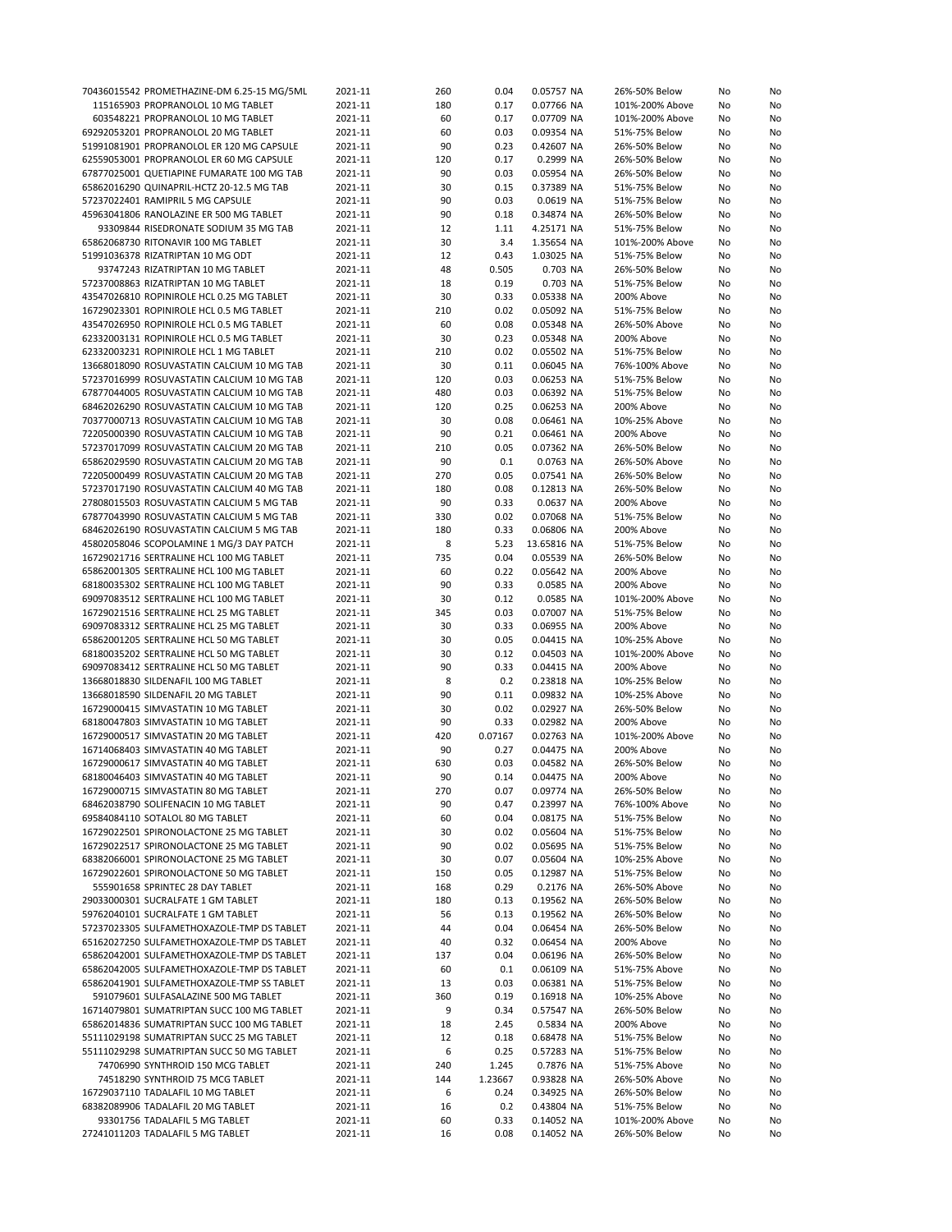| 70436015542 PROMETHAZINE-DM 6.25-15 MG/5ML | 2021-11 | 260 | 0.04    | 0.05757 NA  | 26%-50% Below   | No | No |
|--------------------------------------------|---------|-----|---------|-------------|-----------------|----|----|
| 115165903 PROPRANOLOL 10 MG TABLET         | 2021-11 | 180 | 0.17    | 0.07766 NA  | 101%-200% Above | No | No |
| 603548221 PROPRANOLOL 10 MG TABLET         | 2021-11 | 60  | 0.17    | 0.07709 NA  | 101%-200% Above | No | No |
| 69292053201 PROPRANOLOL 20 MG TABLET       | 2021-11 | 60  | 0.03    | 0.09354 NA  | 51%-75% Below   | No | No |
| 51991081901 PROPRANOLOL ER 120 MG CAPSULE  | 2021-11 | 90  | 0.23    | 0.42607 NA  | 26%-50% Below   | No | No |
| 62559053001 PROPRANOLOL ER 60 MG CAPSULE   |         |     |         | 0.2999 NA   |                 |    |    |
|                                            | 2021-11 | 120 | 0.17    |             | 26%-50% Below   | No | No |
| 67877025001 QUETIAPINE FUMARATE 100 MG TAB | 2021-11 | 90  | 0.03    | 0.05954 NA  | 26%-50% Below   | No | No |
| 65862016290 QUINAPRIL-HCTZ 20-12.5 MG TAB  | 2021-11 | 30  | 0.15    | 0.37389 NA  | 51%-75% Below   | No | No |
| 57237022401 RAMIPRIL 5 MG CAPSULE          | 2021-11 | 90  | 0.03    | 0.0619 NA   | 51%-75% Below   | No | No |
| 45963041806 RANOLAZINE ER 500 MG TABLET    | 2021-11 | 90  | 0.18    | 0.34874 NA  | 26%-50% Below   | No | No |
| 93309844 RISEDRONATE SODIUM 35 MG TAB      | 2021-11 | 12  | 1.11    | 4.25171 NA  | 51%-75% Below   | No | No |
| 65862068730 RITONAVIR 100 MG TABLET        | 2021-11 | 30  | 3.4     | 1.35654 NA  | 101%-200% Above | No | No |
| 51991036378 RIZATRIPTAN 10 MG ODT          | 2021-11 | 12  | 0.43    | 1.03025 NA  | 51%-75% Below   | No | No |
|                                            |         | 48  |         |             |                 |    |    |
| 93747243 RIZATRIPTAN 10 MG TABLET          | 2021-11 |     | 0.505   | 0.703 NA    | 26%-50% Below   | No | No |
| 57237008863 RIZATRIPTAN 10 MG TABLET       | 2021-11 | 18  | 0.19    | 0.703 NA    | 51%-75% Below   | No | No |
| 43547026810 ROPINIROLE HCL 0.25 MG TABLET  | 2021-11 | 30  | 0.33    | 0.05338 NA  | 200% Above      | No | No |
| 16729023301 ROPINIROLE HCL 0.5 MG TABLET   | 2021-11 | 210 | 0.02    | 0.05092 NA  | 51%-75% Below   | No | No |
| 43547026950 ROPINIROLE HCL 0.5 MG TABLET   | 2021-11 | 60  | 0.08    | 0.05348 NA  | 26%-50% Above   | No | No |
| 62332003131 ROPINIROLE HCL 0.5 MG TABLET   | 2021-11 | 30  | 0.23    | 0.05348 NA  | 200% Above      | No | No |
| 62332003231 ROPINIROLE HCL 1 MG TABLET     | 2021-11 | 210 | 0.02    | 0.05502 NA  | 51%-75% Below   | No | No |
| 13668018090 ROSUVASTATIN CALCIUM 10 MG TAB | 2021-11 | 30  | 0.11    | 0.06045 NA  | 76%-100% Above  | No | No |
| 57237016999 ROSUVASTATIN CALCIUM 10 MG TAB | 2021-11 | 120 | 0.03    | 0.06253 NA  | 51%-75% Below   | No | No |
|                                            |         |     |         |             |                 |    |    |
| 67877044005 ROSUVASTATIN CALCIUM 10 MG TAB | 2021-11 | 480 | 0.03    | 0.06392 NA  | 51%-75% Below   | No | No |
| 68462026290 ROSUVASTATIN CALCIUM 10 MG TAB | 2021-11 | 120 | 0.25    | 0.06253 NA  | 200% Above      | No | No |
| 70377000713 ROSUVASTATIN CALCIUM 10 MG TAB | 2021-11 | 30  | 0.08    | 0.06461 NA  | 10%-25% Above   | No | No |
| 72205000390 ROSUVASTATIN CALCIUM 10 MG TAB | 2021-11 | 90  | 0.21    | 0.06461 NA  | 200% Above      | No | No |
| 57237017099 ROSUVASTATIN CALCIUM 20 MG TAB | 2021-11 | 210 | 0.05    | 0.07362 NA  | 26%-50% Below   | No | No |
| 65862029590 ROSUVASTATIN CALCIUM 20 MG TAB | 2021-11 | 90  | 0.1     | 0.0763 NA   | 26%-50% Above   | No | No |
| 72205000499 ROSUVASTATIN CALCIUM 20 MG TAB | 2021-11 | 270 | 0.05    | 0.07541 NA  | 26%-50% Below   | No | No |
| 57237017190 ROSUVASTATIN CALCIUM 40 MG TAB | 2021-11 | 180 | 0.08    | 0.12813 NA  | 26%-50% Below   | No | No |
|                                            |         |     |         |             |                 |    |    |
| 27808015503 ROSUVASTATIN CALCIUM 5 MG TAB  | 2021-11 | 90  | 0.33    | 0.0637 NA   | 200% Above      | No | No |
| 67877043990 ROSUVASTATIN CALCIUM 5 MG TAB  | 2021-11 | 330 | 0.02    | 0.07068 NA  | 51%-75% Below   | No | No |
| 68462026190 ROSUVASTATIN CALCIUM 5 MG TAB  | 2021-11 | 180 | 0.33    | 0.06806 NA  | 200% Above      | No | No |
| 45802058046 SCOPOLAMINE 1 MG/3 DAY PATCH   | 2021-11 | 8   | 5.23    | 13.65816 NA | 51%-75% Below   | No | No |
| 16729021716 SERTRALINE HCL 100 MG TABLET   | 2021-11 | 735 | 0.04    | 0.05539 NA  | 26%-50% Below   | No | No |
| 65862001305 SERTRALINE HCL 100 MG TABLET   | 2021-11 | 60  | 0.22    | 0.05642 NA  | 200% Above      | No | No |
| 68180035302 SERTRALINE HCL 100 MG TABLET   | 2021-11 | 90  | 0.33    | 0.0585 NA   | 200% Above      | No | No |
| 69097083512 SERTRALINE HCL 100 MG TABLET   | 2021-11 | 30  | 0.12    | 0.0585 NA   | 101%-200% Above | No | No |
| 16729021516 SERTRALINE HCL 25 MG TABLET    | 2021-11 | 345 | 0.03    | 0.07007 NA  | 51%-75% Below   | No | No |
|                                            |         | 30  | 0.33    | 0.06955 NA  | 200% Above      |    | No |
| 69097083312 SERTRALINE HCL 25 MG TABLET    | 2021-11 |     |         |             |                 | No |    |
| 65862001205 SERTRALINE HCL 50 MG TABLET    | 2021-11 | 30  | 0.05    | 0.04415 NA  | 10%-25% Above   | No | No |
| 68180035202 SERTRALINE HCL 50 MG TABLET    | 2021-11 | 30  | 0.12    | 0.04503 NA  | 101%-200% Above | No | No |
| 69097083412 SERTRALINE HCL 50 MG TABLET    | 2021-11 | 90  | 0.33    | 0.04415 NA  | 200% Above      | No | No |
| 13668018830 SILDENAFIL 100 MG TABLET       | 2021-11 | 8   | 0.2     | 0.23818 NA  | 10%-25% Below   | No | No |
| 13668018590 SILDENAFIL 20 MG TABLET        | 2021-11 | 90  | 0.11    | 0.09832 NA  | 10%-25% Above   | No | No |
| 16729000415 SIMVASTATIN 10 MG TABLET       | 2021-11 | 30  | 0.02    | 0.02927 NA  | 26%-50% Below   | No | No |
| 68180047803 SIMVASTATIN 10 MG TABLET       | 2021-11 | 90  | 0.33    | 0.02982 NA  | 200% Above      | No | No |
| 16729000517 SIMVASTATIN 20 MG TABLET       | 2021-11 | 420 | 0.07167 | 0.02763 NA  | 101%-200% Above | No | No |
| 16714068403 SIMVASTATIN 40 MG TABLET       | 2021-11 | 90  | 0.27    | 0.04475 NA  | 200% Above      | No | No |
|                                            |         |     |         | 0.04582 NA  |                 |    |    |
| 16729000617 SIMVASTATIN 40 MG TABLET       | 2021-11 | 630 | 0.03    |             | 26%-50% Below   | No | No |
| 68180046403 SIMVASTATIN 40 MG TABLET       | 2021-11 | 90  | 0.14    | 0.04475 NA  | 200% Above      | No | No |
| 16729000715 SIMVASTATIN 80 MG TABLET       | 2021-11 | 270 | 0.07    | 0.09774 NA  | 26%-50% Below   | No | No |
| 68462038790 SOLIFENACIN 10 MG TABLET       | 2021-11 | 90  | 0.47    | 0.23997 NA  | 76%-100% Above  | No | No |
| 69584084110 SOTALOL 80 MG TABLET           | 2021-11 | 60  | 0.04    | 0.08175 NA  | 51%-75% Below   | No | No |
| 16729022501 SPIRONOLACTONE 25 MG TABLET    | 2021-11 | 30  | 0.02    | 0.05604 NA  | 51%-75% Below   | No | No |
| 16729022517 SPIRONOLACTONE 25 MG TABLET    | 2021-11 | 90  | 0.02    | 0.05695 NA  | 51%-75% Below   | No | No |
| 68382066001 SPIRONOLACTONE 25 MG TABLET    | 2021-11 | 30  | 0.07    | 0.05604 NA  | 10%-25% Above   | No | No |
| 16729022601 SPIRONOLACTONE 50 MG TABLET    | 2021-11 | 150 | 0.05    | 0.12987 NA  | 51%-75% Below   | No | No |
| 555901658 SPRINTEC 28 DAY TABLET           |         |     |         |             |                 |    |    |
|                                            | 2021-11 | 168 | 0.29    | 0.2176 NA   | 26%-50% Above   | No | No |
| 29033000301 SUCRALFATE 1 GM TABLET         | 2021-11 | 180 | 0.13    | 0.19562 NA  | 26%-50% Below   | No | No |
| 59762040101 SUCRALFATE 1 GM TABLET         | 2021-11 | 56  | 0.13    | 0.19562 NA  | 26%-50% Below   | No | No |
| 57237023305 SULFAMETHOXAZOLE-TMP DS TABLET | 2021-11 | 44  | 0.04    | 0.06454 NA  | 26%-50% Below   | No | No |
| 65162027250 SULFAMETHOXAZOLE-TMP DS TABLET | 2021-11 | 40  | 0.32    | 0.06454 NA  | 200% Above      | No | No |
| 65862042001 SULFAMETHOXAZOLE-TMP DS TABLET | 2021-11 | 137 | 0.04    | 0.06196 NA  | 26%-50% Below   | No | No |
| 65862042005 SULFAMETHOXAZOLE-TMP DS TABLET | 2021-11 | 60  | 0.1     | 0.06109 NA  | 51%-75% Above   | No | No |
| 65862041901 SULFAMETHOXAZOLE-TMP SS TABLET | 2021-11 | 13  | 0.03    | 0.06381 NA  | 51%-75% Below   | No | No |
| 591079601 SULFASALAZINE 500 MG TABLET      | 2021-11 | 360 | 0.19    | 0.16918 NA  | 10%-25% Above   | No | No |
| 16714079801 SUMATRIPTAN SUCC 100 MG TABLET | 2021-11 | 9   | 0.34    | 0.57547 NA  | 26%-50% Below   | No | No |
|                                            |         |     |         |             |                 |    |    |
| 65862014836 SUMATRIPTAN SUCC 100 MG TABLET | 2021-11 | 18  | 2.45    | 0.5834 NA   | 200% Above      | No | No |
| 55111029198 SUMATRIPTAN SUCC 25 MG TABLET  | 2021-11 | 12  | 0.18    | 0.68478 NA  | 51%-75% Below   | No | No |
| 55111029298 SUMATRIPTAN SUCC 50 MG TABLET  | 2021-11 | 6   | 0.25    | 0.57283 NA  | 51%-75% Below   | No | No |
| 74706990 SYNTHROID 150 MCG TABLET          | 2021-11 | 240 | 1.245   | 0.7876 NA   | 51%-75% Above   | No | No |
| 74518290 SYNTHROID 75 MCG TABLET           | 2021-11 | 144 | 1.23667 | 0.93828 NA  | 26%-50% Above   | No | No |
| 16729037110 TADALAFIL 10 MG TABLET         | 2021-11 | 6   | 0.24    | 0.34925 NA  | 26%-50% Below   | No | No |
| 68382089906 TADALAFIL 20 MG TABLET         | 2021-11 | 16  | 0.2     | 0.43804 NA  | 51%-75% Below   | No | No |
| 93301756 TADALAFIL 5 MG TABLET             | 2021-11 | 60  | 0.33    | 0.14052 NA  | 101%-200% Above | No | No |
|                                            |         | 16  | 0.08    | 0.14052 NA  | 26%-50% Below   | No | No |
| 27241011203 TADALAFIL 5 MG TABLET          | 2021-11 |     |         |             |                 |    |    |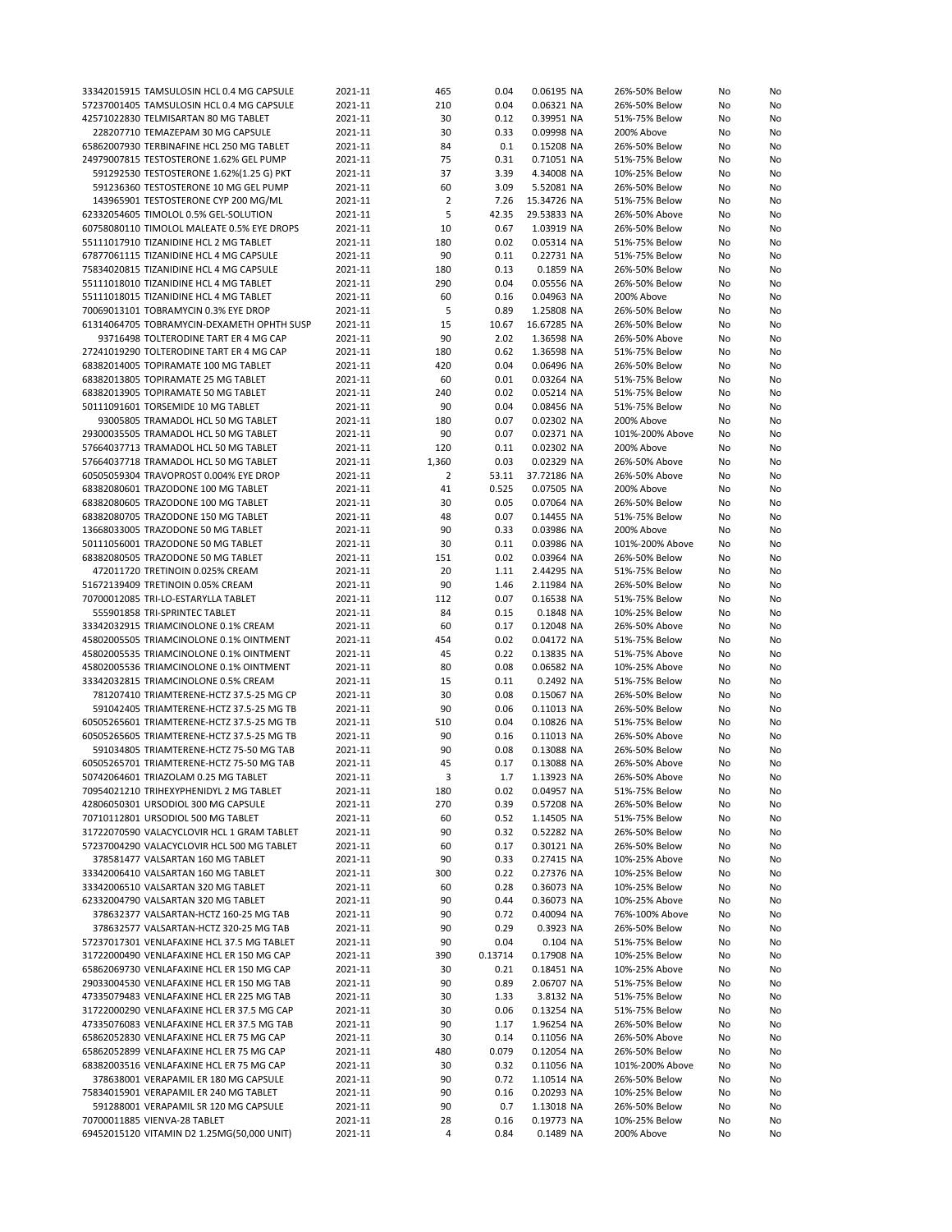| 33342015915 TAMSULOSIN HCL 0.4 MG CAPSULE                                  | 2021-11 | 465            | 0.04    | 0.06195 NA  | 26%-50% Below   | No | No |
|----------------------------------------------------------------------------|---------|----------------|---------|-------------|-----------------|----|----|
|                                                                            |         |                |         |             |                 |    |    |
| 57237001405 TAMSULOSIN HCL 0.4 MG CAPSULE                                  | 2021-11 | 210            | 0.04    | 0.06321 NA  | 26%-50% Below   | No | No |
| 42571022830 TELMISARTAN 80 MG TABLET                                       | 2021-11 | 30             | 0.12    | 0.39951 NA  | 51%-75% Below   | No | No |
| 228207710 TEMAZEPAM 30 MG CAPSULE                                          | 2021-11 | 30             | 0.33    | 0.09998 NA  | 200% Above      | No | No |
| 65862007930 TERBINAFINE HCL 250 MG TABLET                                  | 2021-11 | 84             | 0.1     | 0.15208 NA  | 26%-50% Below   | No | No |
|                                                                            |         |                |         |             |                 |    |    |
| 24979007815 TESTOSTERONE 1.62% GEL PUMP                                    | 2021-11 | 75             | 0.31    | 0.71051 NA  | 51%-75% Below   | No | No |
| 591292530 TESTOSTERONE 1.62%(1.25 G) PKT                                   | 2021-11 | 37             | 3.39    | 4.34008 NA  | 10%-25% Below   | No | No |
| 591236360 TESTOSTERONE 10 MG GEL PUMP                                      | 2021-11 | 60             | 3.09    | 5.52081 NA  | 26%-50% Below   | No | No |
|                                                                            |         |                |         |             |                 |    |    |
| 143965901 TESTOSTERONE CYP 200 MG/ML                                       | 2021-11 | $\overline{2}$ | 7.26    | 15.34726 NA | 51%-75% Below   | No | No |
| 62332054605 TIMOLOL 0.5% GEL-SOLUTION                                      | 2021-11 | 5              | 42.35   | 29.53833 NA | 26%-50% Above   | No | No |
| 60758080110 TIMOLOL MALEATE 0.5% EYE DROPS                                 | 2021-11 | 10             | 0.67    | 1.03919 NA  | 26%-50% Below   | No | No |
| 55111017910 TIZANIDINE HCL 2 MG TABLET                                     | 2021-11 | 180            | 0.02    | 0.05314 NA  | 51%-75% Below   | No | No |
|                                                                            |         |                |         |             |                 |    |    |
| 67877061115 TIZANIDINE HCL 4 MG CAPSULE                                    | 2021-11 | 90             | 0.11    | 0.22731 NA  | 51%-75% Below   | No | No |
| 75834020815 TIZANIDINE HCL 4 MG CAPSULE                                    | 2021-11 | 180            | 0.13    | 0.1859 NA   | 26%-50% Below   | No | No |
| 55111018010 TIZANIDINE HCL 4 MG TABLET                                     | 2021-11 | 290            | 0.04    | 0.05556 NA  | 26%-50% Below   | No | No |
| 55111018015 TIZANIDINE HCL 4 MG TABLET                                     | 2021-11 | 60             | 0.16    | 0.04963 NA  | 200% Above      | No | No |
|                                                                            |         |                |         |             |                 |    |    |
| 70069013101 TOBRAMYCIN 0.3% EYE DROP                                       | 2021-11 | 5              | 0.89    | 1.25808 NA  | 26%-50% Below   | No | No |
| 61314064705 TOBRAMYCIN-DEXAMETH OPHTH SUSP                                 | 2021-11 | 15             | 10.67   | 16.67285 NA | 26%-50% Below   | No | No |
| 93716498 TOLTERODINE TART ER 4 MG CAP                                      | 2021-11 | 90             | 2.02    | 1.36598 NA  | 26%-50% Above   | No | No |
| 27241019290 TOLTERODINE TART ER 4 MG CAP                                   | 2021-11 | 180            | 0.62    | 1.36598 NA  | 51%-75% Below   | No | No |
|                                                                            |         |                |         |             |                 |    |    |
| 68382014005 TOPIRAMATE 100 MG TABLET                                       | 2021-11 | 420            | 0.04    | 0.06496 NA  | 26%-50% Below   | No | No |
| 68382013805 TOPIRAMATE 25 MG TABLET                                        | 2021-11 | 60             | 0.01    | 0.03264 NA  | 51%-75% Below   | No | No |
| 68382013905 TOPIRAMATE 50 MG TABLET                                        | 2021-11 | 240            | 0.02    | 0.05214 NA  | 51%-75% Below   | No | No |
| 50111091601 TORSEMIDE 10 MG TABLET                                         | 2021-11 | 90             | 0.04    | 0.08456 NA  | 51%-75% Below   | No | No |
|                                                                            |         |                |         |             |                 |    |    |
| 93005805 TRAMADOL HCL 50 MG TABLET                                         | 2021-11 | 180            | 0.07    | 0.02302 NA  | 200% Above      | No | No |
| 29300035505 TRAMADOL HCL 50 MG TABLET                                      | 2021-11 | 90             | 0.07    | 0.02371 NA  | 101%-200% Above | No | No |
| 57664037713 TRAMADOL HCL 50 MG TABLET                                      | 2021-11 | 120            | 0.11    | 0.02302 NA  | 200% Above      | No | No |
|                                                                            |         |                |         |             |                 |    |    |
| 57664037718 TRAMADOL HCL 50 MG TABLET                                      | 2021-11 | 1,360          | 0.03    | 0.02329 NA  | 26%-50% Above   | No | No |
| 60505059304 TRAVOPROST 0.004% EYE DROP                                     | 2021-11 | 2              | 53.11   | 37.72186 NA | 26%-50% Above   | No | No |
| 68382080601 TRAZODONE 100 MG TABLET                                        | 2021-11 | 41             | 0.525   | 0.07505 NA  | 200% Above      | No | No |
| 68382080605 TRAZODONE 100 MG TABLET                                        | 2021-11 | 30             | 0.05    | 0.07064 NA  | 26%-50% Below   | No | No |
|                                                                            |         |                |         |             |                 |    |    |
| 68382080705 TRAZODONE 150 MG TABLET                                        | 2021-11 | 48             | 0.07    | 0.14455 NA  | 51%-75% Below   | No | No |
| 13668033005 TRAZODONE 50 MG TABLET                                         | 2021-11 | 90             | 0.33    | 0.03986 NA  | 200% Above      | No | No |
| 50111056001 TRAZODONE 50 MG TABLET                                         | 2021-11 | 30             | 0.11    | 0.03986 NA  | 101%-200% Above | No | No |
| 68382080505 TRAZODONE 50 MG TABLET                                         | 2021-11 | 151            | 0.02    | 0.03964 NA  | 26%-50% Below   | No | No |
|                                                                            |         |                |         |             |                 |    |    |
| 472011720 TRETINOIN 0.025% CREAM                                           | 2021-11 | 20             | 1.11    | 2.44295 NA  | 51%-75% Below   | No | No |
| 51672139409 TRETINOIN 0.05% CREAM                                          | 2021-11 | 90             | 1.46    | 2.11984 NA  | 26%-50% Below   | No | No |
| 70700012085 TRI-LO-ESTARYLLA TABLET                                        | 2021-11 | 112            | 0.07    | 0.16538 NA  | 51%-75% Below   | No | No |
| 555901858 TRI-SPRINTEC TABLET                                              | 2021-11 | 84             | 0.15    | 0.1848 NA   | 10%-25% Below   | No |    |
|                                                                            |         |                |         |             |                 |    | No |
| 33342032915 TRIAMCINOLONE 0.1% CREAM                                       | 2021-11 | 60             | 0.17    | 0.12048 NA  | 26%-50% Above   | No | No |
| 45802005505 TRIAMCINOLONE 0.1% OINTMENT                                    | 2021-11 | 454            | 0.02    | 0.04172 NA  | 51%-75% Below   | No | No |
| 45802005535 TRIAMCINOLONE 0.1% OINTMENT                                    | 2021-11 | 45             | 0.22    | 0.13835 NA  | 51%-75% Above   | No | No |
|                                                                            |         |                |         |             |                 |    |    |
| 45802005536 TRIAMCINOLONE 0.1% OINTMENT                                    | 2021-11 | 80             | 0.08    | 0.06582 NA  | 10%-25% Above   | No | No |
| 33342032815 TRIAMCINOLONE 0.5% CREAM                                       | 2021-11 | 15             | 0.11    | 0.2492 NA   | 51%-75% Below   | No | No |
| 781207410 TRIAMTERENE-HCTZ 37.5-25 MG CP                                   | 2021-11 | 30             | 0.08    | 0.15067 NA  | 26%-50% Below   | No | No |
| 591042405 TRIAMTERENE-HCTZ 37.5-25 MG TB                                   | 2021-11 | 90             | 0.06    | 0.11013 NA  | 26%-50% Below   | No | No |
|                                                                            |         |                |         |             |                 |    |    |
| 60505265601 TRIAMTERENE-HCTZ 37.5-25 MG TB                                 | 2021-11 | 510            | 0.04    | 0.10826 NA  | 51%-75% Below   | No | No |
| 60505265605 TRIAMTERENE-HCTZ 37.5-25 MG TB                                 | 2021-11 | 90             | 0.16    | 0.11013 NA  | 26%-50% Above   | No | No |
| 591034805 TRIAMTERENE-HCTZ 75-50 MG TAB                                    | 2021-11 | 90             | 0.08    | 0.13088 NA  | 26%-50% Below   | No | No |
| 60505265701 TRIAMTERENE-HCTZ 75-50 MG TAB                                  | 2021-11 | 45             | 0.17    | 0.13088 NA  | 26%-50% Above   | No | No |
|                                                                            |         | 3              | 1.7     | 1.13923 NA  |                 |    |    |
| 50742064601 TRIAZOLAM 0.25 MG TABLET                                       | 2021-11 |                |         |             | 26%-50% Above   | No | No |
| 70954021210 TRIHEXYPHENIDYL 2 MG TABLET                                    | 2021-11 | 180            | 0.02    | 0.04957 NA  | 51%-75% Below   | No | No |
| 42806050301 URSODIOL 300 MG CAPSULE                                        | 2021-11 | 270            | 0.39    | 0.57208 NA  | 26%-50% Below   | No | No |
| 70710112801 URSODIOL 500 MG TABLET                                         | 2021-11 | 60             | 0.52    | 1.14505 NA  | 51%-75% Below   | No | No |
|                                                                            |         | 90             |         |             |                 |    |    |
| 31722070590 VALACYCLOVIR HCL 1 GRAM TABLET                                 | 2021-11 |                | 0.32    | 0.52282 NA  | 26%-50% Below   | No | No |
| 57237004290 VALACYCLOVIR HCL 500 MG TABLET                                 | 2021-11 | 60             | 0.17    | 0.30121 NA  | 26%-50% Below   | No | No |
| 378581477 VALSARTAN 160 MG TABLET                                          | 2021-11 | 90             | 0.33    | 0.27415 NA  | 10%-25% Above   | No | No |
| 33342006410 VALSARTAN 160 MG TABLET                                        | 2021-11 | 300            | 0.22    | 0.27376 NA  | 10%-25% Below   | No | No |
|                                                                            |         |                |         |             |                 |    |    |
| 33342006510 VALSARTAN 320 MG TABLET                                        | 2021-11 | 60             | 0.28    | 0.36073 NA  | 10%-25% Below   | No | No |
| 62332004790 VALSARTAN 320 MG TABLET                                        | 2021-11 | 90             | 0.44    | 0.36073 NA  | 10%-25% Above   | No | No |
| 378632377 VALSARTAN-HCTZ 160-25 MG TAB                                     | 2021-11 | 90             | 0.72    | 0.40094 NA  | 76%-100% Above  | No | No |
| 378632577 VALSARTAN-HCTZ 320-25 MG TAB                                     | 2021-11 | 90             | 0.29    | 0.3923 NA   | 26%-50% Below   | No | No |
|                                                                            |         |                |         |             |                 |    |    |
| 57237017301 VENLAFAXINE HCL 37.5 MG TABLET                                 | 2021-11 | 90             | 0.04    | 0.104 NA    | 51%-75% Below   | No | No |
| 31722000490 VENLAFAXINE HCL ER 150 MG CAP                                  | 2021-11 | 390            | 0.13714 | 0.17908 NA  | 10%-25% Below   | No | No |
| 65862069730 VENLAFAXINE HCL ER 150 MG CAP                                  | 2021-11 | 30             | 0.21    | 0.18451 NA  | 10%-25% Above   | No | No |
| 29033004530 VENLAFAXINE HCL ER 150 MG TAB                                  | 2021-11 | 90             | 0.89    | 2.06707 NA  | 51%-75% Below   | No | No |
|                                                                            |         |                |         |             |                 |    |    |
| 47335079483 VENLAFAXINE HCL ER 225 MG TAB                                  | 2021-11 | 30             | 1.33    | 3.8132 NA   | 51%-75% Below   | No | No |
| 31722000290 VENLAFAXINE HCL ER 37.5 MG CAP                                 | 2021-11 | 30             | 0.06    | 0.13254 NA  | 51%-75% Below   | No | No |
| 47335076083 VENLAFAXINE HCL ER 37.5 MG TAB                                 | 2021-11 | 90             | 1.17    | 1.96254 NA  | 26%-50% Below   | No | No |
| 65862052830 VENLAFAXINE HCL ER 75 MG CAP                                   | 2021-11 | 30             | 0.14    | 0.11056 NA  | 26%-50% Above   | No | No |
|                                                                            |         |                |         |             |                 |    |    |
| 65862052899 VENLAFAXINE HCL ER 75 MG CAP                                   | 2021-11 | 480            | 0.079   | 0.12054 NA  | 26%-50% Below   | No | No |
| 68382003516 VENLAFAXINE HCL ER 75 MG CAP                                   | 2021-11 | 30             | 0.32    | 0.11056 NA  | 101%-200% Above | No | No |
| 378638001 VERAPAMIL ER 180 MG CAPSULE                                      | 2021-11 | 90             | 0.72    | 1.10514 NA  | 26%-50% Below   | No | No |
|                                                                            |         |                |         | 0.20293 NA  | 10%-25% Below   | No | No |
|                                                                            |         |                |         |             |                 |    |    |
| 75834015901 VERAPAMIL ER 240 MG TABLET                                     | 2021-11 | 90             | 0.16    |             |                 |    |    |
| 591288001 VERAPAMIL SR 120 MG CAPSULE                                      | 2021-11 | 90             | 0.7     | 1.13018 NA  | 26%-50% Below   | No | No |
| 70700011885 VIENVA-28 TABLET<br>69452015120 VITAMIN D2 1.25MG(50,000 UNIT) | 2021-11 | 28             | 0.16    | 0.19773 NA  | 10%-25% Below   | No | No |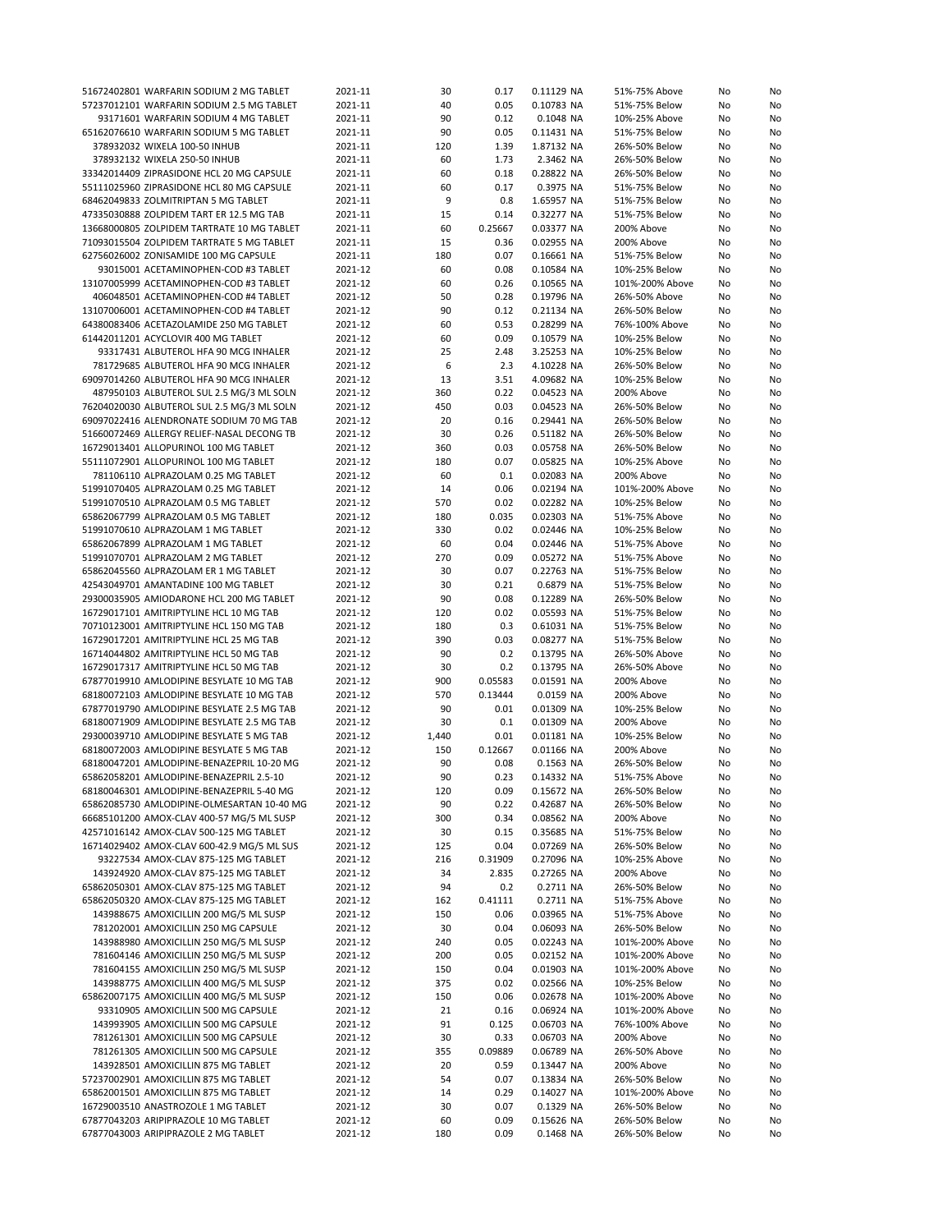| 51672402801 WARFARIN SODIUM 2 MG TABLET                                      | 2021-11            | 30       | 0.17         | 0.11129 NA | 51%-75% Above   | No       | No |
|------------------------------------------------------------------------------|--------------------|----------|--------------|------------|-----------------|----------|----|
| 57237012101 WARFARIN SODIUM 2.5 MG TABLET                                    | 2021-11            | 40       | 0.05         | 0.10783 NA | 51%-75% Below   | No       | No |
| 93171601 WARFARIN SODIUM 4 MG TABLET                                         | 2021-11            | 90       | 0.12         | 0.1048 NA  | 10%-25% Above   | No       | No |
| 65162076610 WARFARIN SODIUM 5 MG TABLET                                      | 2021-11            | 90       | 0.05         | 0.11431 NA | 51%-75% Below   | No       | No |
| 378932032 WIXELA 100-50 INHUB                                                | 2021-11            | 120      | 1.39         | 1.87132 NA | 26%-50% Below   | No       | No |
| 378932132 WIXELA 250-50 INHUB                                                | 2021-11            | 60       | 1.73         | 2.3462 NA  | 26%-50% Below   | No       | No |
| 33342014409 ZIPRASIDONE HCL 20 MG CAPSULE                                    | 2021-11            | 60       | 0.18         | 0.28822 NA | 26%-50% Below   | No       | No |
| 55111025960 ZIPRASIDONE HCL 80 MG CAPSULE                                    | 2021-11            | 60       | 0.17         | 0.3975 NA  | 51%-75% Below   | No       | No |
| 68462049833 ZOLMITRIPTAN 5 MG TABLET                                         | 2021-11            | 9        | 0.8          | 1.65957 NA | 51%-75% Below   | No       | No |
| 47335030888 ZOLPIDEM TART ER 12.5 MG TAB                                     | 2021-11            | 15       | 0.14         | 0.32277 NA | 51%-75% Below   | No       | No |
| 13668000805 ZOLPIDEM TARTRATE 10 MG TABLET                                   | 2021-11            | 60       | 0.25667      | 0.03377 NA | 200% Above      | No       | No |
| 71093015504 ZOLPIDEM TARTRATE 5 MG TABLET                                    | 2021-11            | 15       | 0.36         | 0.02955 NA | 200% Above      | No       | No |
| 62756026002 ZONISAMIDE 100 MG CAPSULE                                        | 2021-11            | 180      | 0.07         | 0.16661 NA | 51%-75% Below   | No       | No |
| 93015001 ACETAMINOPHEN-COD #3 TABLET                                         | 2021-12            | 60       | 0.08         | 0.10584 NA | 10%-25% Below   | No       | No |
| 13107005999 ACETAMINOPHEN-COD #3 TABLET                                      | 2021-12            | 60       | 0.26         | 0.10565 NA | 101%-200% Above | No       | No |
| 406048501 ACETAMINOPHEN-COD #4 TABLET                                        | 2021-12            | 50       | 0.28         | 0.19796 NA | 26%-50% Above   | No       | No |
| 13107006001 ACETAMINOPHEN-COD #4 TABLET                                      | 2021-12            | 90       | 0.12         | 0.21134 NA | 26%-50% Below   | No       | No |
| 64380083406 ACETAZOLAMIDE 250 MG TABLET                                      | 2021-12            | 60       | 0.53         | 0.28299 NA | 76%-100% Above  | No       | No |
| 61442011201 ACYCLOVIR 400 MG TABLET                                          | 2021-12            | 60       | 0.09         | 0.10579 NA | 10%-25% Below   | No       | No |
| 93317431 ALBUTEROL HFA 90 MCG INHALER                                        | 2021-12            | 25       | 2.48         | 3.25253 NA | 10%-25% Below   | No       | No |
| 781729685 ALBUTEROL HFA 90 MCG INHALER                                       | 2021-12            | 6        | 2.3          | 4.10228 NA | 26%-50% Below   | No       | No |
| 69097014260 ALBUTEROL HFA 90 MCG INHALER                                     | 2021-12            | 13       | 3.51         | 4.09682 NA | 10%-25% Below   | No       | No |
| 487950103 ALBUTEROL SUL 2.5 MG/3 ML SOLN                                     | 2021-12            | 360      | 0.22         | 0.04523 NA | 200% Above      | No       | No |
| 76204020030 ALBUTEROL SUL 2.5 MG/3 ML SOLN                                   | 2021-12            | 450      | 0.03         | 0.04523 NA | 26%-50% Below   | No       | No |
| 69097022416 ALENDRONATE SODIUM 70 MG TAB                                     | 2021-12            | 20       | 0.16         | 0.29441 NA | 26%-50% Below   | No       | No |
| 51660072469 ALLERGY RELIEF-NASAL DECONG TB                                   | 2021-12            | 30       | 0.26         | 0.51182 NA | 26%-50% Below   | No       | No |
| 16729013401 ALLOPURINOL 100 MG TABLET                                        | 2021-12            | 360      | 0.03         | 0.05758 NA | 26%-50% Below   |          | No |
| 55111072901 ALLOPURINOL 100 MG TABLET                                        | 2021-12            | 180      | 0.07         | 0.05825 NA | 10%-25% Above   | No<br>No | No |
|                                                                              |                    | 60       | 0.1          |            |                 |          | No |
| 781106110 ALPRAZOLAM 0.25 MG TABLET<br>51991070405 ALPRAZOLAM 0.25 MG TABLET | 2021-12            |          |              | 0.02083 NA | 200% Above      | No       |    |
|                                                                              | 2021-12            | 14       | 0.06         | 0.02194 NA | 101%-200% Above | No       | No |
| 51991070510 ALPRAZOLAM 0.5 MG TABLET                                         | 2021-12            | 570      | 0.02         | 0.02282 NA | 10%-25% Below   | No       | No |
| 65862067799 ALPRAZOLAM 0.5 MG TABLET                                         | 2021-12            | 180      | 0.035        | 0.02303 NA | 51%-75% Above   | No       | No |
| 51991070610 ALPRAZOLAM 1 MG TABLET                                           | 2021-12            | 330      | 0.02         | 0.02446 NA | 10%-25% Below   | No       | No |
| 65862067899 ALPRAZOLAM 1 MG TABLET                                           | 2021-12            | 60       | 0.04         | 0.02446 NA | 51%-75% Above   | No       | No |
| 51991070701 ALPRAZOLAM 2 MG TABLET                                           | 2021-12            | 270      | 0.09         | 0.05272 NA | 51%-75% Above   | No       | No |
| 65862045560 ALPRAZOLAM ER 1 MG TABLET                                        | 2021-12            | 30       | 0.07         | 0.22763 NA | 51%-75% Below   | No       | No |
| 42543049701 AMANTADINE 100 MG TABLET                                         | 2021-12            | 30       | 0.21         | 0.6879 NA  | 51%-75% Below   | No       | No |
| 29300035905 AMIODARONE HCL 200 MG TABLET                                     | 2021-12            | 90       | 0.08         | 0.12289 NA | 26%-50% Below   | No       | No |
| 16729017101 AMITRIPTYLINE HCL 10 MG TAB                                      | 2021-12            | 120      | 0.02         | 0.05593 NA | 51%-75% Below   | No       | No |
| 70710123001 AMITRIPTYLINE HCL 150 MG TAB                                     | 2021-12            | 180      | 0.3          | 0.61031 NA | 51%-75% Below   | No       | No |
| 16729017201 AMITRIPTYLINE HCL 25 MG TAB                                      | 2021-12            | 390      | 0.03         | 0.08277 NA | 51%-75% Below   | No       | No |
| 16714044802 AMITRIPTYLINE HCL 50 MG TAB                                      | 2021-12            | 90       | 0.2          | 0.13795 NA | 26%-50% Above   | No       | No |
| 16729017317 AMITRIPTYLINE HCL 50 MG TAB                                      | 2021-12            | 30       | 0.2          | 0.13795 NA | 26%-50% Above   | No       | No |
| 67877019910 AMLODIPINE BESYLATE 10 MG TAB                                    | 2021-12            | 900      | 0.05583      | 0.01591 NA | 200% Above      | No       | No |
| 68180072103 AMLODIPINE BESYLATE 10 MG TAB                                    | 2021-12            | 570      | 0.13444      | 0.0159 NA  | 200% Above      | No       | No |
| 67877019790 AMLODIPINE BESYLATE 2.5 MG TAB                                   | 2021-12            | 90       | 0.01         | 0.01309 NA | 10%-25% Below   | No       | No |
| 68180071909 AMLODIPINE BESYLATE 2.5 MG TAB                                   | 2021-12            | 30       | 0.1          | 0.01309 NA | 200% Above      | No       | No |
| 29300039710 AMLODIPINE BESYLATE 5 MG TAB                                     | 2021-12            | 1,440    | 0.01         | 0.01181 NA | 10%-25% Below   | No       | No |
| 68180072003 AMLODIPINE BESYLATE 5 MG TAB                                     | 2021-12            | 150      | 0.12667      | 0.01166 NA | 200% Above      | No       | No |
| 68180047201 AMLODIPINE-BENAZEPRIL 10-20 MG                                   | 2021-12            | 90       | 0.08         | 0.1563 NA  | 26%-50% Below   | No       | No |
| 65862058201 AMLODIPINE-BENAZEPRIL 2.5-10                                     | 2021-12            | 90       | 0.23         | 0.14332 NA | 51%-75% Above   | No       | No |
| 68180046301 AMLODIPINE-BENAZEPRIL 5-40 MG                                    | 2021-12            | 120      | 0.09         | 0.15672 NA | 26%-50% Below   | No       | No |
| 65862085730 AMLODIPINE-OLMESARTAN 10-40 MG                                   | 2021-12            | 90       | 0.22         | 0.42687 NA | 26%-50% Below   | No       | No |
| 66685101200 AMOX-CLAV 400-57 MG/5 ML SUSP                                    | 2021-12            | 300      | 0.34         | 0.08562 NA | 200% Above      | No       | No |
| 42571016142 AMOX-CLAV 500-125 MG TABLET                                      | 2021-12            | 30       | 0.15         | 0.35685 NA | 51%-75% Below   | No       | No |
| 16714029402 AMOX-CLAV 600-42.9 MG/5 ML SUS                                   | 2021-12            | 125      | 0.04         | 0.07269 NA | 26%-50% Below   | No       | No |
| 93227534 AMOX-CLAV 875-125 MG TABLET                                         | 2021-12            | 216      | 0.31909      | 0.27096 NA | 10%-25% Above   | No       | No |
| 143924920 AMOX-CLAV 875-125 MG TABLET                                        | 2021-12            | 34       | 2.835        | 0.27265 NA | 200% Above      | No       | No |
| 65862050301 AMOX-CLAV 875-125 MG TABLET                                      | 2021-12            | 94       | 0.2          | 0.2711 NA  | 26%-50% Below   | No       | No |
| 65862050320 AMOX-CLAV 875-125 MG TABLET                                      | 2021-12            | 162      | 0.41111      | 0.2711 NA  | 51%-75% Above   | No       | No |
| 143988675 AMOXICILLIN 200 MG/5 ML SUSP                                       | 2021-12            | 150      | 0.06         | 0.03965 NA | 51%-75% Above   | No       | No |
| 781202001 AMOXICILLIN 250 MG CAPSULE                                         | 2021-12            | 30       | 0.04         | 0.06093 NA | 26%-50% Below   | No       | No |
| 143988980 AMOXICILLIN 250 MG/5 ML SUSP                                       | 2021-12            | 240      | 0.05         | 0.02243 NA | 101%-200% Above | No       | No |
| 781604146 AMOXICILLIN 250 MG/5 ML SUSP                                       | 2021-12            | 200      | 0.05         | 0.02152 NA | 101%-200% Above | No       | No |
| 781604155 AMOXICILLIN 250 MG/5 ML SUSP                                       | 2021-12            | 150      | 0.04         | 0.01903 NA | 101%-200% Above | No       | No |
| 143988775 AMOXICILLIN 400 MG/5 ML SUSP                                       | 2021-12            | 375      | 0.02         | 0.02566 NA | 10%-25% Below   | No       | No |
| 65862007175 AMOXICILLIN 400 MG/5 ML SUSP                                     | 2021-12            | 150      | 0.06         | 0.02678 NA | 101%-200% Above | No       | No |
| 93310905 AMOXICILLIN 500 MG CAPSULE                                          | 2021-12            | 21       | 0.16         | 0.06924 NA | 101%-200% Above | No       | No |
| 143993905 AMOXICILLIN 500 MG CAPSULE                                         | 2021-12            | 91       | 0.125        | 0.06703 NA | 76%-100% Above  | No       | No |
| 781261301 AMOXICILLIN 500 MG CAPSULE                                         | 2021-12            | 30       | 0.33         | 0.06703 NA | 200% Above      | No       | No |
| 781261305 AMOXICILLIN 500 MG CAPSULE                                         | 2021-12            | 355      | 0.09889      | 0.06789 NA | 26%-50% Above   | No       | No |
| 143928501 AMOXICILLIN 875 MG TABLET                                          | 2021-12            | 20       | 0.59         | 0.13447 NA | 200% Above      | No       | No |
|                                                                              |                    |          |              |            |                 |          |    |
| 57237002901 AMOXICILLIN 875 MG TABLET                                        | 2021-12            | 54       | 0.07         | 0.13834 NA | 26%-50% Below   | No       | No |
| 65862001501 AMOXICILLIN 875 MG TABLET                                        | 2021-12            | 14       | 0.29         | 0.14027 NA | 101%-200% Above | No       | No |
| 16729003510 ANASTROZOLE 1 MG TABLET<br>67877043203 ARIPIPRAZOLE 10 MG TABLET | 2021-12<br>2021-12 | 30<br>60 | 0.07<br>0.09 | 0.1329 NA  | 26%-50% Below   | No       | No |
|                                                                              |                    |          |              | 0.15626 NA | 26%-50% Below   | No       | No |
| 67877043003 ARIPIPRAZOLE 2 MG TABLET                                         | 2021-12            | 180      | 0.09         | 0.1468 NA  | 26%-50% Below   | No       | No |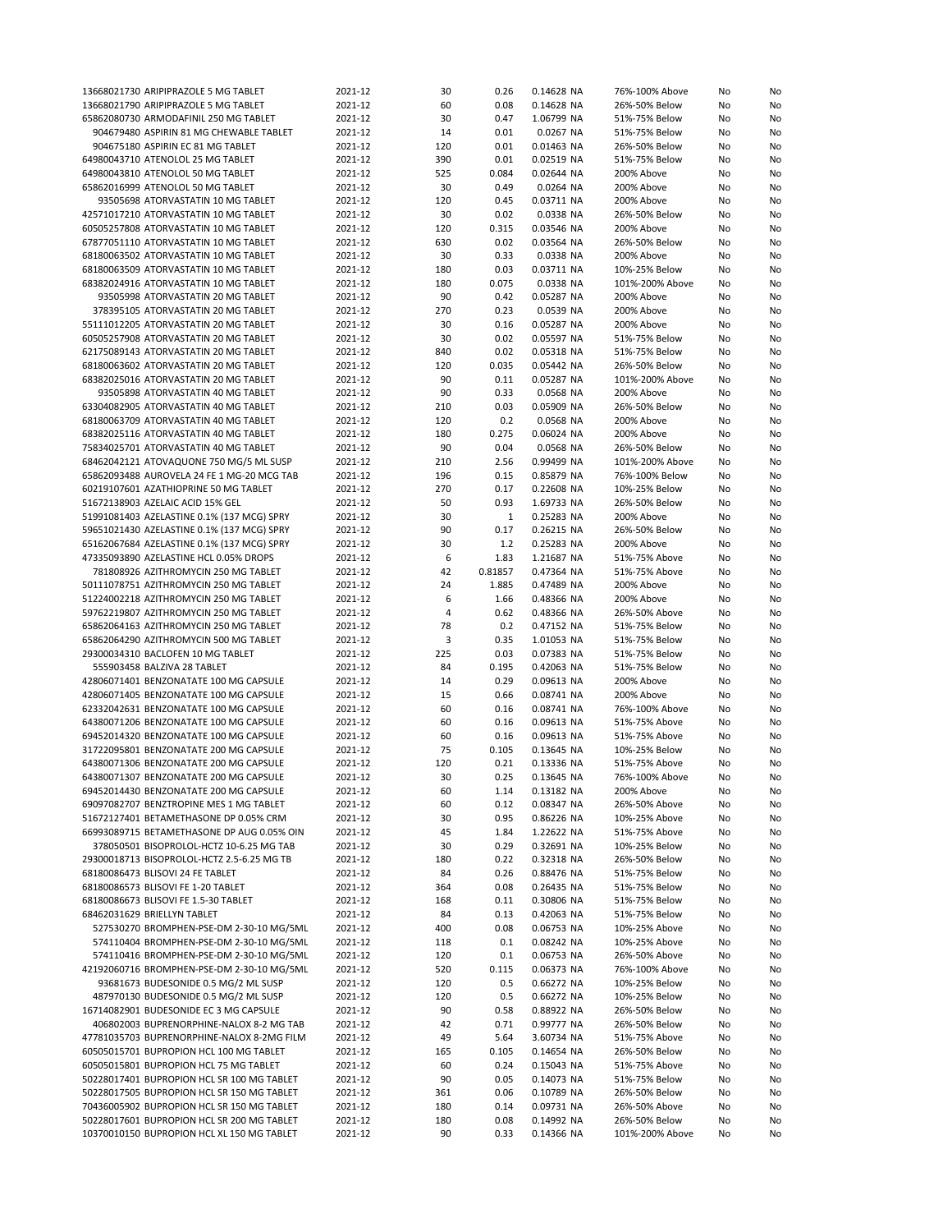| 13668021730 ARIPIPRAZOLE 5 MG TABLET       | 2021-12 | 30  | 0.26         | 0.14628 NA | 76%-100% Above  | No | No |
|--------------------------------------------|---------|-----|--------------|------------|-----------------|----|----|
| 13668021790 ARIPIPRAZOLE 5 MG TABLET       | 2021-12 | 60  | 0.08         | 0.14628 NA | 26%-50% Below   | No | No |
| 65862080730 ARMODAFINIL 250 MG TABLET      | 2021-12 | 30  | 0.47         | 1.06799 NA | 51%-75% Below   | No | No |
|                                            |         |     |              |            |                 |    |    |
| 904679480 ASPIRIN 81 MG CHEWABLE TABLET    | 2021-12 | 14  | 0.01         | 0.0267 NA  | 51%-75% Below   | No | No |
| 904675180 ASPIRIN EC 81 MG TABLET          | 2021-12 | 120 | 0.01         | 0.01463 NA | 26%-50% Below   | No | No |
| 64980043710 ATENOLOL 25 MG TABLET          | 2021-12 | 390 | 0.01         | 0.02519 NA | 51%-75% Below   | No | No |
| 64980043810 ATENOLOL 50 MG TABLET          | 2021-12 | 525 | 0.084        | 0.02644 NA | 200% Above      | No | No |
| 65862016999 ATENOLOL 50 MG TABLET          | 2021-12 | 30  | 0.49         | 0.0264 NA  | 200% Above      | No | No |
| 93505698 ATORVASTATIN 10 MG TABLET         | 2021-12 | 120 | 0.45         | 0.03711 NA | 200% Above      | No | No |
|                                            |         |     |              |            |                 |    |    |
| 42571017210 ATORVASTATIN 10 MG TABLET      | 2021-12 | 30  | 0.02         | 0.0338 NA  | 26%-50% Below   | No | No |
| 60505257808 ATORVASTATIN 10 MG TABLET      | 2021-12 | 120 | 0.315        | 0.03546 NA | 200% Above      | No | No |
| 67877051110 ATORVASTATIN 10 MG TABLET      | 2021-12 | 630 | 0.02         | 0.03564 NA | 26%-50% Below   | No | No |
| 68180063502 ATORVASTATIN 10 MG TABLET      | 2021-12 | 30  | 0.33         | 0.0338 NA  | 200% Above      | No | No |
| 68180063509 ATORVASTATIN 10 MG TABLET      | 2021-12 | 180 | 0.03         | 0.03711 NA | 10%-25% Below   | No | No |
|                                            |         |     |              |            |                 |    |    |
| 68382024916 ATORVASTATIN 10 MG TABLET      | 2021-12 | 180 | 0.075        | 0.0338 NA  | 101%-200% Above | No | No |
| 93505998 ATORVASTATIN 20 MG TABLET         | 2021-12 | 90  | 0.42         | 0.05287 NA | 200% Above      | No | No |
| 378395105 ATORVASTATIN 20 MG TABLET        | 2021-12 | 270 | 0.23         | 0.0539 NA  | 200% Above      | No | No |
| 55111012205 ATORVASTATIN 20 MG TABLET      | 2021-12 | 30  | 0.16         | 0.05287 NA | 200% Above      | No | No |
| 60505257908 ATORVASTATIN 20 MG TABLET      | 2021-12 | 30  | 0.02         | 0.05597 NA | 51%-75% Below   | No | No |
| 62175089143 ATORVASTATIN 20 MG TABLET      | 2021-12 | 840 | 0.02         | 0.05318 NA | 51%-75% Below   | No | No |
|                                            |         |     |              |            |                 |    |    |
| 68180063602 ATORVASTATIN 20 MG TABLET      | 2021-12 | 120 | 0.035        | 0.05442 NA | 26%-50% Below   | No | No |
| 68382025016 ATORVASTATIN 20 MG TABLET      | 2021-12 | 90  | 0.11         | 0.05287 NA | 101%-200% Above | No | No |
| 93505898 ATORVASTATIN 40 MG TABLET         | 2021-12 | 90  | 0.33         | 0.0568 NA  | 200% Above      | No | No |
| 63304082905 ATORVASTATIN 40 MG TABLET      | 2021-12 | 210 | 0.03         | 0.05909 NA | 26%-50% Below   | No | No |
| 68180063709 ATORVASTATIN 40 MG TABLET      | 2021-12 | 120 | 0.2          | 0.0568 NA  | 200% Above      | No | No |
|                                            |         |     |              |            |                 |    |    |
| 68382025116 ATORVASTATIN 40 MG TABLET      | 2021-12 | 180 | 0.275        | 0.06024 NA | 200% Above      | No | No |
| 75834025701 ATORVASTATIN 40 MG TABLET      | 2021-12 | 90  | 0.04         | 0.0568 NA  | 26%-50% Below   | No | No |
| 68462042121 ATOVAQUONE 750 MG/5 ML SUSP    | 2021-12 | 210 | 2.56         | 0.99499 NA | 101%-200% Above | No | No |
| 65862093488 AUROVELA 24 FE 1 MG-20 MCG TAB | 2021-12 | 196 | 0.15         | 0.85879 NA | 76%-100% Below  | No | No |
| 60219107601 AZATHIOPRINE 50 MG TABLET      | 2021-12 | 270 | 0.17         | 0.22608 NA | 10%-25% Below   | No | No |
| 51672138903 AZELAIC ACID 15% GEL           | 2021-12 | 50  | 0.93         |            | 26%-50% Below   |    |    |
|                                            |         |     |              | 1.69733 NA |                 | No | No |
| 51991081403 AZELASTINE 0.1% (137 MCG) SPRY | 2021-12 | 30  | $\mathbf{1}$ | 0.25283 NA | 200% Above      | No | No |
| 59651021430 AZELASTINE 0.1% (137 MCG) SPRY | 2021-12 | 90  | 0.17         | 0.26215 NA | 26%-50% Below   | No | No |
| 65162067684 AZELASTINE 0.1% (137 MCG) SPRY | 2021-12 | 30  | 1.2          | 0.25283 NA | 200% Above      | No | No |
| 47335093890 AZELASTINE HCL 0.05% DROPS     | 2021-12 | 6   | 1.83         | 1.21687 NA | 51%-75% Above   | No | No |
| 781808926 AZITHROMYCIN 250 MG TABLET       | 2021-12 | 42  | 0.81857      | 0.47364 NA | 51%-75% Above   | No | No |
|                                            |         | 24  | 1.885        | 0.47489 NA |                 |    |    |
| 50111078751 AZITHROMYCIN 250 MG TABLET     | 2021-12 |     |              |            | 200% Above      | No | No |
| 51224002218 AZITHROMYCIN 250 MG TABLET     | 2021-12 | 6   | 1.66         | 0.48366 NA | 200% Above      | No | No |
| 59762219807 AZITHROMYCIN 250 MG TABLET     | 2021-12 | 4   | 0.62         | 0.48366 NA | 26%-50% Above   | No | No |
| 65862064163 AZITHROMYCIN 250 MG TABLET     | 2021-12 | 78  | 0.2          | 0.47152 NA | 51%-75% Below   | No | No |
| 65862064290 AZITHROMYCIN 500 MG TABLET     | 2021-12 | 3   | 0.35         | 1.01053 NA | 51%-75% Below   | No | No |
| 29300034310 BACLOFEN 10 MG TABLET          | 2021-12 | 225 | 0.03         | 0.07383 NA | 51%-75% Below   | No | No |
|                                            |         |     |              |            |                 |    |    |
| 555903458 BALZIVA 28 TABLET                | 2021-12 | 84  | 0.195        | 0.42063 NA | 51%-75% Below   | No | No |
| 42806071401 BENZONATATE 100 MG CAPSULE     | 2021-12 | 14  | 0.29         | 0.09613 NA | 200% Above      | No | No |
| 42806071405 BENZONATATE 100 MG CAPSULE     | 2021-12 | 15  | 0.66         | 0.08741 NA | 200% Above      | No | No |
| 62332042631 BENZONATATE 100 MG CAPSULE     | 2021-12 | 60  | 0.16         | 0.08741 NA | 76%-100% Above  | No | No |
| 64380071206 BENZONATATE 100 MG CAPSULE     | 2021-12 | 60  | 0.16         | 0.09613 NA | 51%-75% Above   | No | No |
| 69452014320 BENZONATATE 100 MG CAPSULE     | 2021-12 | 60  | 0.16         | 0.09613 NA | 51%-75% Above   | No | No |
|                                            |         |     |              |            |                 |    |    |
| 31722095801 BENZONATATE 200 MG CAPSULE     | 2021-12 | 75  | 0.105        | 0.13645 NA | 10%-25% Below   | No | No |
| 64380071306 BENZONATATE 200 MG CAPSULE     | 2021-12 | 120 | 0.21         | 0.13336 NA | 51%-75% Above   | No | No |
| 64380071307 BENZONATATE 200 MG CAPSULE     | 2021-12 | 30  | 0.25         | 0.13645 NA | 76%-100% Above  | No | No |
| 69452014430 BENZONATATE 200 MG CAPSULE     | 2021-12 | 60  | 1.14         | 0.13182 NA | 200% Above      | No | No |
| 69097082707 BENZTROPINE MES 1 MG TABLET    | 2021-12 | 60  | 0.12         | 0.08347 NA | 26%-50% Above   | No | No |
| 51672127401 BETAMETHASONE DP 0.05% CRM     | 2021-12 | 30  | 0.95         | 0.86226 NA | 10%-25% Above   | No | No |
|                                            |         |     |              |            |                 |    |    |
| 66993089715 BETAMETHASONE DP AUG 0.05% OIN | 2021-12 | 45  | 1.84         | 1.22622 NA | 51%-75% Above   | No | No |
| 378050501 BISOPROLOL-HCTZ 10-6.25 MG TAB   | 2021-12 | 30  | 0.29         | 0.32691 NA | 10%-25% Below   | No | No |
| 29300018713 BISOPROLOL-HCTZ 2.5-6.25 MG TB | 2021-12 | 180 | 0.22         | 0.32318 NA | 26%-50% Below   | No | No |
| 68180086473 BLISOVI 24 FE TABLET           | 2021-12 | 84  | 0.26         | 0.88476 NA | 51%-75% Below   | No | No |
| 68180086573 BLISOVI FE 1-20 TABLET         | 2021-12 | 364 | 0.08         | 0.26435 NA | 51%-75% Below   | No | No |
| 68180086673 BLISOVI FE 1.5-30 TABLET       | 2021-12 | 168 | 0.11         | 0.30806 NA | 51%-75% Below   | No | No |
|                                            |         |     |              |            |                 |    |    |
| 68462031629 BRIELLYN TABLET                | 2021-12 | 84  | 0.13         | 0.42063 NA | 51%-75% Below   | No | No |
| 527530270 BROMPHEN-PSE-DM 2-30-10 MG/5ML   | 2021-12 | 400 | 0.08         | 0.06753 NA | 10%-25% Above   | No | No |
| 574110404 BROMPHEN-PSE-DM 2-30-10 MG/5ML   | 2021-12 | 118 | 0.1          | 0.08242 NA | 10%-25% Above   | No | No |
| 574110416 BROMPHEN-PSE-DM 2-30-10 MG/5ML   | 2021-12 | 120 | 0.1          | 0.06753 NA | 26%-50% Above   | No | No |
| 42192060716 BROMPHEN-PSE-DM 2-30-10 MG/5ML | 2021-12 | 520 | 0.115        | 0.06373 NA | 76%-100% Above  | No | No |
| 93681673 BUDESONIDE 0.5 MG/2 ML SUSP       | 2021-12 | 120 | 0.5          | 0.66272 NA | 10%-25% Below   | No | No |
|                                            |         |     |              |            |                 |    |    |
| 487970130 BUDESONIDE 0.5 MG/2 ML SUSP      | 2021-12 | 120 | 0.5          | 0.66272 NA | 10%-25% Below   | No | No |
| 16714082901 BUDESONIDE EC 3 MG CAPSULE     | 2021-12 | 90  | 0.58         | 0.88922 NA | 26%-50% Below   | No | No |
| 406802003 BUPRENORPHINE-NALOX 8-2 MG TAB   | 2021-12 | 42  | 0.71         | 0.99777 NA | 26%-50% Below   | No | No |
| 47781035703 BUPRENORPHINE-NALOX 8-2MG FILM | 2021-12 | 49  | 5.64         | 3.60734 NA | 51%-75% Above   | No | No |
| 60505015701 BUPROPION HCL 100 MG TABLET    | 2021-12 | 165 | 0.105        | 0.14654 NA | 26%-50% Below   | No | No |
| 60505015801 BUPROPION HCL 75 MG TABLET     | 2021-12 | 60  | 0.24         | 0.15043 NA | 51%-75% Above   | No | No |
|                                            |         |     |              |            |                 |    |    |
| 50228017401 BUPROPION HCL SR 100 MG TABLET | 2021-12 | 90  | 0.05         | 0.14073 NA | 51%-75% Below   | No | No |
| 50228017505 BUPROPION HCL SR 150 MG TABLET | 2021-12 | 361 | 0.06         | 0.10789 NA | 26%-50% Below   | No | No |
| 70436005902 BUPROPION HCL SR 150 MG TABLET | 2021-12 | 180 | 0.14         | 0.09731 NA | 26%-50% Above   | No | No |
| 50228017601 BUPROPION HCL SR 200 MG TABLET | 2021-12 | 180 | 0.08         | 0.14992 NA | 26%-50% Below   | No | No |
| 10370010150 BUPROPION HCL XL 150 MG TABLET | 2021-12 | 90  | 0.33         | 0.14366 NA | 101%-200% Above | No | No |
|                                            |         |     |              |            |                 |    |    |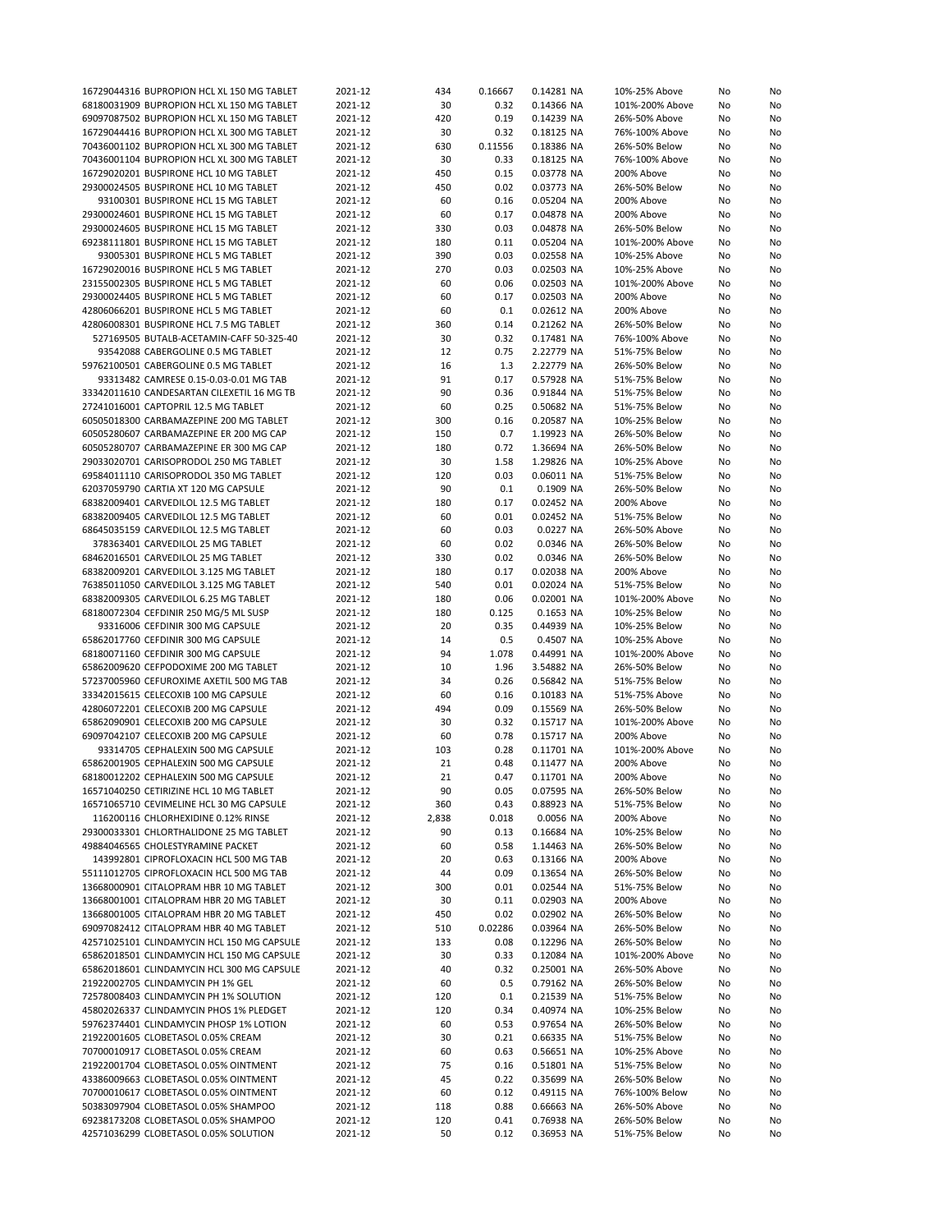| 16729044316 BUPROPION HCL XL 150 MG TABLET                                    | 2021-12            | 434       | 0.16667      | 0.14281 NA               | 10%-25% Above                  | No       | No       |
|-------------------------------------------------------------------------------|--------------------|-----------|--------------|--------------------------|--------------------------------|----------|----------|
|                                                                               |                    |           |              |                          |                                |          |          |
| 68180031909 BUPROPION HCL XL 150 MG TABLET                                    | 2021-12            | 30        | 0.32         | 0.14366 NA               | 101%-200% Above                | No       | No       |
| 69097087502 BUPROPION HCL XL 150 MG TABLET                                    | 2021-12            | 420       | 0.19         | 0.14239 NA               | 26%-50% Above                  | No       | No       |
| 16729044416 BUPROPION HCL XL 300 MG TABLET                                    | 2021-12            | 30        | 0.32         | 0.18125 NA               | 76%-100% Above                 | No       | No       |
| 70436001102 BUPROPION HCL XL 300 MG TABLET                                    | 2021-12            | 630       | 0.11556      | 0.18386 NA               | 26%-50% Below                  | No       | No       |
|                                                                               |                    |           |              |                          |                                |          |          |
| 70436001104 BUPROPION HCL XL 300 MG TABLET                                    | 2021-12            | 30        | 0.33         | 0.18125 NA               | 76%-100% Above                 | No       | No       |
| 16729020201 BUSPIRONE HCL 10 MG TABLET                                        | 2021-12            | 450       | 0.15         | 0.03778 NA               | 200% Above                     | No       | No       |
| 29300024505 BUSPIRONE HCL 10 MG TABLET                                        | 2021-12            | 450       | 0.02         | 0.03773 NA               | 26%-50% Below                  | No       | No       |
| 93100301 BUSPIRONE HCL 15 MG TABLET                                           | 2021-12            | 60        | 0.16         | 0.05204 NA               | 200% Above                     | No       | No       |
|                                                                               |                    |           |              |                          |                                |          |          |
| 29300024601 BUSPIRONE HCL 15 MG TABLET                                        | 2021-12            | 60        | 0.17         | 0.04878 NA               | 200% Above                     | No       | No       |
| 29300024605 BUSPIRONE HCL 15 MG TABLET                                        | 2021-12            | 330       | 0.03         | 0.04878 NA               | 26%-50% Below                  | No       | No       |
| 69238111801 BUSPIRONE HCL 15 MG TABLET                                        | 2021-12            | 180       | 0.11         | 0.05204 NA               | 101%-200% Above                | No       | No       |
|                                                                               |                    |           |              |                          |                                |          |          |
| 93005301 BUSPIRONE HCL 5 MG TABLET                                            | 2021-12            | 390       | 0.03         | 0.02558 NA               | 10%-25% Above                  | No       | No       |
| 16729020016 BUSPIRONE HCL 5 MG TABLET                                         | 2021-12            | 270       | 0.03         | 0.02503 NA               | 10%-25% Above                  | No       | No       |
| 23155002305 BUSPIRONE HCL 5 MG TABLET                                         | 2021-12            | 60        | 0.06         | 0.02503 NA               | 101%-200% Above                | No       | No       |
| 29300024405 BUSPIRONE HCL 5 MG TABLET                                         | 2021-12            | 60        | 0.17         | 0.02503 NA               | 200% Above                     | No       | No       |
|                                                                               |                    |           |              |                          |                                |          |          |
| 42806066201 BUSPIRONE HCL 5 MG TABLET                                         | 2021-12            | 60        | 0.1          | 0.02612 NA               | 200% Above                     | No       | No       |
| 42806008301 BUSPIRONE HCL 7.5 MG TABLET                                       | 2021-12            | 360       | 0.14         | 0.21262 NA               | 26%-50% Below                  | No       | No       |
| 527169505 BUTALB-ACETAMIN-CAFF 50-325-40                                      | 2021-12            | 30        | 0.32         | 0.17481 NA               | 76%-100% Above                 | No       | No       |
| 93542088 CABERGOLINE 0.5 MG TABLET                                            | 2021-12            | 12        | 0.75         | 2.22779 NA               | 51%-75% Below                  | No       | No       |
|                                                                               |                    |           |              |                          |                                |          |          |
| 59762100501 CABERGOLINE 0.5 MG TABLET                                         | 2021-12            | 16        | 1.3          | 2.22779 NA               | 26%-50% Below                  | No       | No       |
| 93313482 CAMRESE 0.15-0.03-0.01 MG TAB                                        | 2021-12            | 91        | 0.17         | 0.57928 NA               | 51%-75% Below                  | No       | No       |
| 33342011610 CANDESARTAN CILEXETIL 16 MG TB                                    | 2021-12            | 90        | 0.36         | 0.91844 NA               | 51%-75% Below                  | No       | No       |
| 27241016001 CAPTOPRIL 12.5 MG TABLET                                          | 2021-12            | 60        | 0.25         | 0.50682 NA               | 51%-75% Below                  | No       | No       |
|                                                                               |                    |           |              |                          |                                |          |          |
| 60505018300 CARBAMAZEPINE 200 MG TABLET                                       | 2021-12            | 300       | 0.16         | 0.20587 NA               | 10%-25% Below                  | No       | No       |
| 60505280607 CARBAMAZEPINE ER 200 MG CAP                                       | 2021-12            | 150       | 0.7          | 1.19923 NA               | 26%-50% Below                  | No       | No       |
| 60505280707 CARBAMAZEPINE ER 300 MG CAP                                       | 2021-12            | 180       | 0.72         | 1.36694 NA               | 26%-50% Below                  | No       | No       |
|                                                                               |                    |           |              |                          |                                |          |          |
| 29033020701 CARISOPRODOL 250 MG TABLET                                        | 2021-12            | 30        | 1.58         | 1.29826 NA               | 10%-25% Above                  | No       | No       |
| 69584011110 CARISOPRODOL 350 MG TABLET                                        | 2021-12            | 120       | 0.03         | 0.06011 NA               | 51%-75% Below                  | No       | No       |
| 62037059790 CARTIA XT 120 MG CAPSULE                                          | 2021-12            | 90        | 0.1          | 0.1909 NA                | 26%-50% Below                  | No       | No       |
| 68382009401 CARVEDILOL 12.5 MG TABLET                                         | 2021-12            | 180       | 0.17         | 0.02452 NA               | 200% Above                     | No       | No       |
|                                                                               |                    |           |              |                          |                                |          |          |
| 68382009405 CARVEDILOL 12.5 MG TABLET                                         | 2021-12            | 60        | 0.01         | 0.02452 NA               | 51%-75% Below                  | No       | No       |
| 68645035159 CARVEDILOL 12.5 MG TABLET                                         | 2021-12            | 60        | 0.03         | 0.0227 NA                | 26%-50% Above                  | No       | No       |
| 378363401 CARVEDILOL 25 MG TABLET                                             | 2021-12            | 60        | 0.02         | 0.0346 NA                | 26%-50% Below                  | No       | No       |
|                                                                               |                    |           |              |                          |                                |          |          |
| 68462016501 CARVEDILOL 25 MG TABLET                                           | 2021-12            | 330       | 0.02         | 0.0346 NA                | 26%-50% Below                  | No       | No       |
| 68382009201 CARVEDILOL 3.125 MG TABLET                                        | 2021-12            | 180       | 0.17         | 0.02038 NA               | 200% Above                     | No       | No       |
| 76385011050 CARVEDILOL 3.125 MG TABLET                                        | 2021-12            | 540       | 0.01         | 0.02024 NA               | 51%-75% Below                  | No       | No       |
| 68382009305 CARVEDILOL 6.25 MG TABLET                                         | 2021-12            | 180       | 0.06         | 0.02001 NA               | 101%-200% Above                | No       | No       |
|                                                                               |                    |           |              |                          |                                |          |          |
| 68180072304 CEFDINIR 250 MG/5 ML SUSP                                         | 2021-12            | 180       | 0.125        | 0.1653 NA                | 10%-25% Below                  | No       | No       |
| 93316006 CEFDINIR 300 MG CAPSULE                                              | 2021-12            | 20        | 0.35         | 0.44939 NA               | 10%-25% Below                  | No       | No       |
| 65862017760 CEFDINIR 300 MG CAPSULE                                           | 2021-12            | 14        | 0.5          | 0.4507 NA                | 10%-25% Above                  | No       | No       |
| 68180071160 CEFDINIR 300 MG CAPSULE                                           | 2021-12            | 94        | 1.078        | 0.44991 NA               | 101%-200% Above                | No       | No       |
|                                                                               |                    |           |              |                          |                                |          |          |
| 65862009620 CEFPODOXIME 200 MG TABLET                                         | 2021-12            | 10        | 1.96         | 3.54882 NA               | 26%-50% Below                  | No       | No       |
| 57237005960 CEFUROXIME AXETIL 500 MG TAB                                      | 2021-12            | 34        | 0.26         | 0.56842 NA               | 51%-75% Below                  | No       | No       |
| 33342015615 CELECOXIB 100 MG CAPSULE                                          | 2021-12            | 60        | 0.16         | 0.10183 NA               | 51%-75% Above                  | No       | No       |
|                                                                               |                    |           |              |                          |                                |          |          |
| 42806072201 CELECOXIB 200 MG CAPSULE                                          | 2021-12            | 494       | 0.09         | 0.15569 NA               | 26%-50% Below                  | No       | No       |
| 65862090901 CELECOXIB 200 MG CAPSULE                                          | 2021-12            | 30        | 0.32         | 0.15717 NA               | 101%-200% Above                | No       | No       |
| 69097042107 CELECOXIB 200 MG CAPSULE                                          | 2021-12            | 60        | 0.78         | 0.15717 NA               | 200% Above                     | No       | No       |
| 93314705 CEPHALEXIN 500 MG CAPSULE                                            | 2021-12            | 103       | 0.28         | 0.11701 NA               | 101%-200% Above                | No       | No       |
|                                                                               |                    |           |              |                          |                                |          |          |
| 65862001905 CEPHALEXIN 500 MG CAPSULE                                         | 2021-12            | 21        | 0.48         | 0.11477 NA               | 200% Above                     | No       | No       |
| 68180012202 CEPHALEXIN 500 MG CAPSULE                                         | 2021-12            | 21        | 0.47         | 0.11701 NA               | 200% Above                     | No       | No       |
| 16571040250 CETIRIZINE HCL 10 MG TABLET                                       | 2021-12            | 90        | 0.05         | 0.07595 NA               | 26%-50% Below                  | No       | No       |
| 16571065710 CEVIMELINE HCL 30 MG CAPSULE                                      | 2021-12            | 360       | 0.43         | 0.88923 NA               | 51%-75% Below                  | No       | No       |
|                                                                               |                    |           |              |                          |                                |          |          |
| 116200116 CHLORHEXIDINE 0.12% RINSE                                           | 2021-12            | 2,838     | 0.018        | 0.0056 NA                | 200% Above                     | No       | No       |
| 29300033301 CHLORTHALIDONE 25 MG TABLET                                       | 2021-12            | 90        | 0.13         | 0.16684 NA               | 10%-25% Below                  | No       | No       |
| 49884046565 CHOLESTYRAMINE PACKET                                             | 2021-12            | 60        | 0.58         | 1.14463 NA               | 26%-50% Below                  | No       | No       |
| 143992801 CIPROFLOXACIN HCL 500 MG TAB                                        | 2021-12            | 20        | 0.63         | 0.13166 NA               | 200% Above                     | No       | No       |
|                                                                               |                    |           |              |                          |                                |          |          |
| 55111012705 CIPROFLOXACIN HCL 500 MG TAB                                      | 2021-12            | 44        | 0.09         | 0.13654 NA               | 26%-50% Below                  | No       | No       |
| 13668000901 CITALOPRAM HBR 10 MG TABLET                                       | 2021-12            | 300       | 0.01         | 0.02544 NA               | 51%-75% Below                  | No       | No       |
| 13668001001 CITALOPRAM HBR 20 MG TABLET                                       | 2021-12            | 30        | 0.11         | 0.02903 NA               | 200% Above                     | No       | No       |
| 13668001005 CITALOPRAM HBR 20 MG TABLET                                       |                    |           | 0.02         |                          |                                |          |          |
|                                                                               | 2021-12            | 450       |              | 0.02902 NA               | 26%-50% Below                  | No       | No       |
| 69097082412 CITALOPRAM HBR 40 MG TABLET                                       | 2021-12            | 510       | 0.02286      | 0.03964 NA               | 26%-50% Below                  | No       | No       |
| 42571025101 CLINDAMYCIN HCL 150 MG CAPSULE                                    | 2021-12            | 133       | 0.08         | 0.12296 NA               | 26%-50% Below                  | No       | No       |
| 65862018501 CLINDAMYCIN HCL 150 MG CAPSULE                                    | 2021-12            | 30        | 0.33         | 0.12084 NA               | 101%-200% Above                | No       | No       |
|                                                                               |                    |           |              |                          |                                |          |          |
| 65862018601 CLINDAMYCIN HCL 300 MG CAPSULE                                    | 2021-12            | 40        | 0.32         | 0.25001 NA               | 26%-50% Above                  | No       | No       |
| 21922002705 CLINDAMYCIN PH 1% GEL                                             | 2021-12            | 60        | 0.5          | 0.79162 NA               | 26%-50% Below                  | No       | No       |
| 72578008403 CLINDAMYCIN PH 1% SOLUTION                                        | 2021-12            | 120       | 0.1          | 0.21539 NA               | 51%-75% Below                  | No       | No       |
| 45802026337 CLINDAMYCIN PHOS 1% PLEDGET                                       | 2021-12            | 120       | 0.34         | 0.40974 NA               | 10%-25% Below                  | No       | No       |
|                                                                               |                    |           |              |                          |                                |          |          |
| 59762374401 CLINDAMYCIN PHOSP 1% LOTION                                       | 2021-12            | 60        | 0.53         | 0.97654 NA               | 26%-50% Below                  | No       | No       |
| 21922001605 CLOBETASOL 0.05% CREAM                                            | 2021-12            | 30        | 0.21         | 0.66335 NA               | 51%-75% Below                  | No       | No       |
| 70700010917 CLOBETASOL 0.05% CREAM                                            | 2021-12            | 60        | 0.63         | 0.56651 NA               | 10%-25% Above                  | No       | No       |
| 21922001704 CLOBETASOL 0.05% OINTMENT                                         |                    |           | 0.16         | 0.51801 NA               | 51%-75% Below                  | No       | No       |
|                                                                               |                    |           |              |                          |                                |          |          |
|                                                                               | 2021-12            | 75        |              |                          |                                |          |          |
| 43386009663 CLOBETASOL 0.05% OINTMENT                                         | 2021-12            | 45        | 0.22         | 0.35699 NA               | 26%-50% Below                  | No       | No       |
| 70700010617 CLOBETASOL 0.05% OINTMENT                                         | 2021-12            | 60        | 0.12         | 0.49115 NA               | 76%-100% Below                 | No       | No       |
| 50383097904 CLOBETASOL 0.05% SHAMPOO                                          | 2021-12            | 118       | 0.88         | 0.66663 NA               | 26%-50% Above                  | No       |          |
|                                                                               |                    |           |              |                          |                                |          | No       |
| 69238173208 CLOBETASOL 0.05% SHAMPOO<br>42571036299 CLOBETASOL 0.05% SOLUTION | 2021-12<br>2021-12 | 120<br>50 | 0.41<br>0.12 | 0.76938 NA<br>0.36953 NA | 26%-50% Below<br>51%-75% Below | No<br>No | No<br>No |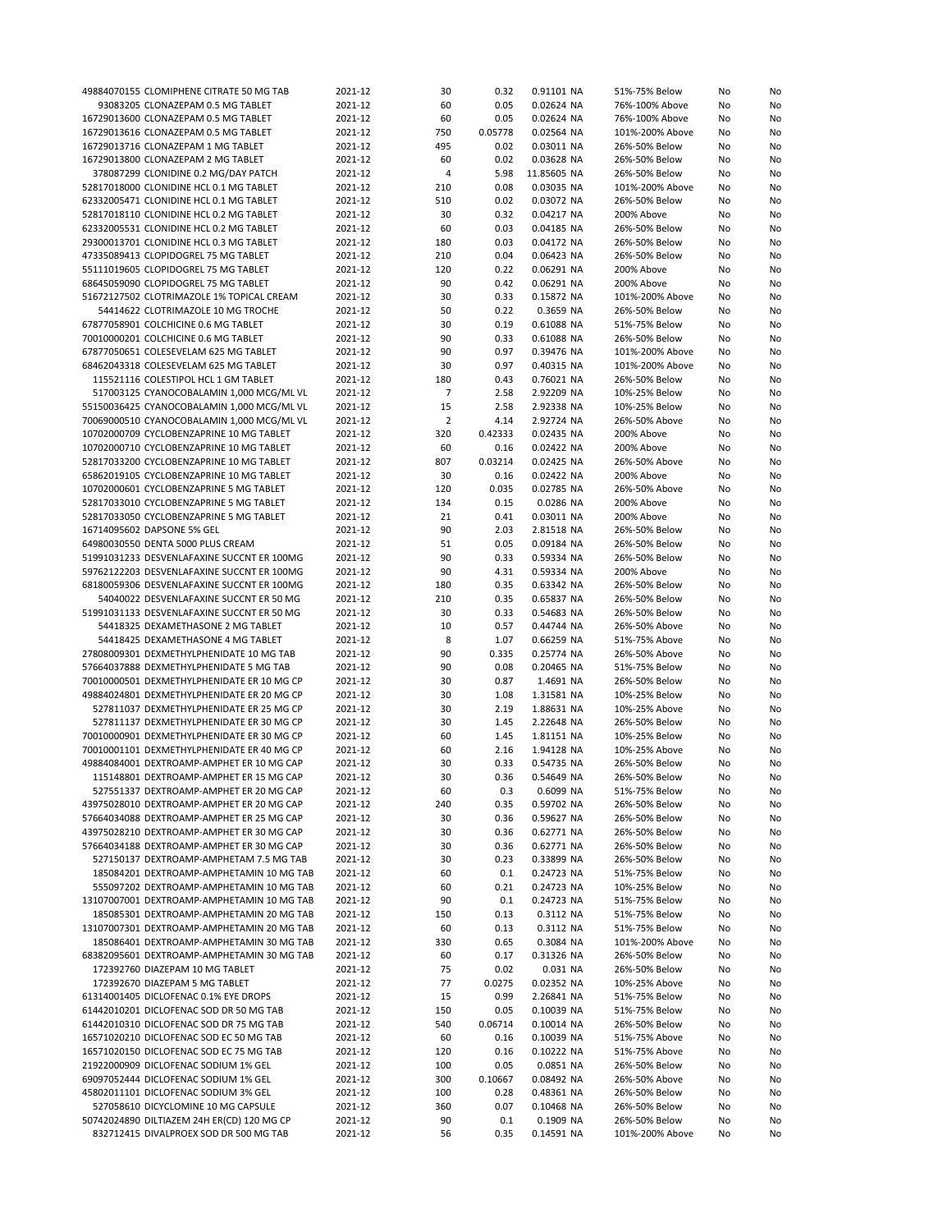| 49884070155 CLOMIPHENE CITRATE 50 MG TAB   | 2021-12 | 30             | 0.32    | 0.91101 NA  | 51%-75% Below   | No | No |
|--------------------------------------------|---------|----------------|---------|-------------|-----------------|----|----|
| 93083205 CLONAZEPAM 0.5 MG TABLET          | 2021-12 | 60             | 0.05    | 0.02624 NA  | 76%-100% Above  | No | No |
| 16729013600 CLONAZEPAM 0.5 MG TABLET       | 2021-12 | 60             | 0.05    | 0.02624 NA  | 76%-100% Above  | No | No |
|                                            |         |                |         |             |                 |    |    |
| 16729013616 CLONAZEPAM 0.5 MG TABLET       | 2021-12 | 750            | 0.05778 | 0.02564 NA  | 101%-200% Above | No | No |
| 16729013716 CLONAZEPAM 1 MG TABLET         | 2021-12 | 495            | 0.02    | 0.03011 NA  | 26%-50% Below   | No | No |
| 16729013800 CLONAZEPAM 2 MG TABLET         | 2021-12 | 60             | 0.02    | 0.03628 NA  | 26%-50% Below   | No | No |
| 378087299 CLONIDINE 0.2 MG/DAY PATCH       | 2021-12 | 4              | 5.98    | 11.85605 NA | 26%-50% Below   | No | No |
| 52817018000 CLONIDINE HCL 0.1 MG TABLET    | 2021-12 | 210            | 0.08    | 0.03035 NA  | 101%-200% Above | No | No |
| 62332005471 CLONIDINE HCL 0.1 MG TABLET    | 2021-12 | 510            | 0.02    | 0.03072 NA  | 26%-50% Below   | No | No |
|                                            |         |                |         |             |                 |    |    |
| 52817018110 CLONIDINE HCL 0.2 MG TABLET    | 2021-12 | 30             | 0.32    | 0.04217 NA  | 200% Above      | No | No |
| 62332005531 CLONIDINE HCL 0.2 MG TABLET    | 2021-12 | 60             | 0.03    | 0.04185 NA  | 26%-50% Below   | No | No |
| 29300013701 CLONIDINE HCL 0.3 MG TABLET    | 2021-12 | 180            | 0.03    | 0.04172 NA  | 26%-50% Below   | No | No |
| 47335089413 CLOPIDOGREL 75 MG TABLET       | 2021-12 | 210            | 0.04    | 0.06423 NA  | 26%-50% Below   | No | No |
| 55111019605 CLOPIDOGREL 75 MG TABLET       | 2021-12 | 120            | 0.22    | 0.06291 NA  | 200% Above      | No | No |
| 68645059090 CLOPIDOGREL 75 MG TABLET       | 2021-12 | 90             | 0.42    | 0.06291 NA  | 200% Above      | No | No |
|                                            |         |                |         |             |                 |    |    |
| 51672127502 CLOTRIMAZOLE 1% TOPICAL CREAM  | 2021-12 | 30             | 0.33    | 0.15872 NA  | 101%-200% Above | No | No |
| 54414622 CLOTRIMAZOLE 10 MG TROCHE         | 2021-12 | 50             | 0.22    | 0.3659 NA   | 26%-50% Below   | No | No |
| 67877058901 COLCHICINE 0.6 MG TABLET       | 2021-12 | 30             | 0.19    | 0.61088 NA  | 51%-75% Below   | No | No |
| 70010000201 COLCHICINE 0.6 MG TABLET       | 2021-12 | 90             | 0.33    | 0.61088 NA  | 26%-50% Below   | No | No |
| 67877050651 COLESEVELAM 625 MG TABLET      | 2021-12 | 90             | 0.97    | 0.39476 NA  | 101%-200% Above | No | No |
| 68462043318 COLESEVELAM 625 MG TABLET      | 2021-12 | 30             | 0.97    | 0.40315 NA  | 101%-200% Above | No | No |
| 115521116 COLESTIPOL HCL 1 GM TABLET       | 2021-12 | 180            | 0.43    | 0.76021 NA  | 26%-50% Below   | No |    |
|                                            |         |                |         |             |                 |    | No |
| 517003125 CYANOCOBALAMIN 1,000 MCG/ML VL   | 2021-12 | $\overline{7}$ | 2.58    | 2.92209 NA  | 10%-25% Below   | No | No |
| 55150036425 CYANOCOBALAMIN 1,000 MCG/ML VL | 2021-12 | 15             | 2.58    | 2.92338 NA  | 10%-25% Below   | No | No |
| 70069000510 CYANOCOBALAMIN 1,000 MCG/ML VL | 2021-12 | $\overline{2}$ | 4.14    | 2.92724 NA  | 26%-50% Above   | No | No |
| 10702000709 CYCLOBENZAPRINE 10 MG TABLET   | 2021-12 | 320            | 0.42333 | 0.02435 NA  | 200% Above      | No | No |
| 10702000710 CYCLOBENZAPRINE 10 MG TABLET   | 2021-12 | 60             | 0.16    | 0.02422 NA  | 200% Above      | No | No |
| 52817033200 CYCLOBENZAPRINE 10 MG TABLET   | 2021-12 | 807            | 0.03214 | 0.02425 NA  | 26%-50% Above   | No | No |
|                                            |         |                |         |             |                 |    |    |
| 65862019105 CYCLOBENZAPRINE 10 MG TABLET   | 2021-12 | 30             | 0.16    | 0.02422 NA  | 200% Above      | No | No |
| 10702000601 CYCLOBENZAPRINE 5 MG TABLET    | 2021-12 | 120            | 0.035   | 0.02785 NA  | 26%-50% Above   | No | No |
| 52817033010 CYCLOBENZAPRINE 5 MG TABLET    | 2021-12 | 134            | 0.15    | 0.0286 NA   | 200% Above      | No | No |
| 52817033050 CYCLOBENZAPRINE 5 MG TABLET    | 2021-12 | 21             | 0.41    | 0.03011 NA  | 200% Above      | No | No |
| 16714095602 DAPSONE 5% GEL                 | 2021-12 | 90             | 2.03    | 2.81518 NA  | 26%-50% Below   | No | No |
| 64980030550 DENTA 5000 PLUS CREAM          | 2021-12 | 51             | 0.05    |             | 26%-50% Below   |    | No |
|                                            |         |                |         | 0.09184 NA  |                 | No |    |
| 51991031233 DESVENLAFAXINE SUCCNT ER 100MG | 2021-12 | 90             | 0.33    | 0.59334 NA  | 26%-50% Below   | No | No |
| 59762122203 DESVENLAFAXINE SUCCNT ER 100MG | 2021-12 | 90             | 4.31    | 0.59334 NA  | 200% Above      | No | No |
| 68180059306 DESVENLAFAXINE SUCCNT ER 100MG | 2021-12 | 180            | 0.35    | 0.63342 NA  | 26%-50% Below   | No | No |
| 54040022 DESVENLAFAXINE SUCCNT ER 50 MG    | 2021-12 | 210            | 0.35    | 0.65837 NA  | 26%-50% Below   | No | No |
| 51991031133 DESVENLAFAXINE SUCCNT ER 50 MG | 2021-12 | 30             | 0.33    | 0.54683 NA  | 26%-50% Below   | No | No |
| 54418325 DEXAMETHASONE 2 MG TABLET         | 2021-12 | 10             | 0.57    | 0.44744 NA  | 26%-50% Above   |    | No |
|                                            |         |                |         |             |                 | No |    |
| 54418425 DEXAMETHASONE 4 MG TABLET         | 2021-12 | 8              | 1.07    | 0.66259 NA  | 51%-75% Above   | No | No |
| 27808009301 DEXMETHYLPHENIDATE 10 MG TAB   | 2021-12 | 90             | 0.335   | 0.25774 NA  | 26%-50% Above   | No | No |
| 57664037888 DEXMETHYLPHENIDATE 5 MG TAB    | 2021-12 | 90             | 0.08    | 0.20465 NA  | 51%-75% Below   | No | No |
| 70010000501 DEXMETHYLPHENIDATE ER 10 MG CP | 2021-12 | 30             | 0.87    | 1.4691 NA   | 26%-50% Below   | No | No |
| 49884024801 DEXMETHYLPHENIDATE ER 20 MG CP | 2021-12 | 30             | 1.08    | 1.31581 NA  | 10%-25% Below   | No | No |
| 527811037 DEXMETHYLPHENIDATE ER 25 MG CP   | 2021-12 | 30             | 2.19    | 1.88631 NA  | 10%-25% Above   | No | No |
|                                            |         |                |         |             |                 |    |    |
| 527811137 DEXMETHYLPHENIDATE ER 30 MG CP   | 2021-12 | 30             | 1.45    | 2.22648 NA  | 26%-50% Below   | No | No |
| 70010000901 DEXMETHYLPHENIDATE ER 30 MG CP | 2021-12 | 60             | 1.45    | 1.81151 NA  | 10%-25% Below   | No | No |
| 70010001101 DEXMETHYLPHENIDATE ER 40 MG CP | 2021-12 | 60             | 2.16    | 1.94128 NA  | 10%-25% Above   | No | No |
| 49884084001 DEXTROAMP-AMPHET ER 10 MG CAP  | 2021-12 | 30             | 0.33    | 0.54735 NA  | 26%-50% Below   | No | No |
| 115148801 DEXTROAMP-AMPHET ER 15 MG CAP    | 2021-12 | 30             | 0.36    | 0.54649 NA  | 26%-50% Below   | No | No |
| 527551337 DEXTROAMP-AMPHET ER 20 MG CAP    | 2021-12 | 60             | 0.3     | 0.6099 NA   | 51%-75% Below   | No | No |
|                                            | 2021-12 |                |         |             | 26%-50% Below   |    |    |
| 43975028010 DEXTROAMP-AMPHET ER 20 MG CAP  |         | 240            | 0.35    | 0.59702 NA  |                 | No | No |
| 57664034088 DEXTROAMP-AMPHET ER 25 MG CAP  | 2021-12 | 30             | 0.36    | 0.59627 NA  | 26%-50% Below   | No | No |
| 43975028210 DEXTROAMP-AMPHET ER 30 MG CAP  | 2021-12 | 30             | 0.36    | 0.62771 NA  | 26%-50% Below   | No | No |
| 57664034188 DEXTROAMP-AMPHET ER 30 MG CAP  | 2021-12 | 30             | 0.36    | 0.62771 NA  | 26%-50% Below   | No | No |
| 527150137 DEXTROAMP-AMPHETAM 7.5 MG TAB    | 2021-12 | 30             | 0.23    | 0.33899 NA  | 26%-50% Below   | No | No |
| 185084201 DEXTROAMP-AMPHETAMIN 10 MG TAB   | 2021-12 | 60             | 0.1     | 0.24723 NA  | 51%-75% Below   | No | No |
| 555097202 DEXTROAMP-AMPHETAMIN 10 MG TAB   | 2021-12 | 60             | 0.21    | 0.24723 NA  | 10%-25% Below   | No |    |
|                                            |         |                |         |             |                 |    | No |
| 13107007001 DEXTROAMP-AMPHETAMIN 10 MG TAB | 2021-12 | 90             | 0.1     | 0.24723 NA  | 51%-75% Below   | No | No |
| 185085301 DEXTROAMP-AMPHETAMIN 20 MG TAB   | 2021-12 | 150            | 0.13    | 0.3112 NA   | 51%-75% Below   | No | No |
| 13107007301 DEXTROAMP-AMPHETAMIN 20 MG TAB | 2021-12 | 60             | 0.13    | 0.3112 NA   | 51%-75% Below   | No | No |
| 185086401 DEXTROAMP-AMPHETAMIN 30 MG TAB   | 2021-12 | 330            | 0.65    | 0.3084 NA   | 101%-200% Above | No | No |
| 68382095601 DEXTROAMP-AMPHETAMIN 30 MG TAB | 2021-12 | 60             | 0.17    | 0.31326 NA  | 26%-50% Below   | No | No |
| 172392760 DIAZEPAM 10 MG TABLET            | 2021-12 | 75             | 0.02    | 0.031 NA    | 26%-50% Below   | No | No |
|                                            |         |                |         |             |                 |    |    |
| 172392670 DIAZEPAM 5 MG TABLET             | 2021-12 | 77             | 0.0275  | 0.02352 NA  | 10%-25% Above   | No | No |
| 61314001405 DICLOFENAC 0.1% EYE DROPS      | 2021-12 | 15             | 0.99    | 2.26841 NA  | 51%-75% Below   | No | No |
| 61442010201 DICLOFENAC SOD DR 50 MG TAB    | 2021-12 | 150            | 0.05    | 0.10039 NA  | 51%-75% Below   | No | No |
| 61442010310 DICLOFENAC SOD DR 75 MG TAB    | 2021-12 | 540            | 0.06714 | 0.10014 NA  | 26%-50% Below   | No | No |
| 16571020210 DICLOFENAC SOD EC 50 MG TAB    | 2021-12 | 60             | 0.16    | 0.10039 NA  | 51%-75% Above   | No | No |
| 16571020150 DICLOFENAC SOD EC 75 MG TAB    | 2021-12 | 120            | 0.16    | 0.10222 NA  | 51%-75% Above   | No | No |
| 21922000909 DICLOFENAC SODIUM 1% GEL       | 2021-12 | 100            | 0.05    | 0.0851 NA   | 26%-50% Below   | No | No |
|                                            |         |                |         |             |                 |    |    |
| 69097052444 DICLOFENAC SODIUM 1% GEL       | 2021-12 | 300            | 0.10667 | 0.08492 NA  | 26%-50% Above   | No | No |
| 45802011101 DICLOFENAC SODIUM 3% GEL       | 2021-12 | 100            | 0.28    | 0.48361 NA  | 26%-50% Below   | No | No |
| 527058610 DICYCLOMINE 10 MG CAPSULE        | 2021-12 | 360            | 0.07    | 0.10468 NA  | 26%-50% Below   | No | No |
| 50742024890 DILTIAZEM 24H ER(CD) 120 MG CP | 2021-12 | 90             | 0.1     | 0.1909 NA   | 26%-50% Below   | No | No |
| 832712415 DIVALPROEX SOD DR 500 MG TAB     | 2021-12 | 56             | 0.35    | 0.14591 NA  | 101%-200% Above | No | No |
|                                            |         |                |         |             |                 |    |    |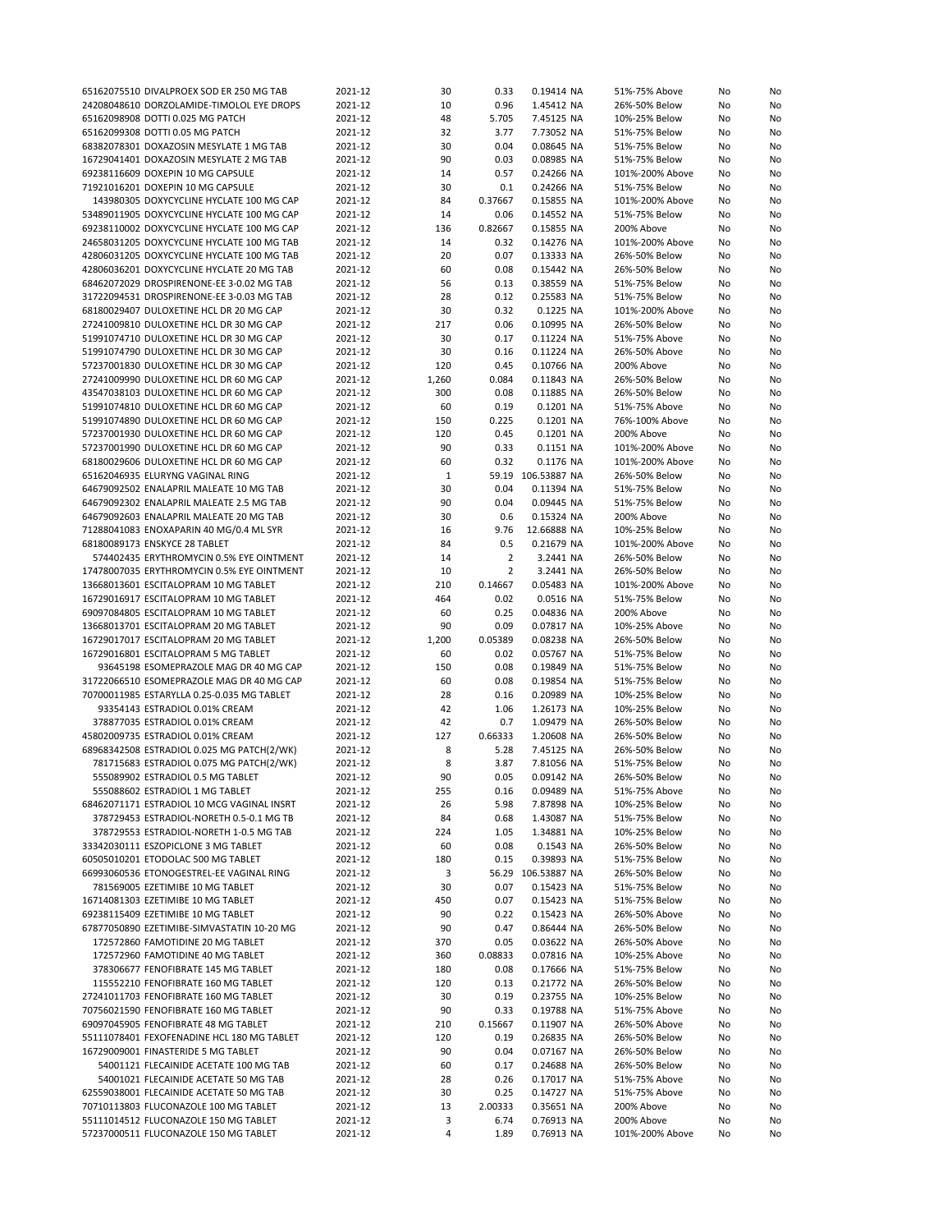| 65162075510 DIVALPROEX SOD ER 250 MG TAB   | 2021-12 | 30    | 0.33           | 0.19414 NA         | 51%-75% Above   | No | No |
|--------------------------------------------|---------|-------|----------------|--------------------|-----------------|----|----|
| 24208048610 DORZOLAMIDE-TIMOLOL EYE DROPS  | 2021-12 | 10    | 0.96           | 1.45412 NA         | 26%-50% Below   | No | No |
| 65162098908 DOTTI 0.025 MG PATCH           | 2021-12 | 48    | 5.705          | 7.45125 NA         | 10%-25% Below   | No | No |
| 65162099308 DOTTI 0.05 MG PATCH            | 2021-12 | 32    | 3.77           | 7.73052 NA         | 51%-75% Below   | No | No |
| 68382078301 DOXAZOSIN MESYLATE 1 MG TAB    | 2021-12 | 30    | 0.04           | 0.08645 NA         | 51%-75% Below   | No | No |
| 16729041401 DOXAZOSIN MESYLATE 2 MG TAB    | 2021-12 | 90    | 0.03           | 0.08985 NA         | 51%-75% Below   | No | No |
|                                            |         |       |                |                    |                 |    |    |
| 69238116609 DOXEPIN 10 MG CAPSULE          | 2021-12 | 14    | 0.57           | 0.24266 NA         | 101%-200% Above | No | No |
| 71921016201 DOXEPIN 10 MG CAPSULE          | 2021-12 | 30    | 0.1            | 0.24266 NA         | 51%-75% Below   | No | No |
| 143980305 DOXYCYCLINE HYCLATE 100 MG CAP   | 2021-12 | 84    | 0.37667        | 0.15855 NA         | 101%-200% Above | No | No |
| 53489011905 DOXYCYCLINE HYCLATE 100 MG CAP | 2021-12 | 14    | 0.06           | 0.14552 NA         | 51%-75% Below   | No | No |
| 69238110002 DOXYCYCLINE HYCLATE 100 MG CAP | 2021-12 | 136   | 0.82667        | 0.15855 NA         | 200% Above      | No | No |
| 24658031205 DOXYCYCLINE HYCLATE 100 MG TAB | 2021-12 | 14    | 0.32           | 0.14276 NA         | 101%-200% Above | No | No |
| 42806031205 DOXYCYCLINE HYCLATE 100 MG TAB | 2021-12 | 20    | 0.07           | 0.13333 NA         | 26%-50% Below   | No | No |
| 42806036201 DOXYCYCLINE HYCLATE 20 MG TAB  | 2021-12 | 60    | 0.08           | 0.15442 NA         | 26%-50% Below   | No | No |
| 68462072029 DROSPIRENONE-EE 3-0.02 MG TAB  | 2021-12 | 56    | 0.13           | 0.38559 NA         | 51%-75% Below   | No | No |
| 31722094531 DROSPIRENONE-EE 3-0.03 MG TAB  | 2021-12 | 28    | 0.12           | 0.25583 NA         | 51%-75% Below   | No | No |
| 68180029407 DULOXETINE HCL DR 20 MG CAP    | 2021-12 | 30    | 0.32           | 0.1225 NA          | 101%-200% Above | No | No |
| 27241009810 DULOXETINE HCL DR 30 MG CAP    | 2021-12 | 217   | 0.06           | 0.10995 NA         | 26%-50% Below   | No | No |
| 51991074710 DULOXETINE HCL DR 30 MG CAP    |         | 30    |                |                    |                 |    |    |
|                                            | 2021-12 |       | 0.17           | 0.11224 NA         | 51%-75% Above   | No | No |
| 51991074790 DULOXETINE HCL DR 30 MG CAP    | 2021-12 | 30    | 0.16           | 0.11224 NA         | 26%-50% Above   | No | No |
| 57237001830 DULOXETINE HCL DR 30 MG CAP    | 2021-12 | 120   | 0.45           | 0.10766 NA         | 200% Above      | No | No |
| 27241009990 DULOXETINE HCL DR 60 MG CAP    | 2021-12 | 1,260 | 0.084          | 0.11843 NA         | 26%-50% Below   | No | No |
| 43547038103 DULOXETINE HCL DR 60 MG CAP    | 2021-12 | 300   | 0.08           | 0.11885 NA         | 26%-50% Below   | No | No |
| 51991074810 DULOXETINE HCL DR 60 MG CAP    | 2021-12 | 60    | 0.19           | 0.1201 NA          | 51%-75% Above   | No | No |
| 51991074890 DULOXETINE HCL DR 60 MG CAP    | 2021-12 | 150   | 0.225          | 0.1201 NA          | 76%-100% Above  | No | No |
| 57237001930 DULOXETINE HCL DR 60 MG CAP    | 2021-12 | 120   | 0.45           | 0.1201 NA          | 200% Above      | No | No |
| 57237001990 DULOXETINE HCL DR 60 MG CAP    | 2021-12 | 90    | 0.33           | 0.1151 NA          | 101%-200% Above | No | No |
| 68180029606 DULOXETINE HCL DR 60 MG CAP    | 2021-12 | 60    | 0.32           | 0.1176 NA          | 101%-200% Above | No | No |
| 65162046935 ELURYNG VAGINAL RING           | 2021-12 | 1     | 59.19          | 106.53887 NA       | 26%-50% Below   | No | No |
| 64679092502 ENALAPRIL MALEATE 10 MG TAB    | 2021-12 | 30    | 0.04           | 0.11394 NA         | 51%-75% Below   | No | No |
| 64679092302 ENALAPRIL MALEATE 2.5 MG TAB   | 2021-12 | 90    | 0.04           | 0.09445 NA         | 51%-75% Below   | No | No |
|                                            |         |       |                |                    |                 |    |    |
| 64679092603 ENALAPRIL MALEATE 20 MG TAB    | 2021-12 | 30    | 0.6            | 0.15324 NA         | 200% Above      | No | No |
| 71288041083 ENOXAPARIN 40 MG/0.4 ML SYR    | 2021-12 | 16    | 9.76           | 12.66888 NA        | 10%-25% Below   | No | No |
| 68180089173 ENSKYCE 28 TABLET              | 2021-12 | 84    | 0.5            | 0.21679 NA         | 101%-200% Above | No | No |
| 574402435 ERYTHROMYCIN 0.5% EYE OINTMENT   | 2021-12 | 14    | $\overline{2}$ | 3.2441 NA          | 26%-50% Below   | No | No |
| 17478007035 ERYTHROMYCIN 0.5% EYE OINTMENT | 2021-12 | 10    | $\overline{2}$ | 3.2441 NA          | 26%-50% Below   | No | No |
| 13668013601 ESCITALOPRAM 10 MG TABLET      | 2021-12 | 210   | 0.14667        | 0.05483 NA         | 101%-200% Above | No | No |
| 16729016917 ESCITALOPRAM 10 MG TABLET      | 2021-12 | 464   | 0.02           | 0.0516 NA          | 51%-75% Below   | No | No |
| 69097084805 ESCITALOPRAM 10 MG TABLET      | 2021-12 | 60    | 0.25           | 0.04836 NA         | 200% Above      | No | No |
| 13668013701 ESCITALOPRAM 20 MG TABLET      | 2021-12 | 90    | 0.09           | 0.07817 NA         | 10%-25% Above   | No | No |
| 16729017017 ESCITALOPRAM 20 MG TABLET      | 2021-12 | 1,200 | 0.05389        | 0.08238 NA         | 26%-50% Below   | No | No |
| 16729016801 ESCITALOPRAM 5 MG TABLET       | 2021-12 | 60    | 0.02           | 0.05767 NA         | 51%-75% Below   | No | No |
| 93645198 ESOMEPRAZOLE MAG DR 40 MG CAP     | 2021-12 | 150   | 0.08           | 0.19849 NA         | 51%-75% Below   | No | No |
|                                            |         |       |                |                    |                 |    |    |
| 31722066510 ESOMEPRAZOLE MAG DR 40 MG CAP  | 2021-12 | 60    | 0.08           | 0.19854 NA         | 51%-75% Below   | No | No |
| 70700011985 ESTARYLLA 0.25-0.035 MG TABLET | 2021-12 | 28    | 0.16           | 0.20989 NA         | 10%-25% Below   | No | No |
| 93354143 ESTRADIOL 0.01% CREAM             | 2021-12 | 42    | 1.06           | 1.26173 NA         | 10%-25% Below   | No | No |
| 378877035 ESTRADIOL 0.01% CREAM            | 2021-12 | 42    | 0.7            | 1.09479 NA         | 26%-50% Below   | No | No |
| 45802009735 ESTRADIOL 0.01% CREAM          | 2021-12 | 127   | 0.66333        | 1.20608 NA         | 26%-50% Below   | No | No |
| 68968342508 ESTRADIOL 0.025 MG PATCH(2/WK) | 2021-12 | 8     | 5.28           | 7.45125 NA         | 26%-50% Below   | No | No |
| 781715683 ESTRADIOL 0.075 MG PATCH(2/WK)   | 2021-12 | 8     | 3.87           | 7.81056 NA         | 51%-75% Below   | No | No |
| 555089902 ESTRADIOL 0.5 MG TABLET          | 2021-12 | 90    | 0.05           | 0.09142 NA         | 26%-50% Below   | No | No |
| 555088602 ESTRADIOL 1 MG TABLET            | 2021-12 | 255   | 0.16           | 0.09489 NA         | 51%-75% Above   | No | No |
| 68462071171 ESTRADIOL 10 MCG VAGINAL INSRT | 2021-12 | 26    | 5.98           | 7.87898 NA         | 10%-25% Below   | No | No |
| 378729453 ESTRADIOL-NORETH 0.5-0.1 MG TB   | 2021-12 | 84    | 0.68           | 1.43087 NA         | 51%-75% Below   | No | No |
| 378729553 ESTRADIOL-NORETH 1-0.5 MG TAB    | 2021-12 | 224   | 1.05           | 1.34881 NA         | 10%-25% Below   | No | No |
| 33342030111 ESZOPICLONE 3 MG TABLET        | 2021-12 | 60    | 0.08           | 0.1543 NA          | 26%-50% Below   | No | No |
| 60505010201 ETODOLAC 500 MG TABLET         |         |       |                |                    | 51%-75% Below   |    |    |
|                                            | 2021-12 | 180   | 0.15           | 0.39893 NA         |                 | No | No |
| 66993060536 ETONOGESTREL-EE VAGINAL RING   | 2021-12 | 3     |                | 56.29 106.53887 NA | 26%-50% Below   | No | No |
| 781569005 EZETIMIBE 10 MG TABLET           | 2021-12 | 30    | 0.07           | 0.15423 NA         | 51%-75% Below   | No | No |
| 16714081303 EZETIMIBE 10 MG TABLET         | 2021-12 | 450   | 0.07           | 0.15423 NA         | 51%-75% Below   | No | No |
| 69238115409 EZETIMIBE 10 MG TABLET         | 2021-12 | 90    | 0.22           | 0.15423 NA         | 26%-50% Above   | No | No |
| 67877050890 EZETIMIBE-SIMVASTATIN 10-20 MG | 2021-12 | 90    | 0.47           | 0.86444 NA         | 26%-50% Below   | No | No |
| 172572860 FAMOTIDINE 20 MG TABLET          | 2021-12 | 370   | 0.05           | 0.03622 NA         | 26%-50% Above   | No | No |
| 172572960 FAMOTIDINE 40 MG TABLET          | 2021-12 | 360   | 0.08833        | 0.07816 NA         | 10%-25% Above   | No | No |
| 378306677 FENOFIBRATE 145 MG TABLET        | 2021-12 | 180   | 0.08           | 0.17666 NA         | 51%-75% Below   | No | No |
| 115552210 FENOFIBRATE 160 MG TABLET        | 2021-12 | 120   | 0.13           | 0.21772 NA         | 26%-50% Below   | No | No |
| 27241011703 FENOFIBRATE 160 MG TABLET      | 2021-12 | 30    | 0.19           | 0.23755 NA         | 10%-25% Below   | No | No |
| 70756021590 FENOFIBRATE 160 MG TABLET      | 2021-12 | 90    | 0.33           | 0.19788 NA         | 51%-75% Above   | No | No |
|                                            |         |       |                |                    |                 |    |    |
| 69097045905 FENOFIBRATE 48 MG TABLET       | 2021-12 | 210   | 0.15667        | 0.11907 NA         | 26%-50% Above   | No | No |
| 55111078401 FEXOFENADINE HCL 180 MG TABLET | 2021-12 | 120   | 0.19           | 0.26835 NA         | 26%-50% Below   | No | No |
| 16729009001 FINASTERIDE 5 MG TABLET        | 2021-12 | 90    | 0.04           | 0.07167 NA         | 26%-50% Below   | No | No |
| 54001121 FLECAINIDE ACETATE 100 MG TAB     | 2021-12 | 60    | 0.17           | 0.24688 NA         | 26%-50% Below   | No | No |
| 54001021 FLECAINIDE ACETATE 50 MG TAB      | 2021-12 | 28    | 0.26           | 0.17017 NA         | 51%-75% Above   | No | No |
| 62559038001 FLECAINIDE ACETATE 50 MG TAB   | 2021-12 | 30    | 0.25           | 0.14727 NA         | 51%-75% Above   | No | No |
| 70710113803 FLUCONAZOLE 100 MG TABLET      | 2021-12 | 13    | 2.00333        | 0.35651 NA         | 200% Above      | No | No |
| 55111014512 FLUCONAZOLE 150 MG TABLET      | 2021-12 | 3     | 6.74           | 0.76913 NA         | 200% Above      | No | No |
| 57237000511 FLUCONAZOLE 150 MG TABLET      | 2021-12 | 4     | 1.89           | 0.76913 NA         | 101%-200% Above | No | No |
|                                            |         |       |                |                    |                 |    |    |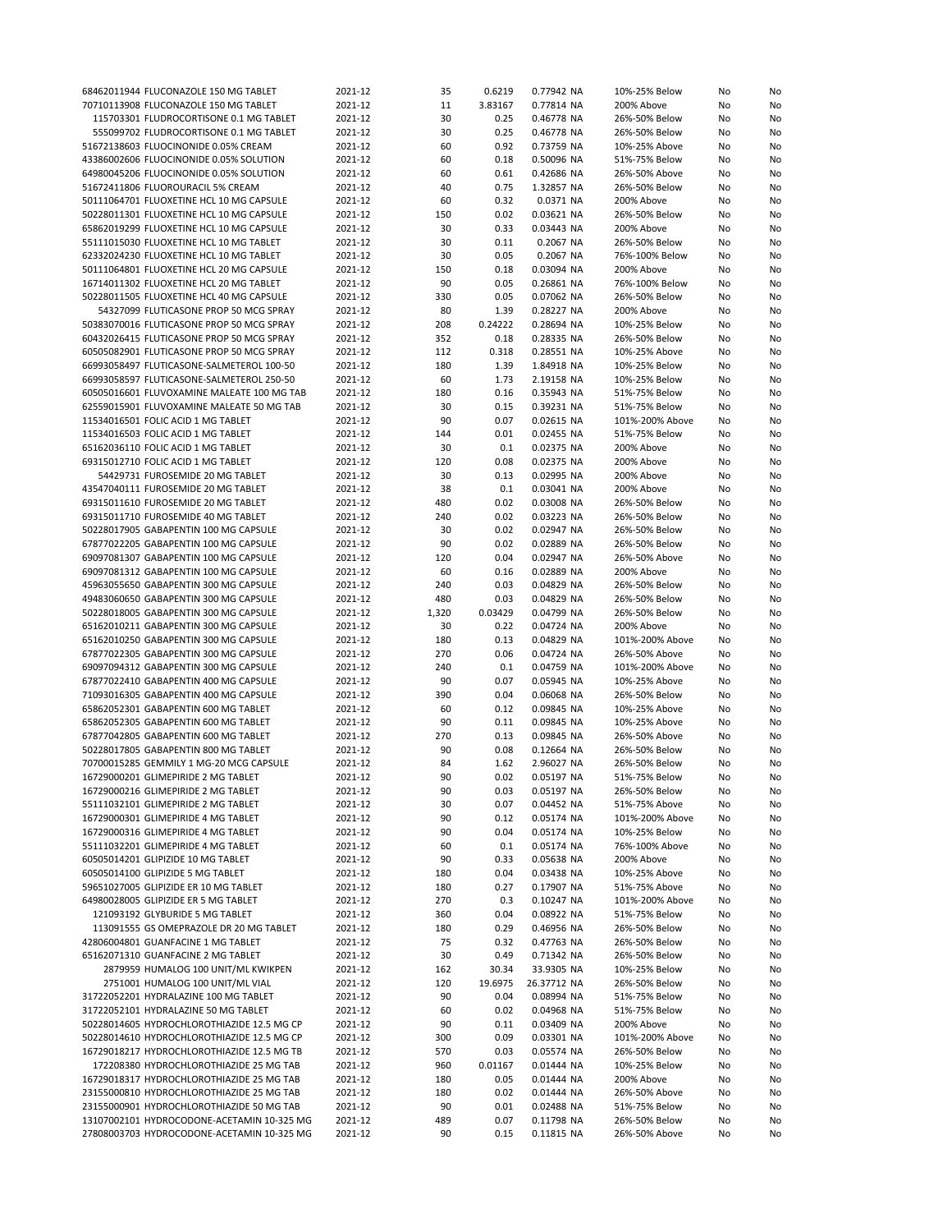| 68462011944 FLUCONAZOLE 150 MG TABLET      | 2021-12 | 35    | 0.6219  | 0.77942 NA  | 10%-25% Below   | No | No |
|--------------------------------------------|---------|-------|---------|-------------|-----------------|----|----|
| 70710113908 FLUCONAZOLE 150 MG TABLET      | 2021-12 | 11    | 3.83167 | 0.77814 NA  | 200% Above      | No | No |
|                                            |         |       |         |             |                 |    |    |
| 115703301 FLUDROCORTISONE 0.1 MG TABLET    | 2021-12 | 30    | 0.25    | 0.46778 NA  | 26%-50% Below   | No | No |
| 555099702 FLUDROCORTISONE 0.1 MG TABLET    | 2021-12 | 30    | 0.25    | 0.46778 NA  | 26%-50% Below   | No | No |
| 51672138603 FLUOCINONIDE 0.05% CREAM       | 2021-12 | 60    | 0.92    | 0.73759 NA  | 10%-25% Above   | No | No |
| 43386002606 FLUOCINONIDE 0.05% SOLUTION    | 2021-12 | 60    | 0.18    | 0.50096 NA  | 51%-75% Below   | No | No |
| 64980045206 FLUOCINONIDE 0.05% SOLUTION    | 2021-12 | 60    | 0.61    | 0.42686 NA  | 26%-50% Above   | No | No |
|                                            |         |       |         |             |                 |    |    |
| 51672411806 FLUOROURACIL 5% CREAM          | 2021-12 | 40    | 0.75    | 1.32857 NA  | 26%-50% Below   | No | No |
| 50111064701 FLUOXETINE HCL 10 MG CAPSULE   | 2021-12 | 60    | 0.32    | 0.0371 NA   | 200% Above      | No | No |
| 50228011301 FLUOXETINE HCL 10 MG CAPSULE   | 2021-12 | 150   | 0.02    | 0.03621 NA  | 26%-50% Below   | No | No |
| 65862019299 FLUOXETINE HCL 10 MG CAPSULE   | 2021-12 | 30    | 0.33    | 0.03443 NA  | 200% Above      | No | No |
| 55111015030 FLUOXETINE HCL 10 MG TABLET    | 2021-12 | 30    | 0.11    | 0.2067 NA   | 26%-50% Below   | No | No |
|                                            |         |       |         |             |                 |    |    |
| 62332024230 FLUOXETINE HCL 10 MG TABLET    | 2021-12 | 30    | 0.05    | 0.2067 NA   | 76%-100% Below  | No | No |
| 50111064801 FLUOXETINE HCL 20 MG CAPSULE   | 2021-12 | 150   | 0.18    | 0.03094 NA  | 200% Above      | No | No |
| 16714011302 FLUOXETINE HCL 20 MG TABLET    | 2021-12 | 90    | 0.05    | 0.26861 NA  | 76%-100% Below  | No | No |
| 50228011505 FLUOXETINE HCL 40 MG CAPSULE   | 2021-12 | 330   | 0.05    | 0.07062 NA  | 26%-50% Below   | No | No |
| 54327099 FLUTICASONE PROP 50 MCG SPRAY     | 2021-12 | 80    | 1.39    | 0.28227 NA  | 200% Above      | No | No |
| 50383070016 FLUTICASONE PROP 50 MCG SPRAY  | 2021-12 | 208   | 0.24222 | 0.28694 NA  | 10%-25% Below   | No | No |
|                                            |         |       |         |             |                 |    |    |
| 60432026415 FLUTICASONE PROP 50 MCG SPRAY  | 2021-12 | 352   | 0.18    | 0.28335 NA  | 26%-50% Below   | No | No |
| 60505082901 FLUTICASONE PROP 50 MCG SPRAY  | 2021-12 | 112   | 0.318   | 0.28551 NA  | 10%-25% Above   | No | No |
| 66993058497 FLUTICASONE-SALMETEROL 100-50  | 2021-12 | 180   | 1.39    | 1.84918 NA  | 10%-25% Below   | No | No |
| 66993058597 FLUTICASONE-SALMETEROL 250-50  | 2021-12 | 60    | 1.73    | 2.19158 NA  | 10%-25% Below   | No | No |
| 60505016601 FLUVOXAMINE MALEATE 100 MG TAB | 2021-12 | 180   | 0.16    | 0.35943 NA  | 51%-75% Below   |    | No |
|                                            |         |       |         |             |                 | No |    |
| 62559015901 FLUVOXAMINE MALEATE 50 MG TAB  | 2021-12 | 30    | 0.15    | 0.39231 NA  | 51%-75% Below   | No | No |
| 11534016501 FOLIC ACID 1 MG TABLET         | 2021-12 | 90    | 0.07    | 0.02615 NA  | 101%-200% Above | No | No |
| 11534016503 FOLIC ACID 1 MG TABLET         | 2021-12 | 144   | 0.01    | 0.02455 NA  | 51%-75% Below   | No | No |
| 65162036110 FOLIC ACID 1 MG TABLET         | 2021-12 | 30    | 0.1     | 0.02375 NA  | 200% Above      | No | No |
|                                            |         | 120   | 0.08    |             |                 |    |    |
| 69315012710 FOLIC ACID 1 MG TABLET         | 2021-12 |       |         | 0.02375 NA  | 200% Above      | No | No |
| 54429731 FUROSEMIDE 20 MG TABLET           | 2021-12 | 30    | 0.13    | 0.02995 NA  | 200% Above      | No | No |
| 43547040111 FUROSEMIDE 20 MG TABLET        | 2021-12 | 38    | 0.1     | 0.03041 NA  | 200% Above      | No | No |
| 69315011610 FUROSEMIDE 20 MG TABLET        | 2021-12 | 480   | 0.02    | 0.03008 NA  | 26%-50% Below   | No | No |
| 69315011710 FUROSEMIDE 40 MG TABLET        | 2021-12 | 240   | 0.02    | 0.03223 NA  | 26%-50% Below   | No | No |
|                                            |         |       |         |             |                 |    |    |
| 50228017905 GABAPENTIN 100 MG CAPSULE      | 2021-12 | 30    | 0.02    | 0.02947 NA  | 26%-50% Below   | No | No |
| 67877022205 GABAPENTIN 100 MG CAPSULE      | 2021-12 | 90    | 0.02    | 0.02889 NA  | 26%-50% Below   | No | No |
| 69097081307 GABAPENTIN 100 MG CAPSULE      | 2021-12 | 120   | 0.04    | 0.02947 NA  | 26%-50% Above   | No | No |
| 69097081312 GABAPENTIN 100 MG CAPSULE      | 2021-12 | 60    | 0.16    | 0.02889 NA  | 200% Above      | No | No |
| 45963055650 GABAPENTIN 300 MG CAPSULE      | 2021-12 | 240   | 0.03    | 0.04829 NA  | 26%-50% Below   | No | No |
|                                            |         |       |         |             |                 |    |    |
| 49483060650 GABAPENTIN 300 MG CAPSULE      | 2021-12 | 480   | 0.03    | 0.04829 NA  | 26%-50% Below   | No | No |
| 50228018005 GABAPENTIN 300 MG CAPSULE      | 2021-12 | 1,320 | 0.03429 | 0.04799 NA  | 26%-50% Below   | No | No |
| 65162010211 GABAPENTIN 300 MG CAPSULE      | 2021-12 | 30    | 0.22    | 0.04724 NA  | 200% Above      | No | No |
| 65162010250 GABAPENTIN 300 MG CAPSULE      | 2021-12 | 180   | 0.13    | 0.04829 NA  | 101%-200% Above | No | No |
| 67877022305 GABAPENTIN 300 MG CAPSULE      | 2021-12 | 270   | 0.06    | 0.04724 NA  | 26%-50% Above   | No | No |
| 69097094312 GABAPENTIN 300 MG CAPSULE      | 2021-12 | 240   | 0.1     | 0.04759 NA  | 101%-200% Above | No | No |
|                                            |         |       |         |             |                 |    |    |
| 67877022410 GABAPENTIN 400 MG CAPSULE      | 2021-12 | 90    | 0.07    | 0.05945 NA  | 10%-25% Above   | No | No |
| 71093016305 GABAPENTIN 400 MG CAPSULE      | 2021-12 | 390   | 0.04    | 0.06068 NA  | 26%-50% Below   | No | No |
| 65862052301 GABAPENTIN 600 MG TABLET       | 2021-12 | 60    | 0.12    | 0.09845 NA  | 10%-25% Above   | No | No |
| 65862052305 GABAPENTIN 600 MG TABLET       | 2021-12 | 90    | 0.11    | 0.09845 NA  | 10%-25% Above   | No | No |
|                                            |         |       |         |             |                 |    |    |
| 67877042805 GABAPENTIN 600 MG TABLET       | 2021-12 | 270   | 0.13    | 0.09845 NA  | 26%-50% Above   | No | No |
| 50228017805 GABAPENTIN 800 MG TABLET       | 2021-12 | 90    | 0.08    | 0.12664 NA  | 26%-50% Below   | No | No |
| 70700015285 GEMMILY 1 MG-20 MCG CAPSULE    | 2021-12 | 84    | 1.62    | 2.96027 NA  | 26%-50% Below   | No | No |
| 16729000201 GLIMEPIRIDE 2 MG TABLET        | 2021-12 | 90    | 0.02    | 0.05197 NA  | 51%-75% Below   | No | No |
| 16729000216 GLIMEPIRIDE 2 MG TABLET        | 2021-12 | 90    | 0.03    | 0.05197 NA  | 26%-50% Below   | No | No |
| 55111032101 GLIMEPIRIDE 2 MG TABLET        | 2021-12 | 30    | 0.07    | 0.04452 NA  | 51%-75% Above   | No | No |
|                                            |         |       |         |             |                 |    |    |
| 16729000301 GLIMEPIRIDE 4 MG TABLET        | 2021-12 | 90    | 0.12    | 0.05174 NA  | 101%-200% Above | No | No |
| 16729000316 GLIMEPIRIDE 4 MG TABLET        | 2021-12 | 90    | 0.04    | 0.05174 NA  | 10%-25% Below   | No | No |
| 55111032201 GLIMEPIRIDE 4 MG TABLET        | 2021-12 | 60    | 0.1     | 0.05174 NA  | 76%-100% Above  | No | No |
| 60505014201 GLIPIZIDE 10 MG TABLET         | 2021-12 | 90    | 0.33    | 0.05638 NA  | 200% Above      | No | No |
| 60505014100 GLIPIZIDE 5 MG TABLET          | 2021-12 | 180   | 0.04    | 0.03438 NA  | 10%-25% Above   | No | No |
|                                            |         |       |         |             |                 |    |    |
| 59651027005 GLIPIZIDE ER 10 MG TABLET      | 2021-12 | 180   | 0.27    | 0.17907 NA  | 51%-75% Above   | No | No |
| 64980028005 GLIPIZIDE ER 5 MG TABLET       | 2021-12 | 270   | 0.3     | 0.10247 NA  | 101%-200% Above | No | No |
| 121093192 GLYBURIDE 5 MG TABLET            | 2021-12 | 360   | 0.04    | 0.08922 NA  | 51%-75% Below   | No | No |
| 113091555 GS OMEPRAZOLE DR 20 MG TABLET    | 2021-12 | 180   | 0.29    | 0.46956 NA  | 26%-50% Below   | No | No |
|                                            |         |       |         |             |                 |    |    |
| 42806004801 GUANFACINE 1 MG TABLET         | 2021-12 | 75    | 0.32    | 0.47763 NA  | 26%-50% Below   | No | No |
| 65162071310 GUANFACINE 2 MG TABLET         | 2021-12 | 30    | 0.49    | 0.71342 NA  | 26%-50% Below   | No | No |
| 2879959 HUMALOG 100 UNIT/ML KWIKPEN        | 2021-12 | 162   | 30.34   | 33.9305 NA  | 10%-25% Below   | No | No |
| 2751001 HUMALOG 100 UNIT/ML VIAL           | 2021-12 | 120   | 19.6975 | 26.37712 NA | 26%-50% Below   | No | No |
| 31722052201 HYDRALAZINE 100 MG TABLET      | 2021-12 | 90    | 0.04    | 0.08994 NA  | 51%-75% Below   | No | No |
| 31722052101 HYDRALAZINE 50 MG TABLET       |         |       | 0.02    | 0.04968 NA  | 51%-75% Below   |    |    |
|                                            | 2021-12 | 60    |         |             |                 | No | No |
| 50228014605 HYDROCHLOROTHIAZIDE 12.5 MG CP | 2021-12 | 90    | 0.11    | 0.03409 NA  | 200% Above      | No | No |
| 50228014610 HYDROCHLOROTHIAZIDE 12.5 MG CP | 2021-12 | 300   | 0.09    | 0.03301 NA  | 101%-200% Above | No | No |
| 16729018217 HYDROCHLOROTHIAZIDE 12.5 MG TB | 2021-12 | 570   | 0.03    | 0.05574 NA  | 26%-50% Below   | No | No |
| 172208380 HYDROCHLOROTHIAZIDE 25 MG TAB    | 2021-12 | 960   | 0.01167 | 0.01444 NA  | 10%-25% Below   | No | No |
| 16729018317 HYDROCHLOROTHIAZIDE 25 MG TAB  | 2021-12 | 180   | 0.05    | 0.01444 NA  | 200% Above      | No |    |
|                                            |         |       |         |             |                 |    | No |
| 23155000810 HYDROCHLOROTHIAZIDE 25 MG TAB  | 2021-12 | 180   | 0.02    | 0.01444 NA  | 26%-50% Above   | No | No |
| 23155000901 HYDROCHLOROTHIAZIDE 50 MG TAB  | 2021-12 | 90    | 0.01    | 0.02488 NA  | 51%-75% Below   | No | No |
| 13107002101 HYDROCODONE-ACETAMIN 10-325 MG | 2021-12 | 489   | 0.07    | 0.11798 NA  | 26%-50% Below   | No | No |
| 27808003703 HYDROCODONE-ACETAMIN 10-325 MG | 2021-12 | 90    | 0.15    | 0.11815 NA  | 26%-50% Above   | No | No |
|                                            |         |       |         |             |                 |    |    |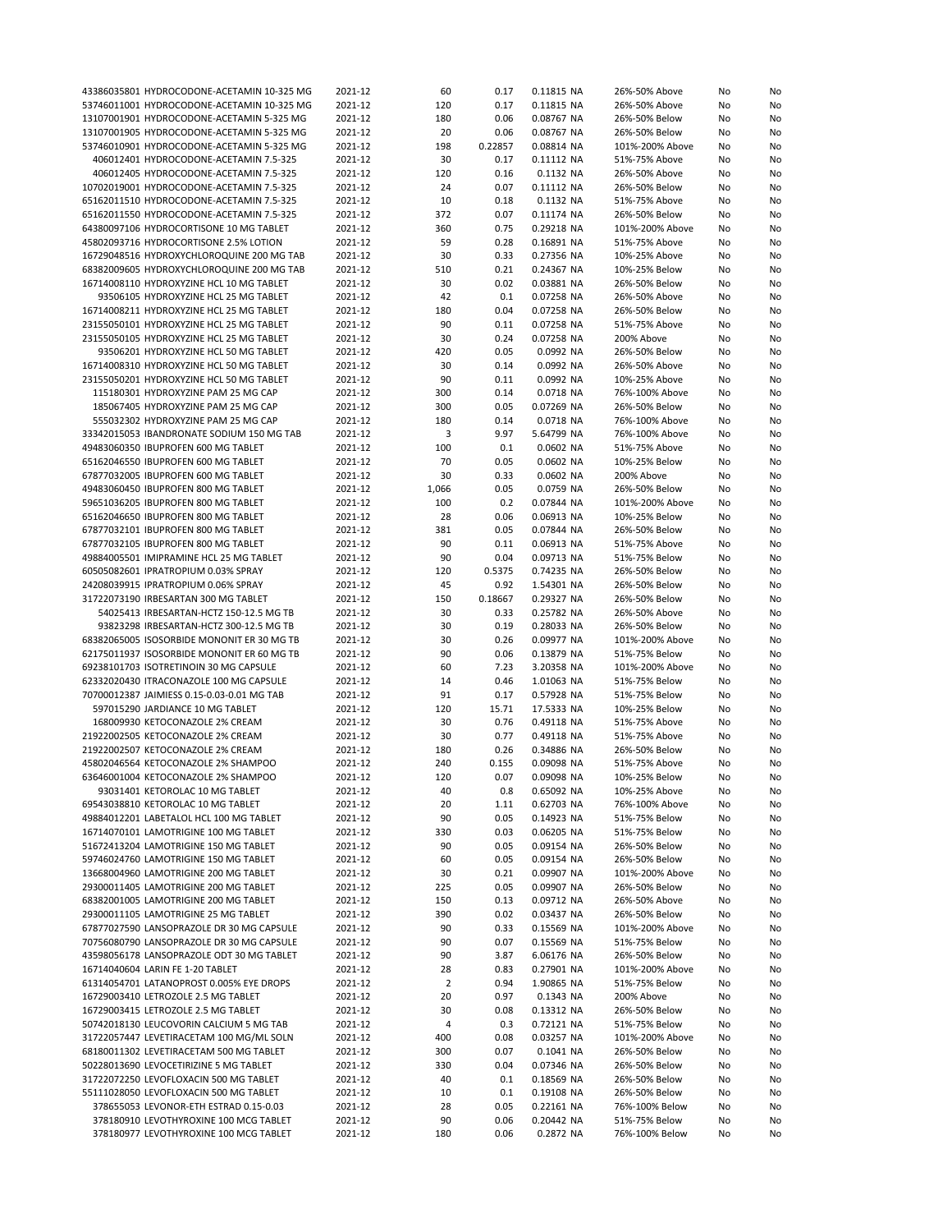| 43386035801 HYDROCODONE-ACETAMIN 10-325 MG                                       | 2021-12            | 60             | 0.17         | 0.11815 NA              | 26%-50% Above                   | No       | No       |
|----------------------------------------------------------------------------------|--------------------|----------------|--------------|-------------------------|---------------------------------|----------|----------|
| 53746011001 HYDROCODONE-ACETAMIN 10-325 MG                                       |                    | 120            | 0.17         | 0.11815 NA              | 26%-50% Above                   |          |          |
|                                                                                  | 2021-12            |                |              |                         |                                 | No       | No       |
| 13107001901 HYDROCODONE-ACETAMIN 5-325 MG                                        | 2021-12            | 180            | 0.06         | 0.08767 NA              | 26%-50% Below                   | No       | No       |
| 13107001905 HYDROCODONE-ACETAMIN 5-325 MG                                        | 2021-12            | 20             | 0.06         | 0.08767 NA              | 26%-50% Below                   | No       | No       |
| 53746010901 HYDROCODONE-ACETAMIN 5-325 MG                                        | 2021-12            | 198            | 0.22857      | 0.08814 NA              | 101%-200% Above                 | No       | No       |
| 406012401 HYDROCODONE-ACETAMIN 7.5-325                                           | 2021-12            | 30             | 0.17         | 0.11112 NA              | 51%-75% Above                   | No       | No       |
|                                                                                  |                    |                |              |                         |                                 |          |          |
| 406012405 HYDROCODONE-ACETAMIN 7.5-325                                           | 2021-12            | 120            | 0.16         | 0.1132 NA               | 26%-50% Above                   | No       | No       |
| 10702019001 HYDROCODONE-ACETAMIN 7.5-325                                         | 2021-12            | 24             | 0.07         | 0.11112 NA              | 26%-50% Below                   | No       | No       |
| 65162011510 HYDROCODONE-ACETAMIN 7.5-325                                         | 2021-12            | 10             | 0.18         | 0.1132 NA               | 51%-75% Above                   | No       | No       |
| 65162011550 HYDROCODONE-ACETAMIN 7.5-325                                         | 2021-12            | 372            | 0.07         | 0.11174 NA              | 26%-50% Below                   | No       | No       |
|                                                                                  |                    |                |              |                         |                                 |          |          |
| 64380097106 HYDROCORTISONE 10 MG TABLET                                          | 2021-12            | 360            | 0.75         | 0.29218 NA              | 101%-200% Above                 | No       | No       |
| 45802093716 HYDROCORTISONE 2.5% LOTION                                           | 2021-12            | 59             | 0.28         | 0.16891 NA              | 51%-75% Above                   | No       | No       |
| 16729048516 HYDROXYCHLOROQUINE 200 MG TAB                                        | 2021-12            | 30             | 0.33         | 0.27356 NA              | 10%-25% Above                   | No       | No       |
| 68382009605 HYDROXYCHLOROQUINE 200 MG TAB                                        | 2021-12            | 510            | 0.21         | 0.24367 NA              | 10%-25% Below                   | No       | No       |
| 16714008110 HYDROXYZINE HCL 10 MG TABLET                                         |                    | 30             | 0.02         |                         |                                 |          | No       |
|                                                                                  | 2021-12            |                |              | 0.03881 NA              | 26%-50% Below                   | No       |          |
| 93506105 HYDROXYZINE HCL 25 MG TABLET                                            | 2021-12            | 42             | 0.1          | 0.07258 NA              | 26%-50% Above                   | No       | No       |
| 16714008211 HYDROXYZINE HCL 25 MG TABLET                                         | 2021-12            | 180            | 0.04         | 0.07258 NA              | 26%-50% Below                   | No       | No       |
| 23155050101 HYDROXYZINE HCL 25 MG TABLET                                         | 2021-12            | 90             | 0.11         | 0.07258 NA              | 51%-75% Above                   | No       | No       |
| 23155050105 HYDROXYZINE HCL 25 MG TABLET                                         | 2021-12            | 30             | 0.24         | 0.07258 NA              | 200% Above                      | No       | No       |
|                                                                                  |                    |                |              |                         |                                 |          |          |
| 93506201 HYDROXYZINE HCL 50 MG TABLET                                            | 2021-12            | 420            | 0.05         | 0.0992 NA               | 26%-50% Below                   | No       | No       |
| 16714008310 HYDROXYZINE HCL 50 MG TABLET                                         | 2021-12            | 30             | 0.14         | 0.0992 NA               | 26%-50% Above                   | No       | No       |
| 23155050201 HYDROXYZINE HCL 50 MG TABLET                                         | 2021-12            | 90             | 0.11         | 0.0992 NA               | 10%-25% Above                   | No       | No       |
| 115180301 HYDROXYZINE PAM 25 MG CAP                                              | 2021-12            | 300            | 0.14         | 0.0718 NA               | 76%-100% Above                  | No       | No       |
| 185067405 HYDROXYZINE PAM 25 MG CAP                                              | 2021-12            | 300            | 0.05         | 0.07269 NA              | 26%-50% Below                   | No       | No       |
|                                                                                  |                    |                |              |                         |                                 |          |          |
| 555032302 HYDROXYZINE PAM 25 MG CAP                                              | 2021-12            | 180            | 0.14         | 0.0718 NA               | 76%-100% Above                  | No       | No       |
| 33342015053 IBANDRONATE SODIUM 150 MG TAB                                        | 2021-12            | 3              | 9.97         | 5.64799 NA              | 76%-100% Above                  | No       | No       |
| 49483060350 IBUPROFEN 600 MG TABLET                                              | 2021-12            | 100            | 0.1          | 0.0602 NA               | 51%-75% Above                   | No       | No       |
| 65162046550 IBUPROFEN 600 MG TABLET                                              | 2021-12            | 70             | 0.05         | 0.0602 NA               | 10%-25% Below                   | No       | No       |
| 67877032005 IBUPROFEN 600 MG TABLET                                              |                    | 30             | 0.33         | 0.0602 NA               | 200% Above                      |          |          |
|                                                                                  | 2021-12            |                |              |                         |                                 | No       | No       |
| 49483060450 IBUPROFEN 800 MG TABLET                                              | 2021-12            | 1,066          | 0.05         | 0.0759 NA               | 26%-50% Below                   | No       | No       |
| 59651036205 IBUPROFEN 800 MG TABLET                                              | 2021-12            | 100            | 0.2          | 0.07844 NA              | 101%-200% Above                 | No       | No       |
| 65162046650 IBUPROFEN 800 MG TABLET                                              | 2021-12            | 28             | 0.06         | 0.06913 NA              | 10%-25% Below                   | No       | No       |
| 67877032101 IBUPROFEN 800 MG TABLET                                              | 2021-12            | 381            | 0.05         | 0.07844 NA              | 26%-50% Below                   | No       | No       |
|                                                                                  |                    |                |              |                         |                                 |          |          |
| 67877032105 IBUPROFEN 800 MG TABLET                                              | 2021-12            | 90             | 0.11         | 0.06913 NA              | 51%-75% Above                   | No       | No       |
| 49884005501 IMIPRAMINE HCL 25 MG TABLET                                          | 2021-12            | 90             | 0.04         | 0.09713 NA              | 51%-75% Below                   | No       | No       |
| 60505082601 IPRATROPIUM 0.03% SPRAY                                              | 2021-12            | 120            | 0.5375       | 0.74235 NA              | 26%-50% Below                   | No       | No       |
| 24208039915 IPRATROPIUM 0.06% SPRAY                                              | 2021-12            | 45             | 0.92         | 1.54301 NA              | 26%-50% Below                   | No       | No       |
| 31722073190 IRBESARTAN 300 MG TABLET                                             | 2021-12            | 150            | 0.18667      | 0.29327 NA              | 26%-50% Below                   | No       | No       |
|                                                                                  |                    |                |              |                         |                                 |          |          |
| 54025413 IRBESARTAN-HCTZ 150-12.5 MG TB                                          | 2021-12            | 30             | 0.33         | 0.25782 NA              | 26%-50% Above                   | No       | No       |
| 93823298 IRBESARTAN-HCTZ 300-12.5 MG TB                                          | 2021-12            | 30             | 0.19         | 0.28033 NA              | 26%-50% Below                   | No       | No       |
| 68382065005 ISOSORBIDE MONONIT ER 30 MG TB                                       | 2021-12            | 30             | 0.26         | 0.09977 NA              | 101%-200% Above                 | No       | No       |
| 62175011937 ISOSORBIDE MONONIT ER 60 MG TB                                       | 2021-12            | 90             | 0.06         | 0.13879 NA              | 51%-75% Below                   | No       | No       |
| 69238101703 ISOTRETINOIN 30 MG CAPSULE                                           | 2021-12            | 60             | 7.23         | 3.20358 NA              | 101%-200% Above                 | No       | No       |
| 62332020430 ITRACONAZOLE 100 MG CAPSULE                                          | 2021-12            | 14             | 0.46         | 1.01063 NA              | 51%-75% Below                   | No       | No       |
|                                                                                  |                    |                |              |                         |                                 |          |          |
| 70700012387 JAIMIESS 0.15-0.03-0.01 MG TAB                                       | 2021-12            | 91             | 0.17         | 0.57928 NA              | 51%-75% Below                   | No       | No       |
| 597015290 JARDIANCE 10 MG TABLET                                                 | 2021-12            | 120            | 15.71        | 17.5333 NA              | 10%-25% Below                   | No       | No       |
| 168009930 KETOCONAZOLE 2% CREAM                                                  | 2021-12            | 30             | 0.76         | 0.49118 NA              | 51%-75% Above                   | No       | No       |
| 21922002505 KETOCONAZOLE 2% CREAM                                                | 2021-12            | 30             | 0.77         | 0.49118 NA              | 51%-75% Above                   | No       | No       |
| 21922002507 KETOCONAZOLE 2% CREAM                                                | 2021-12            | 180            | 0.26         | 0.34886 NA              | 26%-50% Below                   | No       | No       |
| 45802046564 KETOCONAZOLE 2% SHAMPOO                                              | 2021-12            | 240            | 0.155        | 0.09098 NA              | 51%-75% Above                   |          |          |
|                                                                                  |                    |                |              |                         |                                 | No       | No       |
| 63646001004 KETOCONAZOLE 2% SHAMPOO                                              | 2021-12            | 120            | 0.07         | 0.09098 NA              | 10%-25% Below                   | No       | No       |
| 93031401 KETOROLAC 10 MG TABLET                                                  | 2021-12            | 40             | 0.8          | 0.65092 NA              | 10%-25% Above                   | No       | No       |
| 69543038810 KETOROLAC 10 MG TABLET                                               | 2021-12            | 20             | 1.11         | 0.62703 NA              | 76%-100% Above                  | No       | No       |
| 49884012201 LABETALOL HCL 100 MG TABLET                                          | 2021-12            | 90             | 0.05         | 0.14923 NA              | 51%-75% Below                   | No       | No       |
| 16714070101 LAMOTRIGINE 100 MG TABLET                                            |                    |                |              |                         |                                 |          |          |
|                                                                                  | 2021-12            | 330            | 0.03         | 0.06205 NA              | 51%-75% Below                   | No       | No       |
| 51672413204 LAMOTRIGINE 150 MG TABLET                                            | 2021-12            | 90             | 0.05         | 0.09154 NA              | 26%-50% Below                   | No       | No       |
| 59746024760 LAMOTRIGINE 150 MG TABLET                                            | 2021-12            | 60             | 0.05         | 0.09154 NA              | 26%-50% Below                   | No       | No       |
| 13668004960 LAMOTRIGINE 200 MG TABLET                                            | 2021-12            | 30             | 0.21         | 0.09907 NA              | 101%-200% Above                 | No       | No       |
| 29300011405 LAMOTRIGINE 200 MG TABLET                                            | 2021-12            | 225            | 0.05         | 0.09907 NA              | 26%-50% Below                   | No       | No       |
|                                                                                  |                    |                |              |                         |                                 |          |          |
| 68382001005 LAMOTRIGINE 200 MG TABLET                                            | 2021-12            | 150            | 0.13         | 0.09712 NA              | 26%-50% Above                   | No       | No       |
| 29300011105 LAMOTRIGINE 25 MG TABLET                                             | 2021-12            | 390            | 0.02         | 0.03437 NA              | 26%-50% Below                   | No       | No       |
| 67877027590 LANSOPRAZOLE DR 30 MG CAPSULE                                        |                    |                |              |                         |                                 |          | No       |
|                                                                                  | 2021-12            | 90             | 0.33         | 0.15569 NA              | 101%-200% Above                 | No       |          |
|                                                                                  |                    |                |              |                         |                                 |          |          |
| 70756080790 LANSOPRAZOLE DR 30 MG CAPSULE                                        | 2021-12            | 90             | 0.07         | 0.15569 NA              | 51%-75% Below                   | No       | No       |
| 43598056178 LANSOPRAZOLE ODT 30 MG TABLET                                        | 2021-12            | 90             | 3.87         | 6.06176 NA              | 26%-50% Below                   | No       | No       |
| 16714040604 LARIN FE 1-20 TABLET                                                 | 2021-12            | 28             | 0.83         | 0.27901 NA              | 101%-200% Above                 | No       | No       |
| 61314054701 LATANOPROST 0.005% EYE DROPS                                         | 2021-12            | $\overline{2}$ | 0.94         | 1.90865 NA              | 51%-75% Below                   | No       | No       |
| 16729003410 LETROZOLE 2.5 MG TABLET                                              | 2021-12            | 20             | 0.97         | 0.1343 NA               | 200% Above                      | No       | No       |
|                                                                                  |                    |                |              |                         |                                 |          |          |
| 16729003415 LETROZOLE 2.5 MG TABLET                                              | 2021-12            | 30             | 0.08         | 0.13312 NA              | 26%-50% Below                   | No       | No       |
| 50742018130 LEUCOVORIN CALCIUM 5 MG TAB                                          | 2021-12            | 4              | 0.3          | 0.72121 NA              | 51%-75% Below                   | No       | No       |
| 31722057447 LEVETIRACETAM 100 MG/ML SOLN                                         | 2021-12            | 400            | 0.08         | 0.03257 NA              | 101%-200% Above                 | No       | No       |
| 68180011302 LEVETIRACETAM 500 MG TABLET                                          | 2021-12            | 300            | 0.07         | 0.1041 NA               | 26%-50% Below                   | No       | No       |
| 50228013690 LEVOCETIRIZINE 5 MG TABLET                                           | 2021-12            | 330            | 0.04         | 0.07346 NA              | 26%-50% Below                   | No       | No       |
|                                                                                  |                    |                |              |                         |                                 |          |          |
| 31722072250 LEVOFLOXACIN 500 MG TABLET                                           | 2021-12            | 40             | 0.1          | 0.18569 NA              | 26%-50% Below                   | No       | No       |
| 55111028050 LEVOFLOXACIN 500 MG TABLET                                           | 2021-12            | 10             | 0.1          | 0.19108 NA              | 26%-50% Below                   | No       | No       |
| 378655053 LEVONOR-ETH ESTRAD 0.15-0.03                                           | 2021-12            | 28             | 0.05         | 0.22161 NA              | 76%-100% Below                  | No       | No       |
| 378180910 LEVOTHYROXINE 100 MCG TABLET<br>378180977 LEVOTHYROXINE 100 MCG TABLET | 2021-12<br>2021-12 | 90<br>180      | 0.06<br>0.06 | 0.20442 NA<br>0.2872 NA | 51%-75% Below<br>76%-100% Below | No<br>No | No<br>No |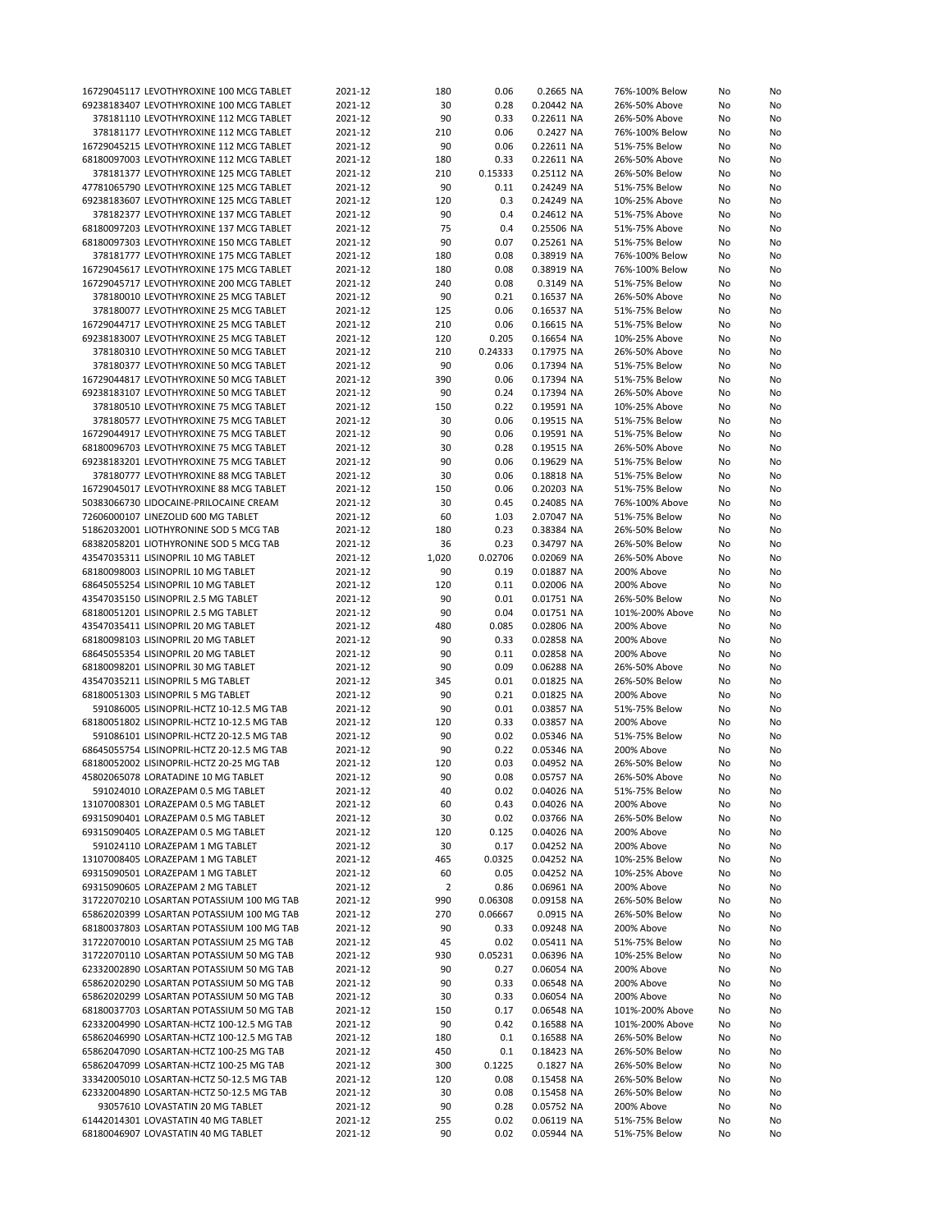| 16729045117 LEVOTHYROXINE 100 MCG TABLET                                   |                                            |                    |                |              |                          |                                |          |          |
|----------------------------------------------------------------------------|--------------------------------------------|--------------------|----------------|--------------|--------------------------|--------------------------------|----------|----------|
|                                                                            |                                            | 2021-12            | 180            | 0.06         | 0.2665 NA                | 76%-100% Below                 | No       | No       |
|                                                                            | 69238183407 LEVOTHYROXINE 100 MCG TABLET   | 2021-12            | 30             | 0.28         | 0.20442 NA               | 26%-50% Above                  | No       | No       |
|                                                                            | 378181110 LEVOTHYROXINE 112 MCG TABLET     | 2021-12            | 90             | 0.33         | 0.22611 NA               | 26%-50% Above                  | No       | No       |
|                                                                            | 378181177 LEVOTHYROXINE 112 MCG TABLET     | 2021-12            | 210            | 0.06         | 0.2427 NA                | 76%-100% Below                 | No       | No       |
|                                                                            | 16729045215 LEVOTHYROXINE 112 MCG TABLET   | 2021-12            | 90             | 0.06         | 0.22611 NA               | 51%-75% Below                  | No       | No       |
|                                                                            | 68180097003 LEVOTHYROXINE 112 MCG TABLET   | 2021-12            | 180            | 0.33         | 0.22611 NA               | 26%-50% Above                  | No       | No       |
|                                                                            | 378181377 LEVOTHYROXINE 125 MCG TABLET     | 2021-12            | 210            | 0.15333      | 0.25112 NA               | 26%-50% Below                  | No       |          |
|                                                                            |                                            |                    |                |              |                          |                                |          | No       |
|                                                                            | 47781065790 LEVOTHYROXINE 125 MCG TABLET   | 2021-12            | 90             | 0.11         | 0.24249 NA               | 51%-75% Below                  | No       | No       |
|                                                                            | 69238183607 LEVOTHYROXINE 125 MCG TABLET   | 2021-12            | 120            | 0.3          | 0.24249 NA               | 10%-25% Above                  | No       | No       |
|                                                                            | 378182377 LEVOTHYROXINE 137 MCG TABLET     | 2021-12            | 90             | 0.4          | 0.24612 NA               | 51%-75% Above                  | No       | No       |
|                                                                            | 68180097203 LEVOTHYROXINE 137 MCG TABLET   | 2021-12            | 75             | 0.4          | 0.25506 NA               | 51%-75% Above                  | No       | No       |
|                                                                            | 68180097303 LEVOTHYROXINE 150 MCG TABLET   | 2021-12            | 90             | 0.07         | 0.25261 NA               | 51%-75% Below                  | No       | No       |
|                                                                            | 378181777 LEVOTHYROXINE 175 MCG TABLET     | 2021-12            | 180            | 0.08         | 0.38919 NA               | 76%-100% Below                 | No       | No       |
|                                                                            |                                            |                    |                |              |                          |                                |          |          |
|                                                                            | 16729045617 LEVOTHYROXINE 175 MCG TABLET   | 2021-12            | 180            | 0.08         | 0.38919 NA               | 76%-100% Below                 | No       | No       |
|                                                                            | 16729045717 LEVOTHYROXINE 200 MCG TABLET   | 2021-12            | 240            | 0.08         | 0.3149 NA                | 51%-75% Below                  | No       | No       |
|                                                                            | 378180010 LEVOTHYROXINE 25 MCG TABLET      | 2021-12            | 90             | 0.21         | 0.16537 NA               | 26%-50% Above                  | No       | No       |
|                                                                            | 378180077 LEVOTHYROXINE 25 MCG TABLET      | 2021-12            | 125            | 0.06         | 0.16537 NA               | 51%-75% Below                  | No       | No       |
|                                                                            | 16729044717 LEVOTHYROXINE 25 MCG TABLET    | 2021-12            | 210            | 0.06         | 0.16615 NA               | 51%-75% Below                  | No       | No       |
|                                                                            | 69238183007 LEVOTHYROXINE 25 MCG TABLET    | 2021-12            | 120            | 0.205        | 0.16654 NA               | 10%-25% Above                  | No       | No       |
|                                                                            | 378180310 LEVOTHYROXINE 50 MCG TABLET      | 2021-12            | 210            | 0.24333      | 0.17975 NA               | 26%-50% Above                  | No       |          |
|                                                                            |                                            |                    |                |              |                          |                                |          | No       |
|                                                                            | 378180377 LEVOTHYROXINE 50 MCG TABLET      | 2021-12            | 90             | 0.06         | 0.17394 NA               | 51%-75% Below                  | No       | No       |
|                                                                            | 16729044817 LEVOTHYROXINE 50 MCG TABLET    | 2021-12            | 390            | 0.06         | 0.17394 NA               | 51%-75% Below                  | No       | No       |
|                                                                            | 69238183107 LEVOTHYROXINE 50 MCG TABLET    | 2021-12            | 90             | 0.24         | 0.17394 NA               | 26%-50% Above                  | No       | No       |
|                                                                            | 378180510 LEVOTHYROXINE 75 MCG TABLET      | 2021-12            | 150            | 0.22         | 0.19591 NA               | 10%-25% Above                  | No       | No       |
|                                                                            | 378180577 LEVOTHYROXINE 75 MCG TABLET      | 2021-12            | 30             | 0.06         | 0.19515 NA               | 51%-75% Below                  | No       | No       |
|                                                                            | 16729044917 LEVOTHYROXINE 75 MCG TABLET    | 2021-12            | 90             | 0.06         | 0.19591 NA               | 51%-75% Below                  | No       | No       |
|                                                                            |                                            |                    |                |              |                          |                                |          |          |
|                                                                            | 68180096703 LEVOTHYROXINE 75 MCG TABLET    | 2021-12            | 30             | 0.28         | 0.19515 NA               | 26%-50% Above                  | No       | No       |
|                                                                            | 69238183201 LEVOTHYROXINE 75 MCG TABLET    | 2021-12            | 90             | 0.06         | 0.19629 NA               | 51%-75% Below                  | No       | No       |
|                                                                            | 378180777 LEVOTHYROXINE 88 MCG TABLET      | 2021-12            | 30             | 0.06         | 0.18818 NA               | 51%-75% Below                  | No       | No       |
|                                                                            | 16729045017 LEVOTHYROXINE 88 MCG TABLET    | 2021-12            | 150            | 0.06         | 0.20203 NA               | 51%-75% Below                  | No       | No       |
|                                                                            | 50383066730 LIDOCAINE-PRILOCAINE CREAM     | 2021-12            | 30             | 0.45         | 0.24085 NA               | 76%-100% Above                 | No       | No       |
| 72606000107 LINEZOLID 600 MG TABLET                                        |                                            | 2021-12            | 60             | 1.03         | 2.07047 NA               | 51%-75% Below                  | No       | No       |
|                                                                            |                                            |                    |                |              |                          |                                |          |          |
|                                                                            | 51862032001 LIOTHYRONINE SOD 5 MCG TAB     | 2021-12            | 180            | 0.23         | 0.38384 NA               | 26%-50% Below                  | No       | No       |
|                                                                            | 68382058201 LIOTHYRONINE SOD 5 MCG TAB     | 2021-12            | 36             | 0.23         | 0.34797 NA               | 26%-50% Below                  | No       | No       |
| 43547035311 LISINOPRIL 10 MG TABLET                                        |                                            | 2021-12            | 1,020          | 0.02706      | 0.02069 NA               | 26%-50% Above                  | No       | No       |
| 68180098003 LISINOPRIL 10 MG TABLET                                        |                                            | 2021-12            | 90             | 0.19         | 0.01887 NA               | 200% Above                     | No       | No       |
| 68645055254 LISINOPRIL 10 MG TABLET                                        |                                            | 2021-12            | 120            | 0.11         | 0.02006 NA               | 200% Above                     | No       | No       |
| 43547035150 LISINOPRIL 2.5 MG TABLET                                       |                                            | 2021-12            | 90             | 0.01         | 0.01751 NA               | 26%-50% Below                  | No       | No       |
| 68180051201 LISINOPRIL 2.5 MG TABLET                                       |                                            | 2021-12            | 90             | 0.04         | 0.01751 NA               | 101%-200% Above                | No       | No       |
|                                                                            |                                            |                    |                |              |                          |                                |          |          |
| 43547035411 LISINOPRIL 20 MG TABLET                                        |                                            | 2021-12            | 480            | 0.085        | 0.02806 NA               | 200% Above                     | No       | No       |
|                                                                            |                                            | 2021-12            | 90             | 0.33         | 0.02858 NA               | 200% Above                     | No       | No       |
| 68180098103 LISINOPRIL 20 MG TABLET                                        |                                            |                    |                |              |                          |                                |          |          |
| 68645055354 LISINOPRIL 20 MG TABLET                                        |                                            | 2021-12            | 90             | 0.11         | 0.02858 NA               | 200% Above                     | No       | No       |
| 68180098201 LISINOPRIL 30 MG TABLET                                        |                                            | 2021-12            | 90             | 0.09         | 0.06288 NA               | 26%-50% Above                  | No       | No       |
|                                                                            |                                            |                    |                |              |                          |                                |          |          |
| 43547035211 LISINOPRIL 5 MG TABLET                                         |                                            | 2021-12            | 345            | 0.01         | 0.01825 NA               | 26%-50% Below                  | No       | No       |
| 68180051303 LISINOPRIL 5 MG TABLET                                         |                                            | 2021-12            | 90             | 0.21         | 0.01825 NA               | 200% Above                     | No       | No       |
|                                                                            | 591086005 LISINOPRIL-HCTZ 10-12.5 MG TAB   | 2021-12            | 90             | 0.01         | 0.03857 NA               | 51%-75% Below                  | No       | No       |
|                                                                            | 68180051802 LISINOPRIL-HCTZ 10-12.5 MG TAB | 2021-12            | 120            | 0.33         | 0.03857 NA               | 200% Above                     | No       | No       |
|                                                                            | 591086101 LISINOPRIL-HCTZ 20-12.5 MG TAB   | 2021-12            | 90             | 0.02         | 0.05346 NA               | 51%-75% Below                  | No       | No       |
|                                                                            | 68645055754 LISINOPRIL-HCTZ 20-12.5 MG TAB | 2021-12            | 90             | 0.22         | 0.05346 NA               | 200% Above                     | No       | No       |
|                                                                            | 68180052002 LISINOPRIL-HCTZ 20-25 MG TAB   | 2021-12            | 120            | 0.03         | 0.04952 NA               | 26%-50% Below                  | No       | No       |
|                                                                            |                                            |                    |                |              |                          |                                |          |          |
|                                                                            | 45802065078 LORATADINE 10 MG TABLET        | 2021-12            | 90             | 0.08         | 0.05757 NA               | 26%-50% Above                  | No       | No       |
|                                                                            | 591024010 LORAZEPAM 0.5 MG TABLET          | 2021-12            | 40             | 0.02         | 0.04026 NA               | 51%-75% Below                  | No       | No       |
|                                                                            | 13107008301 LORAZEPAM 0.5 MG TABLET        | 2021-12            | 60             | 0.43         | 0.04026 NA               | 200% Above                     | No       | No       |
|                                                                            | 69315090401 LORAZEPAM 0.5 MG TABLET        | 2021-12            | 30             | 0.02         | 0.03766 NA               | 26%-50% Below                  | No       | No       |
|                                                                            | 69315090405 LORAZEPAM 0.5 MG TABLET        | 2021-12            | 120            | 0.125        | 0.04026 NA               | 200% Above                     | No       | No       |
|                                                                            | 591024110 LORAZEPAM 1 MG TABLET            | 2021-12            | 30             | 0.17         | 0.04252 NA               | 200% Above                     | No       | No       |
|                                                                            |                                            |                    |                |              | 0.04252 NA               |                                |          |          |
| 13107008405 LORAZEPAM 1 MG TABLET                                          |                                            | 2021-12            | 465            | 0.0325       |                          | 10%-25% Below                  | No       | No       |
| 69315090501 LORAZEPAM 1 MG TABLET                                          |                                            | 2021-12            | 60             | 0.05         | 0.04252 NA               | 10%-25% Above                  | No       | No       |
| 69315090605 LORAZEPAM 2 MG TABLET                                          |                                            | 2021-12            | $\overline{2}$ | 0.86         | 0.06961 NA               | 200% Above                     | No       | No       |
|                                                                            | 31722070210 LOSARTAN POTASSIUM 100 MG TAB  | 2021-12            | 990            | 0.06308      | 0.09158 NA               | 26%-50% Below                  | No       | No       |
|                                                                            | 65862020399 LOSARTAN POTASSIUM 100 MG TAB  | 2021-12            | 270            | 0.06667      | 0.0915 NA                | 26%-50% Below                  | No       | No       |
|                                                                            | 68180037803 LOSARTAN POTASSIUM 100 MG TAB  | 2021-12            | 90             | 0.33         | 0.09248 NA               | 200% Above                     | No       | No       |
|                                                                            | 31722070010 LOSARTAN POTASSIUM 25 MG TAB   | 2021-12            | 45             | 0.02         | 0.05411 NA               | 51%-75% Below                  | No       | No       |
|                                                                            | 31722070110 LOSARTAN POTASSIUM 50 MG TAB   | 2021-12            | 930            | 0.05231      | 0.06396 NA               | 10%-25% Below                  | No       | No       |
|                                                                            |                                            |                    |                |              |                          |                                |          |          |
|                                                                            | 62332002890 LOSARTAN POTASSIUM 50 MG TAB   | 2021-12            | 90             | 0.27         | 0.06054 NA               | 200% Above                     | No       | No       |
|                                                                            | 65862020290 LOSARTAN POTASSIUM 50 MG TAB   | 2021-12            | 90             | 0.33         | 0.06548 NA               | 200% Above                     | No       | No       |
|                                                                            | 65862020299 LOSARTAN POTASSIUM 50 MG TAB   | 2021-12            | 30             | 0.33         | 0.06054 NA               | 200% Above                     | No       | No       |
|                                                                            | 68180037703 LOSARTAN POTASSIUM 50 MG TAB   | 2021-12            | 150            | 0.17         | 0.06548 NA               | 101%-200% Above                | No       | No       |
|                                                                            | 62332004990 LOSARTAN-HCTZ 100-12.5 MG TAB  | 2021-12            | 90             | 0.42         | 0.16588 NA               | 101%-200% Above                | No       | No       |
|                                                                            | 65862046990 LOSARTAN-HCTZ 100-12.5 MG TAB  | 2021-12            | 180            | 0.1          | 0.16588 NA               | 26%-50% Below                  | No       | No       |
|                                                                            | 65862047090 LOSARTAN-HCTZ 100-25 MG TAB    | 2021-12            | 450            | 0.1          | 0.18423 NA               | 26%-50% Below                  | No       | No       |
|                                                                            |                                            |                    |                |              |                          |                                |          |          |
|                                                                            | 65862047099 LOSARTAN-HCTZ 100-25 MG TAB    | 2021-12            | 300            | 0.1225       | 0.1827 NA                | 26%-50% Below                  | No       | No       |
|                                                                            | 33342005010 LOSARTAN-HCTZ 50-12.5 MG TAB   | 2021-12            | 120            | 0.08         | 0.15458 NA               | 26%-50% Below                  | No       | No       |
|                                                                            | 62332004890 LOSARTAN-HCTZ 50-12.5 MG TAB   | 2021-12            | 30             | 0.08         | 0.15458 NA               | 26%-50% Below                  | No       | No       |
|                                                                            | 93057610 LOVASTATIN 20 MG TABLET           | 2021-12            | 90             | 0.28         | 0.05752 NA               | 200% Above                     | No       | No       |
| 61442014301 LOVASTATIN 40 MG TABLET<br>68180046907 LOVASTATIN 40 MG TABLET |                                            | 2021-12<br>2021-12 | 255<br>90      | 0.02<br>0.02 | 0.06119 NA<br>0.05944 NA | 51%-75% Below<br>51%-75% Below | No<br>No | No<br>No |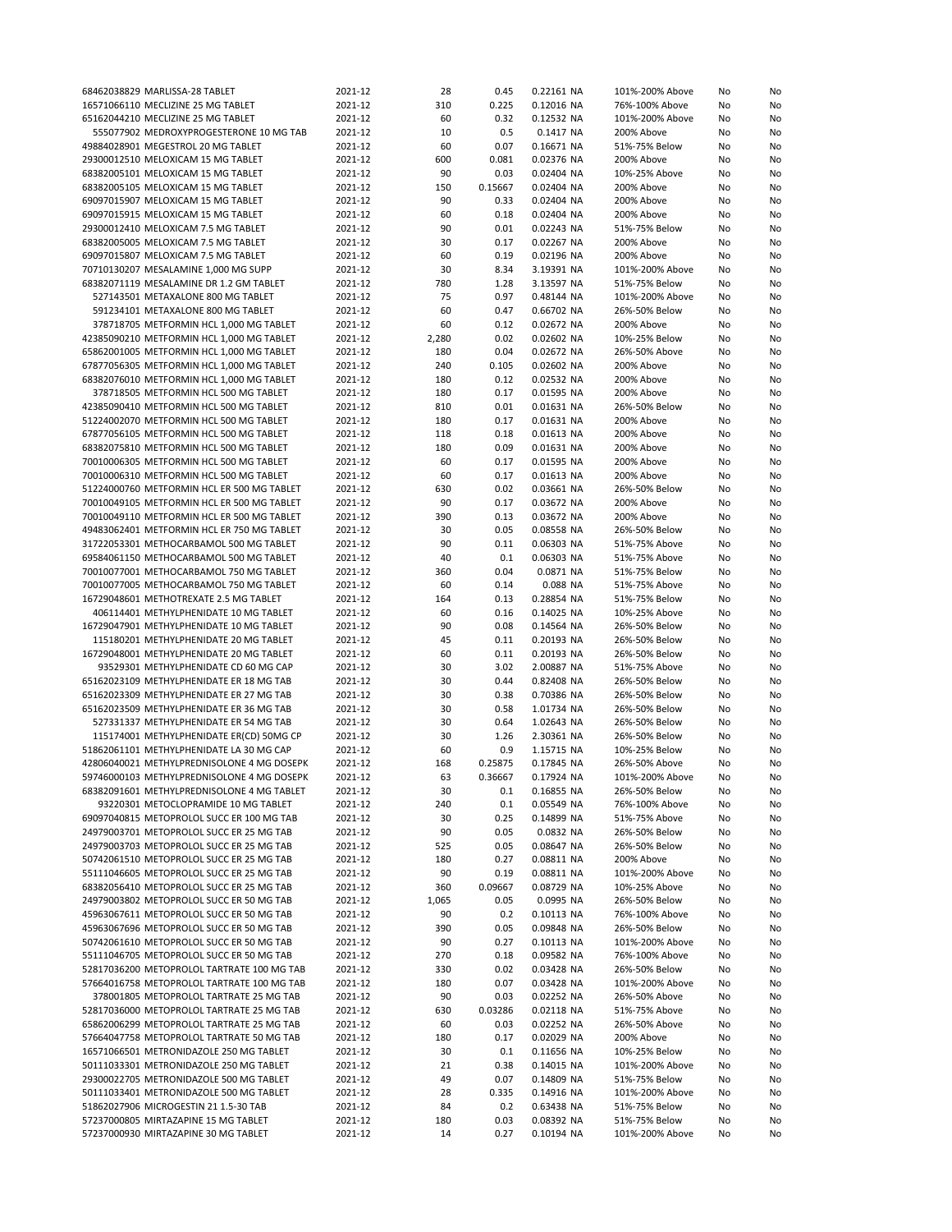| 68462038829 MARLISSA-28 TABLET                                               | 2021-12            | 28        | 0.45         | 0.22161 NA               | 101%-200% Above                  | No       | No       |
|------------------------------------------------------------------------------|--------------------|-----------|--------------|--------------------------|----------------------------------|----------|----------|
| 16571066110 MECLIZINE 25 MG TABLET                                           | 2021-12            | 310       | 0.225        | 0.12016 NA               | 76%-100% Above                   | No       | No       |
| 65162044210 MECLIZINE 25 MG TABLET                                           | 2021-12            | 60        | 0.32         | 0.12532 NA               | 101%-200% Above                  | No       | No       |
| 555077902 MEDROXYPROGESTERONE 10 MG TAB                                      | 2021-12            | 10        | 0.5          | 0.1417 NA                | 200% Above                       | No       | No       |
| 49884028901 MEGESTROL 20 MG TABLET                                           | 2021-12            | 60        | 0.07         | 0.16671 NA               | 51%-75% Below                    | No       |          |
|                                                                              |                    |           |              |                          |                                  |          | No       |
| 29300012510 MELOXICAM 15 MG TABLET                                           | 2021-12            | 600       | 0.081        | 0.02376 NA               | 200% Above                       | No       | No       |
| 68382005101 MELOXICAM 15 MG TABLET                                           | 2021-12            | 90        | 0.03         | 0.02404 NA               | 10%-25% Above                    | No       | No       |
| 68382005105 MELOXICAM 15 MG TABLET                                           | 2021-12            | 150       | 0.15667      | 0.02404 NA               | 200% Above                       | No       | No       |
| 69097015907 MELOXICAM 15 MG TABLET                                           | 2021-12            | 90        | 0.33         | 0.02404 NA               | 200% Above                       | No       | No       |
| 69097015915 MELOXICAM 15 MG TABLET                                           | 2021-12            | 60        | 0.18         | 0.02404 NA               | 200% Above                       | No       | No       |
| 29300012410 MELOXICAM 7.5 MG TABLET                                          | 2021-12            | 90        | 0.01         | 0.02243 NA               | 51%-75% Below                    | No       | No       |
| 68382005005 MELOXICAM 7.5 MG TABLET                                          | 2021-12            | 30        | 0.17         | 0.02267 NA               | 200% Above                       | No       | No       |
| 69097015807 MELOXICAM 7.5 MG TABLET                                          | 2021-12            | 60        | 0.19         | 0.02196 NA               | 200% Above                       | No       | No       |
|                                                                              |                    |           |              |                          |                                  |          |          |
| 70710130207 MESALAMINE 1,000 MG SUPP                                         | 2021-12            | 30        | 8.34         | 3.19391 NA               | 101%-200% Above                  | No       | No       |
| 68382071119 MESALAMINE DR 1.2 GM TABLET                                      | 2021-12            | 780       | 1.28         | 3.13597 NA               | 51%-75% Below                    | No       | No       |
| 527143501 METAXALONE 800 MG TABLET                                           | 2021-12            | 75        | 0.97         | 0.48144 NA               | 101%-200% Above                  | No       | No       |
| 591234101 METAXALONE 800 MG TABLET                                           | 2021-12            | 60        | 0.47         | 0.66702 NA               | 26%-50% Below                    | No       | No       |
| 378718705 METFORMIN HCL 1,000 MG TABLET                                      | 2021-12            | 60        | 0.12         | 0.02672 NA               | 200% Above                       | No       | No       |
| 42385090210 METFORMIN HCL 1,000 MG TABLET                                    | 2021-12            | 2,280     | 0.02         | 0.02602 NA               | 10%-25% Below                    | No       | No       |
| 65862001005 METFORMIN HCL 1,000 MG TABLET                                    | 2021-12            | 180       | 0.04         | 0.02672 NA               | 26%-50% Above                    | No       | No       |
|                                                                              |                    |           |              |                          |                                  |          |          |
| 67877056305 METFORMIN HCL 1,000 MG TABLET                                    | 2021-12            | 240       | 0.105        | 0.02602 NA               | 200% Above                       | No       | No       |
| 68382076010 METFORMIN HCL 1,000 MG TABLET                                    | 2021-12            | 180       | 0.12         | 0.02532 NA               | 200% Above                       | No       | No       |
| 378718505 METFORMIN HCL 500 MG TABLET                                        | 2021-12            | 180       | 0.17         | 0.01595 NA               | 200% Above                       | No       | No       |
| 42385090410 METFORMIN HCL 500 MG TABLET                                      | 2021-12            | 810       | 0.01         | 0.01631 NA               | 26%-50% Below                    | No       | No       |
| 51224002070 METFORMIN HCL 500 MG TABLET                                      | 2021-12            | 180       | 0.17         | 0.01631 NA               | 200% Above                       | No       | No       |
| 67877056105 METFORMIN HCL 500 MG TABLET                                      | 2021-12            | 118       | 0.18         | 0.01613 NA               | 200% Above                       | No       | No       |
| 68382075810 METFORMIN HCL 500 MG TABLET                                      | 2021-12            | 180       | 0.09         | 0.01631 NA               | 200% Above                       | No       | No       |
|                                                                              |                    |           |              |                          |                                  |          |          |
| 70010006305 METFORMIN HCL 500 MG TABLET                                      | 2021-12            | 60        | 0.17         | 0.01595 NA               | 200% Above                       | No       | No       |
| 70010006310 METFORMIN HCL 500 MG TABLET                                      | 2021-12            | 60        | 0.17         | 0.01613 NA               | 200% Above                       | No       | No       |
| 51224000760 METFORMIN HCL ER 500 MG TABLET                                   | 2021-12            | 630       | 0.02         | 0.03661 NA               | 26%-50% Below                    | No       | No       |
| 70010049105 METFORMIN HCL ER 500 MG TABLET                                   | 2021-12            | 90        | 0.17         | 0.03672 NA               | 200% Above                       | No       | No       |
| 70010049110 METFORMIN HCL ER 500 MG TABLET                                   | 2021-12            | 390       | 0.13         | 0.03672 NA               | 200% Above                       | No       | No       |
| 49483062401 METFORMIN HCL ER 750 MG TABLET                                   | 2021-12            | 30        | 0.05         | 0.08558 NA               | 26%-50% Below                    | No       | No       |
|                                                                              | 2021-12            | 90        | 0.11         |                          |                                  |          |          |
| 31722053301 METHOCARBAMOL 500 MG TABLET                                      |                    |           |              | 0.06303 NA               | 51%-75% Above                    | No       | No       |
| 69584061150 METHOCARBAMOL 500 MG TABLET                                      | 2021-12            | 40        | 0.1          | 0.06303 NA               | 51%-75% Above                    | No       | No       |
| 70010077001 METHOCARBAMOL 750 MG TABLET                                      | 2021-12            | 360       | 0.04         | 0.0871 NA                | 51%-75% Below                    | No       | No       |
| 70010077005 METHOCARBAMOL 750 MG TABLET                                      | 2021-12            | 60        | 0.14         | 0.088 NA                 | 51%-75% Above                    | No       | No       |
| 16729048601 METHOTREXATE 2.5 MG TABLET                                       | 2021-12            | 164       | 0.13         | 0.28854 NA               | 51%-75% Below                    | No       | No       |
| 406114401 METHYLPHENIDATE 10 MG TABLET                                       | 2021-12            | 60        | 0.16         | 0.14025 NA               | 10%-25% Above                    | No       | No       |
| 16729047901 METHYLPHENIDATE 10 MG TABLET                                     | 2021-12            | 90        | 0.08         | 0.14564 NA               | 26%-50% Below                    | No       | No       |
| 115180201 METHYLPHENIDATE 20 MG TABLET                                       | 2021-12            | 45        | 0.11         | 0.20193 NA               | 26%-50% Below                    | No       | No       |
|                                                                              |                    |           |              |                          |                                  |          |          |
| 16729048001 METHYLPHENIDATE 20 MG TABLET                                     | 2021-12            | 60        | 0.11         | 0.20193 NA               | 26%-50% Below                    | No       | No       |
| 93529301 METHYLPHENIDATE CD 60 MG CAP                                        | 2021-12            | 30        | 3.02         | 2.00887 NA               | 51%-75% Above                    | No       | No       |
| 65162023109 METHYLPHENIDATE ER 18 MG TAB                                     | 2021-12            | 30        | 0.44         | 0.82408 NA               | 26%-50% Below                    | No       | No       |
| 65162023309 METHYLPHENIDATE ER 27 MG TAB                                     | 2021-12            | 30        | 0.38         | 0.70386 NA               | 26%-50% Below                    | No       | No       |
| 65162023509 METHYLPHENIDATE ER 36 MG TAB                                     | 2021-12            | 30        | 0.58         | 1.01734 NA               | 26%-50% Below                    | No       | No       |
| 527331337 METHYLPHENIDATE ER 54 MG TAB                                       | 2021-12            | 30        | 0.64         | 1.02643 NA               | 26%-50% Below                    | No       | No       |
| 115174001 METHYLPHENIDATE ER(CD) 50MG CP                                     | 2021-12            | 30        | 1.26         | 2.30361 NA               | 26%-50% Below                    | No       | No       |
| 51862061101 METHYLPHENIDATE LA 30 MG CAP                                     | 2021-12            | 60        | 0.9          |                          | 10%-25% Below                    |          |          |
|                                                                              |                    |           |              | 1.15715 NA               |                                  | No       | No       |
| 42806040021 METHYLPREDNISOLONE 4 MG DOSEPK                                   | 2021-12            | 168       | 0.25875      | 0.17845 NA               | 26%-50% Above                    | No       | No       |
| 59746000103 METHYLPREDNISOLONE 4 MG DOSEPK                                   | 2021-12            | 63        | 0.36667      | 0.17924 NA               | 101%-200% Above                  | No       | No       |
| 68382091601 METHYLPREDNISOLONE 4 MG TABLET                                   | 2021-12            | 30        | 0.1          | 0.16855 NA               | 26%-50% Below                    | No       | No       |
| 93220301 METOCLOPRAMIDE 10 MG TABLET                                         | 2021-12            | 240       | 0.1          | 0.05549 NA               | 76%-100% Above                   | No       | No       |
| 69097040815 METOPROLOL SUCC ER 100 MG TAB                                    | 2021-12            | 30        | 0.25         | 0.14899 NA               | 51%-75% Above                    | No       | No       |
| 24979003701 METOPROLOL SUCC ER 25 MG TAB                                     | 2021-12            | 90        | 0.05         | 0.0832 NA                | 26%-50% Below                    | No       | No       |
| 24979003703 METOPROLOL SUCC ER 25 MG TAB                                     | 2021-12            | 525       | 0.05         | 0.08647 NA               | 26%-50% Below                    | No       | No       |
| 50742061510 METOPROLOL SUCC ER 25 MG TAB                                     |                    | 180       | 0.27         | 0.08811 NA               | 200% Above                       |          |          |
|                                                                              | 2021-12            |           |              |                          |                                  | No       | No       |
| 55111046605 METOPROLOL SUCC ER 25 MG TAB                                     | 2021-12            | 90        | 0.19         | 0.08811 NA               | 101%-200% Above                  | No       | No       |
| 68382056410 METOPROLOL SUCC ER 25 MG TAB                                     | 2021-12            | 360       | 0.09667      | 0.08729 NA               | 10%-25% Above                    | No       | No       |
| 24979003802 METOPROLOL SUCC ER 50 MG TAB                                     | 2021-12            | 1,065     | 0.05         | 0.0995 NA                | 26%-50% Below                    | No       | No       |
| 45963067611 METOPROLOL SUCC ER 50 MG TAB                                     | 2021-12            | 90        | 0.2          | 0.10113 NA               | 76%-100% Above                   | No       | No       |
| 45963067696 METOPROLOL SUCC ER 50 MG TAB                                     | 2021-12            | 390       | 0.05         | 0.09848 NA               | 26%-50% Below                    | No       | No       |
| 50742061610 METOPROLOL SUCC ER 50 MG TAB                                     | 2021-12            | 90        | 0.27         | 0.10113 NA               | 101%-200% Above                  | No       | No       |
| 55111046705 METOPROLOL SUCC ER 50 MG TAB                                     | 2021-12            | 270       | 0.18         | 0.09582 NA               | 76%-100% Above                   | No       | No       |
| 52817036200 METOPROLOL TARTRATE 100 MG TAB                                   |                    |           |              |                          |                                  |          |          |
|                                                                              | 2021-12            | 330       | 0.02         | 0.03428 NA               | 26%-50% Below                    | No       | No       |
| 57664016758 METOPROLOL TARTRATE 100 MG TAB                                   | 2021-12            | 180       | 0.07         | 0.03428 NA               | 101%-200% Above                  | No       | No       |
| 378001805 METOPROLOL TARTRATE 25 MG TAB                                      | 2021-12            | 90        | 0.03         | 0.02252 NA               | 26%-50% Above                    | No       | No       |
| 52817036000 METOPROLOL TARTRATE 25 MG TAB                                    | 2021-12            | 630       | 0.03286      | 0.02118 NA               | 51%-75% Above                    | No       | No       |
| 65862006299 METOPROLOL TARTRATE 25 MG TAB                                    | 2021-12            | 60        | 0.03         | 0.02252 NA               | 26%-50% Above                    | No       | No       |
| 57664047758 METOPROLOL TARTRATE 50 MG TAB                                    | 2021-12            | 180       | 0.17         | 0.02029 NA               | 200% Above                       | No       | No       |
| 16571066501 METRONIDAZOLE 250 MG TABLET                                      | 2021-12            | 30        | 0.1          | 0.11656 NA               | 10%-25% Below                    | No       | No       |
| 50111033301 METRONIDAZOLE 250 MG TABLET                                      |                    |           |              |                          |                                  | No       | No       |
|                                                                              |                    |           |              |                          |                                  |          |          |
|                                                                              | 2021-12            | 21        | 0.38         | 0.14015 NA               | 101%-200% Above                  |          |          |
| 29300022705 METRONIDAZOLE 500 MG TABLET                                      | 2021-12            | 49        | 0.07         | 0.14809 NA               | 51%-75% Below                    | No       | No       |
| 50111033401 METRONIDAZOLE 500 MG TABLET                                      | 2021-12            | 28        | 0.335        | 0.14916 NA               | 101%-200% Above                  | No       | No       |
| 51862027906 MICROGESTIN 21 1.5-30 TAB                                        | 2021-12            | 84        | 0.2          | 0.63438 NA               | 51%-75% Below                    | No       | No       |
| 57237000805 MIRTAZAPINE 15 MG TABLET<br>57237000930 MIRTAZAPINE 30 MG TABLET | 2021-12<br>2021-12 | 180<br>14 | 0.03<br>0.27 | 0.08392 NA<br>0.10194 NA | 51%-75% Below<br>101%-200% Above | No<br>No | No<br>No |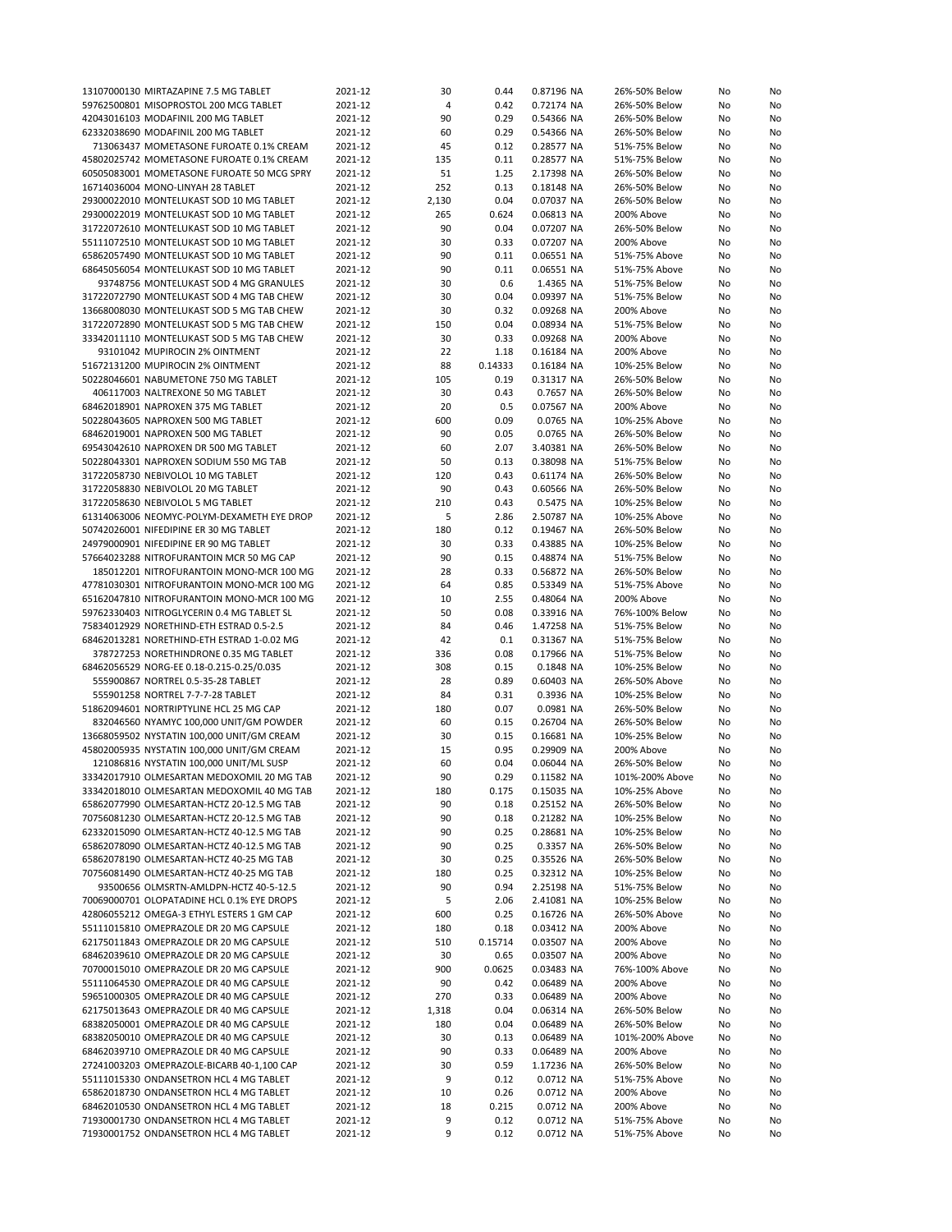|                                            | 2021-12 |       |         |            |                 |    |    |
|--------------------------------------------|---------|-------|---------|------------|-----------------|----|----|
| 13107000130 MIRTAZAPINE 7.5 MG TABLET      |         | 30    | 0.44    | 0.87196 NA | 26%-50% Below   | No | No |
| 59762500801 MISOPROSTOL 200 MCG TABLET     | 2021-12 | 4     | 0.42    | 0.72174 NA | 26%-50% Below   | No | No |
| 42043016103 MODAFINIL 200 MG TABLET        | 2021-12 | 90    | 0.29    | 0.54366 NA | 26%-50% Below   | No | No |
| 62332038690 MODAFINIL 200 MG TABLET        | 2021-12 | 60    | 0.29    | 0.54366 NA | 26%-50% Below   | No | No |
| 713063437 MOMETASONE FUROATE 0.1% CREAM    |         | 45    | 0.12    |            |                 |    |    |
|                                            | 2021-12 |       |         | 0.28577 NA | 51%-75% Below   | No | No |
| 45802025742 MOMETASONE FUROATE 0.1% CREAM  | 2021-12 | 135   | 0.11    | 0.28577 NA | 51%-75% Below   | No | No |
| 60505083001 MOMETASONE FUROATE 50 MCG SPRY | 2021-12 | 51    | 1.25    | 2.17398 NA | 26%-50% Below   | No | No |
| 16714036004 MONO-LINYAH 28 TABLET          | 2021-12 | 252   | 0.13    | 0.18148 NA | 26%-50% Below   | No | No |
|                                            |         |       |         |            |                 |    |    |
| 29300022010 MONTELUKAST SOD 10 MG TABLET   | 2021-12 | 2,130 | 0.04    | 0.07037 NA | 26%-50% Below   | No | No |
| 29300022019 MONTELUKAST SOD 10 MG TABLET   | 2021-12 | 265   | 0.624   | 0.06813 NA | 200% Above      | No | No |
| 31722072610 MONTELUKAST SOD 10 MG TABLET   | 2021-12 | 90    | 0.04    | 0.07207 NA | 26%-50% Below   | No | No |
| 55111072510 MONTELUKAST SOD 10 MG TABLET   | 2021-12 | 30    |         | 0.07207 NA | 200% Above      | No | No |
|                                            |         |       | 0.33    |            |                 |    |    |
| 65862057490 MONTELUKAST SOD 10 MG TABLET   | 2021-12 | 90    | 0.11    | 0.06551 NA | 51%-75% Above   | No | No |
| 68645056054 MONTELUKAST SOD 10 MG TABLET   | 2021-12 | 90    | 0.11    | 0.06551 NA | 51%-75% Above   | No | No |
| 93748756 MONTELUKAST SOD 4 MG GRANULES     | 2021-12 | 30    | 0.6     | 1.4365 NA  | 51%-75% Below   | No | No |
|                                            |         |       |         |            |                 |    |    |
| 31722072790 MONTELUKAST SOD 4 MG TAB CHEW  | 2021-12 | 30    | 0.04    | 0.09397 NA | 51%-75% Below   | No | No |
| 13668008030 MONTELUKAST SOD 5 MG TAB CHEW  | 2021-12 | 30    | 0.32    | 0.09268 NA | 200% Above      | No | No |
| 31722072890 MONTELUKAST SOD 5 MG TAB CHEW  | 2021-12 | 150   | 0.04    | 0.08934 NA | 51%-75% Below   | No | No |
| 33342011110 MONTELUKAST SOD 5 MG TAB CHEW  | 2021-12 | 30    | 0.33    | 0.09268 NA | 200% Above      | No | No |
|                                            |         |       |         |            |                 |    |    |
| 93101042 MUPIROCIN 2% OINTMENT             | 2021-12 | 22    | 1.18    | 0.16184 NA | 200% Above      | No | No |
| 51672131200 MUPIROCIN 2% OINTMENT          | 2021-12 | 88    | 0.14333 | 0.16184 NA | 10%-25% Below   | No | No |
| 50228046601 NABUMETONE 750 MG TABLET       | 2021-12 | 105   | 0.19    | 0.31317 NA | 26%-50% Below   | No | No |
| 406117003 NALTREXONE 50 MG TABLET          | 2021-12 | 30    | 0.43    | 0.7657 NA  | 26%-50% Below   | No | No |
|                                            |         |       |         |            |                 |    |    |
| 68462018901 NAPROXEN 375 MG TABLET         | 2021-12 | 20    | 0.5     | 0.07567 NA | 200% Above      | No | No |
| 50228043605 NAPROXEN 500 MG TABLET         | 2021-12 | 600   | 0.09    | 0.0765 NA  | 10%-25% Above   | No | No |
| 68462019001 NAPROXEN 500 MG TABLET         | 2021-12 | 90    | 0.05    | 0.0765 NA  | 26%-50% Below   | No | No |
|                                            | 2021-12 |       |         |            | 26%-50% Below   |    |    |
| 69543042610 NAPROXEN DR 500 MG TABLET      |         | 60    | 2.07    | 3.40381 NA |                 | No | No |
| 50228043301 NAPROXEN SODIUM 550 MG TAB     | 2021-12 | 50    | 0.13    | 0.38098 NA | 51%-75% Below   | No | No |
| 31722058730 NEBIVOLOL 10 MG TABLET         | 2021-12 | 120   | 0.43    | 0.61174 NA | 26%-50% Below   | No | No |
| 31722058830 NEBIVOLOL 20 MG TABLET         | 2021-12 | 90    | 0.43    | 0.60566 NA | 26%-50% Below   | No | No |
|                                            |         |       |         |            |                 |    |    |
| 31722058630 NEBIVOLOL 5 MG TABLET          | 2021-12 | 210   | 0.43    | 0.5475 NA  | 10%-25% Below   | No | No |
| 61314063006 NEOMYC-POLYM-DEXAMETH EYE DROP | 2021-12 | 5     | 2.86    | 2.50787 NA | 10%-25% Above   | No | No |
| 50742026001 NIFEDIPINE ER 30 MG TABLET     | 2021-12 | 180   | 0.12    | 0.19467 NA | 26%-50% Below   | No | No |
| 24979000901 NIFEDIPINE ER 90 MG TABLET     | 2021-12 | 30    | 0.33    | 0.43885 NA | 10%-25% Below   | No |    |
|                                            |         |       |         |            |                 |    | No |
| 57664023288 NITROFURANTOIN MCR 50 MG CAP   | 2021-12 | 90    | 0.15    | 0.48874 NA | 51%-75% Below   | No | No |
| 185012201 NITROFURANTOIN MONO-MCR 100 MG   | 2021-12 | 28    | 0.33    | 0.56872 NA | 26%-50% Below   | No | No |
| 47781030301 NITROFURANTOIN MONO-MCR 100 MG | 2021-12 | 64    | 0.85    | 0.53349 NA | 51%-75% Above   | No | No |
|                                            |         |       |         |            |                 |    |    |
| 65162047810 NITROFURANTOIN MONO-MCR 100 MG | 2021-12 | 10    | 2.55    | 0.48064 NA | 200% Above      | No | No |
| 59762330403 NITROGLYCERIN 0.4 MG TABLET SL | 2021-12 | 50    | 0.08    | 0.33916 NA | 76%-100% Below  | No | No |
| 75834012929 NORETHIND-ETH ESTRAD 0.5-2.5   | 2021-12 | 84    | 0.46    | 1.47258 NA | 51%-75% Below   | No | No |
| 68462013281 NORETHIND-ETH ESTRAD 1-0.02 MG | 2021-12 | 42    | 0.1     | 0.31367 NA | 51%-75% Below   | No | No |
|                                            |         |       |         |            |                 |    |    |
| 378727253 NORETHINDRONE 0.35 MG TABLET     | 2021-12 | 336   | 0.08    | 0.17966 NA | 51%-75% Below   | No | No |
| 68462056529 NORG-EE 0.18-0.215-0.25/0.035  | 2021-12 | 308   | 0.15    | 0.1848 NA  | 10%-25% Below   | No | No |
| 555900867 NORTREL 0.5-35-28 TABLET         | 2021-12 | 28    | 0.89    | 0.60403 NA | 26%-50% Above   | No | No |
| 555901258 NORTREL 7-7-7-28 TABLET          | 2021-12 | 84    | 0.31    | 0.3936 NA  | 10%-25% Below   | No | No |
|                                            |         |       |         |            |                 |    |    |
| 51862094601 NORTRIPTYLINE HCL 25 MG CAP    | 2021-12 | 180   | 0.07    | 0.0981 NA  | 26%-50% Below   | No | No |
| 832046560 NYAMYC 100,000 UNIT/GM POWDER    | 2021-12 | 60    | 0.15    | 0.26704 NA | 26%-50% Below   | No | No |
| 13668059502 NYSTATIN 100,000 UNIT/GM CREAM | 2021-12 | 30    | 0.15    | 0.16681 NA | 10%-25% Below   | No | No |
| 45802005935 NYSTATIN 100,000 UNIT/GM CREAM |         | 15    | 0.95    | 0.29909 NA |                 |    |    |
|                                            | 2021-12 |       |         |            | 200% Above      | No | No |
| 121086816 NYSTATIN 100,000 UNIT/ML SUSP    | 2021-12 | 60    | 0.04    | 0.06044 NA | 26%-50% Below   | No | No |
| 33342017910 OLMESARTAN MEDOXOMIL 20 MG TAB | 2021-12 | 90    | 0.29    | 0.11582 NA | 101%-200% Above | No | No |
| 33342018010 OLMESARTAN MEDOXOMIL 40 MG TAB | 2021-12 | 180   | 0.175   | 0.15035 NA | 10%-25% Above   | No | No |
|                                            |         |       |         |            |                 |    |    |
| 65862077990 OLMESARTAN-HCTZ 20-12.5 MG TAB | 2021-12 | 90    | 0.18    | 0.25152 NA | 26%-50% Below   | No | No |
| 70756081230 OLMESARTAN-HCTZ 20-12.5 MG TAB | 2021-12 | 90    | 0.18    | 0.21282 NA | 10%-25% Below   | No | No |
| 62332015090 OLMESARTAN-HCTZ 40-12.5 MG TAB | 2021-12 | 90    | 0.25    | 0.28681 NA | 10%-25% Below   | No | No |
| 65862078090 OLMESARTAN-HCTZ 40-12.5 MG TAB | 2021-12 | 90    | 0.25    | 0.3357 NA  | 26%-50% Below   | No | No |
|                                            |         |       |         |            |                 |    |    |
| 65862078190 OLMESARTAN-HCTZ 40-25 MG TAB   | 2021-12 | 30    | 0.25    | 0.35526 NA | 26%-50% Below   | No | No |
| 70756081490 OLMESARTAN-HCTZ 40-25 MG TAB   | 2021-12 | 180   | 0.25    | 0.32312 NA | 10%-25% Below   | No | No |
| 93500656 OLMSRTN-AMLDPN-HCTZ 40-5-12.5     | 2021-12 | 90    | 0.94    | 2.25198 NA | 51%-75% Below   | No | No |
| 70069000701 OLOPATADINE HCL 0.1% EYE DROPS | 2021-12 | 5     | 2.06    | 2.41081 NA | 10%-25% Below   | No | No |
|                                            |         |       |         |            |                 |    |    |
| 42806055212 OMEGA-3 ETHYL ESTERS 1 GM CAP  | 2021-12 | 600   | 0.25    | 0.16726 NA | 26%-50% Above   | No | No |
| 55111015810 OMEPRAZOLE DR 20 MG CAPSULE    | 2021-12 | 180   | 0.18    | 0.03412 NA | 200% Above      | No | No |
| 62175011843 OMEPRAZOLE DR 20 MG CAPSULE    | 2021-12 | 510   | 0.15714 | 0.03507 NA | 200% Above      | No | No |
| 68462039610 OMEPRAZOLE DR 20 MG CAPSULE    |         |       | 0.65    |            | 200% Above      | No |    |
|                                            | 2021-12 | 30    |         | 0.03507 NA |                 |    | No |
| 70700015010 OMEPRAZOLE DR 20 MG CAPSULE    | 2021-12 | 900   | 0.0625  | 0.03483 NA | 76%-100% Above  | No | No |
| 55111064530 OMEPRAZOLE DR 40 MG CAPSULE    | 2021-12 | 90    | 0.42    | 0.06489 NA | 200% Above      | No | No |
| 59651000305 OMEPRAZOLE DR 40 MG CAPSULE    | 2021-12 | 270   | 0.33    | 0.06489 NA | 200% Above      | No | No |
| 62175013643 OMEPRAZOLE DR 40 MG CAPSULE    |         |       |         |            |                 |    |    |
|                                            | 2021-12 | 1,318 | 0.04    | 0.06314 NA | 26%-50% Below   | No | No |
| 68382050001 OMEPRAZOLE DR 40 MG CAPSULE    | 2021-12 | 180   | 0.04    | 0.06489 NA | 26%-50% Below   | No | No |
| 68382050010 OMEPRAZOLE DR 40 MG CAPSULE    | 2021-12 | 30    | 0.13    | 0.06489 NA | 101%-200% Above | No | No |
| 68462039710 OMEPRAZOLE DR 40 MG CAPSULE    | 2021-12 | 90    | 0.33    | 0.06489 NA | 200% Above      | No | No |
|                                            |         |       |         |            |                 |    |    |
| 27241003203 OMEPRAZOLE-BICARB 40-1,100 CAP | 2021-12 | 30    | 0.59    | 1.17236 NA | 26%-50% Below   | No | No |
| 55111015330 ONDANSETRON HCL 4 MG TABLET    | 2021-12 | 9     | 0.12    | 0.0712 NA  | 51%-75% Above   | No | No |
| 65862018730 ONDANSETRON HCL 4 MG TABLET    | 2021-12 | 10    | 0.26    | 0.0712 NA  | 200% Above      | No | No |
| 68462010530 ONDANSETRON HCL 4 MG TABLET    | 2021-12 | 18    | 0.215   | 0.0712 NA  | 200% Above      | No | No |
| 71930001730 ONDANSETRON HCL 4 MG TABLET    | 2021-12 |       |         |            |                 |    |    |
|                                            |         | 9     | 0.12    | 0.0712 NA  | 51%-75% Above   | No | No |
| 71930001752 ONDANSETRON HCL 4 MG TABLET    | 2021-12 | 9     | 0.12    | 0.0712 NA  | 51%-75% Above   | No | No |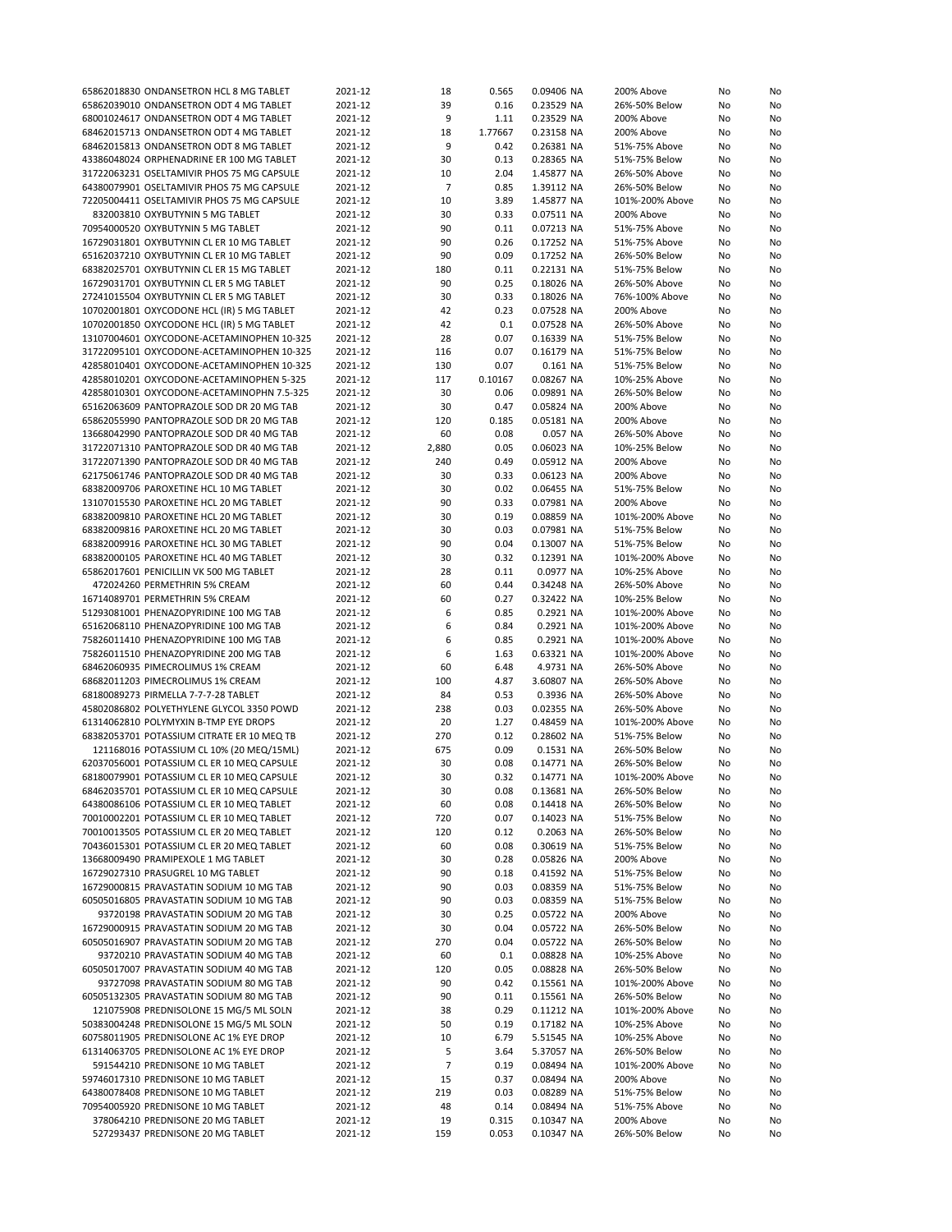| 65862018830 ONDANSETRON HCL 8 MG TABLET    | 2021-12 | 18             | 0.565   | 0.09406 NA | 200% Above      | No | No |
|--------------------------------------------|---------|----------------|---------|------------|-----------------|----|----|
| 65862039010 ONDANSETRON ODT 4 MG TABLET    | 2021-12 | 39             | 0.16    | 0.23529 NA | 26%-50% Below   | No | No |
|                                            |         | 9              |         |            |                 |    |    |
| 68001024617 ONDANSETRON ODT 4 MG TABLET    | 2021-12 |                | 1.11    | 0.23529 NA | 200% Above      | No | No |
| 68462015713 ONDANSETRON ODT 4 MG TABLET    | 2021-12 | 18             | 1.77667 | 0.23158 NA | 200% Above      | No | No |
| 68462015813 ONDANSETRON ODT 8 MG TABLET    | 2021-12 | 9              | 0.42    | 0.26381 NA | 51%-75% Above   | No | No |
| 43386048024 ORPHENADRINE ER 100 MG TABLET  | 2021-12 | 30             | 0.13    | 0.28365 NA | 51%-75% Below   | No | No |
| 31722063231 OSELTAMIVIR PHOS 75 MG CAPSULE | 2021-12 | 10             | 2.04    | 1.45877 NA | 26%-50% Above   | No | No |
| 64380079901 OSELTAMIVIR PHOS 75 MG CAPSULE | 2021-12 | $\overline{7}$ | 0.85    | 1.39112 NA | 26%-50% Below   |    | No |
|                                            |         |                |         |            |                 | No |    |
| 72205004411 OSELTAMIVIR PHOS 75 MG CAPSULE | 2021-12 | 10             | 3.89    | 1.45877 NA | 101%-200% Above | No | No |
| 832003810 OXYBUTYNIN 5 MG TABLET           | 2021-12 | 30             | 0.33    | 0.07511 NA | 200% Above      | No | No |
| 70954000520 OXYBUTYNIN 5 MG TABLET         | 2021-12 | 90             | 0.11    | 0.07213 NA | 51%-75% Above   | No | No |
| 16729031801 OXYBUTYNIN CL ER 10 MG TABLET  | 2021-12 | 90             | 0.26    | 0.17252 NA | 51%-75% Above   | No | No |
|                                            |         | 90             |         |            |                 |    |    |
| 65162037210 OXYBUTYNIN CL ER 10 MG TABLET  | 2021-12 |                | 0.09    | 0.17252 NA | 26%-50% Below   | No | No |
| 68382025701 OXYBUTYNIN CL ER 15 MG TABLET  | 2021-12 | 180            | 0.11    | 0.22131 NA | 51%-75% Below   | No | No |
| 16729031701 OXYBUTYNIN CL ER 5 MG TABLET   | 2021-12 | 90             | 0.25    | 0.18026 NA | 26%-50% Above   | No | No |
| 27241015504 OXYBUTYNIN CL ER 5 MG TABLET   | 2021-12 | 30             | 0.33    | 0.18026 NA | 76%-100% Above  | No | No |
| 10702001801 OXYCODONE HCL (IR) 5 MG TABLET | 2021-12 | 42             | 0.23    | 0.07528 NA | 200% Above      | No | No |
| 10702001850 OXYCODONE HCL (IR) 5 MG TABLET | 2021-12 | 42             | 0.1     | 0.07528 NA | 26%-50% Above   | No | No |
|                                            |         |                |         |            |                 |    |    |
| 13107004601 OXYCODONE-ACETAMINOPHEN 10-325 | 2021-12 | 28             | 0.07    | 0.16339 NA | 51%-75% Below   | No | No |
| 31722095101 OXYCODONE-ACETAMINOPHEN 10-325 | 2021-12 | 116            | 0.07    | 0.16179 NA | 51%-75% Below   | No | No |
| 42858010401 OXYCODONE-ACETAMINOPHEN 10-325 | 2021-12 | 130            | 0.07    | 0.161 NA   | 51%-75% Below   | No | No |
| 42858010201 OXYCODONE-ACETAMINOPHEN 5-325  | 2021-12 | 117            | 0.10167 | 0.08267 NA | 10%-25% Above   | No | No |
| 42858010301 OXYCODONE-ACETAMINOPHN 7.5-325 | 2021-12 | 30             | 0.06    | 0.09891 NA | 26%-50% Below   |    |    |
|                                            |         |                |         |            |                 | No | No |
| 65162063609 PANTOPRAZOLE SOD DR 20 MG TAB  | 2021-12 | 30             | 0.47    | 0.05824 NA | 200% Above      | No | No |
| 65862055990 PANTOPRAZOLE SOD DR 20 MG TAB  | 2021-12 | 120            | 0.185   | 0.05181 NA | 200% Above      | No | No |
| 13668042990 PANTOPRAZOLE SOD DR 40 MG TAB  | 2021-12 | 60             | 0.08    | 0.057 NA   | 26%-50% Above   | No | No |
| 31722071310 PANTOPRAZOLE SOD DR 40 MG TAB  | 2021-12 | 2,880          | 0.05    | 0.06023 NA | 10%-25% Below   | No | No |
| 31722071390 PANTOPRAZOLE SOD DR 40 MG TAB  |         |                |         |            |                 |    |    |
|                                            | 2021-12 | 240            | 0.49    | 0.05912 NA | 200% Above      | No | No |
| 62175061746 PANTOPRAZOLE SOD DR 40 MG TAB  | 2021-12 | 30             | 0.33    | 0.06123 NA | 200% Above      | No | No |
| 68382009706 PAROXETINE HCL 10 MG TABLET    | 2021-12 | 30             | 0.02    | 0.06455 NA | 51%-75% Below   | No | No |
| 13107015530 PAROXETINE HCL 20 MG TABLET    | 2021-12 | 90             | 0.33    | 0.07981 NA | 200% Above      | No | No |
| 68382009810 PAROXETINE HCL 20 MG TABLET    | 2021-12 | 30             | 0.19    | 0.08859 NA | 101%-200% Above | No | No |
|                                            |         |                |         |            |                 |    |    |
| 68382009816 PAROXETINE HCL 20 MG TABLET    | 2021-12 | 30             | 0.03    | 0.07981 NA | 51%-75% Below   | No | No |
| 68382009916 PAROXETINE HCL 30 MG TABLET    | 2021-12 | 90             | 0.04    | 0.13007 NA | 51%-75% Below   | No | No |
| 68382000105 PAROXETINE HCL 40 MG TABLET    | 2021-12 | 30             | 0.32    | 0.12391 NA | 101%-200% Above | No | No |
| 65862017601 PENICILLIN VK 500 MG TABLET    | 2021-12 | 28             | 0.11    | 0.0977 NA  | 10%-25% Above   | No | No |
| 472024260 PERMETHRIN 5% CREAM              | 2021-12 | 60             | 0.44    | 0.34248 NA | 26%-50% Above   | No | No |
|                                            |         |                |         |            |                 |    |    |
| 16714089701 PERMETHRIN 5% CREAM            | 2021-12 | 60             | 0.27    | 0.32422 NA | 10%-25% Below   | No | No |
| 51293081001 PHENAZOPYRIDINE 100 MG TAB     | 2021-12 | 6              | 0.85    | 0.2921 NA  | 101%-200% Above | No | No |
| 65162068110 PHENAZOPYRIDINE 100 MG TAB     | 2021-12 | 6              | 0.84    | 0.2921 NA  | 101%-200% Above | No | No |
| 75826011410 PHENAZOPYRIDINE 100 MG TAB     | 2021-12 | 6              | 0.85    | 0.2921 NA  | 101%-200% Above | No | No |
| 75826011510 PHENAZOPYRIDINE 200 MG TAB     | 2021-12 | 6              | 1.63    | 0.63321 NA | 101%-200% Above | No | No |
|                                            |         |                |         |            |                 |    |    |
| 68462060935 PIMECROLIMUS 1% CREAM          | 2021-12 | 60             | 6.48    | 4.9731 NA  | 26%-50% Above   | No | No |
| 68682011203 PIMECROLIMUS 1% CREAM          | 2021-12 | 100            | 4.87    | 3.60807 NA | 26%-50% Above   | No | No |
| 68180089273 PIRMELLA 7-7-7-28 TABLET       | 2021-12 | 84             | 0.53    | 0.3936 NA  | 26%-50% Above   | No | No |
| 45802086802 POLYETHYLENE GLYCOL 3350 POWD  | 2021-12 | 238            | 0.03    | 0.02355 NA | 26%-50% Above   | No | No |
| 61314062810 POLYMYXIN B-TMP EYE DROPS      | 2021-12 | 20             | 1.27    | 0.48459 NA | 101%-200% Above | No | No |
|                                            |         |                |         |            |                 |    |    |
| 68382053701 POTASSIUM CITRATE ER 10 MEQ TB | 2021-12 | 270            | 0.12    | 0.28602 NA | 51%-75% Below   | No | No |
| 121168016 POTASSIUM CL 10% (20 MEQ/15ML)   | 2021-12 | 675            | 0.09    | 0.1531 NA  | 26%-50% Below   | No | No |
| 62037056001 POTASSIUM CL ER 10 MEQ CAPSULE | 2021-12 | 30             | 0.08    | 0.14771 NA | 26%-50% Below   | No | No |
| 68180079901 POTASSIUM CL ER 10 MEQ CAPSULE | 2021-12 | 30             | 0.32    | 0.14771 NA | 101%-200% Above | No | No |
| 68462035701 POTASSIUM CL ER 10 MEQ CAPSULE | 2021-12 | 30             | 0.08    | 0.13681 NA | 26%-50% Below   | No | No |
|                                            |         |                |         |            | 26%-50% Below   |    |    |
| 64380086106 POTASSIUM CL ER 10 MEQ TABLET  | 2021-12 | 60             | 0.08    | 0.14418 NA |                 | No | No |
| 70010002201 POTASSIUM CL ER 10 MEQ TABLET  | 2021-12 | 720            | 0.07    | 0.14023 NA | 51%-75% Below   | No | No |
| 70010013505 POTASSIUM CL ER 20 MEQ TABLET  | 2021-12 | 120            | 0.12    | 0.2063 NA  | 26%-50% Below   | No | No |
| 70436015301 POTASSIUM CL ER 20 MEQ TABLET  | 2021-12 | 60             | 0.08    | 0.30619 NA | 51%-75% Below   | No | No |
| 13668009490 PRAMIPEXOLE 1 MG TABLET        | 2021-12 | 30             | 0.28    | 0.05826 NA | 200% Above      | No | No |
|                                            |         |                |         |            |                 |    |    |
| 16729027310 PRASUGREL 10 MG TABLET         | 2021-12 | 90             | 0.18    | 0.41592 NA | 51%-75% Below   | No | No |
| 16729000815 PRAVASTATIN SODIUM 10 MG TAB   | 2021-12 | 90             | 0.03    | 0.08359 NA | 51%-75% Below   | No | No |
| 60505016805 PRAVASTATIN SODIUM 10 MG TAB   | 2021-12 | 90             | 0.03    | 0.08359 NA | 51%-75% Below   | No | No |
| 93720198 PRAVASTATIN SODIUM 20 MG TAB      | 2021-12 | 30             | 0.25    | 0.05722 NA | 200% Above      | No | No |
| 16729000915 PRAVASTATIN SODIUM 20 MG TAB   | 2021-12 | 30             | 0.04    | 0.05722 NA | 26%-50% Below   | No | No |
|                                            |         |                |         |            |                 |    |    |
| 60505016907 PRAVASTATIN SODIUM 20 MG TAB   | 2021-12 | 270            | 0.04    | 0.05722 NA | 26%-50% Below   | No | No |
| 93720210 PRAVASTATIN SODIUM 40 MG TAB      | 2021-12 | 60             | 0.1     | 0.08828 NA | 10%-25% Above   | No | No |
| 60505017007 PRAVASTATIN SODIUM 40 MG TAB   | 2021-12 | 120            | 0.05    | 0.08828 NA | 26%-50% Below   | No | No |
| 93727098 PRAVASTATIN SODIUM 80 MG TAB      | 2021-12 | 90             | 0.42    | 0.15561 NA | 101%-200% Above | No | No |
| 60505132305 PRAVASTATIN SODIUM 80 MG TAB   | 2021-12 | 90             | 0.11    | 0.15561 NA | 26%-50% Below   | No | No |
|                                            |         |                |         |            |                 |    |    |
| 121075908 PREDNISOLONE 15 MG/5 ML SOLN     | 2021-12 | 38             | 0.29    | 0.11212 NA | 101%-200% Above | No | No |
| 50383004248 PREDNISOLONE 15 MG/5 ML SOLN   | 2021-12 | 50             | 0.19    | 0.17182 NA | 10%-25% Above   | No | No |
| 60758011905 PREDNISOLONE AC 1% EYE DROP    | 2021-12 | 10             | 6.79    | 5.51545 NA | 10%-25% Above   | No | No |
| 61314063705 PREDNISOLONE AC 1% EYE DROP    | 2021-12 | 5              | 3.64    | 5.37057 NA | 26%-50% Below   | No | No |
| 591544210 PREDNISONE 10 MG TABLET          | 2021-12 | $\overline{7}$ | 0.19    | 0.08494 NA | 101%-200% Above | No | No |
|                                            |         |                |         |            |                 |    |    |
| 59746017310 PREDNISONE 10 MG TABLET        | 2021-12 | 15             | 0.37    | 0.08494 NA | 200% Above      | No | No |
| 64380078408 PREDNISONE 10 MG TABLET        | 2021-12 | 219            | 0.03    | 0.08289 NA | 51%-75% Below   | No | No |
| 70954005920 PREDNISONE 10 MG TABLET        | 2021-12 | 48             | 0.14    | 0.08494 NA | 51%-75% Above   | No | No |
| 378064210 PREDNISONE 20 MG TABLET          | 2021-12 | 19             | 0.315   | 0.10347 NA | 200% Above      | No | No |
| 527293437 PREDNISONE 20 MG TABLET          | 2021-12 | 159            | 0.053   | 0.10347 NA | 26%-50% Below   | No | No |
|                                            |         |                |         |            |                 |    |    |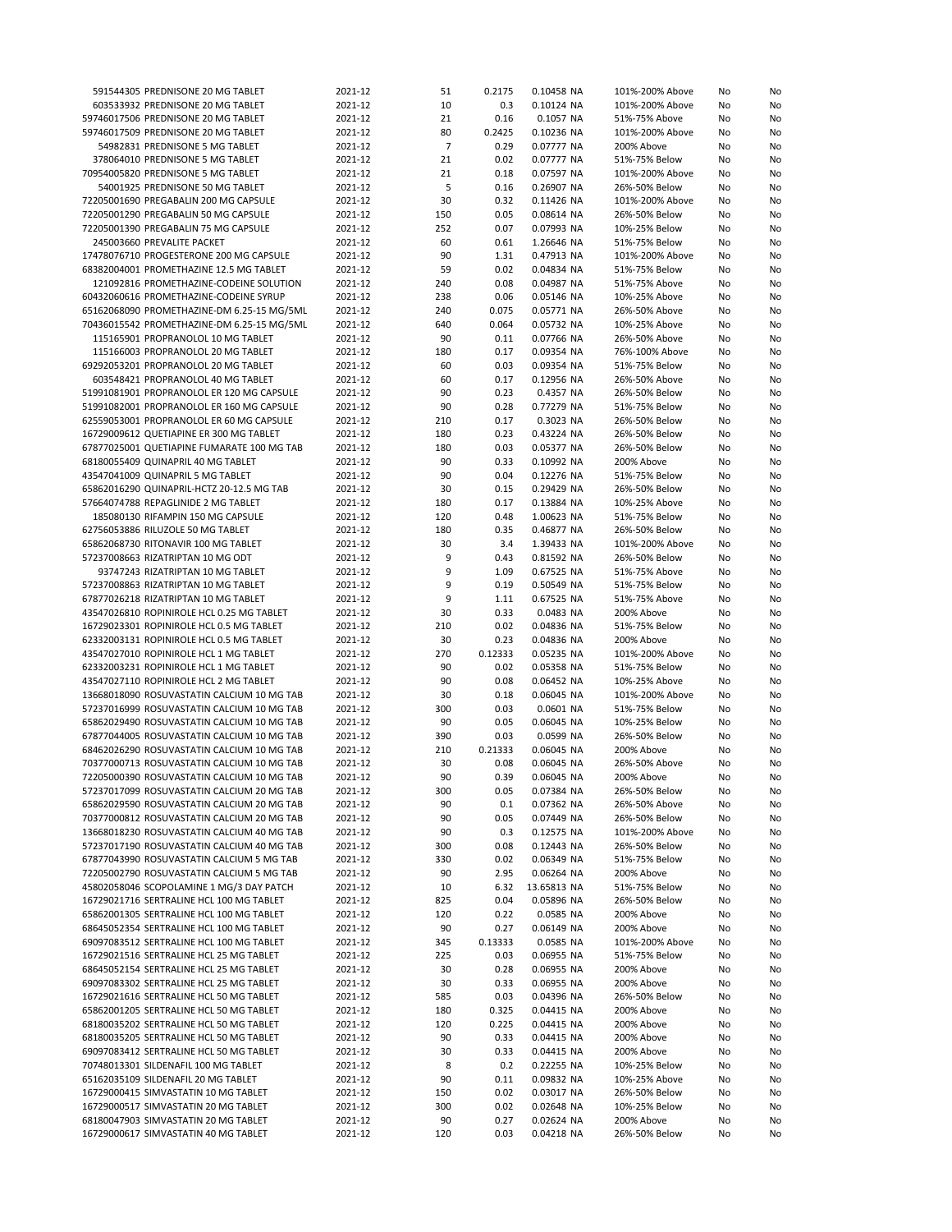| 591544305 PREDNISONE 20 MG TABLET          | 2021-12 | 51             | 0.2175  | 0.10458 NA  | 101%-200% Above | No | No |
|--------------------------------------------|---------|----------------|---------|-------------|-----------------|----|----|
| 603533932 PREDNISONE 20 MG TABLET          | 2021-12 | 10             | 0.3     | 0.10124 NA  | 101%-200% Above | No | No |
| 59746017506 PREDNISONE 20 MG TABLET        | 2021-12 | 21             | 0.16    | 0.1057 NA   | 51%-75% Above   | No | No |
| 59746017509 PREDNISONE 20 MG TABLET        | 2021-12 | 80             | 0.2425  | 0.10236 NA  | 101%-200% Above | No | No |
| 54982831 PREDNISONE 5 MG TABLET            | 2021-12 | $\overline{7}$ | 0.29    | 0.07777 NA  | 200% Above      | No | No |
|                                            |         |                |         |             |                 |    |    |
| 378064010 PREDNISONE 5 MG TABLET           | 2021-12 | 21             | 0.02    | 0.07777 NA  | 51%-75% Below   | No | No |
| 70954005820 PREDNISONE 5 MG TABLET         | 2021-12 | 21             | 0.18    | 0.07597 NA  | 101%-200% Above | No | No |
| 54001925 PREDNISONE 50 MG TABLET           | 2021-12 | 5              | 0.16    | 0.26907 NA  | 26%-50% Below   | No | No |
| 72205001690 PREGABALIN 200 MG CAPSULE      | 2021-12 | 30             | 0.32    | 0.11426 NA  | 101%-200% Above | No | No |
| 72205001290 PREGABALIN 50 MG CAPSULE       | 2021-12 | 150            | 0.05    | 0.08614 NA  | 26%-50% Below   | No | No |
| 72205001390 PREGABALIN 75 MG CAPSULE       | 2021-12 | 252            | 0.07    | 0.07993 NA  | 10%-25% Below   | No | No |
| 245003660 PREVALITE PACKET                 | 2021-12 | 60             | 0.61    | 1.26646 NA  | 51%-75% Below   | No | No |
| 17478076710 PROGESTERONE 200 MG CAPSULE    | 2021-12 | 90             | 1.31    | 0.47913 NA  | 101%-200% Above | No | No |
| 68382004001 PROMETHAZINE 12.5 MG TABLET    | 2021-12 | 59             | 0.02    | 0.04834 NA  | 51%-75% Below   | No | No |
| 121092816 PROMETHAZINE-CODEINE SOLUTION    | 2021-12 | 240            | 0.08    |             |                 |    | No |
|                                            |         |                |         | 0.04987 NA  | 51%-75% Above   | No |    |
| 60432060616 PROMETHAZINE-CODEINE SYRUP     | 2021-12 | 238            | 0.06    | 0.05146 NA  | 10%-25% Above   | No | No |
| 65162068090 PROMETHAZINE-DM 6.25-15 MG/5ML | 2021-12 | 240            | 0.075   | 0.05771 NA  | 26%-50% Above   | No | No |
| 70436015542 PROMETHAZINE-DM 6.25-15 MG/5ML | 2021-12 | 640            | 0.064   | 0.05732 NA  | 10%-25% Above   | No | No |
| 115165901 PROPRANOLOL 10 MG TABLET         | 2021-12 | 90             | 0.11    | 0.07766 NA  | 26%-50% Above   | No | No |
| 115166003 PROPRANOLOL 20 MG TABLET         | 2021-12 | 180            | 0.17    | 0.09354 NA  | 76%-100% Above  | No | No |
| 69292053201 PROPRANOLOL 20 MG TABLET       | 2021-12 | 60             | 0.03    | 0.09354 NA  | 51%-75% Below   | No | No |
| 603548421 PROPRANOLOL 40 MG TABLET         | 2021-12 | 60             | 0.17    | 0.12956 NA  | 26%-50% Above   | No | No |
| 51991081901 PROPRANOLOL ER 120 MG CAPSULE  | 2021-12 | 90             | 0.23    | 0.4357 NA   | 26%-50% Below   | No | No |
| 51991082001 PROPRANOLOL ER 160 MG CAPSULE  | 2021-12 | 90             | 0.28    | 0.77279 NA  | 51%-75% Below   | No | No |
| 62559053001 PROPRANOLOL ER 60 MG CAPSULE   | 2021-12 | 210            | 0.17    | 0.3023 NA   | 26%-50% Below   | No | No |
|                                            |         |                |         |             |                 |    |    |
| 16729009612 QUETIAPINE ER 300 MG TABLET    | 2021-12 | 180            | 0.23    | 0.43224 NA  | 26%-50% Below   | No | No |
| 67877025001 QUETIAPINE FUMARATE 100 MG TAB | 2021-12 | 180            | 0.03    | 0.05377 NA  | 26%-50% Below   | No | No |
| 68180055409 QUINAPRIL 40 MG TABLET         | 2021-12 | 90             | 0.33    | 0.10992 NA  | 200% Above      | No | No |
| 43547041009 QUINAPRIL 5 MG TABLET          | 2021-12 | 90             | 0.04    | 0.12276 NA  | 51%-75% Below   | No | No |
| 65862016290 QUINAPRIL-HCTZ 20-12.5 MG TAB  | 2021-12 | 30             | 0.15    | 0.29429 NA  | 26%-50% Below   | No | No |
| 57664074788 REPAGLINIDE 2 MG TABLET        | 2021-12 | 180            | 0.17    | 0.13884 NA  | 10%-25% Above   | No | No |
| 185080130 RIFAMPIN 150 MG CAPSULE          | 2021-12 | 120            | 0.48    | 1.00623 NA  | 51%-75% Below   | No | No |
| 62756053886 RILUZOLE 50 MG TABLET          | 2021-12 | 180            | 0.35    | 0.46877 NA  | 26%-50% Below   | No | No |
| 65862068730 RITONAVIR 100 MG TABLET        | 2021-12 | 30             | 3.4     | 1.39433 NA  | 101%-200% Above |    | No |
|                                            |         |                |         |             |                 | No |    |
| 57237008663 RIZATRIPTAN 10 MG ODT          | 2021-12 | 9              | 0.43    | 0.81592 NA  | 26%-50% Below   | No | No |
| 93747243 RIZATRIPTAN 10 MG TABLET          | 2021-12 | 9              | 1.09    | 0.67525 NA  | 51%-75% Above   | No | No |
| 57237008863 RIZATRIPTAN 10 MG TABLET       | 2021-12 | 9              | 0.19    | 0.50549 NA  | 51%-75% Below   | No | No |
| 67877026218 RIZATRIPTAN 10 MG TABLET       | 2021-12 | 9              | 1.11    | 0.67525 NA  | 51%-75% Above   | No | No |
| 43547026810 ROPINIROLE HCL 0.25 MG TABLET  | 2021-12 | 30             | 0.33    | 0.0483 NA   | 200% Above      | No | No |
| 16729023301 ROPINIROLE HCL 0.5 MG TABLET   | 2021-12 | 210            | 0.02    | 0.04836 NA  | 51%-75% Below   | No | No |
| 62332003131 ROPINIROLE HCL 0.5 MG TABLET   | 2021-12 | 30             | 0.23    | 0.04836 NA  | 200% Above      | No | No |
| 43547027010 ROPINIROLE HCL 1 MG TABLET     | 2021-12 | 270            | 0.12333 | 0.05235 NA  | 101%-200% Above | No | No |
| 62332003231 ROPINIROLE HCL 1 MG TABLET     | 2021-12 | 90             | 0.02    | 0.05358 NA  | 51%-75% Below   | No | No |
| 43547027110 ROPINIROLE HCL 2 MG TABLET     | 2021-12 | 90             | 0.08    | 0.06452 NA  | 10%-25% Above   | No | No |
|                                            |         |                |         |             |                 |    |    |
| 13668018090 ROSUVASTATIN CALCIUM 10 MG TAB | 2021-12 | 30             | 0.18    | 0.06045 NA  | 101%-200% Above | No | No |
| 57237016999 ROSUVASTATIN CALCIUM 10 MG TAB | 2021-12 | 300            | 0.03    | 0.0601 NA   | 51%-75% Below   | No | No |
| 65862029490 ROSUVASTATIN CALCIUM 10 MG TAB | 2021-12 | 90             | 0.05    | 0.06045 NA  | 10%-25% Below   | No | No |
| 67877044005 ROSUVASTATIN CALCIUM 10 MG TAB | 2021-12 | 390            | 0.03    | 0.0599 NA   | 26%-50% Below   | No | No |
| 68462026290 ROSUVASTATIN CALCIUM 10 MG TAB | 2021-12 | 210            | 0.21333 | 0.06045 NA  | 200% Above      | No | No |
| 70377000713 ROSUVASTATIN CALCIUM 10 MG TAB | 2021-12 | 30             | 0.08    | 0.06045 NA  | 26%-50% Above   | No | No |
| 72205000390 ROSUVASTATIN CALCIUM 10 MG TAB | 2021-12 | 90             | 0.39    | 0.06045 NA  | 200% Above      | No | No |
| 57237017099 ROSUVASTATIN CALCIUM 20 MG TAB | 2021-12 | 300            | 0.05    | 0.07384 NA  | 26%-50% Below   | No | No |
| 65862029590 ROSUVASTATIN CALCIUM 20 MG TAB | 2021-12 | 90             | 0.1     | 0.07362 NA  | 26%-50% Above   | No | No |
| 70377000812 ROSUVASTATIN CALCIUM 20 MG TAB | 2021-12 | 90             | 0.05    | 0.07449 NA  | 26%-50% Below   | No | No |
| 13668018230 ROSUVASTATIN CALCIUM 40 MG TAB | 2021-12 | 90             | 0.3     | 0.12575 NA  | 101%-200% Above | No | No |
|                                            |         |                |         |             |                 |    |    |
| 57237017190 ROSUVASTATIN CALCIUM 40 MG TAB | 2021-12 | 300            | 0.08    | 0.12443 NA  | 26%-50% Below   | No | No |
| 67877043990 ROSUVASTATIN CALCIUM 5 MG TAB  | 2021-12 | 330            | 0.02    | 0.06349 NA  | 51%-75% Below   | No | No |
| 72205002790 ROSUVASTATIN CALCIUM 5 MG TAB  | 2021-12 | 90             | 2.95    | 0.06264 NA  | 200% Above      | No | No |
| 45802058046 SCOPOLAMINE 1 MG/3 DAY PATCH   | 2021-12 | 10             | 6.32    | 13.65813 NA | 51%-75% Below   | No | No |
| 16729021716 SERTRALINE HCL 100 MG TABLET   | 2021-12 | 825            | 0.04    | 0.05896 NA  | 26%-50% Below   | No | No |
| 65862001305 SERTRALINE HCL 100 MG TABLET   | 2021-12 | 120            | 0.22    | 0.0585 NA   | 200% Above      | No | No |
| 68645052354 SERTRALINE HCL 100 MG TABLET   | 2021-12 | 90             | 0.27    | 0.06149 NA  | 200% Above      | No | No |
| 69097083512 SERTRALINE HCL 100 MG TABLET   | 2021-12 | 345            | 0.13333 | 0.0585 NA   | 101%-200% Above | No | No |
| 16729021516 SERTRALINE HCL 25 MG TABLET    | 2021-12 | 225            | 0.03    | 0.06955 NA  | 51%-75% Below   | No | No |
|                                            |         |                |         |             |                 |    |    |
| 68645052154 SERTRALINE HCL 25 MG TABLET    | 2021-12 | 30             | 0.28    | 0.06955 NA  | 200% Above      | No | No |
| 69097083302 SERTRALINE HCL 25 MG TABLET    | 2021-12 | 30             | 0.33    | 0.06955 NA  | 200% Above      | No | No |
| 16729021616 SERTRALINE HCL 50 MG TABLET    | 2021-12 | 585            | 0.03    | 0.04396 NA  | 26%-50% Below   | No | No |
| 65862001205 SERTRALINE HCL 50 MG TABLET    | 2021-12 | 180            | 0.325   | 0.04415 NA  | 200% Above      | No | No |
| 68180035202 SERTRALINE HCL 50 MG TABLET    | 2021-12 | 120            | 0.225   | 0.04415 NA  | 200% Above      | No | No |
| 68180035205 SERTRALINE HCL 50 MG TABLET    | 2021-12 | 90             | 0.33    | 0.04415 NA  | 200% Above      | No | No |
| 69097083412 SERTRALINE HCL 50 MG TABLET    | 2021-12 | 30             | 0.33    | 0.04415 NA  | 200% Above      | No | No |
| 70748013301 SILDENAFIL 100 MG TABLET       | 2021-12 | 8              | 0.2     | 0.22255 NA  | 10%-25% Below   | No | No |
| 65162035109 SILDENAFIL 20 MG TABLET        | 2021-12 | 90             | 0.11    | 0.09832 NA  | 10%-25% Above   | No | No |
| 16729000415 SIMVASTATIN 10 MG TABLET       | 2021-12 | 150            | 0.02    | 0.03017 NA  | 26%-50% Below   | No |    |
|                                            |         |                |         |             |                 |    | No |
| 16729000517 SIMVASTATIN 20 MG TABLET       | 2021-12 | 300            | 0.02    | 0.02648 NA  | 10%-25% Below   | No | No |
| 68180047903 SIMVASTATIN 20 MG TABLET       | 2021-12 | 90             | 0.27    | 0.02624 NA  | 200% Above      | No | No |
| 16729000617 SIMVASTATIN 40 MG TABLET       | 2021-12 | 120            | 0.03    | 0.04218 NA  | 26%-50% Below   | No | No |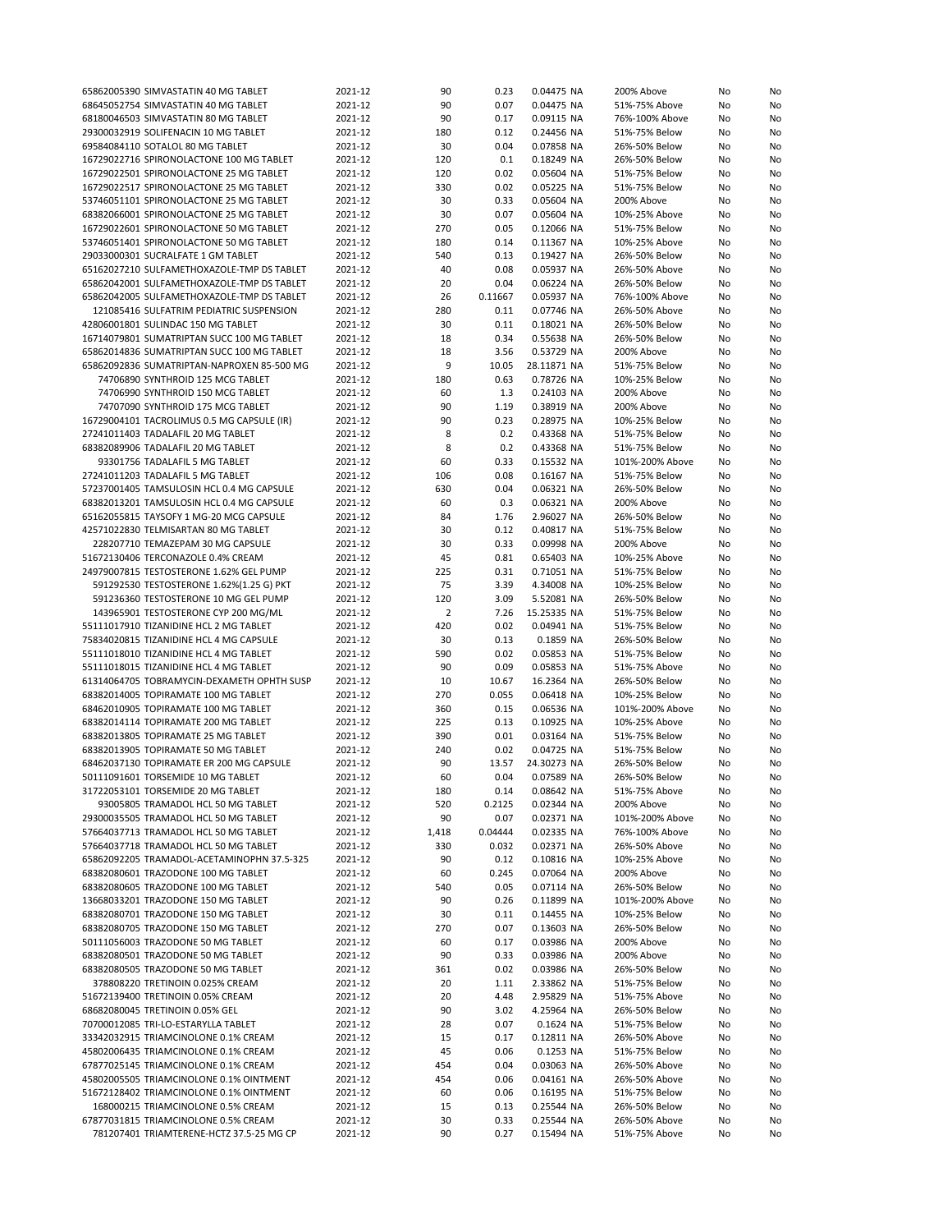| 65862005390 SIMVASTATIN 40 MG TABLET       | 2021-12 | 90             | 0.23    | 0.04475 NA  | 200% Above      | No | No |
|--------------------------------------------|---------|----------------|---------|-------------|-----------------|----|----|
|                                            |         |                |         |             |                 |    |    |
| 68645052754 SIMVASTATIN 40 MG TABLET       | 2021-12 | 90             | 0.07    | 0.04475 NA  | 51%-75% Above   | No | No |
| 68180046503 SIMVASTATIN 80 MG TABLET       | 2021-12 | 90             | 0.17    | 0.09115 NA  | 76%-100% Above  | No | No |
| 29300032919 SOLIFENACIN 10 MG TABLET       | 2021-12 | 180            | 0.12    | 0.24456 NA  | 51%-75% Below   | No | No |
| 69584084110 SOTALOL 80 MG TABLET           | 2021-12 | 30             | 0.04    | 0.07858 NA  | 26%-50% Below   | No | No |
|                                            |         |                |         |             |                 |    |    |
| 16729022716 SPIRONOLACTONE 100 MG TABLET   | 2021-12 | 120            | 0.1     | 0.18249 NA  | 26%-50% Below   | No | No |
| 16729022501 SPIRONOLACTONE 25 MG TABLET    | 2021-12 | 120            | 0.02    | 0.05604 NA  | 51%-75% Below   | No | No |
| 16729022517 SPIRONOLACTONE 25 MG TABLET    | 2021-12 | 330            | 0.02    | 0.05225 NA  | 51%-75% Below   | No | No |
| 53746051101 SPIRONOLACTONE 25 MG TABLET    | 2021-12 | 30             | 0.33    | 0.05604 NA  | 200% Above      | No | No |
|                                            |         |                |         |             |                 |    |    |
| 68382066001 SPIRONOLACTONE 25 MG TABLET    | 2021-12 | 30             | 0.07    | 0.05604 NA  | 10%-25% Above   | No | No |
| 16729022601 SPIRONOLACTONE 50 MG TABLET    | 2021-12 | 270            | 0.05    | 0.12066 NA  | 51%-75% Below   | No | No |
| 53746051401 SPIRONOLACTONE 50 MG TABLET    | 2021-12 | 180            | 0.14    | 0.11367 NA  | 10%-25% Above   | No | No |
|                                            |         |                |         |             |                 |    |    |
| 29033000301 SUCRALFATE 1 GM TABLET         | 2021-12 | 540            | 0.13    | 0.19427 NA  | 26%-50% Below   | No | No |
| 65162027210 SULFAMETHOXAZOLE-TMP DS TABLET | 2021-12 | 40             | 0.08    | 0.05937 NA  | 26%-50% Above   | No | No |
| 65862042001 SULFAMETHOXAZOLE-TMP DS TABLET | 2021-12 | 20             | 0.04    | 0.06224 NA  | 26%-50% Below   | No | No |
| 65862042005 SULFAMETHOXAZOLE-TMP DS TABLET | 2021-12 | 26             | 0.11667 | 0.05937 NA  | 76%-100% Above  | No | No |
|                                            |         |                |         |             |                 |    |    |
| 121085416 SULFATRIM PEDIATRIC SUSPENSION   | 2021-12 | 280            | 0.11    | 0.07746 NA  | 26%-50% Above   | No | No |
| 42806001801 SULINDAC 150 MG TABLET         | 2021-12 | 30             | 0.11    | 0.18021 NA  | 26%-50% Below   | No | No |
| 16714079801 SUMATRIPTAN SUCC 100 MG TABLET | 2021-12 | 18             | 0.34    | 0.55638 NA  | 26%-50% Below   | No | No |
| 65862014836 SUMATRIPTAN SUCC 100 MG TABLET | 2021-12 | 18             | 3.56    | 0.53729 NA  | 200% Above      | No | No |
|                                            |         |                |         |             |                 |    |    |
| 65862092836 SUMATRIPTAN-NAPROXEN 85-500 MG | 2021-12 | 9              | 10.05   | 28.11871 NA | 51%-75% Below   | No | No |
| 74706890 SYNTHROID 125 MCG TABLET          | 2021-12 | 180            | 0.63    | 0.78726 NA  | 10%-25% Below   | No | No |
| 74706990 SYNTHROID 150 MCG TABLET          | 2021-12 | 60             | 1.3     | 0.24103 NA  | 200% Above      | No | No |
| 74707090 SYNTHROID 175 MCG TABLET          | 2021-12 | 90             | 1.19    | 0.38919 NA  | 200% Above      | No | No |
|                                            |         |                |         |             |                 |    |    |
| 16729004101 TACROLIMUS 0.5 MG CAPSULE (IR) | 2021-12 | 90             | 0.23    | 0.28975 NA  | 10%-25% Below   | No | No |
| 27241011403 TADALAFIL 20 MG TABLET         | 2021-12 | 8              | 0.2     | 0.43368 NA  | 51%-75% Below   | No | No |
| 68382089906 TADALAFIL 20 MG TABLET         | 2021-12 | 8              | 0.2     | 0.43368 NA  | 51%-75% Below   | No | No |
| 93301756 TADALAFIL 5 MG TABLET             | 2021-12 | 60             | 0.33    | 0.15532 NA  | 101%-200% Above | No | No |
|                                            |         |                |         |             |                 |    |    |
| 27241011203 TADALAFIL 5 MG TABLET          | 2021-12 | 106            | 0.08    | 0.16167 NA  | 51%-75% Below   | No | No |
| 57237001405 TAMSULOSIN HCL 0.4 MG CAPSULE  | 2021-12 | 630            | 0.04    | 0.06321 NA  | 26%-50% Below   | No | No |
| 68382013201 TAMSULOSIN HCL 0.4 MG CAPSULE  | 2021-12 | 60             | 0.3     | 0.06321 NA  | 200% Above      | No | No |
| 65162055815 TAYSOFY 1 MG-20 MCG CAPSULE    | 2021-12 | 84             | 1.76    | 2.96027 NA  | 26%-50% Below   | No | No |
|                                            |         |                |         |             |                 |    |    |
| 42571022830 TELMISARTAN 80 MG TABLET       | 2021-12 | 30             | 0.12    | 0.40817 NA  | 51%-75% Below   | No | No |
| 228207710 TEMAZEPAM 30 MG CAPSULE          | 2021-12 | 30             | 0.33    | 0.09998 NA  | 200% Above      | No | No |
| 51672130406 TERCONAZOLE 0.4% CREAM         | 2021-12 | 45             | 0.81    | 0.65403 NA  | 10%-25% Above   | No | No |
| 24979007815 TESTOSTERONE 1.62% GEL PUMP    | 2021-12 | 225            | 0.31    | 0.71051 NA  | 51%-75% Below   | No |    |
|                                            |         |                |         |             |                 |    | No |
| 591292530 TESTOSTERONE 1.62%(1.25 G) PKT   | 2021-12 | 75             | 3.39    | 4.34008 NA  | 10%-25% Below   | No | No |
| 591236360 TESTOSTERONE 10 MG GEL PUMP      | 2021-12 | 120            | 3.09    | 5.52081 NA  | 26%-50% Below   | No | No |
| 143965901 TESTOSTERONE CYP 200 MG/ML       | 2021-12 | $\overline{2}$ | 7.26    | 15.25335 NA | 51%-75% Below   | No | No |
| 55111017910 TIZANIDINE HCL 2 MG TABLET     | 2021-12 | 420            | 0.02    | 0.04941 NA  | 51%-75% Below   |    | No |
|                                            |         |                |         |             |                 | No |    |
| 75834020815 TIZANIDINE HCL 4 MG CAPSULE    | 2021-12 | 30             | 0.13    | 0.1859 NA   | 26%-50% Below   | No | No |
| 55111018010 TIZANIDINE HCL 4 MG TABLET     | 2021-12 | 590            | 0.02    | 0.05853 NA  | 51%-75% Below   | No | No |
| 55111018015 TIZANIDINE HCL 4 MG TABLET     | 2021-12 | 90             | 0.09    | 0.05853 NA  | 51%-75% Above   | No | No |
|                                            |         |                |         |             |                 |    |    |
| 61314064705 TOBRAMYCIN-DEXAMETH OPHTH SUSP | 2021-12 | 10             | 10.67   | 16.2364 NA  | 26%-50% Below   | No | No |
| 68382014005 TOPIRAMATE 100 MG TABLET       | 2021-12 | 270            | 0.055   | 0.06418 NA  | 10%-25% Below   | No | No |
| 68462010905 TOPIRAMATE 100 MG TABLET       | 2021-12 | 360            | 0.15    | 0.06536 NA  | 101%-200% Above | No | No |
| 68382014114 TOPIRAMATE 200 MG TABLET       | 2021-12 | 225            | 0.13    | 0.10925 NA  | 10%-25% Above   | No | No |
|                                            |         |                |         |             |                 |    |    |
| 68382013805 TOPIRAMATE 25 MG TABLET        | 2021-12 | 390            | 0.01    | 0.03164 NA  | 51%-75% Below   | No | No |
| 68382013905 TOPIRAMATE 50 MG TABLET        | 2021-12 | 240            | 0.02    | 0.04725 NA  | 51%-75% Below   | No | No |
| 68462037130 TOPIRAMATE ER 200 MG CAPSULE   | 2021-12 | 90             | 13.57   | 24.30273 NA | 26%-50% Below   | No | No |
| 50111091601 TORSEMIDE 10 MG TABLET         | 2021-12 | 60             | 0.04    | 0.07589 NA  | 26%-50% Below   | No | No |
|                                            |         |                |         |             |                 |    |    |
| 31722053101 TORSEMIDE 20 MG TABLET         | 2021-12 | 180            | 0.14    | 0.08642 NA  | 51%-75% Above   | No | No |
| 93005805 TRAMADOL HCL 50 MG TABLET         | 2021-12 | 520            | 0.2125  | 0.02344 NA  | 200% Above      | No | No |
| 29300035505 TRAMADOL HCL 50 MG TABLET      | 2021-12 | 90             | 0.07    | 0.02371 NA  | 101%-200% Above | No | No |
| 57664037713 TRAMADOL HCL 50 MG TABLET      | 2021-12 | 1,418          | 0.04444 | 0.02335 NA  | 76%-100% Above  | No | No |
| 57664037718 TRAMADOL HCL 50 MG TABLET      | 2021-12 | 330            | 0.032   | 0.02371 NA  | 26%-50% Above   | No | No |
|                                            |         |                |         |             |                 |    |    |
| 65862092205 TRAMADOL-ACETAMINOPHN 37.5-325 | 2021-12 | 90             | 0.12    | 0.10816 NA  | 10%-25% Above   | No | No |
| 68382080601 TRAZODONE 100 MG TABLET        | 2021-12 | 60             | 0.245   | 0.07064 NA  | 200% Above      | No | No |
| 68382080605 TRAZODONE 100 MG TABLET        | 2021-12 | 540            | 0.05    | 0.07114 NA  | 26%-50% Below   | No | No |
| 13668033201 TRAZODONE 150 MG TABLET        | 2021-12 | 90             | 0.26    | 0.11899 NA  | 101%-200% Above | No | No |
|                                            |         |                |         |             |                 |    |    |
| 68382080701 TRAZODONE 150 MG TABLET        | 2021-12 | 30             | 0.11    | 0.14455 NA  | 10%-25% Below   | No | No |
| 68382080705 TRAZODONE 150 MG TABLET        | 2021-12 |                | 0.07    |             | 26%-50% Below   | No | No |
| 50111056003 TRAZODONE 50 MG TABLET         |         | 270            |         | 0.13603 NA  |                 |    |    |
| 68382080501 TRAZODONE 50 MG TABLET         |         |                |         |             |                 |    |    |
|                                            | 2021-12 | 60             | 0.17    | 0.03986 NA  | 200% Above      | No | No |
|                                            | 2021-12 | 90             | 0.33    | 0.03986 NA  | 200% Above      | No | No |
| 68382080505 TRAZODONE 50 MG TABLET         | 2021-12 | 361            | 0.02    | 0.03986 NA  | 26%-50% Below   | No | No |
| 378808220 TRETINOIN 0.025% CREAM           | 2021-12 | 20             | 1.11    | 2.33862 NA  | 51%-75% Below   | No | No |
| 51672139400 TRETINOIN 0.05% CREAM          | 2021-12 | 20             | 4.48    | 2.95829 NA  | 51%-75% Above   | No | No |
|                                            |         |                |         |             |                 |    |    |
| 68682080045 TRETINOIN 0.05% GEL            | 2021-12 | 90             | 3.02    | 4.25964 NA  | 26%-50% Below   | No | No |
| 70700012085 TRI-LO-ESTARYLLA TABLET        | 2021-12 | 28             | 0.07    | 0.1624 NA   | 51%-75% Below   | No | No |
| 33342032915 TRIAMCINOLONE 0.1% CREAM       | 2021-12 | 15             | 0.17    | 0.12811 NA  | 26%-50% Above   | No | No |
| 45802006435 TRIAMCINOLONE 0.1% CREAM       | 2021-12 | 45             | 0.06    | 0.1253 NA   | 51%-75% Below   | No | No |
|                                            |         |                |         |             |                 |    |    |
| 67877025145 TRIAMCINOLONE 0.1% CREAM       | 2021-12 | 454            | 0.04    | 0.03063 NA  | 26%-50% Above   | No | No |
| 45802005505 TRIAMCINOLONE 0.1% OINTMENT    | 2021-12 | 454            | 0.06    | 0.04161 NA  | 26%-50% Above   | No | No |
| 51672128402 TRIAMCINOLONE 0.1% OINTMENT    | 2021-12 | 60             | 0.06    | 0.16195 NA  | 51%-75% Below   | No | No |
| 168000215 TRIAMCINOLONE 0.5% CREAM         | 2021-12 | 15             | 0.13    | 0.25544 NA  | 26%-50% Below   | No | No |
| 67877031815 TRIAMCINOLONE 0.5% CREAM       | 2021-12 | 30             | 0.33    | 0.25544 NA  | 26%-50% Above   | No | No |
| 781207401 TRIAMTERENE-HCTZ 37.5-25 MG CP   | 2021-12 | 90             | 0.27    | 0.15494 NA  | 51%-75% Above   | No | No |